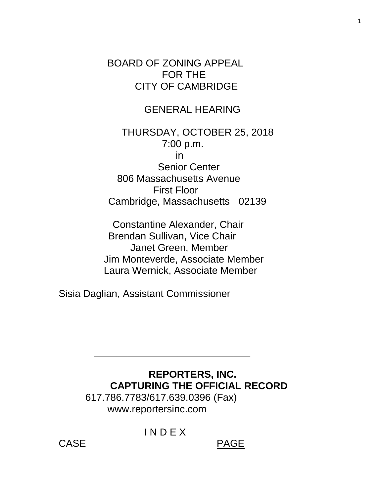BOARD OF ZONING APPEAL FOR THE CITY OF CAMBRIDGE

# GENERAL HEARING

 THURSDAY, OCTOBER 25, 2018 7:00 p.m. in Senior Center 806 Massachusetts Avenue First Floor Cambridge, Massachusetts 02139

 Constantine Alexander, Chair Brendan Sullivan, Vice Chair Janet Green, Member Jim Monteverde, Associate Member Laura Wernick, Associate Member

Sisia Daglian, Assistant Commissioner

## **REPORTERS, INC. CAPTURING THE OFFICIAL RECORD**

 617.786.7783/617.639.0396 (Fax) www.reportersinc.com

 $\frac{1}{\sqrt{2}}$  ,  $\frac{1}{\sqrt{2}}$  ,  $\frac{1}{\sqrt{2}}$  ,  $\frac{1}{\sqrt{2}}$  ,  $\frac{1}{\sqrt{2}}$  ,  $\frac{1}{\sqrt{2}}$  ,  $\frac{1}{\sqrt{2}}$  ,  $\frac{1}{\sqrt{2}}$  ,  $\frac{1}{\sqrt{2}}$  ,  $\frac{1}{\sqrt{2}}$  ,  $\frac{1}{\sqrt{2}}$  ,  $\frac{1}{\sqrt{2}}$  ,  $\frac{1}{\sqrt{2}}$  ,  $\frac{1}{\sqrt{2}}$  ,  $\frac{1}{\sqrt{2}}$ 

I N D E X

CASE PAGE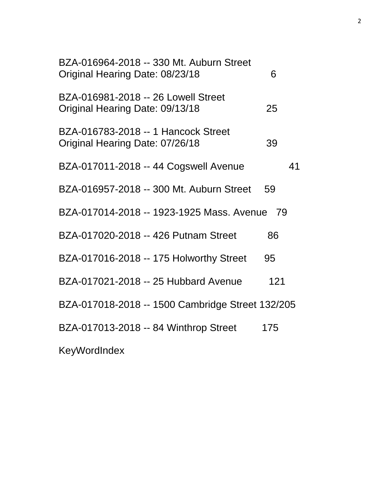| BZA-016964-2018 -- 330 Mt. Auburn Street<br>Original Hearing Date: 08/23/18 | 6   |
|-----------------------------------------------------------------------------|-----|
| BZA-016981-2018 -- 26 Lowell Street<br>Original Hearing Date: 09/13/18      | 25  |
| BZA-016783-2018 -- 1 Hancock Street<br>Original Hearing Date: 07/26/18      | 39  |
| BZA-017011-2018 -- 44 Cogswell Avenue                                       | 41  |
| BZA-016957-2018 -- 300 Mt. Auburn Street                                    | 59  |
| BZA-017014-2018 -- 1923-1925 Mass. Avenue 79                                |     |
| BZA-017020-2018 -- 426 Putnam Street                                        | 86  |
| BZA-017016-2018 -- 175 Holworthy Street                                     | 95  |
| BZA-017021-2018 -- 25 Hubbard Avenue                                        | 121 |
| BZA-017018-2018 -- 1500 Cambridge Street 132/205                            |     |
| BZA-017013-2018 -- 84 Winthrop Street                                       | 175 |
| <b>KeyWordIndex</b>                                                         |     |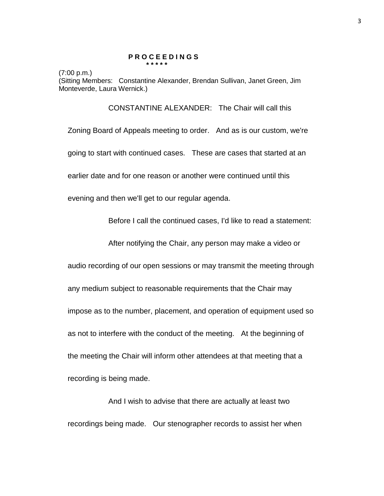#### **P R O C E E D I N G S \* \* \* \* \***

(7:00 p.m.)

(Sitting Members: Constantine Alexander, Brendan Sullivan, Janet Green, Jim Monteverde, Laura Wernick.)

CONSTANTINE ALEXANDER: The Chair will call this

Zoning Board of Appeals meeting to order. And as is our custom, we're going to start with continued cases. These are cases that started at an earlier date and for one reason or another were continued until this

evening and then we'll get to our regular agenda.

Before I call the continued cases, I'd like to read a statement:

After notifying the Chair, any person may make a video or

audio recording of our open sessions or may transmit the meeting through

any medium subject to reasonable requirements that the Chair may

impose as to the number, placement, and operation of equipment used so

as not to interfere with the conduct of the meeting. At the beginning of the meeting the Chair will inform other attendees at that meeting that a

recording is being made.

And I wish to advise that there are actually at least two recordings being made. Our stenographer records to assist her when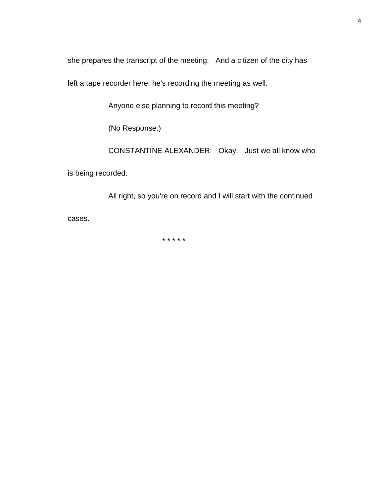she prepares the transcript of the meeting. And a citizen of the city has

left a tape recorder here, he's recording the meeting as well.

Anyone else planning to record this meeting?

(No Response.)

CONSTANTINE ALEXANDER: Okay. Just we all know who

is being recorded.

All right, so you're on record and I will start with the continued cases.

\* \* \* \* \*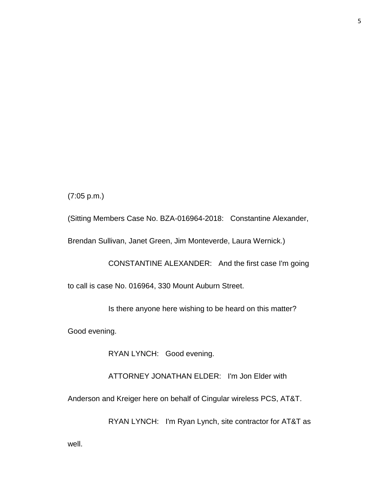(7:05 p.m.)

(Sitting Members Case No. BZA-016964-2018: Constantine Alexander,

Brendan Sullivan, Janet Green, Jim Monteverde, Laura Wernick.)

CONSTANTINE ALEXANDER: And the first case I'm going

to call is case No. 016964, 330 Mount Auburn Street.

Is there anyone here wishing to be heard on this matter?

Good evening.

RYAN LYNCH: Good evening.

ATTORNEY JONATHAN ELDER: I'm Jon Elder with

Anderson and Kreiger here on behalf of Cingular wireless PCS, AT&T.

RYAN LYNCH: I'm Ryan Lynch, site contractor for AT&T as

well.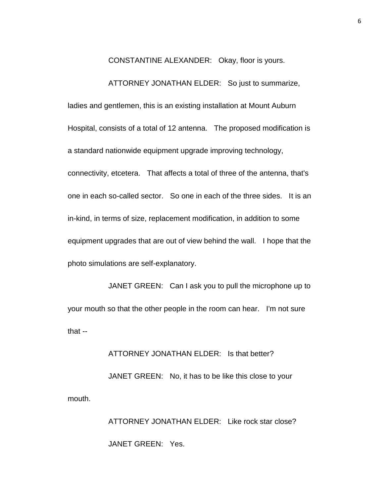CONSTANTINE ALEXANDER: Okay, floor is yours.

#### ATTORNEY JONATHAN ELDER: So just to summarize,

ladies and gentlemen, this is an existing installation at Mount Auburn Hospital, consists of a total of 12 antenna. The proposed modification is a standard nationwide equipment upgrade improving technology, connectivity, etcetera. That affects a total of three of the antenna, that's one in each so-called sector. So one in each of the three sides. It is an in-kind, in terms of size, replacement modification, in addition to some equipment upgrades that are out of view behind the wall. I hope that the photo simulations are self-explanatory.

JANET GREEN: Can I ask you to pull the microphone up to your mouth so that the other people in the room can hear. I'm not sure that --

### ATTORNEY JONATHAN ELDER: Is that better?

JANET GREEN: No, it has to be like this close to your mouth.

> ATTORNEY JONATHAN ELDER: Like rock star close? JANET GREEN: Yes.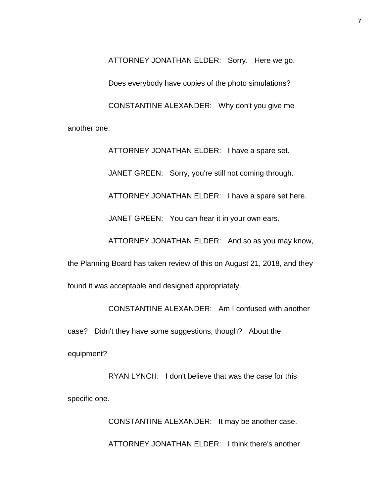ATTORNEY JONATHAN ELDER: Sorry. Here we go. Does everybody have copies of the photo simulations? CONSTANTINE ALEXANDER: Why don't you give me another one.

> ATTORNEY JONATHAN ELDER: I have a spare set. JANET GREEN: Sorry, you're still not coming through. ATTORNEY JONATHAN ELDER: I have a spare set here. JANET GREEN: You can hear it in your own ears.

ATTORNEY JONATHAN ELDER: And so as you may know,

the Planning Board has taken review of this on August 21, 2018, and they

found it was acceptable and designed appropriately.

CONSTANTINE ALEXANDER: Am I confused with another case? Didn't they have some suggestions, though? About the equipment?

RYAN LYNCH: I don't believe that was the case for this specific one.

> CONSTANTINE ALEXANDER: It may be another case. ATTORNEY JONATHAN ELDER: I think there's another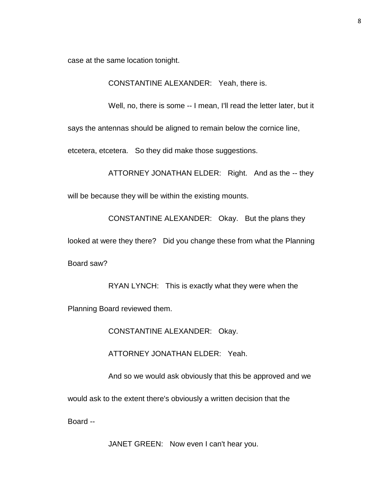case at the same location tonight.

CONSTANTINE ALEXANDER: Yeah, there is.

Well, no, there is some -- I mean, I'll read the letter later, but it

says the antennas should be aligned to remain below the cornice line,

etcetera, etcetera. So they did make those suggestions.

ATTORNEY JONATHAN ELDER: Right. And as the -- they

will be because they will be within the existing mounts.

CONSTANTINE ALEXANDER: Okay. But the plans they

looked at were they there? Did you change these from what the Planning

Board saw?

RYAN LYNCH: This is exactly what they were when the

Planning Board reviewed them.

CONSTANTINE ALEXANDER: Okay.

ATTORNEY JONATHAN ELDER: Yeah.

And so we would ask obviously that this be approved and we

would ask to the extent there's obviously a written decision that the

Board --

JANET GREEN: Now even I can't hear you.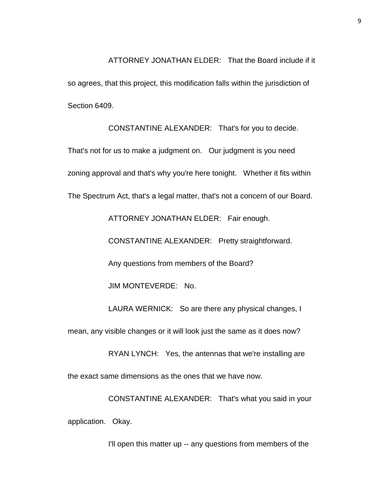ATTORNEY JONATHAN ELDER: That the Board include if it so agrees, that this project, this modification falls within the jurisdiction of Section 6409.

CONSTANTINE ALEXANDER: That's for you to decide.

That's not for us to make a judgment on. Our judgment is you need zoning approval and that's why you're here tonight. Whether it fits within The Spectrum Act, that's a legal matter, that's not a concern of our Board.

ATTORNEY JONATHAN ELDER: Fair enough.

CONSTANTINE ALEXANDER: Pretty straightforward.

Any questions from members of the Board?

JIM MONTEVERDE: No.

LAURA WERNICK: So are there any physical changes, I

mean, any visible changes or it will look just the same as it does now?

RYAN LYNCH: Yes, the antennas that we're installing are

the exact same dimensions as the ones that we have now.

CONSTANTINE ALEXANDER: That's what you said in your application. Okay.

I'll open this matter up -- any questions from members of the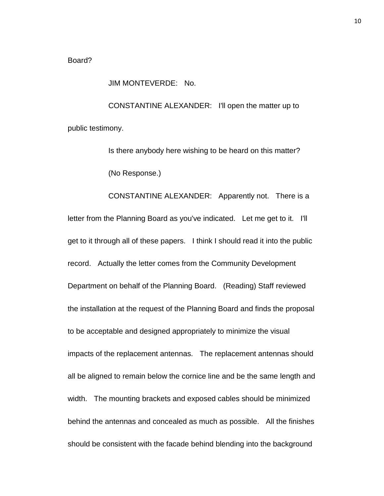#### Board?

JIM MONTEVERDE: No.

CONSTANTINE ALEXANDER: I'll open the matter up to public testimony.

> Is there anybody here wishing to be heard on this matter? (No Response.)

CONSTANTINE ALEXANDER: Apparently not. There is a letter from the Planning Board as you've indicated. Let me get to it. I'll get to it through all of these papers. I think I should read it into the public record. Actually the letter comes from the Community Development Department on behalf of the Planning Board. (Reading) Staff reviewed the installation at the request of the Planning Board and finds the proposal to be acceptable and designed appropriately to minimize the visual impacts of the replacement antennas. The replacement antennas should all be aligned to remain below the cornice line and be the same length and width. The mounting brackets and exposed cables should be minimized behind the antennas and concealed as much as possible. All the finishes should be consistent with the facade behind blending into the background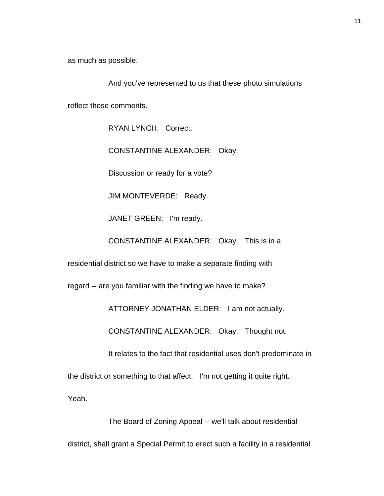as much as possible.

And you've represented to us that these photo simulations

reflect those comments.

RYAN LYNCH: Correct.

CONSTANTINE ALEXANDER: Okay.

Discussion or ready for a vote?

JIM MONTEVERDE: Ready.

JANET GREEN: I'm ready.

CONSTANTINE ALEXANDER: Okay. This is in a

residential district so we have to make a separate finding with

regard -- are you familiar with the finding we have to make?

ATTORNEY JONATHAN ELDER: I am not actually.

CONSTANTINE ALEXANDER: Okay. Thought not.

It relates to the fact that residential uses don't predominate in

the district or something to that affect. I'm not getting it quite right.

Yeah.

The Board of Zoning Appeal -- we'll talk about residential district, shall grant a Special Permit to erect such a facility in a residential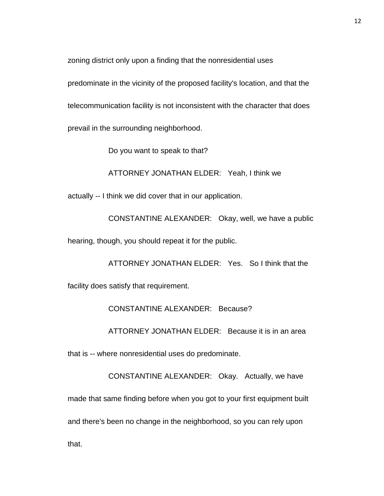zoning district only upon a finding that the nonresidential uses

predominate in the vicinity of the proposed facility's location, and that the telecommunication facility is not inconsistent with the character that does prevail in the surrounding neighborhood.

Do you want to speak to that?

ATTORNEY JONATHAN ELDER: Yeah, I think we

actually -- I think we did cover that in our application.

CONSTANTINE ALEXANDER: Okay, well, we have a public

hearing, though, you should repeat it for the public.

ATTORNEY JONATHAN ELDER: Yes. So I think that the facility does satisfy that requirement.

CONSTANTINE ALEXANDER: Because?

ATTORNEY JONATHAN ELDER: Because it is in an area

that is -- where nonresidential uses do predominate.

CONSTANTINE ALEXANDER: Okay. Actually, we have made that same finding before when you got to your first equipment built and there's been no change in the neighborhood, so you can rely upon that.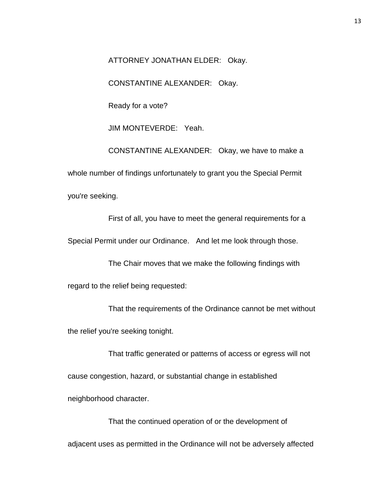ATTORNEY JONATHAN ELDER: Okay.

CONSTANTINE ALEXANDER: Okay.

Ready for a vote?

JIM MONTEVERDE: Yeah.

CONSTANTINE ALEXANDER: Okay, we have to make a whole number of findings unfortunately to grant you the Special Permit you're seeking.

First of all, you have to meet the general requirements for a

Special Permit under our Ordinance. And let me look through those.

The Chair moves that we make the following findings with

regard to the relief being requested:

That the requirements of the Ordinance cannot be met without the relief you're seeking tonight.

That traffic generated or patterns of access or egress will not cause congestion, hazard, or substantial change in established neighborhood character.

That the continued operation of or the development of adjacent uses as permitted in the Ordinance will not be adversely affected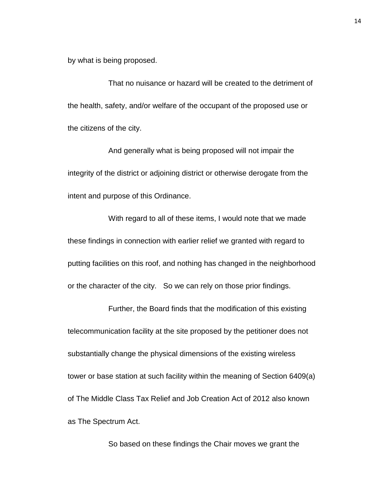by what is being proposed.

That no nuisance or hazard will be created to the detriment of the health, safety, and/or welfare of the occupant of the proposed use or the citizens of the city.

And generally what is being proposed will not impair the integrity of the district or adjoining district or otherwise derogate from the intent and purpose of this Ordinance.

With regard to all of these items, I would note that we made these findings in connection with earlier relief we granted with regard to putting facilities on this roof, and nothing has changed in the neighborhood or the character of the city. So we can rely on those prior findings.

Further, the Board finds that the modification of this existing telecommunication facility at the site proposed by the petitioner does not substantially change the physical dimensions of the existing wireless tower or base station at such facility within the meaning of Section 6409(a) of The Middle Class Tax Relief and Job Creation Act of 2012 also known as The Spectrum Act.

So based on these findings the Chair moves we grant the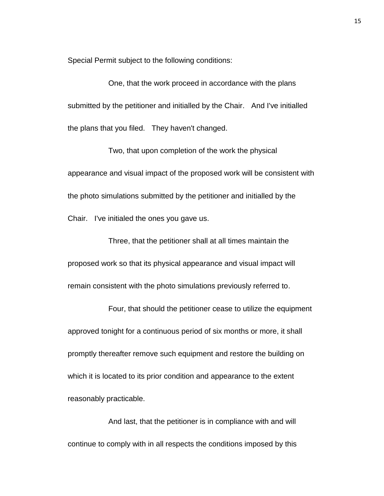Special Permit subject to the following conditions:

One, that the work proceed in accordance with the plans submitted by the petitioner and initialled by the Chair. And I've initialled the plans that you filed. They haven't changed.

Two, that upon completion of the work the physical appearance and visual impact of the proposed work will be consistent with the photo simulations submitted by the petitioner and initialled by the Chair. I've initialed the ones you gave us.

Three, that the petitioner shall at all times maintain the proposed work so that its physical appearance and visual impact will remain consistent with the photo simulations previously referred to.

Four, that should the petitioner cease to utilize the equipment approved tonight for a continuous period of six months or more, it shall promptly thereafter remove such equipment and restore the building on which it is located to its prior condition and appearance to the extent reasonably practicable.

And last, that the petitioner is in compliance with and will continue to comply with in all respects the conditions imposed by this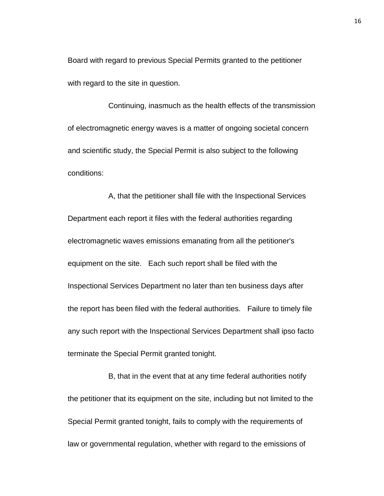Board with regard to previous Special Permits granted to the petitioner with regard to the site in question.

Continuing, inasmuch as the health effects of the transmission of electromagnetic energy waves is a matter of ongoing societal concern and scientific study, the Special Permit is also subject to the following conditions:

A, that the petitioner shall file with the Inspectional Services Department each report it files with the federal authorities regarding electromagnetic waves emissions emanating from all the petitioner's equipment on the site. Each such report shall be filed with the Inspectional Services Department no later than ten business days after the report has been filed with the federal authorities. Failure to timely file any such report with the Inspectional Services Department shall ipso facto terminate the Special Permit granted tonight.

B, that in the event that at any time federal authorities notify the petitioner that its equipment on the site, including but not limited to the Special Permit granted tonight, fails to comply with the requirements of law or governmental regulation, whether with regard to the emissions of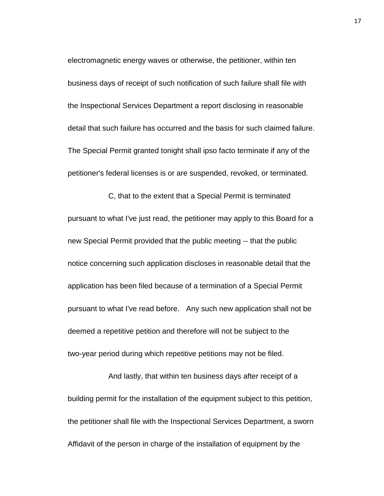electromagnetic energy waves or otherwise, the petitioner, within ten business days of receipt of such notification of such failure shall file with the Inspectional Services Department a report disclosing in reasonable detail that such failure has occurred and the basis for such claimed failure. The Special Permit granted tonight shall ipso facto terminate if any of the petitioner's federal licenses is or are suspended, revoked, or terminated.

C, that to the extent that a Special Permit is terminated pursuant to what I've just read, the petitioner may apply to this Board for a new Special Permit provided that the public meeting -- that the public notice concerning such application discloses in reasonable detail that the application has been filed because of a termination of a Special Permit pursuant to what I've read before. Any such new application shall not be deemed a repetitive petition and therefore will not be subject to the two-year period during which repetitive petitions may not be filed.

And lastly, that within ten business days after receipt of a building permit for the installation of the equipment subject to this petition, the petitioner shall file with the Inspectional Services Department, a sworn Affidavit of the person in charge of the installation of equipment by the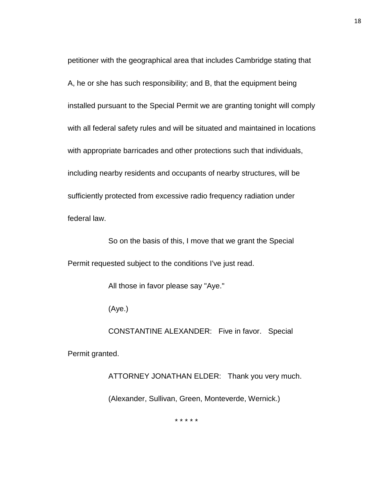petitioner with the geographical area that includes Cambridge stating that A, he or she has such responsibility; and B, that the equipment being installed pursuant to the Special Permit we are granting tonight will comply with all federal safety rules and will be situated and maintained in locations with appropriate barricades and other protections such that individuals, including nearby residents and occupants of nearby structures, will be sufficiently protected from excessive radio frequency radiation under federal law.

So on the basis of this, I move that we grant the Special Permit requested subject to the conditions I've just read.

All those in favor please say "Aye."

(Aye.)

CONSTANTINE ALEXANDER: Five in favor. Special

Permit granted.

ATTORNEY JONATHAN ELDER: Thank you very much. (Alexander, Sullivan, Green, Monteverde, Wernick.)

\* \* \* \* \*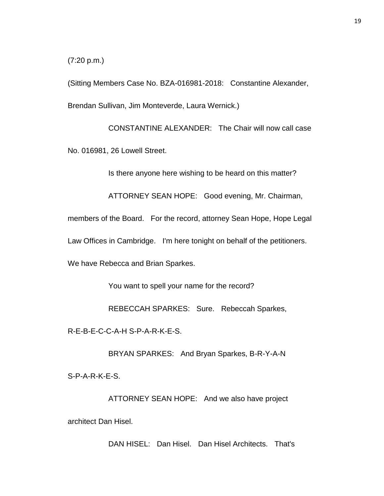(7:20 p.m.)

(Sitting Members Case No. BZA-016981-2018: Constantine Alexander, Brendan Sullivan, Jim Monteverde, Laura Wernick.)

CONSTANTINE ALEXANDER: The Chair will now call case No. 016981, 26 Lowell Street.

Is there anyone here wishing to be heard on this matter?

ATTORNEY SEAN HOPE: Good evening, Mr. Chairman,

members of the Board. For the record, attorney Sean Hope, Hope Legal

Law Offices in Cambridge. I'm here tonight on behalf of the petitioners.

We have Rebecca and Brian Sparkes.

You want to spell your name for the record?

REBECCAH SPARKES: Sure. Rebeccah Sparkes,

R-E-B-E-C-C-A-H S-P-A-R-K-E-S.

BRYAN SPARKES: And Bryan Sparkes, B-R-Y-A-N

S-P-A-R-K-E-S.

ATTORNEY SEAN HOPE: And we also have project architect Dan Hisel.

DAN HISEL: Dan Hisel. Dan Hisel Architects. That's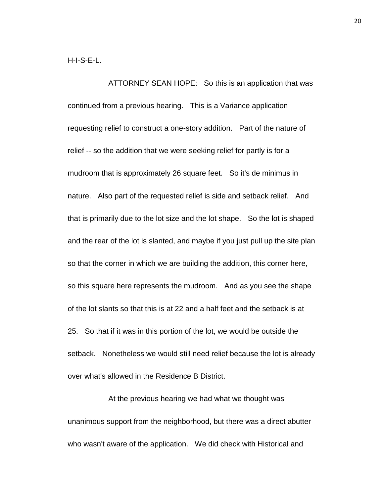ATTORNEY SEAN HOPE: So this is an application that was continued from a previous hearing. This is a Variance application requesting relief to construct a one-story addition. Part of the nature of relief -- so the addition that we were seeking relief for partly is for a mudroom that is approximately 26 square feet. So it's de minimus in nature. Also part of the requested relief is side and setback relief. And that is primarily due to the lot size and the lot shape. So the lot is shaped and the rear of the lot is slanted, and maybe if you just pull up the site plan so that the corner in which we are building the addition, this corner here, so this square here represents the mudroom. And as you see the shape of the lot slants so that this is at 22 and a half feet and the setback is at 25. So that if it was in this portion of the lot, we would be outside the setback. Nonetheless we would still need relief because the lot is already over what's allowed in the Residence B District.

At the previous hearing we had what we thought was unanimous support from the neighborhood, but there was a direct abutter who wasn't aware of the application. We did check with Historical and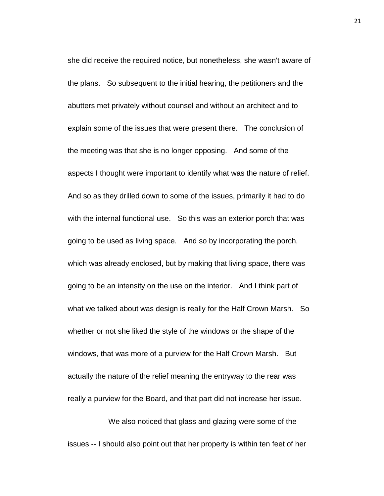she did receive the required notice, but nonetheless, she wasn't aware of the plans. So subsequent to the initial hearing, the petitioners and the abutters met privately without counsel and without an architect and to explain some of the issues that were present there. The conclusion of the meeting was that she is no longer opposing. And some of the aspects I thought were important to identify what was the nature of relief. And so as they drilled down to some of the issues, primarily it had to do with the internal functional use. So this was an exterior porch that was going to be used as living space. And so by incorporating the porch, which was already enclosed, but by making that living space, there was going to be an intensity on the use on the interior. And I think part of what we talked about was design is really for the Half Crown Marsh. So whether or not she liked the style of the windows or the shape of the windows, that was more of a purview for the Half Crown Marsh. But actually the nature of the relief meaning the entryway to the rear was really a purview for the Board, and that part did not increase her issue.

We also noticed that glass and glazing were some of the issues -- I should also point out that her property is within ten feet of her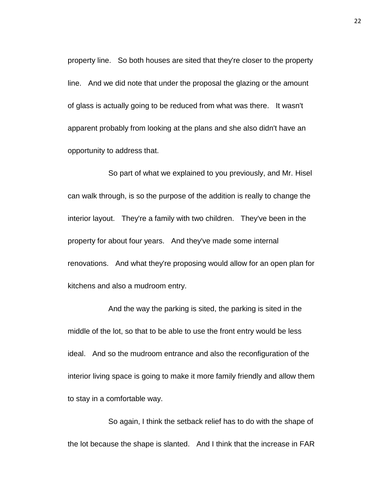property line. So both houses are sited that they're closer to the property line. And we did note that under the proposal the glazing or the amount of glass is actually going to be reduced from what was there. It wasn't apparent probably from looking at the plans and she also didn't have an opportunity to address that.

So part of what we explained to you previously, and Mr. Hisel can walk through, is so the purpose of the addition is really to change the interior layout. They're a family with two children. They've been in the property for about four years. And they've made some internal renovations. And what they're proposing would allow for an open plan for kitchens and also a mudroom entry.

And the way the parking is sited, the parking is sited in the middle of the lot, so that to be able to use the front entry would be less ideal. And so the mudroom entrance and also the reconfiguration of the interior living space is going to make it more family friendly and allow them to stay in a comfortable way.

So again, I think the setback relief has to do with the shape of the lot because the shape is slanted. And I think that the increase in FAR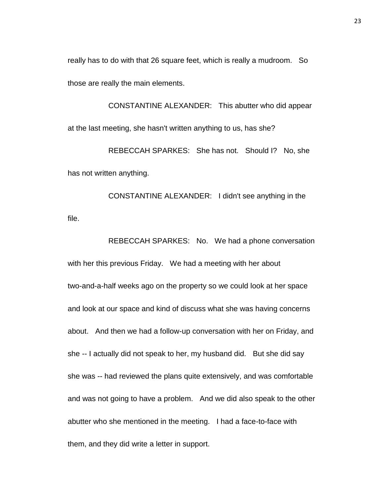really has to do with that 26 square feet, which is really a mudroom. So those are really the main elements.

CONSTANTINE ALEXANDER: This abutter who did appear at the last meeting, she hasn't written anything to us, has she?

REBECCAH SPARKES: She has not. Should I? No, she has not written anything.

CONSTANTINE ALEXANDER: I didn't see anything in the file.

REBECCAH SPARKES: No. We had a phone conversation with her this previous Friday. We had a meeting with her about two-and-a-half weeks ago on the property so we could look at her space and look at our space and kind of discuss what she was having concerns about. And then we had a follow-up conversation with her on Friday, and she -- I actually did not speak to her, my husband did. But she did say she was -- had reviewed the plans quite extensively, and was comfortable and was not going to have a problem. And we did also speak to the other abutter who she mentioned in the meeting. I had a face-to-face with them, and they did write a letter in support.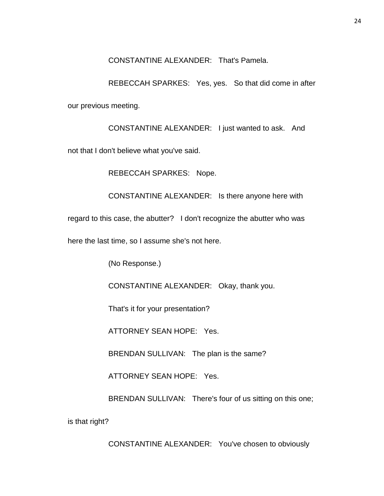CONSTANTINE ALEXANDER: That's Pamela.

REBECCAH SPARKES: Yes, yes. So that did come in after our previous meeting.

CONSTANTINE ALEXANDER: I just wanted to ask. And

not that I don't believe what you've said.

REBECCAH SPARKES: Nope.

CONSTANTINE ALEXANDER: Is there anyone here with

regard to this case, the abutter? I don't recognize the abutter who was

here the last time, so I assume she's not here.

(No Response.)

CONSTANTINE ALEXANDER: Okay, thank you.

That's it for your presentation?

ATTORNEY SEAN HOPE: Yes.

BRENDAN SULLIVAN: The plan is the same?

ATTORNEY SEAN HOPE: Yes.

BRENDAN SULLIVAN: There's four of us sitting on this one;

is that right?

CONSTANTINE ALEXANDER: You've chosen to obviously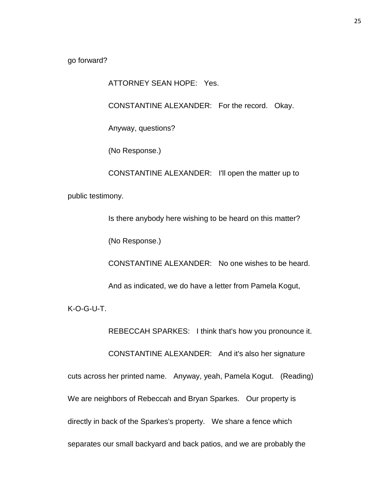go forward?

ATTORNEY SEAN HOPE: Yes.

CONSTANTINE ALEXANDER: For the record. Okay.

Anyway, questions?

(No Response.)

CONSTANTINE ALEXANDER: I'll open the matter up to

public testimony.

Is there anybody here wishing to be heard on this matter?

(No Response.)

CONSTANTINE ALEXANDER: No one wishes to be heard.

And as indicated, we do have a letter from Pamela Kogut,

K-O-G-U-T.

REBECCAH SPARKES: I think that's how you pronounce it.

CONSTANTINE ALEXANDER: And it's also her signature

cuts across her printed name. Anyway, yeah, Pamela Kogut. (Reading) We are neighbors of Rebeccah and Bryan Sparkes. Our property is directly in back of the Sparkes's property. We share a fence which separates our small backyard and back patios, and we are probably the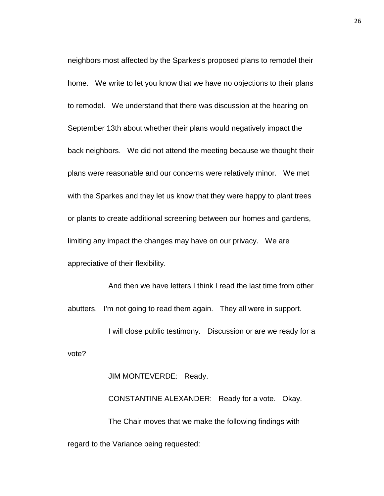neighbors most affected by the Sparkes's proposed plans to remodel their home. We write to let you know that we have no objections to their plans to remodel. We understand that there was discussion at the hearing on September 13th about whether their plans would negatively impact the back neighbors. We did not attend the meeting because we thought their plans were reasonable and our concerns were relatively minor. We met with the Sparkes and they let us know that they were happy to plant trees or plants to create additional screening between our homes and gardens, limiting any impact the changes may have on our privacy. We are appreciative of their flexibility.

And then we have letters I think I read the last time from other abutters. I'm not going to read them again. They all were in support.

I will close public testimony. Discussion or are we ready for a vote?

JIM MONTEVERDE: Ready.

CONSTANTINE ALEXANDER: Ready for a vote. Okay. The Chair moves that we make the following findings with regard to the Variance being requested: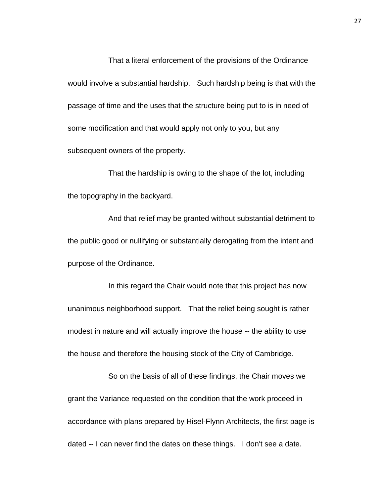That a literal enforcement of the provisions of the Ordinance would involve a substantial hardship. Such hardship being is that with the passage of time and the uses that the structure being put to is in need of some modification and that would apply not only to you, but any subsequent owners of the property.

That the hardship is owing to the shape of the lot, including the topography in the backyard.

And that relief may be granted without substantial detriment to the public good or nullifying or substantially derogating from the intent and purpose of the Ordinance.

In this regard the Chair would note that this project has now unanimous neighborhood support. That the relief being sought is rather modest in nature and will actually improve the house -- the ability to use the house and therefore the housing stock of the City of Cambridge.

So on the basis of all of these findings, the Chair moves we grant the Variance requested on the condition that the work proceed in accordance with plans prepared by Hisel-Flynn Architects, the first page is dated -- I can never find the dates on these things. I don't see a date.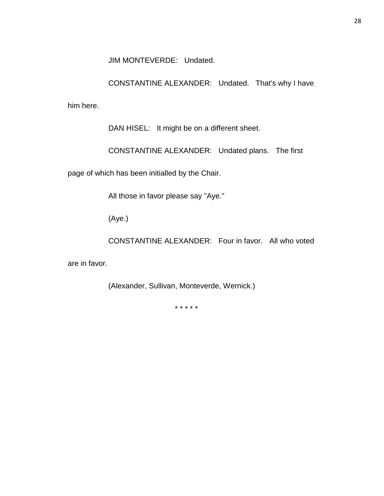JIM MONTEVERDE: Undated.

CONSTANTINE ALEXANDER: Undated. That's why I have

him here.

DAN HISEL: It might be on a different sheet.

CONSTANTINE ALEXANDER: Undated plans. The first

page of which has been initialled by the Chair.

All those in favor please say "Aye."

(Aye.)

CONSTANTINE ALEXANDER: Four in favor. All who voted

are in favor.

(Alexander, Sullivan, Monteverde, Wernick.)

\* \* \* \* \*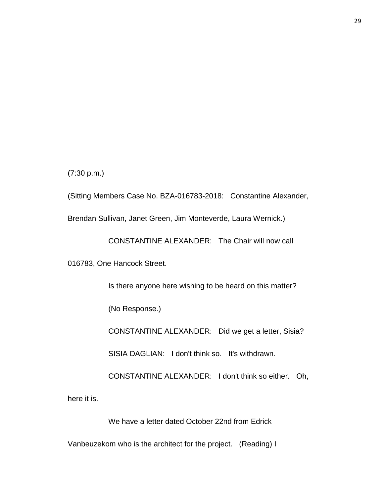(7:30 p.m.)

(Sitting Members Case No. BZA-016783-2018: Constantine Alexander,

Brendan Sullivan, Janet Green, Jim Monteverde, Laura Wernick.)

CONSTANTINE ALEXANDER: The Chair will now call

016783, One Hancock Street.

Is there anyone here wishing to be heard on this matter?

(No Response.)

CONSTANTINE ALEXANDER: Did we get a letter, Sisia?

SISIA DAGLIAN: I don't think so. It's withdrawn.

CONSTANTINE ALEXANDER: I don't think so either. Oh,

here it is.

We have a letter dated October 22nd from Edrick

Vanbeuzekom who is the architect for the project. (Reading) I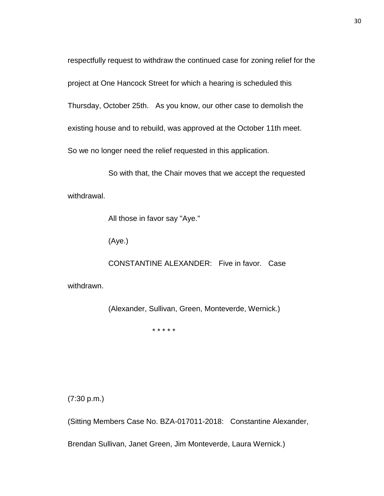respectfully request to withdraw the continued case for zoning relief for the project at One Hancock Street for which a hearing is scheduled this Thursday, October 25th. As you know, our other case to demolish the existing house and to rebuild, was approved at the October 11th meet. So we no longer need the relief requested in this application.

So with that, the Chair moves that we accept the requested withdrawal.

All those in favor say "Aye."

(Aye.)

CONSTANTINE ALEXANDER: Five in favor. Case

withdrawn.

(Alexander, Sullivan, Green, Monteverde, Wernick.)

\* \* \* \* \*

(7:30 p.m.)

(Sitting Members Case No. BZA-017011-2018: Constantine Alexander,

Brendan Sullivan, Janet Green, Jim Monteverde, Laura Wernick.)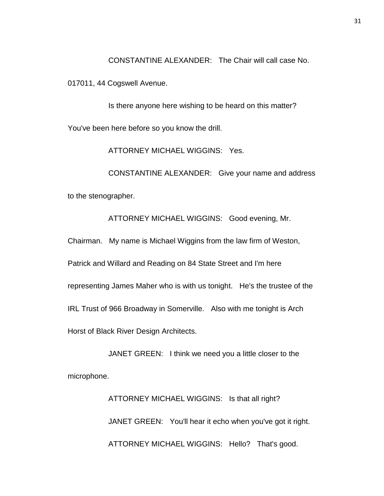CONSTANTINE ALEXANDER: The Chair will call case No.

017011, 44 Cogswell Avenue.

Is there anyone here wishing to be heard on this matter? You've been here before so you know the drill.

ATTORNEY MICHAEL WIGGINS: Yes.

CONSTANTINE ALEXANDER: Give your name and address to the stenographer.

ATTORNEY MICHAEL WIGGINS: Good evening, Mr.

Chairman. My name is Michael Wiggins from the law firm of Weston,

Patrick and Willard and Reading on 84 State Street and I'm here

representing James Maher who is with us tonight. He's the trustee of the

IRL Trust of 966 Broadway in Somerville. Also with me tonight is Arch

Horst of Black River Design Architects.

JANET GREEN: I think we need you a little closer to the microphone.

> ATTORNEY MICHAEL WIGGINS: Is that all right? JANET GREEN: You'll hear it echo when you've got it right. ATTORNEY MICHAEL WIGGINS: Hello? That's good.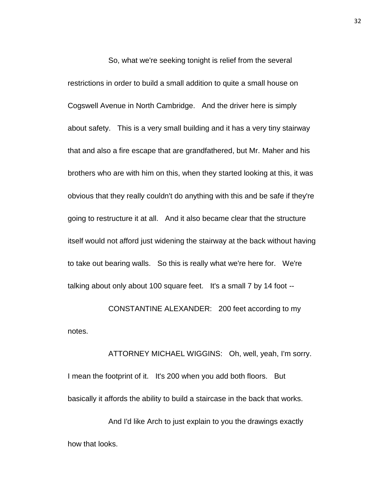So, what we're seeking tonight is relief from the several restrictions in order to build a small addition to quite a small house on Cogswell Avenue in North Cambridge. And the driver here is simply about safety. This is a very small building and it has a very tiny stairway that and also a fire escape that are grandfathered, but Mr. Maher and his brothers who are with him on this, when they started looking at this, it was obvious that they really couldn't do anything with this and be safe if they're going to restructure it at all. And it also became clear that the structure itself would not afford just widening the stairway at the back without having to take out bearing walls. So this is really what we're here for. We're talking about only about 100 square feet. It's a small 7 by 14 foot --

CONSTANTINE ALEXANDER: 200 feet according to my notes.

ATTORNEY MICHAEL WIGGINS: Oh, well, yeah, I'm sorry. I mean the footprint of it. It's 200 when you add both floors. But basically it affords the ability to build a staircase in the back that works.

And I'd like Arch to just explain to you the drawings exactly how that looks.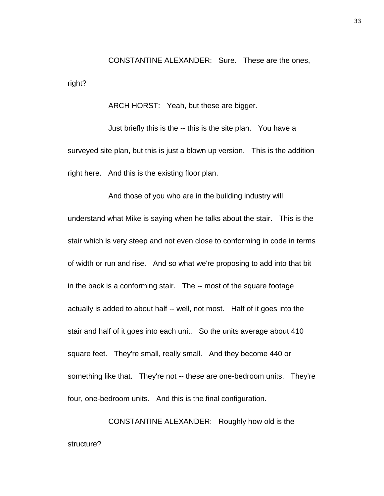CONSTANTINE ALEXANDER: Sure. These are the ones, right?

ARCH HORST: Yeah, but these are bigger.

Just briefly this is the -- this is the site plan. You have a surveyed site plan, but this is just a blown up version. This is the addition right here. And this is the existing floor plan.

And those of you who are in the building industry will understand what Mike is saying when he talks about the stair. This is the stair which is very steep and not even close to conforming in code in terms of width or run and rise. And so what we're proposing to add into that bit in the back is a conforming stair. The -- most of the square footage actually is added to about half -- well, not most. Half of it goes into the stair and half of it goes into each unit. So the units average about 410 square feet. They're small, really small. And they become 440 or something like that. They're not -- these are one-bedroom units. They're four, one-bedroom units. And this is the final configuration.

CONSTANTINE ALEXANDER: Roughly how old is the structure?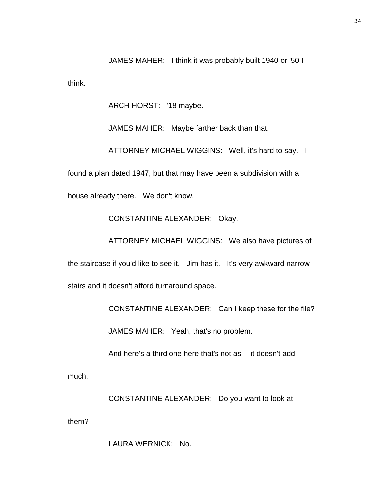JAMES MAHER: I think it was probably built 1940 or '50 I think.

ARCH HORST: '18 maybe.

JAMES MAHER: Maybe farther back than that.

ATTORNEY MICHAEL WIGGINS: Well, it's hard to say. I

found a plan dated 1947, but that may have been a subdivision with a

house already there. We don't know.

CONSTANTINE ALEXANDER: Okay.

ATTORNEY MICHAEL WIGGINS: We also have pictures of the staircase if you'd like to see it. Jim has it. It's very awkward narrow stairs and it doesn't afford turnaround space.

CONSTANTINE ALEXANDER: Can I keep these for the file?

JAMES MAHER: Yeah, that's no problem.

And here's a third one here that's not as -- it doesn't add

much.

CONSTANTINE ALEXANDER: Do you want to look at

them?

LAURA WERNICK: No.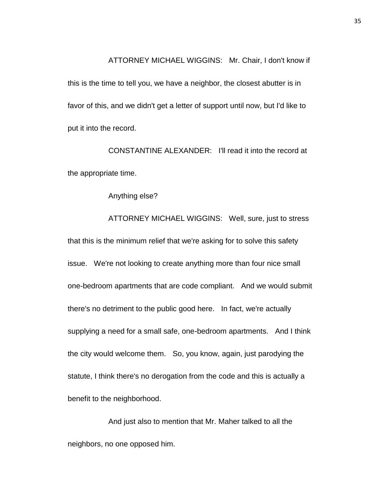ATTORNEY MICHAEL WIGGINS: Mr. Chair, I don't know if

this is the time to tell you, we have a neighbor, the closest abutter is in favor of this, and we didn't get a letter of support until now, but I'd like to put it into the record.

CONSTANTINE ALEXANDER: I'll read it into the record at the appropriate time.

Anything else?

ATTORNEY MICHAEL WIGGINS: Well, sure, just to stress that this is the minimum relief that we're asking for to solve this safety issue. We're not looking to create anything more than four nice small one-bedroom apartments that are code compliant. And we would submit there's no detriment to the public good here. In fact, we're actually supplying a need for a small safe, one-bedroom apartments. And I think the city would welcome them. So, you know, again, just parodying the statute, I think there's no derogation from the code and this is actually a benefit to the neighborhood.

And just also to mention that Mr. Maher talked to all the neighbors, no one opposed him.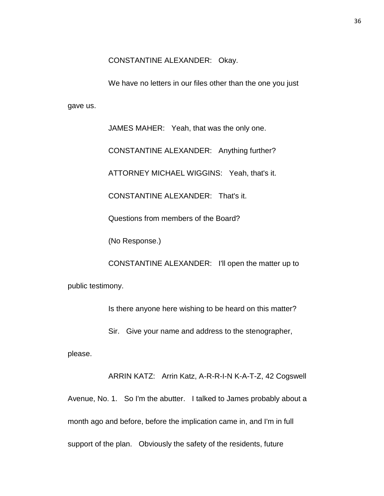CONSTANTINE ALEXANDER: Okay.

We have no letters in our files other than the one you just gave us.

> JAMES MAHER: Yeah, that was the only one. CONSTANTINE ALEXANDER: Anything further? ATTORNEY MICHAEL WIGGINS: Yeah, that's it. CONSTANTINE ALEXANDER: That's it. Questions from members of the Board? (No Response.)

CONSTANTINE ALEXANDER: I'll open the matter up to public testimony.

Is there anyone here wishing to be heard on this matter?

Sir. Give your name and address to the stenographer,

please.

ARRIN KATZ: Arrin Katz, A-R-R-I-N K-A-T-Z, 42 Cogswell Avenue, No. 1. So I'm the abutter. I talked to James probably about a month ago and before, before the implication came in, and I'm in full support of the plan. Obviously the safety of the residents, future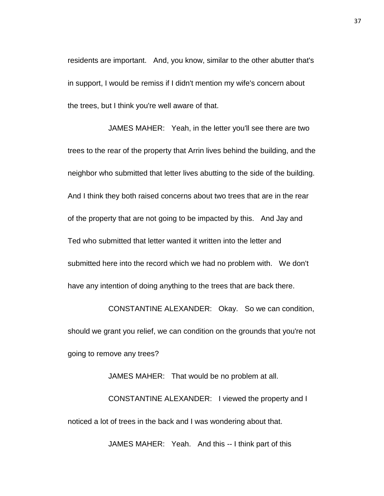residents are important. And, you know, similar to the other abutter that's in support, I would be remiss if I didn't mention my wife's concern about the trees, but I think you're well aware of that.

JAMES MAHER: Yeah, in the letter you'll see there are two trees to the rear of the property that Arrin lives behind the building, and the neighbor who submitted that letter lives abutting to the side of the building. And I think they both raised concerns about two trees that are in the rear of the property that are not going to be impacted by this. And Jay and Ted who submitted that letter wanted it written into the letter and submitted here into the record which we had no problem with. We don't have any intention of doing anything to the trees that are back there.

CONSTANTINE ALEXANDER: Okay. So we can condition, should we grant you relief, we can condition on the grounds that you're not going to remove any trees?

JAMES MAHER: That would be no problem at all.

CONSTANTINE ALEXANDER: I viewed the property and I noticed a lot of trees in the back and I was wondering about that.

JAMES MAHER: Yeah. And this -- I think part of this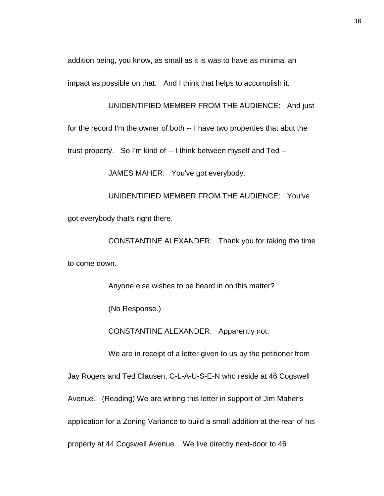addition being, you know, as small as it is was to have as minimal an

impact as possible on that. And I think that helps to accomplish it.

UNIDENTIFIED MEMBER FROM THE AUDIENCE: And just

for the record I'm the owner of both -- I have two properties that abut the

trust property. So I'm kind of -- I think between myself and Ted --

JAMES MAHER: You've got everybody.

UNIDENTIFIED MEMBER FROM THE AUDIENCE: You've got everybody that's right there.

CONSTANTINE ALEXANDER: Thank you for taking the time to come down.

Anyone else wishes to be heard in on this matter?

(No Response.)

CONSTANTINE ALEXANDER: Apparently not.

We are in receipt of a letter given to us by the petitioner from

Jay Rogers and Ted Clausen, C-L-A-U-S-E-N who reside at 46 Cogswell Avenue. (Reading) We are writing this letter in support of Jim Maher's application for a Zoning Variance to build a small addition at the rear of his property at 44 Cogswell Avenue. We live directly next-door to 46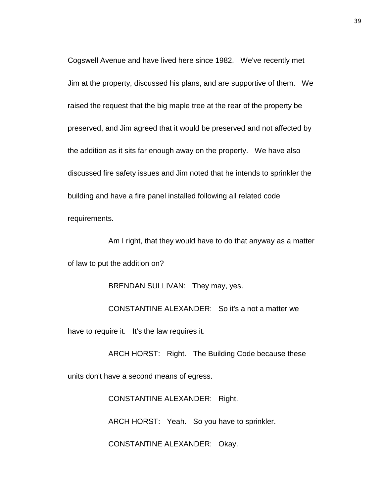Cogswell Avenue and have lived here since 1982. We've recently met Jim at the property, discussed his plans, and are supportive of them. We raised the request that the big maple tree at the rear of the property be preserved, and Jim agreed that it would be preserved and not affected by the addition as it sits far enough away on the property. We have also discussed fire safety issues and Jim noted that he intends to sprinkler the building and have a fire panel installed following all related code requirements.

Am I right, that they would have to do that anyway as a matter of law to put the addition on?

BRENDAN SULLIVAN: They may, yes.

CONSTANTINE ALEXANDER: So it's a not a matter we have to require it. It's the law requires it.

ARCH HORST: Right. The Building Code because these units don't have a second means of egress.

CONSTANTINE ALEXANDER: Right.

ARCH HORST: Yeah. So you have to sprinkler.

CONSTANTINE ALEXANDER: Okay.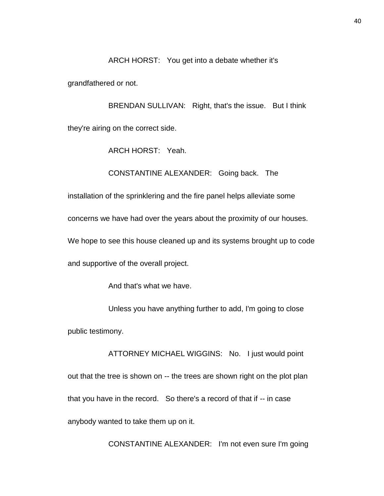#### ARCH HORST: You get into a debate whether it's

grandfathered or not.

BRENDAN SULLIVAN: Right, that's the issue. But I think they're airing on the correct side.

ARCH HORST: Yeah.

CONSTANTINE ALEXANDER: Going back. The

installation of the sprinklering and the fire panel helps alleviate some

concerns we have had over the years about the proximity of our houses.

We hope to see this house cleaned up and its systems brought up to code

and supportive of the overall project.

And that's what we have.

Unless you have anything further to add, I'm going to close public testimony.

ATTORNEY MICHAEL WIGGINS: No. I just would point out that the tree is shown on -- the trees are shown right on the plot plan that you have in the record. So there's a record of that if -- in case anybody wanted to take them up on it.

CONSTANTINE ALEXANDER: I'm not even sure I'm going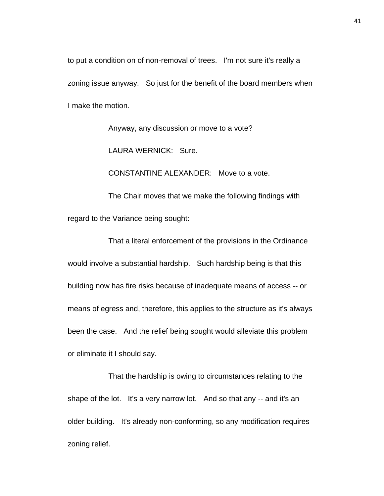to put a condition on of non-removal of trees. I'm not sure it's really a zoning issue anyway. So just for the benefit of the board members when I make the motion.

Anyway, any discussion or move to a vote?

LAURA WERNICK: Sure.

CONSTANTINE ALEXANDER: Move to a vote.

The Chair moves that we make the following findings with regard to the Variance being sought:

That a literal enforcement of the provisions in the Ordinance would involve a substantial hardship. Such hardship being is that this building now has fire risks because of inadequate means of access -- or means of egress and, therefore, this applies to the structure as it's always been the case. And the relief being sought would alleviate this problem or eliminate it I should say.

That the hardship is owing to circumstances relating to the shape of the lot. It's a very narrow lot. And so that any -- and it's an older building. It's already non-conforming, so any modification requires zoning relief.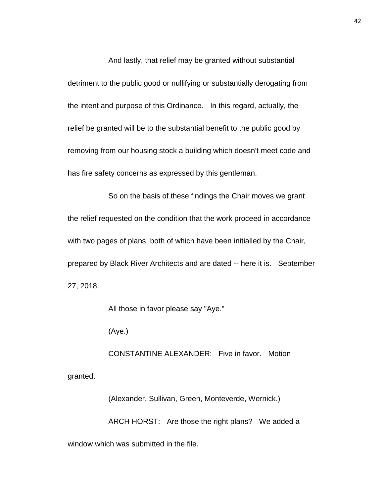And lastly, that relief may be granted without substantial detriment to the public good or nullifying or substantially derogating from the intent and purpose of this Ordinance. In this regard, actually, the relief be granted will be to the substantial benefit to the public good by removing from our housing stock a building which doesn't meet code and has fire safety concerns as expressed by this gentleman.

So on the basis of these findings the Chair moves we grant the relief requested on the condition that the work proceed in accordance with two pages of plans, both of which have been initialled by the Chair, prepared by Black River Architects and are dated -- here it is. September 27, 2018.

All those in favor please say "Aye."

(Aye.)

CONSTANTINE ALEXANDER: Five in favor. Motion granted.

(Alexander, Sullivan, Green, Monteverde, Wernick.) ARCH HORST: Are those the right plans? We added a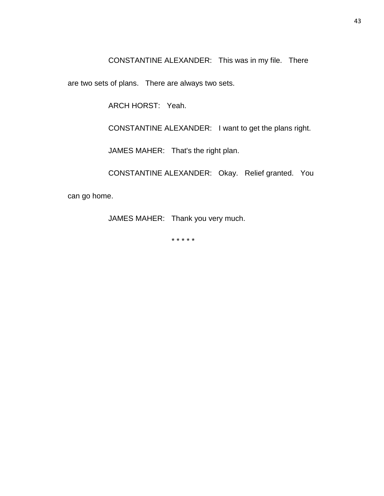CONSTANTINE ALEXANDER: This was in my file. There

are two sets of plans. There are always two sets.

ARCH HORST: Yeah.

CONSTANTINE ALEXANDER: I want to get the plans right.

JAMES MAHER: That's the right plan.

CONSTANTINE ALEXANDER: Okay. Relief granted. You

can go home.

JAMES MAHER: Thank you very much.

\* \* \* \* \*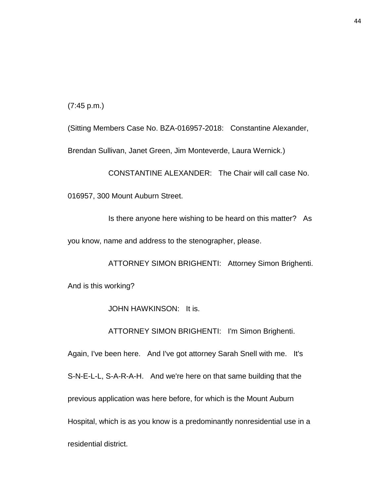(7:45 p.m.)

(Sitting Members Case No. BZA-016957-2018: Constantine Alexander,

Brendan Sullivan, Janet Green, Jim Monteverde, Laura Wernick.)

CONSTANTINE ALEXANDER: The Chair will call case No.

016957, 300 Mount Auburn Street.

Is there anyone here wishing to be heard on this matter? As

you know, name and address to the stenographer, please.

ATTORNEY SIMON BRIGHENTI: Attorney Simon Brighenti. And is this working?

JOHN HAWKINSON: It is.

ATTORNEY SIMON BRIGHENTI: I'm Simon Brighenti.

Again, I've been here. And I've got attorney Sarah Snell with me. It's S-N-E-L-L, S-A-R-A-H. And we're here on that same building that the previous application was here before, for which is the Mount Auburn Hospital, which is as you know is a predominantly nonresidential use in a residential district.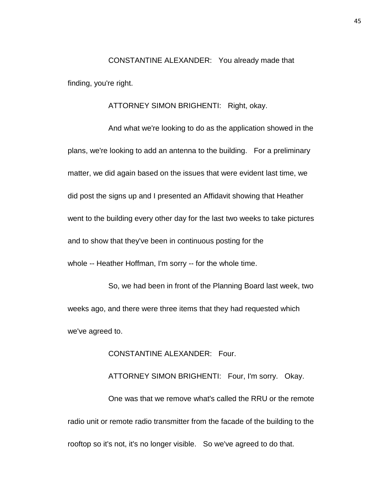CONSTANTINE ALEXANDER: You already made that finding, you're right.

ATTORNEY SIMON BRIGHENTI: Right, okay.

And what we're looking to do as the application showed in the plans, we're looking to add an antenna to the building. For a preliminary matter, we did again based on the issues that were evident last time, we did post the signs up and I presented an Affidavit showing that Heather went to the building every other day for the last two weeks to take pictures and to show that they've been in continuous posting for the whole -- Heather Hoffman, I'm sorry -- for the whole time.

So, we had been in front of the Planning Board last week, two weeks ago, and there were three items that they had requested which we've agreed to.

CONSTANTINE ALEXANDER: Four.

ATTORNEY SIMON BRIGHENTI: Four, I'm sorry. Okay. One was that we remove what's called the RRU or the remote radio unit or remote radio transmitter from the facade of the building to the rooftop so it's not, it's no longer visible. So we've agreed to do that.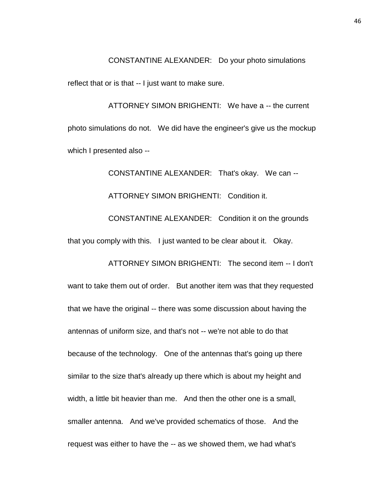CONSTANTINE ALEXANDER: Do your photo simulations

reflect that or is that -- I just want to make sure.

ATTORNEY SIMON BRIGHENTI: We have a -- the current photo simulations do not. We did have the engineer's give us the mockup which I presented also --

CONSTANTINE ALEXANDER: That's okay. We can -- ATTORNEY SIMON BRIGHENTI: Condition it. CONSTANTINE ALEXANDER: Condition it on the grounds that you comply with this. I just wanted to be clear about it. Okay.

ATTORNEY SIMON BRIGHENTI: The second item -- I don't want to take them out of order. But another item was that they requested that we have the original -- there was some discussion about having the antennas of uniform size, and that's not -- we're not able to do that because of the technology. One of the antennas that's going up there similar to the size that's already up there which is about my height and width, a little bit heavier than me. And then the other one is a small, smaller antenna. And we've provided schematics of those. And the request was either to have the -- as we showed them, we had what's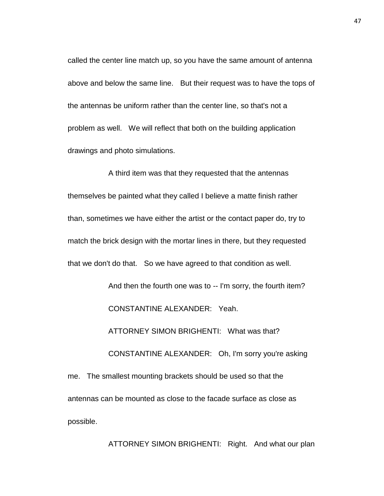called the center line match up, so you have the same amount of antenna above and below the same line. But their request was to have the tops of the antennas be uniform rather than the center line, so that's not a problem as well. We will reflect that both on the building application drawings and photo simulations.

A third item was that they requested that the antennas themselves be painted what they called I believe a matte finish rather than, sometimes we have either the artist or the contact paper do, try to match the brick design with the mortar lines in there, but they requested that we don't do that. So we have agreed to that condition as well.

> And then the fourth one was to -- I'm sorry, the fourth item? CONSTANTINE ALEXANDER: Yeah.

ATTORNEY SIMON BRIGHENTI: What was that?

CONSTANTINE ALEXANDER: Oh, I'm sorry you're asking

me. The smallest mounting brackets should be used so that the antennas can be mounted as close to the facade surface as close as possible.

ATTORNEY SIMON BRIGHENTI: Right. And what our plan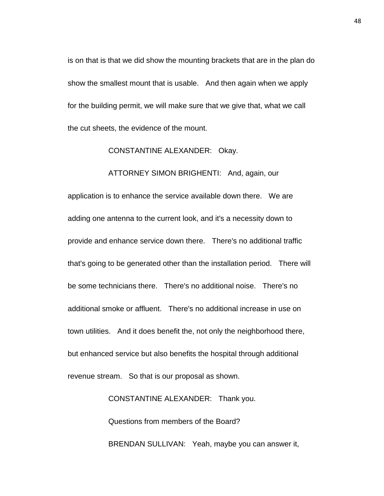is on that is that we did show the mounting brackets that are in the plan do show the smallest mount that is usable. And then again when we apply for the building permit, we will make sure that we give that, what we call the cut sheets, the evidence of the mount.

#### CONSTANTINE ALEXANDER: Okay.

### ATTORNEY SIMON BRIGHENTI: And, again, our

application is to enhance the service available down there. We are adding one antenna to the current look, and it's a necessity down to provide and enhance service down there. There's no additional traffic that's going to be generated other than the installation period. There will be some technicians there. There's no additional noise. There's no additional smoke or affluent. There's no additional increase in use on town utilities. And it does benefit the, not only the neighborhood there, but enhanced service but also benefits the hospital through additional revenue stream. So that is our proposal as shown.

> CONSTANTINE ALEXANDER: Thank you. Questions from members of the Board? BRENDAN SULLIVAN: Yeah, maybe you can answer it,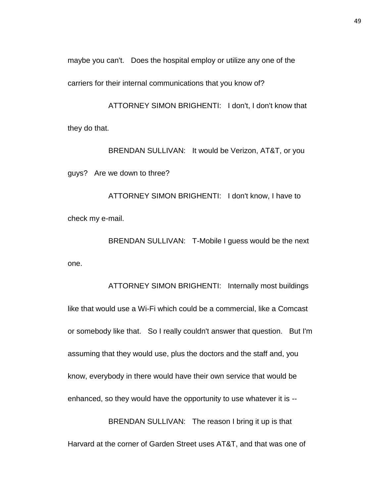maybe you can't. Does the hospital employ or utilize any one of the

carriers for their internal communications that you know of?

ATTORNEY SIMON BRIGHENTI: I don't, I don't know that they do that.

BRENDAN SULLIVAN: It would be Verizon, AT&T, or you guys? Are we down to three?

ATTORNEY SIMON BRIGHENTI: I don't know, I have to check my e-mail.

BRENDAN SULLIVAN: T-Mobile I guess would be the next one.

ATTORNEY SIMON BRIGHENTI: Internally most buildings like that would use a Wi-Fi which could be a commercial, like a Comcast or somebody like that. So I really couldn't answer that question. But I'm assuming that they would use, plus the doctors and the staff and, you know, everybody in there would have their own service that would be enhanced, so they would have the opportunity to use whatever it is -- BRENDAN SULLIVAN: The reason I bring it up is that

Harvard at the corner of Garden Street uses AT&T, and that was one of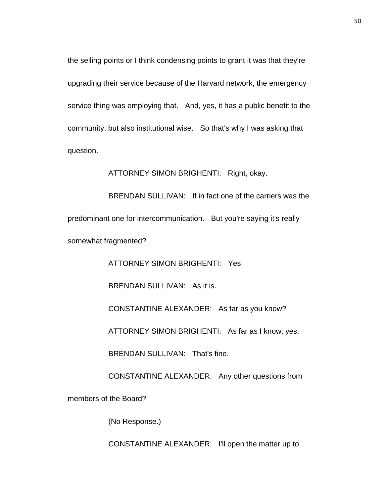the selling points or I think condensing points to grant it was that they're upgrading their service because of the Harvard network, the emergency service thing was employing that. And, yes, it has a public benefit to the community, but also institutional wise. So that's why I was asking that question.

ATTORNEY SIMON BRIGHENTI: Right, okay.

BRENDAN SULLIVAN: If in fact one of the carriers was the predominant one for intercommunication. But you're saying it's really somewhat fragmented?

ATTORNEY SIMON BRIGHENTI: Yes.

BRENDAN SULLIVAN: As it is.

CONSTANTINE ALEXANDER: As far as you know?

ATTORNEY SIMON BRIGHENTI: As far as I know, yes.

BRENDAN SULLIVAN: That's fine.

CONSTANTINE ALEXANDER: Any other questions from

members of the Board?

(No Response.)

CONSTANTINE ALEXANDER: I'll open the matter up to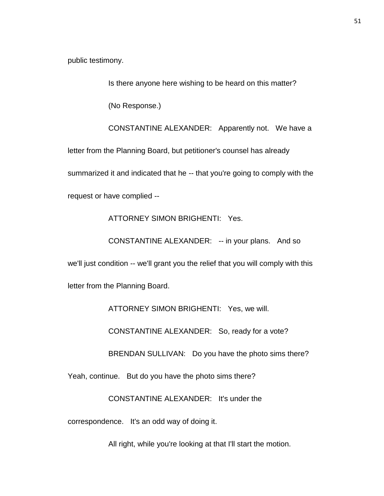public testimony.

Is there anyone here wishing to be heard on this matter?

(No Response.)

CONSTANTINE ALEXANDER: Apparently not. We have a letter from the Planning Board, but petitioner's counsel has already summarized it and indicated that he -- that you're going to comply with the request or have complied --

ATTORNEY SIMON BRIGHENTI: Yes.

CONSTANTINE ALEXANDER: -- in your plans. And so

we'll just condition -- we'll grant you the relief that you will comply with this

letter from the Planning Board.

ATTORNEY SIMON BRIGHENTI: Yes, we will.

CONSTANTINE ALEXANDER: So, ready for a vote?

BRENDAN SULLIVAN: Do you have the photo sims there?

Yeah, continue. But do you have the photo sims there?

CONSTANTINE ALEXANDER: It's under the

correspondence. It's an odd way of doing it.

All right, while you're looking at that I'll start the motion.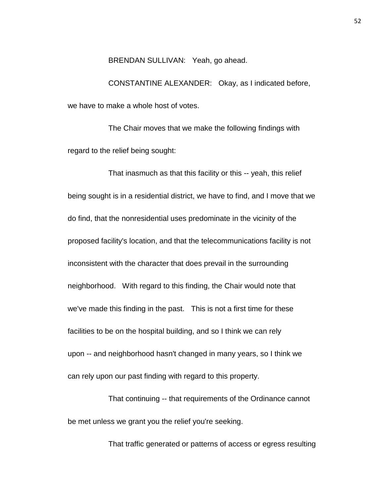BRENDAN SULLIVAN: Yeah, go ahead.

CONSTANTINE ALEXANDER: Okay, as I indicated before, we have to make a whole host of votes.

The Chair moves that we make the following findings with regard to the relief being sought:

That inasmuch as that this facility or this -- yeah, this relief being sought is in a residential district, we have to find, and I move that we do find, that the nonresidential uses predominate in the vicinity of the proposed facility's location, and that the telecommunications facility is not inconsistent with the character that does prevail in the surrounding neighborhood. With regard to this finding, the Chair would note that we've made this finding in the past. This is not a first time for these facilities to be on the hospital building, and so I think we can rely upon -- and neighborhood hasn't changed in many years, so I think we can rely upon our past finding with regard to this property.

That continuing -- that requirements of the Ordinance cannot be met unless we grant you the relief you're seeking.

That traffic generated or patterns of access or egress resulting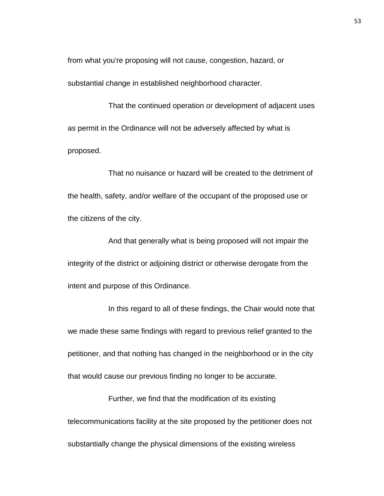from what you're proposing will not cause, congestion, hazard, or substantial change in established neighborhood character.

That the continued operation or development of adjacent uses as permit in the Ordinance will not be adversely affected by what is proposed.

That no nuisance or hazard will be created to the detriment of the health, safety, and/or welfare of the occupant of the proposed use or the citizens of the city.

And that generally what is being proposed will not impair the integrity of the district or adjoining district or otherwise derogate from the intent and purpose of this Ordinance.

In this regard to all of these findings, the Chair would note that we made these same findings with regard to previous relief granted to the petitioner, and that nothing has changed in the neighborhood or in the city that would cause our previous finding no longer to be accurate.

Further, we find that the modification of its existing telecommunications facility at the site proposed by the petitioner does not substantially change the physical dimensions of the existing wireless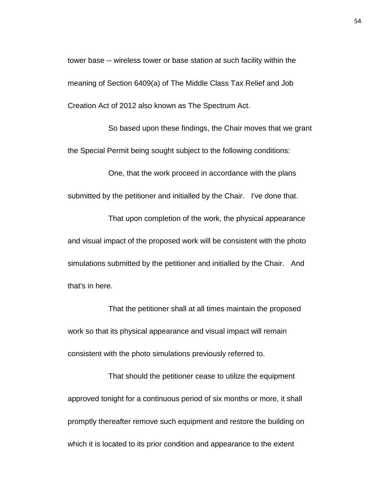tower base -- wireless tower or base station at such facility within the meaning of Section 6409(a) of The Middle Class Tax Relief and Job Creation Act of 2012 also known as The Spectrum Act.

So based upon these findings, the Chair moves that we grant the Special Permit being sought subject to the following conditions:

One, that the work proceed in accordance with the plans submitted by the petitioner and initialled by the Chair. I've done that.

That upon completion of the work, the physical appearance and visual impact of the proposed work will be consistent with the photo simulations submitted by the petitioner and initialled by the Chair. And that's in here.

That the petitioner shall at all times maintain the proposed work so that its physical appearance and visual impact will remain consistent with the photo simulations previously referred to.

That should the petitioner cease to utilize the equipment approved tonight for a continuous period of six months or more, it shall promptly thereafter remove such equipment and restore the building on which it is located to its prior condition and appearance to the extent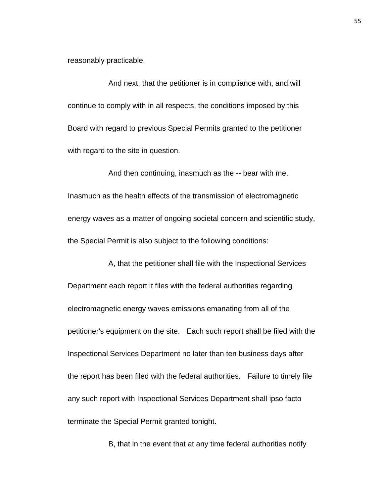reasonably practicable.

And next, that the petitioner is in compliance with, and will continue to comply with in all respects, the conditions imposed by this Board with regard to previous Special Permits granted to the petitioner with regard to the site in question.

And then continuing, inasmuch as the -- bear with me. Inasmuch as the health effects of the transmission of electromagnetic energy waves as a matter of ongoing societal concern and scientific study, the Special Permit is also subject to the following conditions:

A, that the petitioner shall file with the Inspectional Services Department each report it files with the federal authorities regarding electromagnetic energy waves emissions emanating from all of the petitioner's equipment on the site. Each such report shall be filed with the Inspectional Services Department no later than ten business days after the report has been filed with the federal authorities. Failure to timely file any such report with Inspectional Services Department shall ipso facto terminate the Special Permit granted tonight.

B, that in the event that at any time federal authorities notify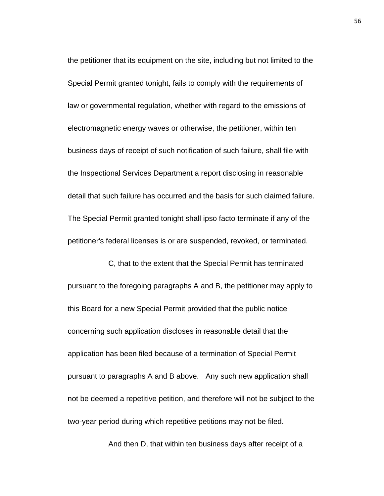the petitioner that its equipment on the site, including but not limited to the Special Permit granted tonight, fails to comply with the requirements of law or governmental regulation, whether with regard to the emissions of electromagnetic energy waves or otherwise, the petitioner, within ten business days of receipt of such notification of such failure, shall file with the Inspectional Services Department a report disclosing in reasonable detail that such failure has occurred and the basis for such claimed failure. The Special Permit granted tonight shall ipso facto terminate if any of the petitioner's federal licenses is or are suspended, revoked, or terminated.

C, that to the extent that the Special Permit has terminated pursuant to the foregoing paragraphs A and B, the petitioner may apply to this Board for a new Special Permit provided that the public notice concerning such application discloses in reasonable detail that the application has been filed because of a termination of Special Permit pursuant to paragraphs A and B above. Any such new application shall not be deemed a repetitive petition, and therefore will not be subject to the two-year period during which repetitive petitions may not be filed.

And then D, that within ten business days after receipt of a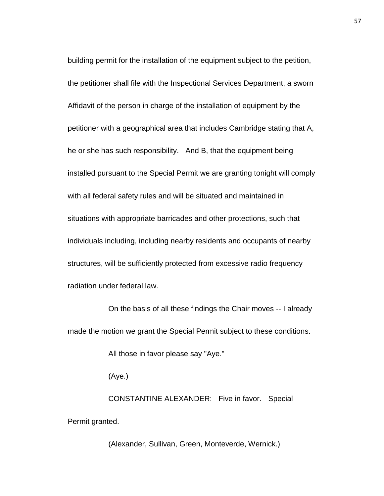building permit for the installation of the equipment subject to the petition, the petitioner shall file with the Inspectional Services Department, a sworn Affidavit of the person in charge of the installation of equipment by the petitioner with a geographical area that includes Cambridge stating that A, he or she has such responsibility. And B, that the equipment being installed pursuant to the Special Permit we are granting tonight will comply with all federal safety rules and will be situated and maintained in situations with appropriate barricades and other protections, such that individuals including, including nearby residents and occupants of nearby structures, will be sufficiently protected from excessive radio frequency radiation under federal law.

On the basis of all these findings the Chair moves -- I already made the motion we grant the Special Permit subject to these conditions.

All those in favor please say "Aye."

(Aye.)

CONSTANTINE ALEXANDER: Five in favor. Special Permit granted.

(Alexander, Sullivan, Green, Monteverde, Wernick.)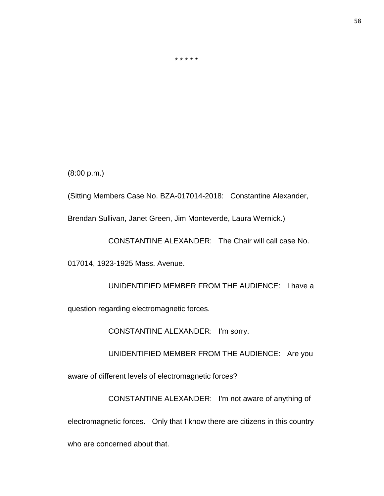\* \* \* \* \*

(8:00 p.m.)

(Sitting Members Case No. BZA-017014-2018: Constantine Alexander,

Brendan Sullivan, Janet Green, Jim Monteverde, Laura Wernick.)

CONSTANTINE ALEXANDER: The Chair will call case No.

017014, 1923-1925 Mass. Avenue.

UNIDENTIFIED MEMBER FROM THE AUDIENCE: I have a question regarding electromagnetic forces.

CONSTANTINE ALEXANDER: I'm sorry.

UNIDENTIFIED MEMBER FROM THE AUDIENCE: Are you

aware of different levels of electromagnetic forces?

CONSTANTINE ALEXANDER: I'm not aware of anything of electromagnetic forces. Only that I know there are citizens in this country who are concerned about that.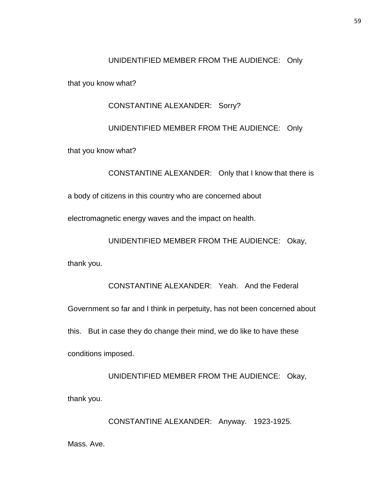## UNIDENTIFIED MEMBER FROM THE AUDIENCE: Only

that you know what?

## CONSTANTINE ALEXANDER: Sorry?

## UNIDENTIFIED MEMBER FROM THE AUDIENCE: Only

that you know what?

CONSTANTINE ALEXANDER: Only that I know that there is

a body of citizens in this country who are concerned about

electromagnetic energy waves and the impact on health.

UNIDENTIFIED MEMBER FROM THE AUDIENCE: Okay,

thank you.

CONSTANTINE ALEXANDER: Yeah. And the Federal Government so far and I think in perpetuity, has not been concerned about this. But in case they do change their mind, we do like to have these conditions imposed.

UNIDENTIFIED MEMBER FROM THE AUDIENCE: Okay, thank you.

CONSTANTINE ALEXANDER: Anyway. 1923-1925. Mass. Ave.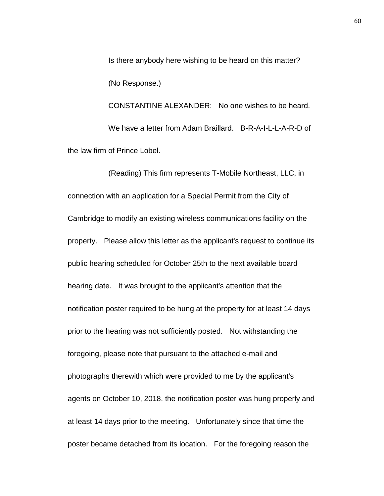Is there anybody here wishing to be heard on this matter? (No Response.) CONSTANTINE ALEXANDER: No one wishes to be heard. We have a letter from Adam Braillard. B-R-A-I-L-L-A-R-D of

the law firm of Prince Lobel.

(Reading) This firm represents T-Mobile Northeast, LLC, in connection with an application for a Special Permit from the City of Cambridge to modify an existing wireless communications facility on the property. Please allow this letter as the applicant's request to continue its public hearing scheduled for October 25th to the next available board hearing date. It was brought to the applicant's attention that the notification poster required to be hung at the property for at least 14 days prior to the hearing was not sufficiently posted. Not withstanding the foregoing, please note that pursuant to the attached e-mail and photographs therewith which were provided to me by the applicant's agents on October 10, 2018, the notification poster was hung properly and at least 14 days prior to the meeting. Unfortunately since that time the poster became detached from its location. For the foregoing reason the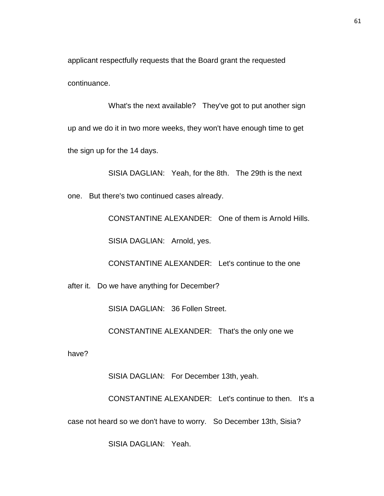applicant respectfully requests that the Board grant the requested continuance.

What's the next available? They've got to put another sign up and we do it in two more weeks, they won't have enough time to get the sign up for the 14 days.

SISIA DAGLIAN: Yeah, for the 8th. The 29th is the next one. But there's two continued cases already.

CONSTANTINE ALEXANDER: One of them is Arnold Hills.

SISIA DAGLIAN: Arnold, yes.

CONSTANTINE ALEXANDER: Let's continue to the one

after it. Do we have anything for December?

SISIA DAGLIAN: 36 Follen Street.

CONSTANTINE ALEXANDER: That's the only one we

have?

SISIA DAGLIAN: For December 13th, yeah.

CONSTANTINE ALEXANDER: Let's continue to then. It's a case not heard so we don't have to worry. So December 13th, Sisia?

SISIA DAGLIAN: Yeah.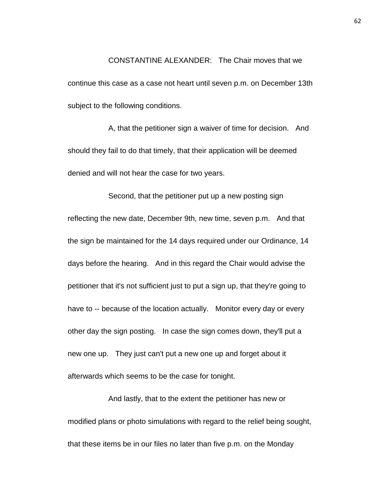# CONSTANTINE ALEXANDER: The Chair moves that we continue this case as a case not heart until seven p.m. on December 13th subject to the following conditions.

A, that the petitioner sign a waiver of time for decision. And should they fail to do that timely, that their application will be deemed denied and will not hear the case for two years.

Second, that the petitioner put up a new posting sign reflecting the new date, December 9th, new time, seven p.m. And that the sign be maintained for the 14 days required under our Ordinance, 14 days before the hearing. And in this regard the Chair would advise the petitioner that it's not sufficient just to put a sign up, that they're going to have to -- because of the location actually. Monitor every day or every other day the sign posting. In case the sign comes down, they'll put a new one up. They just can't put a new one up and forget about it afterwards which seems to be the case for tonight.

And lastly, that to the extent the petitioner has new or modified plans or photo simulations with regard to the relief being sought, that these items be in our files no later than five p.m. on the Monday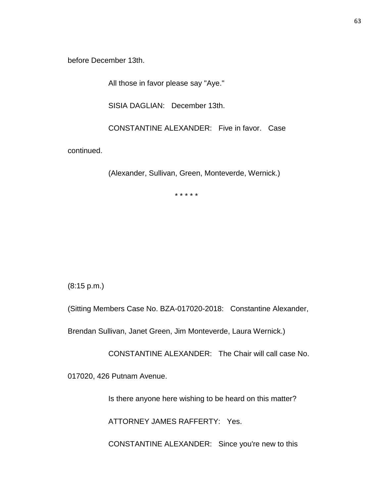before December 13th.

All those in favor please say "Aye."

SISIA DAGLIAN: December 13th.

CONSTANTINE ALEXANDER: Five in favor. Case

continued.

(Alexander, Sullivan, Green, Monteverde, Wernick.)

\* \* \* \* \*

(8:15 p.m.)

(Sitting Members Case No. BZA-017020-2018: Constantine Alexander,

Brendan Sullivan, Janet Green, Jim Monteverde, Laura Wernick.)

CONSTANTINE ALEXANDER: The Chair will call case No.

017020, 426 Putnam Avenue.

Is there anyone here wishing to be heard on this matter?

ATTORNEY JAMES RAFFERTY: Yes.

CONSTANTINE ALEXANDER: Since you're new to this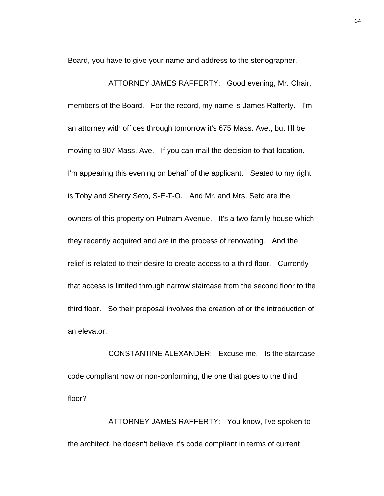Board, you have to give your name and address to the stenographer.

ATTORNEY JAMES RAFFERTY: Good evening, Mr. Chair, members of the Board. For the record, my name is James Rafferty. I'm an attorney with offices through tomorrow it's 675 Mass. Ave., but I'll be moving to 907 Mass. Ave. If you can mail the decision to that location. I'm appearing this evening on behalf of the applicant. Seated to my right is Toby and Sherry Seto, S-E-T-O. And Mr. and Mrs. Seto are the owners of this property on Putnam Avenue. It's a two-family house which they recently acquired and are in the process of renovating. And the relief is related to their desire to create access to a third floor. Currently that access is limited through narrow staircase from the second floor to the third floor. So their proposal involves the creation of or the introduction of an elevator.

CONSTANTINE ALEXANDER: Excuse me. Is the staircase code compliant now or non-conforming, the one that goes to the third floor?

ATTORNEY JAMES RAFFERTY: You know, I've spoken to the architect, he doesn't believe it's code compliant in terms of current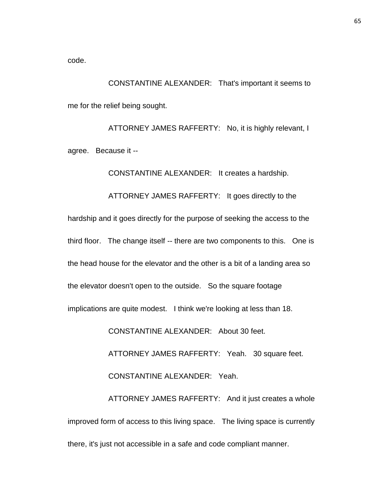code.

CONSTANTINE ALEXANDER: That's important it seems to me for the relief being sought.

ATTORNEY JAMES RAFFERTY: No, it is highly relevant, I agree. Because it --

CONSTANTINE ALEXANDER: It creates a hardship.

ATTORNEY JAMES RAFFERTY: It goes directly to the hardship and it goes directly for the purpose of seeking the access to the third floor. The change itself -- there are two components to this. One is the head house for the elevator and the other is a bit of a landing area so the elevator doesn't open to the outside. So the square footage implications are quite modest. I think we're looking at less than 18.

CONSTANTINE ALEXANDER: About 30 feet.

ATTORNEY JAMES RAFFERTY: Yeah. 30 square feet.

CONSTANTINE ALEXANDER: Yeah.

ATTORNEY JAMES RAFFERTY: And it just creates a whole improved form of access to this living space. The living space is currently there, it's just not accessible in a safe and code compliant manner.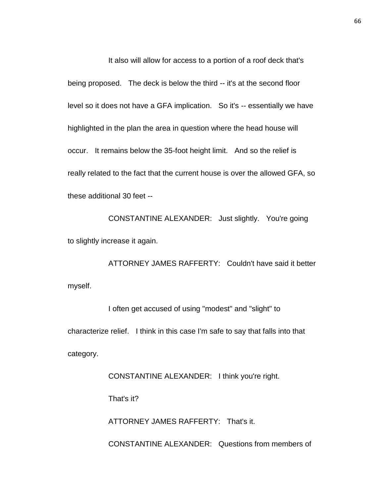It also will allow for access to a portion of a roof deck that's being proposed. The deck is below the third -- it's at the second floor level so it does not have a GFA implication. So it's -- essentially we have highlighted in the plan the area in question where the head house will occur. It remains below the 35-foot height limit. And so the relief is really related to the fact that the current house is over the allowed GFA, so these additional 30 feet --

CONSTANTINE ALEXANDER: Just slightly. You're going to slightly increase it again.

ATTORNEY JAMES RAFFERTY: Couldn't have said it better myself.

I often get accused of using "modest" and "slight" to characterize relief. I think in this case I'm safe to say that falls into that category.

CONSTANTINE ALEXANDER: I think you're right.

That's it?

ATTORNEY JAMES RAFFERTY: That's it.

CONSTANTINE ALEXANDER: Questions from members of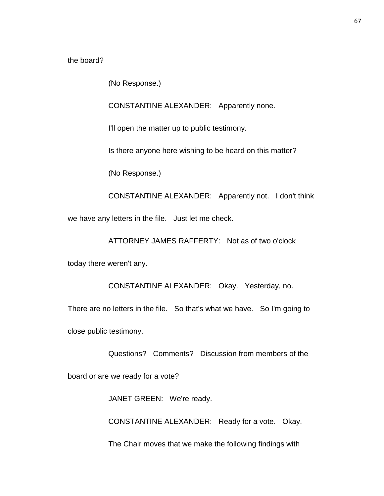the board?

(No Response.)

CONSTANTINE ALEXANDER: Apparently none.

I'll open the matter up to public testimony.

Is there anyone here wishing to be heard on this matter?

(No Response.)

CONSTANTINE ALEXANDER: Apparently not. I don't think we have any letters in the file. Just let me check.

ATTORNEY JAMES RAFFERTY: Not as of two o'clock

today there weren't any.

CONSTANTINE ALEXANDER: Okay. Yesterday, no.

There are no letters in the file. So that's what we have. So I'm going to close public testimony.

Questions? Comments? Discussion from members of the

board or are we ready for a vote?

JANET GREEN: We're ready.

CONSTANTINE ALEXANDER: Ready for a vote. Okay.

The Chair moves that we make the following findings with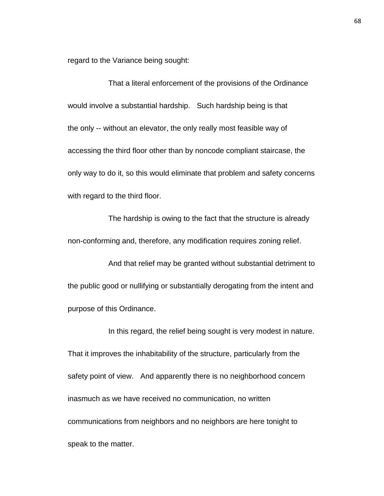regard to the Variance being sought:

That a literal enforcement of the provisions of the Ordinance would involve a substantial hardship. Such hardship being is that the only -- without an elevator, the only really most feasible way of accessing the third floor other than by noncode compliant staircase, the only way to do it, so this would eliminate that problem and safety concerns with regard to the third floor.

The hardship is owing to the fact that the structure is already non-conforming and, therefore, any modification requires zoning relief.

And that relief may be granted without substantial detriment to the public good or nullifying or substantially derogating from the intent and purpose of this Ordinance.

In this regard, the relief being sought is very modest in nature. That it improves the inhabitability of the structure, particularly from the safety point of view. And apparently there is no neighborhood concern inasmuch as we have received no communication, no written communications from neighbors and no neighbors are here tonight to speak to the matter.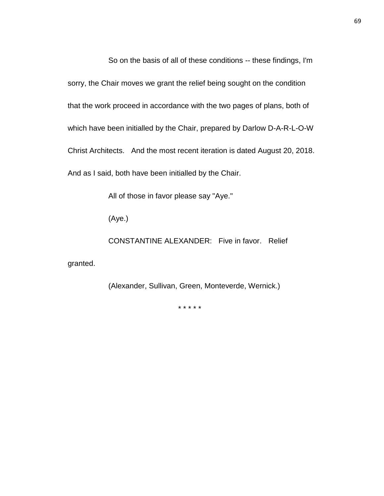So on the basis of all of these conditions -- these findings, I'm sorry, the Chair moves we grant the relief being sought on the condition that the work proceed in accordance with the two pages of plans, both of which have been initialled by the Chair, prepared by Darlow D-A-R-L-O-W Christ Architects. And the most recent iteration is dated August 20, 2018. And as I said, both have been initialled by the Chair.

All of those in favor please say "Aye."

(Aye.)

CONSTANTINE ALEXANDER: Five in favor. Relief

granted.

(Alexander, Sullivan, Green, Monteverde, Wernick.)

\* \* \* \* \*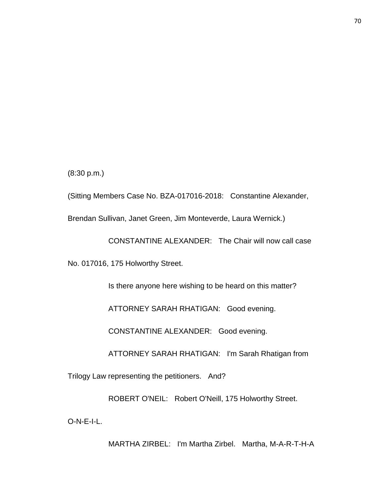(8:30 p.m.)

(Sitting Members Case No. BZA-017016-2018: Constantine Alexander,

Brendan Sullivan, Janet Green, Jim Monteverde, Laura Wernick.)

CONSTANTINE ALEXANDER: The Chair will now call case

No. 017016, 175 Holworthy Street.

Is there anyone here wishing to be heard on this matter?

ATTORNEY SARAH RHATIGAN: Good evening.

CONSTANTINE ALEXANDER: Good evening.

ATTORNEY SARAH RHATIGAN: I'm Sarah Rhatigan from

Trilogy Law representing the petitioners. And?

ROBERT O'NEIL: Robert O'Neill, 175 Holworthy Street.

O-N-E-I-L.

MARTHA ZIRBEL: I'm Martha Zirbel. Martha, M-A-R-T-H-A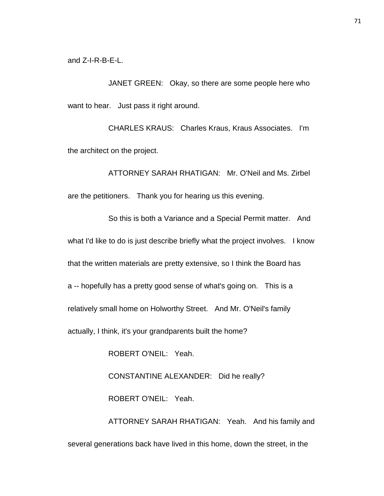and Z-I-R-B-E-L.

JANET GREEN: Okay, so there are some people here who want to hear. Just pass it right around.

CHARLES KRAUS: Charles Kraus, Kraus Associates. I'm the architect on the project.

ATTORNEY SARAH RHATIGAN: Mr. O'Neil and Ms. Zirbel are the petitioners. Thank you for hearing us this evening.

So this is both a Variance and a Special Permit matter. And what I'd like to do is just describe briefly what the project involves. I know that the written materials are pretty extensive, so I think the Board has a -- hopefully has a pretty good sense of what's going on. This is a relatively small home on Holworthy Street. And Mr. O'Neil's family actually, I think, it's your grandparents built the home?

ROBERT O'NEIL: Yeah.

CONSTANTINE ALEXANDER: Did he really? ROBERT O'NEIL: Yeah.

ATTORNEY SARAH RHATIGAN: Yeah. And his family and several generations back have lived in this home, down the street, in the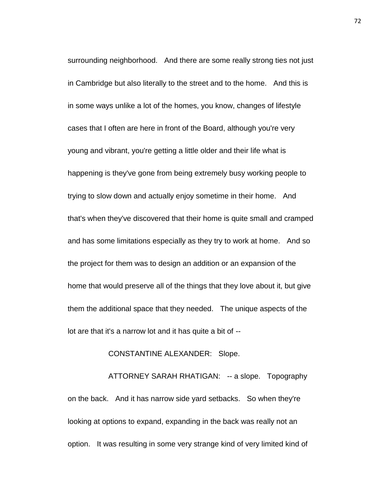surrounding neighborhood. And there are some really strong ties not just in Cambridge but also literally to the street and to the home. And this is in some ways unlike a lot of the homes, you know, changes of lifestyle cases that I often are here in front of the Board, although you're very young and vibrant, you're getting a little older and their life what is happening is they've gone from being extremely busy working people to trying to slow down and actually enjoy sometime in their home. And that's when they've discovered that their home is quite small and cramped and has some limitations especially as they try to work at home. And so the project for them was to design an addition or an expansion of the home that would preserve all of the things that they love about it, but give them the additional space that they needed. The unique aspects of the lot are that it's a narrow lot and it has quite a bit of --

#### CONSTANTINE ALEXANDER: Slope.

ATTORNEY SARAH RHATIGAN: -- a slope. Topography on the back. And it has narrow side yard setbacks. So when they're looking at options to expand, expanding in the back was really not an option. It was resulting in some very strange kind of very limited kind of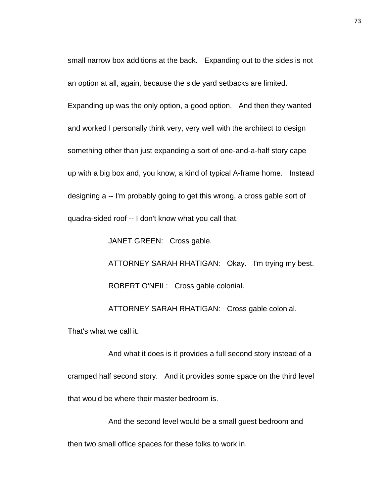small narrow box additions at the back. Expanding out to the sides is not an option at all, again, because the side yard setbacks are limited. Expanding up was the only option, a good option. And then they wanted and worked I personally think very, very well with the architect to design something other than just expanding a sort of one-and-a-half story cape up with a big box and, you know, a kind of typical A-frame home. Instead designing a -- I'm probably going to get this wrong, a cross gable sort of quadra-sided roof -- I don't know what you call that.

JANET GREEN: Cross gable.

ATTORNEY SARAH RHATIGAN: Okay. I'm trying my best. ROBERT O'NEIL: Cross gable colonial.

ATTORNEY SARAH RHATIGAN: Cross gable colonial.

That's what we call it.

And what it does is it provides a full second story instead of a cramped half second story. And it provides some space on the third level that would be where their master bedroom is.

And the second level would be a small guest bedroom and then two small office spaces for these folks to work in.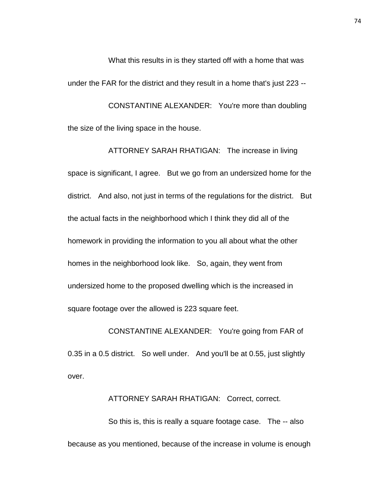What this results in is they started off with a home that was under the FAR for the district and they result in a home that's just 223 --

CONSTANTINE ALEXANDER: You're more than doubling the size of the living space in the house.

ATTORNEY SARAH RHATIGAN: The increase in living space is significant, I agree. But we go from an undersized home for the district. And also, not just in terms of the regulations for the district. But the actual facts in the neighborhood which I think they did all of the homework in providing the information to you all about what the other homes in the neighborhood look like. So, again, they went from undersized home to the proposed dwelling which is the increased in square footage over the allowed is 223 square feet.

CONSTANTINE ALEXANDER: You're going from FAR of 0.35 in a 0.5 district. So well under. And you'll be at 0.55, just slightly over.

ATTORNEY SARAH RHATIGAN: Correct, correct.

So this is, this is really a square footage case. The -- also because as you mentioned, because of the increase in volume is enough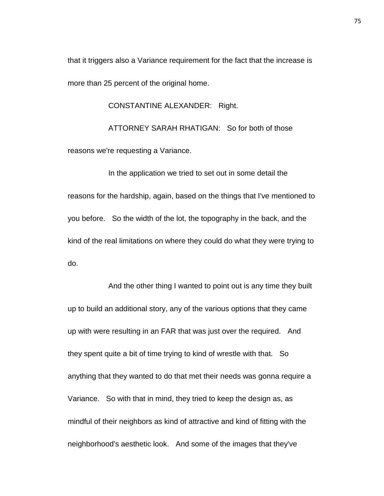that it triggers also a Variance requirement for the fact that the increase is more than 25 percent of the original home.

CONSTANTINE ALEXANDER: Right.

ATTORNEY SARAH RHATIGAN: So for both of those reasons we're requesting a Variance.

In the application we tried to set out in some detail the reasons for the hardship, again, based on the things that I've mentioned to you before. So the width of the lot, the topography in the back, and the kind of the real limitations on where they could do what they were trying to do.

And the other thing I wanted to point out is any time they built up to build an additional story, any of the various options that they came up with were resulting in an FAR that was just over the required. And they spent quite a bit of time trying to kind of wrestle with that. So anything that they wanted to do that met their needs was gonna require a Variance. So with that in mind, they tried to keep the design as, as mindful of their neighbors as kind of attractive and kind of fitting with the neighborhood's aesthetic look. And some of the images that they've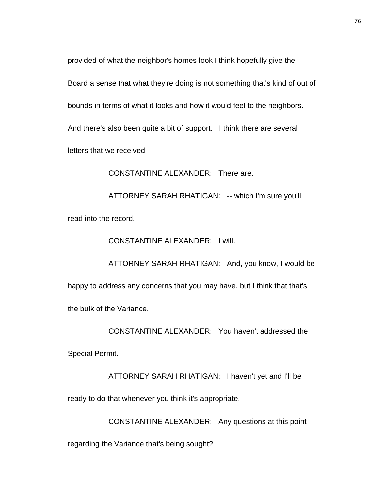provided of what the neighbor's homes look I think hopefully give the

Board a sense that what they're doing is not something that's kind of out of

bounds in terms of what it looks and how it would feel to the neighbors.

And there's also been quite a bit of support. I think there are several

letters that we received --

CONSTANTINE ALEXANDER: There are.

ATTORNEY SARAH RHATIGAN: -- which I'm sure you'll read into the record.

CONSTANTINE ALEXANDER: I will.

ATTORNEY SARAH RHATIGAN: And, you know, I would be happy to address any concerns that you may have, but I think that that's the bulk of the Variance.

CONSTANTINE ALEXANDER: You haven't addressed the

Special Permit.

ATTORNEY SARAH RHATIGAN: I haven't yet and I'll be

ready to do that whenever you think it's appropriate.

CONSTANTINE ALEXANDER: Any questions at this point

regarding the Variance that's being sought?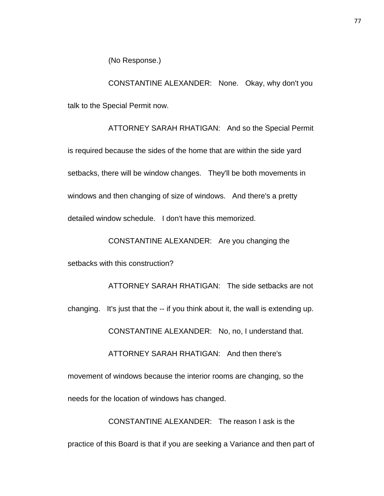(No Response.)

CONSTANTINE ALEXANDER: None. Okay, why don't you talk to the Special Permit now.

ATTORNEY SARAH RHATIGAN: And so the Special Permit is required because the sides of the home that are within the side yard setbacks, there will be window changes. They'll be both movements in windows and then changing of size of windows. And there's a pretty detailed window schedule. I don't have this memorized.

CONSTANTINE ALEXANDER: Are you changing the

setbacks with this construction?

ATTORNEY SARAH RHATIGAN: The side setbacks are not changing. It's just that the -- if you think about it, the wall is extending up. CONSTANTINE ALEXANDER: No, no, I understand that. ATTORNEY SARAH RHATIGAN: And then there's movement of windows because the interior rooms are changing, so the needs for the location of windows has changed.

CONSTANTINE ALEXANDER: The reason I ask is the practice of this Board is that if you are seeking a Variance and then part of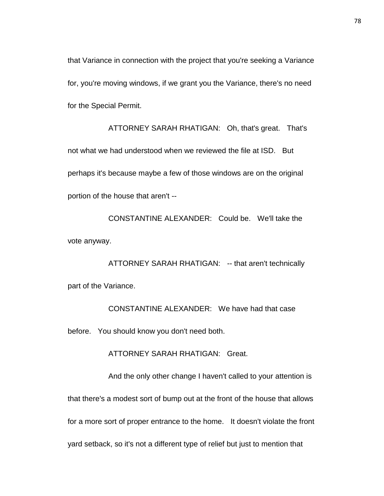that Variance in connection with the project that you're seeking a Variance for, you're moving windows, if we grant you the Variance, there's no need for the Special Permit.

ATTORNEY SARAH RHATIGAN: Oh, that's great. That's not what we had understood when we reviewed the file at ISD. But perhaps it's because maybe a few of those windows are on the original portion of the house that aren't --

CONSTANTINE ALEXANDER: Could be. We'll take the vote anyway.

ATTORNEY SARAH RHATIGAN: -- that aren't technically part of the Variance.

CONSTANTINE ALEXANDER: We have had that case before. You should know you don't need both.

ATTORNEY SARAH RHATIGAN: Great.

And the only other change I haven't called to your attention is that there's a modest sort of bump out at the front of the house that allows for a more sort of proper entrance to the home. It doesn't violate the front yard setback, so it's not a different type of relief but just to mention that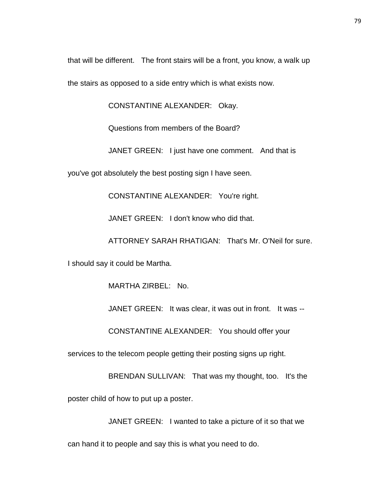that will be different. The front stairs will be a front, you know, a walk up

the stairs as opposed to a side entry which is what exists now.

CONSTANTINE ALEXANDER: Okay.

Questions from members of the Board?

JANET GREEN: I just have one comment. And that is

you've got absolutely the best posting sign I have seen.

CONSTANTINE ALEXANDER: You're right.

JANET GREEN: I don't know who did that.

ATTORNEY SARAH RHATIGAN: That's Mr. O'Neil for sure.

I should say it could be Martha.

MARTHA ZIRBEL: No.

JANET GREEN: It was clear, it was out in front. It was --

CONSTANTINE ALEXANDER: You should offer your

services to the telecom people getting their posting signs up right.

BRENDAN SULLIVAN: That was my thought, too. It's the

poster child of how to put up a poster.

JANET GREEN: I wanted to take a picture of it so that we

can hand it to people and say this is what you need to do.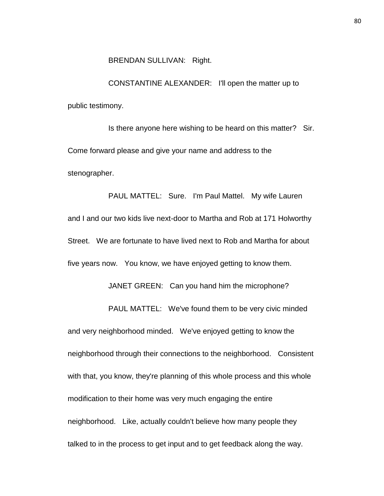#### BRENDAN SULLIVAN: Right.

CONSTANTINE ALEXANDER: I'll open the matter up to public testimony.

Is there anyone here wishing to be heard on this matter? Sir. Come forward please and give your name and address to the stenographer.

PAUL MATTEL: Sure. I'm Paul Mattel. My wife Lauren and I and our two kids live next-door to Martha and Rob at 171 Holworthy Street. We are fortunate to have lived next to Rob and Martha for about five years now. You know, we have enjoyed getting to know them.

JANET GREEN: Can you hand him the microphone?

PAUL MATTEL: We've found them to be very civic minded

and very neighborhood minded. We've enjoyed getting to know the neighborhood through their connections to the neighborhood. Consistent with that, you know, they're planning of this whole process and this whole modification to their home was very much engaging the entire neighborhood. Like, actually couldn't believe how many people they talked to in the process to get input and to get feedback along the way.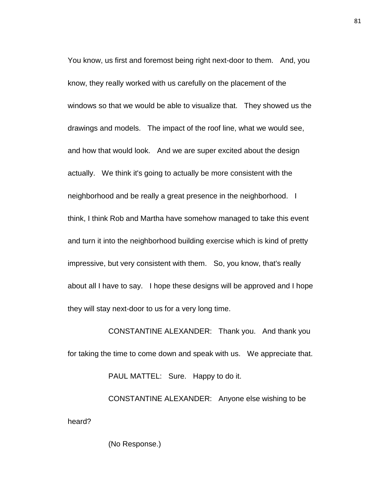You know, us first and foremost being right next-door to them. And, you know, they really worked with us carefully on the placement of the windows so that we would be able to visualize that. They showed us the drawings and models. The impact of the roof line, what we would see, and how that would look. And we are super excited about the design actually. We think it's going to actually be more consistent with the neighborhood and be really a great presence in the neighborhood. I think, I think Rob and Martha have somehow managed to take this event and turn it into the neighborhood building exercise which is kind of pretty impressive, but very consistent with them. So, you know, that's really about all I have to say. I hope these designs will be approved and I hope they will stay next-door to us for a very long time.

CONSTANTINE ALEXANDER: Thank you. And thank you for taking the time to come down and speak with us. We appreciate that. PAUL MATTEL: Sure. Happy to do it.

CONSTANTINE ALEXANDER: Anyone else wishing to be heard?

(No Response.)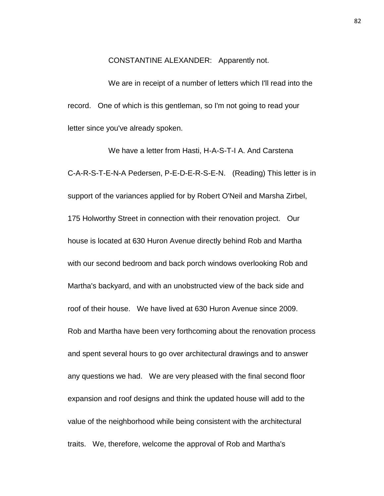CONSTANTINE ALEXANDER: Apparently not.

We are in receipt of a number of letters which I'll read into the record. One of which is this gentleman, so I'm not going to read your letter since you've already spoken.

We have a letter from Hasti, H-A-S-T-I A. And Carstena C-A-R-S-T-E-N-A Pedersen, P-E-D-E-R-S-E-N. (Reading) This letter is in support of the variances applied for by Robert O'Neil and Marsha Zirbel, 175 Holworthy Street in connection with their renovation project. Our house is located at 630 Huron Avenue directly behind Rob and Martha with our second bedroom and back porch windows overlooking Rob and Martha's backyard, and with an unobstructed view of the back side and roof of their house. We have lived at 630 Huron Avenue since 2009. Rob and Martha have been very forthcoming about the renovation process and spent several hours to go over architectural drawings and to answer any questions we had. We are very pleased with the final second floor expansion and roof designs and think the updated house will add to the value of the neighborhood while being consistent with the architectural traits. We, therefore, welcome the approval of Rob and Martha's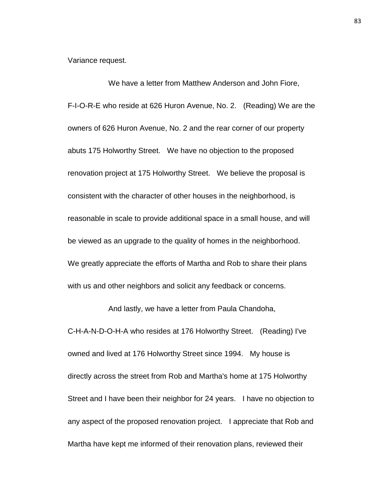Variance request.

We have a letter from Matthew Anderson and John Fiore, F-I-O-R-E who reside at 626 Huron Avenue, No. 2. (Reading) We are the owners of 626 Huron Avenue, No. 2 and the rear corner of our property abuts 175 Holworthy Street. We have no objection to the proposed renovation project at 175 Holworthy Street. We believe the proposal is consistent with the character of other houses in the neighborhood, is reasonable in scale to provide additional space in a small house, and will be viewed as an upgrade to the quality of homes in the neighborhood. We greatly appreciate the efforts of Martha and Rob to share their plans with us and other neighbors and solicit any feedback or concerns.

And lastly, we have a letter from Paula Chandoha, C-H-A-N-D-O-H-A who resides at 176 Holworthy Street. (Reading) I've owned and lived at 176 Holworthy Street since 1994. My house is directly across the street from Rob and Martha's home at 175 Holworthy Street and I have been their neighbor for 24 years. I have no objection to any aspect of the proposed renovation project. I appreciate that Rob and Martha have kept me informed of their renovation plans, reviewed their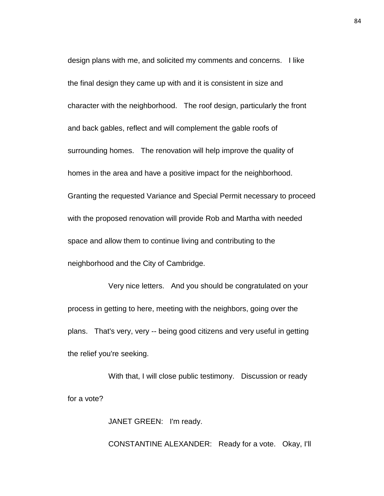design plans with me, and solicited my comments and concerns. I like the final design they came up with and it is consistent in size and character with the neighborhood. The roof design, particularly the front and back gables, reflect and will complement the gable roofs of surrounding homes. The renovation will help improve the quality of homes in the area and have a positive impact for the neighborhood. Granting the requested Variance and Special Permit necessary to proceed with the proposed renovation will provide Rob and Martha with needed space and allow them to continue living and contributing to the neighborhood and the City of Cambridge.

Very nice letters. And you should be congratulated on your process in getting to here, meeting with the neighbors, going over the plans. That's very, very -- being good citizens and very useful in getting the relief you're seeking.

With that, I will close public testimony. Discussion or ready for a vote?

JANET GREEN: I'm ready.

CONSTANTINE ALEXANDER: Ready for a vote. Okay, I'll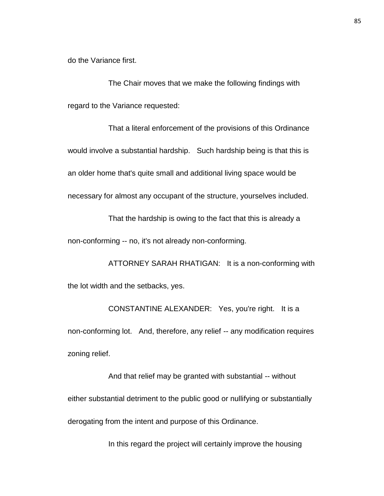do the Variance first.

The Chair moves that we make the following findings with regard to the Variance requested:

That a literal enforcement of the provisions of this Ordinance would involve a substantial hardship. Such hardship being is that this is an older home that's quite small and additional living space would be necessary for almost any occupant of the structure, yourselves included.

That the hardship is owing to the fact that this is already a non-conforming -- no, it's not already non-conforming.

ATTORNEY SARAH RHATIGAN: It is a non-conforming with the lot width and the setbacks, yes.

CONSTANTINE ALEXANDER: Yes, you're right. It is a non-conforming lot. And, therefore, any relief -- any modification requires zoning relief.

And that relief may be granted with substantial -- without either substantial detriment to the public good or nullifying or substantially derogating from the intent and purpose of this Ordinance.

In this regard the project will certainly improve the housing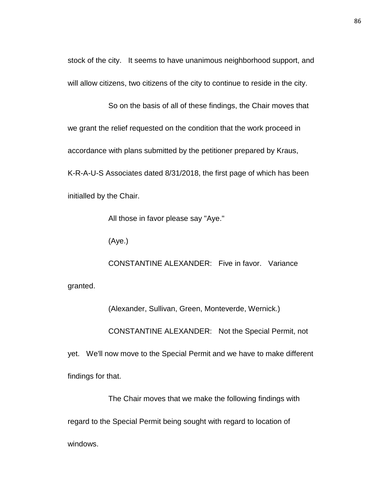stock of the city. It seems to have unanimous neighborhood support, and will allow citizens, two citizens of the city to continue to reside in the city.

So on the basis of all of these findings, the Chair moves that we grant the relief requested on the condition that the work proceed in accordance with plans submitted by the petitioner prepared by Kraus, K-R-A-U-S Associates dated 8/31/2018, the first page of which has been initialled by the Chair.

All those in favor please say "Aye."

(Aye.)

CONSTANTINE ALEXANDER: Five in favor. Variance granted.

(Alexander, Sullivan, Green, Monteverde, Wernick.)

CONSTANTINE ALEXANDER: Not the Special Permit, not

yet. We'll now move to the Special Permit and we have to make different findings for that.

The Chair moves that we make the following findings with

regard to the Special Permit being sought with regard to location of

windows.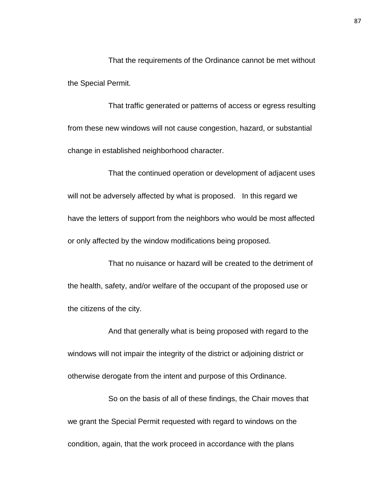That the requirements of the Ordinance cannot be met without the Special Permit.

That traffic generated or patterns of access or egress resulting from these new windows will not cause congestion, hazard, or substantial change in established neighborhood character.

That the continued operation or development of adjacent uses will not be adversely affected by what is proposed. In this regard we have the letters of support from the neighbors who would be most affected or only affected by the window modifications being proposed.

That no nuisance or hazard will be created to the detriment of the health, safety, and/or welfare of the occupant of the proposed use or the citizens of the city.

And that generally what is being proposed with regard to the windows will not impair the integrity of the district or adjoining district or otherwise derogate from the intent and purpose of this Ordinance.

So on the basis of all of these findings, the Chair moves that we grant the Special Permit requested with regard to windows on the condition, again, that the work proceed in accordance with the plans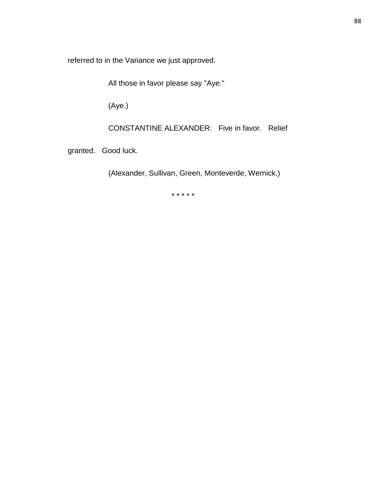referred to in the Variance we just approved.

All those in favor please say "Aye."

(Aye.)

CONSTANTINE ALEXANDER: Five in favor. Relief

granted. Good luck.

(Alexander, Sullivan, Green, Monteverde, Wernick.)

\* \* \* \* \*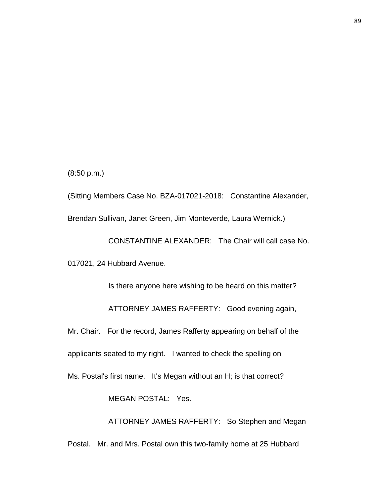(8:50 p.m.)

(Sitting Members Case No. BZA-017021-2018: Constantine Alexander, Brendan Sullivan, Janet Green, Jim Monteverde, Laura Wernick.)

CONSTANTINE ALEXANDER: The Chair will call case No. 017021, 24 Hubbard Avenue.

Is there anyone here wishing to be heard on this matter? ATTORNEY JAMES RAFFERTY: Good evening again, Mr. Chair. For the record, James Rafferty appearing on behalf of the applicants seated to my right. I wanted to check the spelling on Ms. Postal's first name. It's Megan without an H; is that correct? MEGAN POSTAL: Yes.

ATTORNEY JAMES RAFFERTY: So Stephen and Megan Postal. Mr. and Mrs. Postal own this two-family home at 25 Hubbard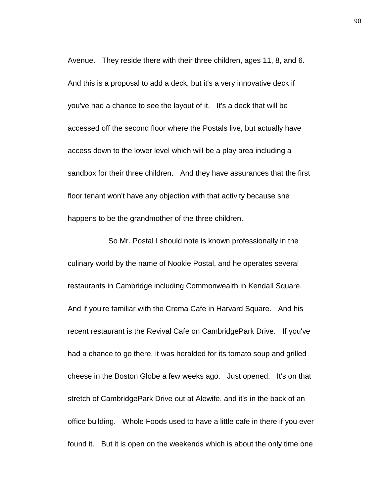Avenue. They reside there with their three children, ages 11, 8, and 6. And this is a proposal to add a deck, but it's a very innovative deck if you've had a chance to see the layout of it. It's a deck that will be accessed off the second floor where the Postals live, but actually have access down to the lower level which will be a play area including a sandbox for their three children. And they have assurances that the first floor tenant won't have any objection with that activity because she happens to be the grandmother of the three children.

So Mr. Postal I should note is known professionally in the culinary world by the name of Nookie Postal, and he operates several restaurants in Cambridge including Commonwealth in Kendall Square. And if you're familiar with the Crema Cafe in Harvard Square. And his recent restaurant is the Revival Cafe on CambridgePark Drive. If you've had a chance to go there, it was heralded for its tomato soup and grilled cheese in the Boston Globe a few weeks ago. Just opened. It's on that stretch of CambridgePark Drive out at Alewife, and it's in the back of an office building. Whole Foods used to have a little cafe in there if you ever found it. But it is open on the weekends which is about the only time one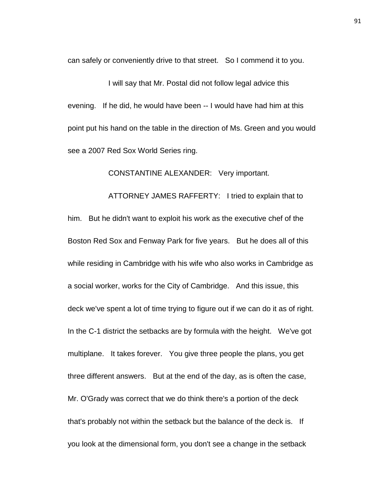can safely or conveniently drive to that street. So I commend it to you.

I will say that Mr. Postal did not follow legal advice this evening. If he did, he would have been -- I would have had him at this point put his hand on the table in the direction of Ms. Green and you would see a 2007 Red Sox World Series ring.

CONSTANTINE ALEXANDER: Very important.

ATTORNEY JAMES RAFFERTY: I tried to explain that to him. But he didn't want to exploit his work as the executive chef of the Boston Red Sox and Fenway Park for five years. But he does all of this while residing in Cambridge with his wife who also works in Cambridge as a social worker, works for the City of Cambridge. And this issue, this deck we've spent a lot of time trying to figure out if we can do it as of right. In the C-1 district the setbacks are by formula with the height. We've got multiplane. It takes forever. You give three people the plans, you get three different answers. But at the end of the day, as is often the case, Mr. O'Grady was correct that we do think there's a portion of the deck that's probably not within the setback but the balance of the deck is. If you look at the dimensional form, you don't see a change in the setback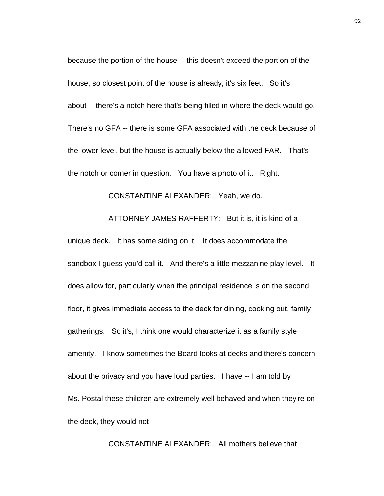because the portion of the house -- this doesn't exceed the portion of the house, so closest point of the house is already, it's six feet. So it's about -- there's a notch here that's being filled in where the deck would go. There's no GFA -- there is some GFA associated with the deck because of the lower level, but the house is actually below the allowed FAR. That's the notch or corner in question. You have a photo of it. Right.

#### CONSTANTINE ALEXANDER: Yeah, we do.

### ATTORNEY JAMES RAFFERTY: But it is, it is kind of a

unique deck. It has some siding on it. It does accommodate the sandbox I guess you'd call it. And there's a little mezzanine play level. It does allow for, particularly when the principal residence is on the second floor, it gives immediate access to the deck for dining, cooking out, family gatherings. So it's, I think one would characterize it as a family style amenity. I know sometimes the Board looks at decks and there's concern about the privacy and you have loud parties. I have -- I am told by Ms. Postal these children are extremely well behaved and when they're on the deck, they would not --

CONSTANTINE ALEXANDER: All mothers believe that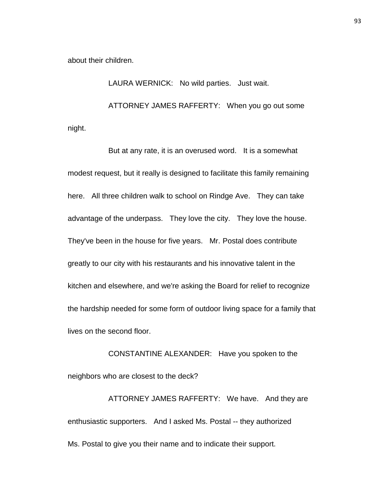about their children.

LAURA WERNICK: No wild parties. Just wait. ATTORNEY JAMES RAFFERTY: When you go out some night.

But at any rate, it is an overused word. It is a somewhat modest request, but it really is designed to facilitate this family remaining here. All three children walk to school on Rindge Ave. They can take advantage of the underpass. They love the city. They love the house. They've been in the house for five years. Mr. Postal does contribute greatly to our city with his restaurants and his innovative talent in the kitchen and elsewhere, and we're asking the Board for relief to recognize the hardship needed for some form of outdoor living space for a family that lives on the second floor.

CONSTANTINE ALEXANDER: Have you spoken to the neighbors who are closest to the deck?

ATTORNEY JAMES RAFFERTY: We have. And they are enthusiastic supporters. And I asked Ms. Postal -- they authorized Ms. Postal to give you their name and to indicate their support.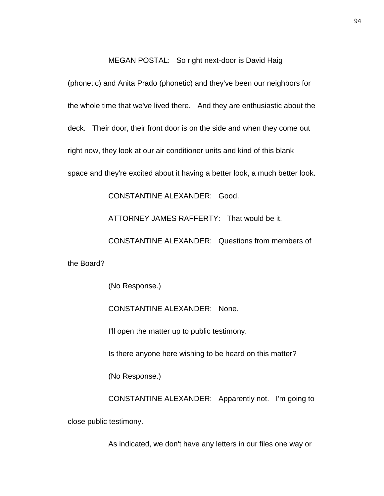#### MEGAN POSTAL: So right next-door is David Haig

(phonetic) and Anita Prado (phonetic) and they've been our neighbors for the whole time that we've lived there. And they are enthusiastic about the deck. Their door, their front door is on the side and when they come out right now, they look at our air conditioner units and kind of this blank space and they're excited about it having a better look, a much better look.

CONSTANTINE ALEXANDER: Good.

ATTORNEY JAMES RAFFERTY: That would be it.

CONSTANTINE ALEXANDER: Questions from members of

the Board?

(No Response.)

CONSTANTINE ALEXANDER: None.

I'll open the matter up to public testimony.

Is there anyone here wishing to be heard on this matter?

(No Response.)

CONSTANTINE ALEXANDER: Apparently not. I'm going to close public testimony.

As indicated, we don't have any letters in our files one way or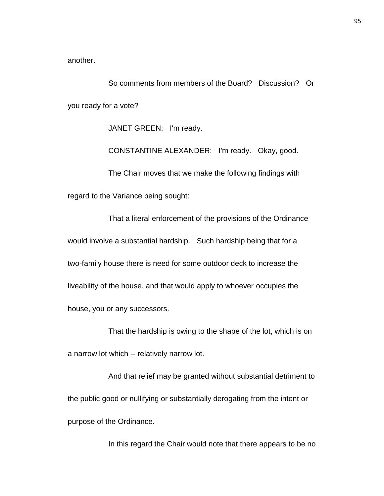another.

So comments from members of the Board? Discussion? Or you ready for a vote?

JANET GREEN: I'm ready.

CONSTANTINE ALEXANDER: I'm ready. Okay, good.

The Chair moves that we make the following findings with regard to the Variance being sought:

That a literal enforcement of the provisions of the Ordinance would involve a substantial hardship. Such hardship being that for a two-family house there is need for some outdoor deck to increase the liveability of the house, and that would apply to whoever occupies the house, you or any successors.

That the hardship is owing to the shape of the lot, which is on a narrow lot which -- relatively narrow lot.

And that relief may be granted without substantial detriment to the public good or nullifying or substantially derogating from the intent or purpose of the Ordinance.

In this regard the Chair would note that there appears to be no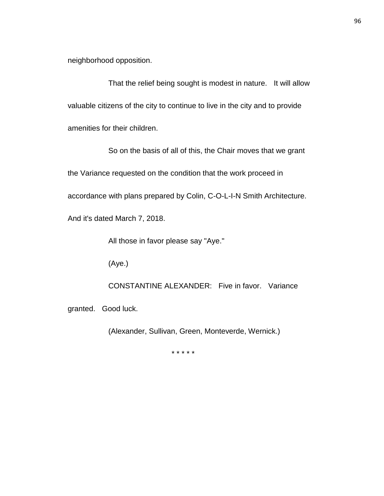neighborhood opposition.

That the relief being sought is modest in nature. It will allow valuable citizens of the city to continue to live in the city and to provide amenities for their children.

So on the basis of all of this, the Chair moves that we grant the Variance requested on the condition that the work proceed in accordance with plans prepared by Colin, C-O-L-I-N Smith Architecture. And it's dated March 7, 2018.

All those in favor please say "Aye."

(Aye.)

CONSTANTINE ALEXANDER: Five in favor. Variance

granted. Good luck.

(Alexander, Sullivan, Green, Monteverde, Wernick.)

\* \* \* \* \*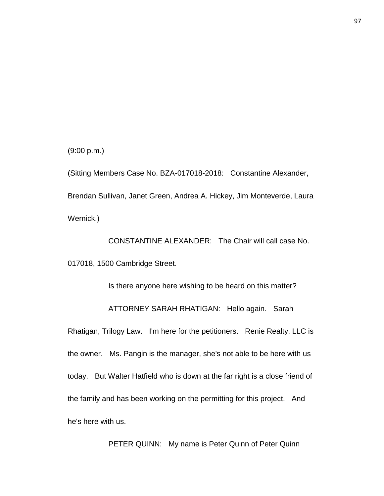(9:00 p.m.)

(Sitting Members Case No. BZA-017018-2018: Constantine Alexander, Brendan Sullivan, Janet Green, Andrea A. Hickey, Jim Monteverde, Laura Wernick.)

CONSTANTINE ALEXANDER: The Chair will call case No. 017018, 1500 Cambridge Street.

Is there anyone here wishing to be heard on this matter? ATTORNEY SARAH RHATIGAN: Hello again. Sarah Rhatigan, Trilogy Law. I'm here for the petitioners. Renie Realty, LLC is the owner. Ms. Pangin is the manager, she's not able to be here with us today. But Walter Hatfield who is down at the far right is a close friend of the family and has been working on the permitting for this project. And he's here with us.

PETER QUINN: My name is Peter Quinn of Peter Quinn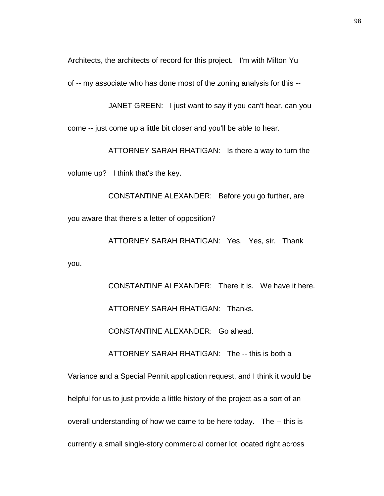Architects, the architects of record for this project. I'm with Milton Yu

of -- my associate who has done most of the zoning analysis for this --

JANET GREEN: I just want to say if you can't hear, can you

come -- just come up a little bit closer and you'll be able to hear.

ATTORNEY SARAH RHATIGAN: Is there a way to turn the

volume up? I think that's the key.

you.

CONSTANTINE ALEXANDER: Before you go further, are you aware that there's a letter of opposition?

ATTORNEY SARAH RHATIGAN: Yes. Yes, sir. Thank

CONSTANTINE ALEXANDER: There it is. We have it here. ATTORNEY SARAH RHATIGAN: Thanks. CONSTANTINE ALEXANDER: Go ahead. ATTORNEY SARAH RHATIGAN: The -- this is both a Variance and a Special Permit application request, and I think it would be

helpful for us to just provide a little history of the project as a sort of an

overall understanding of how we came to be here today. The -- this is

currently a small single-story commercial corner lot located right across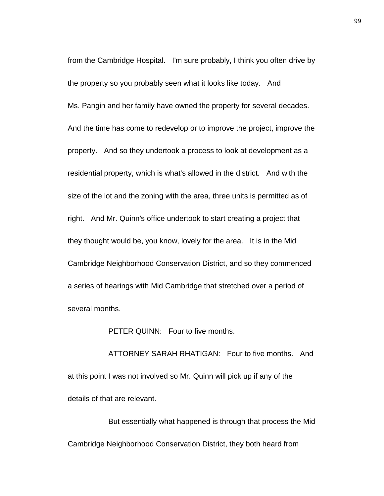from the Cambridge Hospital. I'm sure probably, I think you often drive by the property so you probably seen what it looks like today. And Ms. Pangin and her family have owned the property for several decades. And the time has come to redevelop or to improve the project, improve the property. And so they undertook a process to look at development as a residential property, which is what's allowed in the district. And with the size of the lot and the zoning with the area, three units is permitted as of right. And Mr. Quinn's office undertook to start creating a project that they thought would be, you know, lovely for the area. It is in the Mid Cambridge Neighborhood Conservation District, and so they commenced a series of hearings with Mid Cambridge that stretched over a period of several months.

PETER QUINN: Four to five months.

ATTORNEY SARAH RHATIGAN: Four to five months. And at this point I was not involved so Mr. Quinn will pick up if any of the details of that are relevant.

But essentially what happened is through that process the Mid Cambridge Neighborhood Conservation District, they both heard from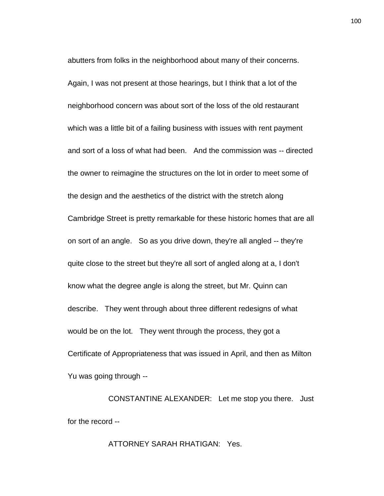abutters from folks in the neighborhood about many of their concerns. Again, I was not present at those hearings, but I think that a lot of the neighborhood concern was about sort of the loss of the old restaurant which was a little bit of a failing business with issues with rent payment and sort of a loss of what had been. And the commission was -- directed the owner to reimagine the structures on the lot in order to meet some of the design and the aesthetics of the district with the stretch along Cambridge Street is pretty remarkable for these historic homes that are all on sort of an angle. So as you drive down, they're all angled -- they're quite close to the street but they're all sort of angled along at a, I don't know what the degree angle is along the street, but Mr. Quinn can describe. They went through about three different redesigns of what would be on the lot. They went through the process, they got a Certificate of Appropriateness that was issued in April, and then as Milton Yu was going through --

CONSTANTINE ALEXANDER: Let me stop you there. Just for the record --

ATTORNEY SARAH RHATIGAN: Yes.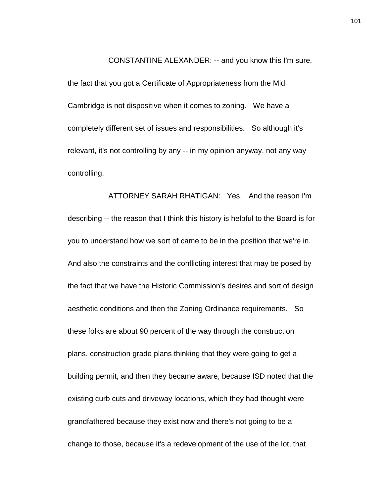CONSTANTINE ALEXANDER: -- and you know this I'm sure,

the fact that you got a Certificate of Appropriateness from the Mid Cambridge is not dispositive when it comes to zoning. We have a completely different set of issues and responsibilities. So although it's relevant, it's not controlling by any -- in my opinion anyway, not any way controlling.

ATTORNEY SARAH RHATIGAN: Yes. And the reason I'm describing -- the reason that I think this history is helpful to the Board is for you to understand how we sort of came to be in the position that we're in. And also the constraints and the conflicting interest that may be posed by the fact that we have the Historic Commission's desires and sort of design aesthetic conditions and then the Zoning Ordinance requirements. So these folks are about 90 percent of the way through the construction plans, construction grade plans thinking that they were going to get a building permit, and then they became aware, because ISD noted that the existing curb cuts and driveway locations, which they had thought were grandfathered because they exist now and there's not going to be a change to those, because it's a redevelopment of the use of the lot, that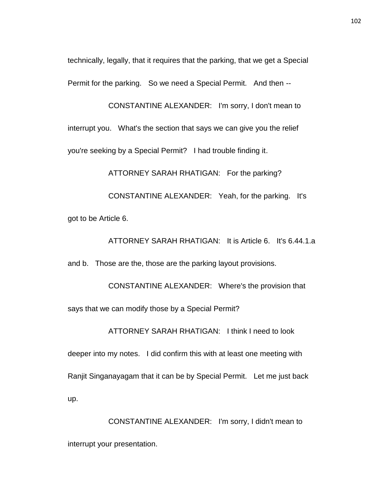technically, legally, that it requires that the parking, that we get a Special Permit for the parking. So we need a Special Permit. And then --

CONSTANTINE ALEXANDER: I'm sorry, I don't mean to interrupt you. What's the section that says we can give you the relief you're seeking by a Special Permit? I had trouble finding it.

ATTORNEY SARAH RHATIGAN: For the parking?

CONSTANTINE ALEXANDER: Yeah, for the parking. It's got to be Article 6.

ATTORNEY SARAH RHATIGAN: It is Article 6. It's 6.44.1.a

and b. Those are the, those are the parking layout provisions.

CONSTANTINE ALEXANDER: Where's the provision that says that we can modify those by a Special Permit?

ATTORNEY SARAH RHATIGAN: I think I need to look

deeper into my notes. I did confirm this with at least one meeting with Ranjit Singanayagam that it can be by Special Permit. Let me just back up.

CONSTANTINE ALEXANDER: I'm sorry, I didn't mean to interrupt your presentation.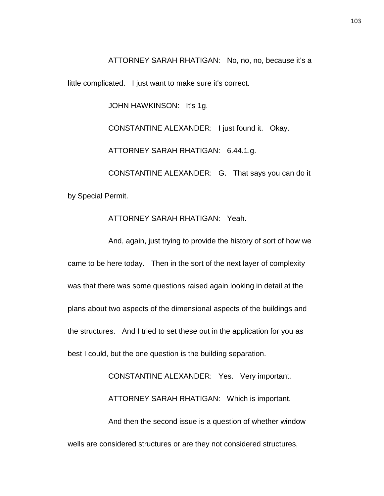ATTORNEY SARAH RHATIGAN: No, no, no, because it's a

little complicated. I just want to make sure it's correct.

JOHN HAWKINSON: It's 1g.

CONSTANTINE ALEXANDER: I just found it. Okay. ATTORNEY SARAH RHATIGAN: 6.44.1.g. CONSTANTINE ALEXANDER: G. That says you can do it by Special Permit.

## ATTORNEY SARAH RHATIGAN: Yeah.

And, again, just trying to provide the history of sort of how we came to be here today. Then in the sort of the next layer of complexity was that there was some questions raised again looking in detail at the plans about two aspects of the dimensional aspects of the buildings and the structures. And I tried to set these out in the application for you as best I could, but the one question is the building separation.

CONSTANTINE ALEXANDER: Yes. Very important. ATTORNEY SARAH RHATIGAN: Which is important. And then the second issue is a question of whether window wells are considered structures or are they not considered structures,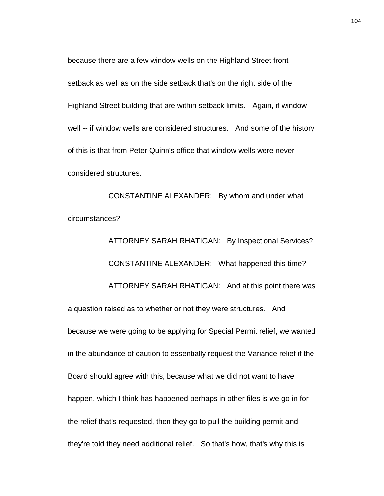because there are a few window wells on the Highland Street front setback as well as on the side setback that's on the right side of the Highland Street building that are within setback limits. Again, if window well -- if window wells are considered structures. And some of the history of this is that from Peter Quinn's office that window wells were never considered structures.

CONSTANTINE ALEXANDER: By whom and under what circumstances?

ATTORNEY SARAH RHATIGAN: By Inspectional Services? CONSTANTINE ALEXANDER: What happened this time? ATTORNEY SARAH RHATIGAN: And at this point there was a question raised as to whether or not they were structures. And because we were going to be applying for Special Permit relief, we wanted in the abundance of caution to essentially request the Variance relief if the Board should agree with this, because what we did not want to have happen, which I think has happened perhaps in other files is we go in for the relief that's requested, then they go to pull the building permit and they're told they need additional relief. So that's how, that's why this is

104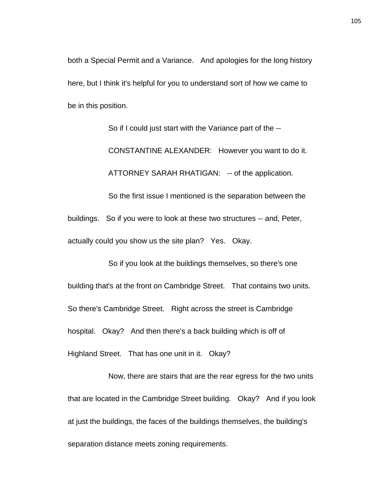both a Special Permit and a Variance. And apologies for the long history here, but I think it's helpful for you to understand sort of how we came to be in this position.

So if I could just start with the Variance part of the -- CONSTANTINE ALEXANDER: However you want to do it. ATTORNEY SARAH RHATIGAN: -- of the application. So the first issue I mentioned is the separation between the

buildings. So if you were to look at these two structures -- and, Peter, actually could you show us the site plan? Yes. Okay.

So if you look at the buildings themselves, so there's one building that's at the front on Cambridge Street. That contains two units. So there's Cambridge Street. Right across the street is Cambridge hospital. Okay? And then there's a back building which is off of Highland Street. That has one unit in it. Okay?

Now, there are stairs that are the rear egress for the two units that are located in the Cambridge Street building. Okay? And if you look at just the buildings, the faces of the buildings themselves, the building's separation distance meets zoning requirements.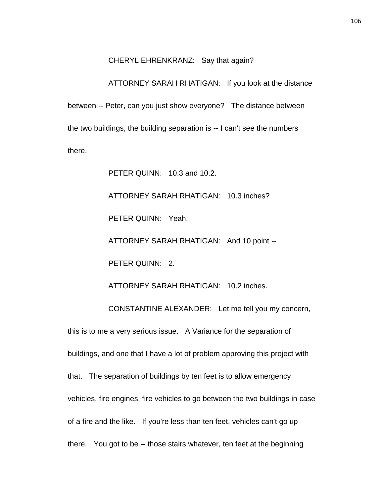#### CHERYL EHRENKRANZ: Say that again?

# ATTORNEY SARAH RHATIGAN: If you look at the distance

between -- Peter, can you just show everyone? The distance between the two buildings, the building separation is -- I can't see the numbers there.

PETER QUINN: 10.3 and 10.2.

ATTORNEY SARAH RHATIGAN: 10.3 inches?

PETER QUINN: Yeah.

ATTORNEY SARAH RHATIGAN: And 10 point --

PETER QUINN: 2.

ATTORNEY SARAH RHATIGAN: 10.2 inches.

CONSTANTINE ALEXANDER: Let me tell you my concern, this is to me a very serious issue. A Variance for the separation of buildings, and one that I have a lot of problem approving this project with that. The separation of buildings by ten feet is to allow emergency vehicles, fire engines, fire vehicles to go between the two buildings in case of a fire and the like. If you're less than ten feet, vehicles can't go up there. You got to be -- those stairs whatever, ten feet at the beginning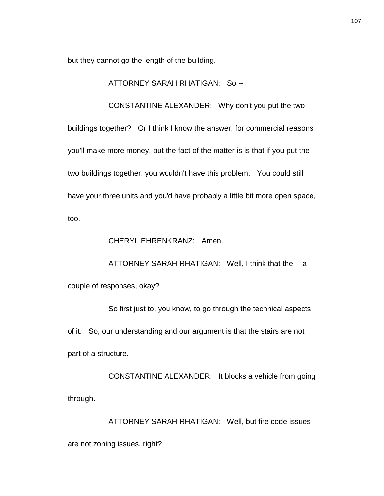but they cannot go the length of the building.

ATTORNEY SARAH RHATIGAN: So --

CONSTANTINE ALEXANDER: Why don't you put the two buildings together? Or I think I know the answer, for commercial reasons you'll make more money, but the fact of the matter is is that if you put the two buildings together, you wouldn't have this problem. You could still have your three units and you'd have probably a little bit more open space, too.

CHERYL EHRENKRANZ: Amen.

ATTORNEY SARAH RHATIGAN: Well, I think that the -- a couple of responses, okay?

So first just to, you know, to go through the technical aspects of it. So, our understanding and our argument is that the stairs are not part of a structure.

CONSTANTINE ALEXANDER: It blocks a vehicle from going through.

ATTORNEY SARAH RHATIGAN: Well, but fire code issues are not zoning issues, right?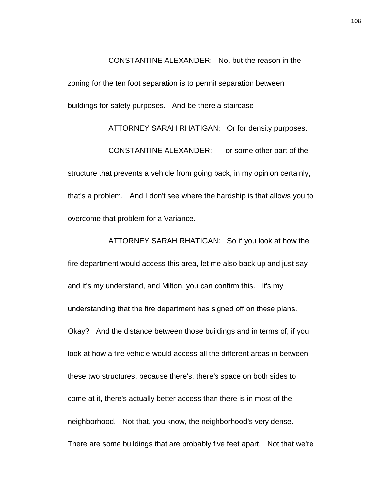CONSTANTINE ALEXANDER: No, but the reason in the zoning for the ten foot separation is to permit separation between buildings for safety purposes. And be there a staircase --

ATTORNEY SARAH RHATIGAN: Or for density purposes. CONSTANTINE ALEXANDER: -- or some other part of the structure that prevents a vehicle from going back, in my opinion certainly, that's a problem. And I don't see where the hardship is that allows you to overcome that problem for a Variance.

ATTORNEY SARAH RHATIGAN: So if you look at how the fire department would access this area, let me also back up and just say and it's my understand, and Milton, you can confirm this. It's my understanding that the fire department has signed off on these plans. Okay? And the distance between those buildings and in terms of, if you look at how a fire vehicle would access all the different areas in between these two structures, because there's, there's space on both sides to come at it, there's actually better access than there is in most of the neighborhood. Not that, you know, the neighborhood's very dense. There are some buildings that are probably five feet apart. Not that we're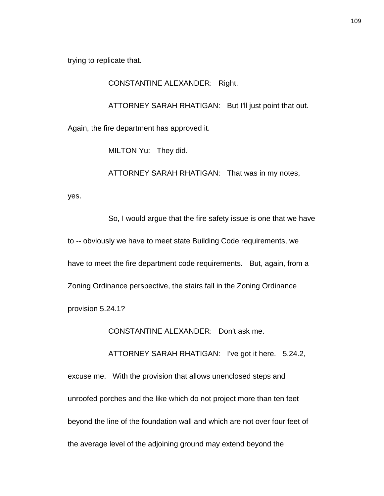trying to replicate that.

CONSTANTINE ALEXANDER: Right.

ATTORNEY SARAH RHATIGAN: But I'll just point that out.

Again, the fire department has approved it.

MILTON Yu: They did.

ATTORNEY SARAH RHATIGAN: That was in my notes,

yes.

So, I would argue that the fire safety issue is one that we have to -- obviously we have to meet state Building Code requirements, we have to meet the fire department code requirements. But, again, from a Zoning Ordinance perspective, the stairs fall in the Zoning Ordinance provision 5.24.1?

CONSTANTINE ALEXANDER: Don't ask me.

ATTORNEY SARAH RHATIGAN: I've got it here. 5.24.2,

excuse me. With the provision that allows unenclosed steps and unroofed porches and the like which do not project more than ten feet beyond the line of the foundation wall and which are not over four feet of the average level of the adjoining ground may extend beyond the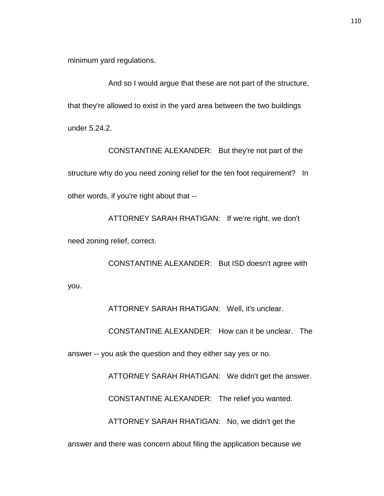minimum yard regulations.

And so I would argue that these are not part of the structure, that they're allowed to exist in the yard area between the two buildings under 5.24.2.

CONSTANTINE ALEXANDER: But they're not part of the structure why do you need zoning relief for the ten foot requirement? In other words, if you're right about that --

ATTORNEY SARAH RHATIGAN: If we're right, we don't need zoning relief, correct.

CONSTANTINE ALEXANDER: But ISD doesn't agree with you.

ATTORNEY SARAH RHATIGAN: Well, it's unclear.

CONSTANTINE ALEXANDER: How can it be unclear. The

answer -- you ask the question and they either say yes or no.

ATTORNEY SARAH RHATIGAN: We didn't get the answer.

CONSTANTINE ALEXANDER: The relief you wanted.

ATTORNEY SARAH RHATIGAN: No, we didn't get the

answer and there was concern about filing the application because we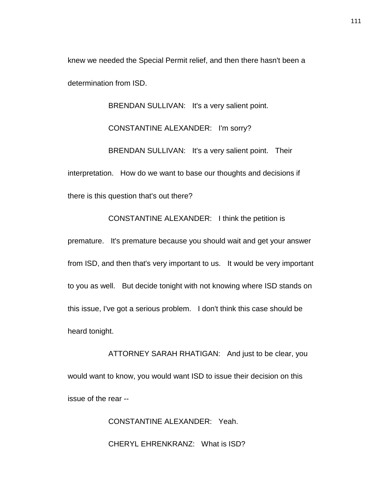knew we needed the Special Permit relief, and then there hasn't been a determination from ISD.

BRENDAN SULLIVAN: It's a very salient point. CONSTANTINE ALEXANDER: I'm sorry? BRENDAN SULLIVAN: It's a very salient point. Their interpretation. How do we want to base our thoughts and decisions if there is this question that's out there?

CONSTANTINE ALEXANDER: I think the petition is

premature. It's premature because you should wait and get your answer from ISD, and then that's very important to us. It would be very important to you as well. But decide tonight with not knowing where ISD stands on this issue, I've got a serious problem. I don't think this case should be heard tonight.

ATTORNEY SARAH RHATIGAN: And just to be clear, you would want to know, you would want ISD to issue their decision on this issue of the rear --

> CONSTANTINE ALEXANDER: Yeah. CHERYL EHRENKRANZ: What is ISD?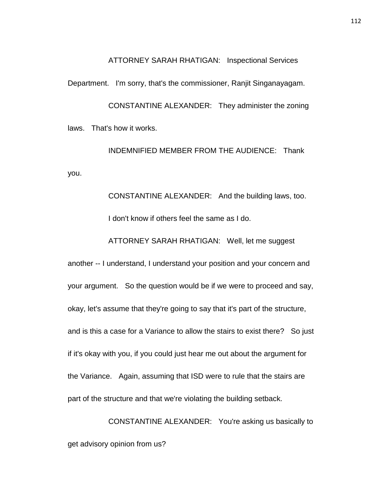ATTORNEY SARAH RHATIGAN: Inspectional Services

Department. I'm sorry, that's the commissioner, Ranjit Singanayagam.

CONSTANTINE ALEXANDER: They administer the zoning laws. That's how it works.

INDEMNIFIED MEMBER FROM THE AUDIENCE: Thank you.

> CONSTANTINE ALEXANDER: And the building laws, too. I don't know if others feel the same as I do.

ATTORNEY SARAH RHATIGAN: Well, let me suggest

another -- I understand, I understand your position and your concern and your argument. So the question would be if we were to proceed and say, okay, let's assume that they're going to say that it's part of the structure, and is this a case for a Variance to allow the stairs to exist there? So just if it's okay with you, if you could just hear me out about the argument for the Variance. Again, assuming that ISD were to rule that the stairs are part of the structure and that we're violating the building setback.

CONSTANTINE ALEXANDER: You're asking us basically to get advisory opinion from us?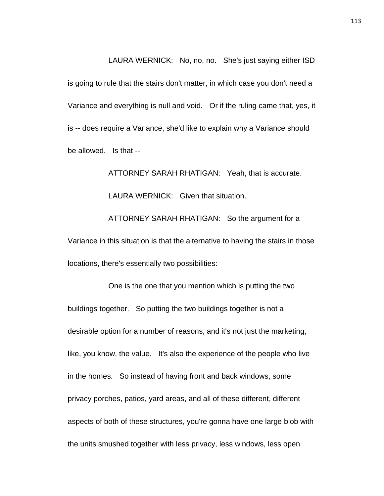LAURA WERNICK: No, no, no. She's just saying either ISD is going to rule that the stairs don't matter, in which case you don't need a Variance and everything is null and void. Or if the ruling came that, yes, it is -- does require a Variance, she'd like to explain why a Variance should be allowed. Is that --

ATTORNEY SARAH RHATIGAN: Yeah, that is accurate. LAURA WERNICK: Given that situation. ATTORNEY SARAH RHATIGAN: So the argument for a Variance in this situation is that the alternative to having the stairs in those locations, there's essentially two possibilities:

One is the one that you mention which is putting the two buildings together. So putting the two buildings together is not a desirable option for a number of reasons, and it's not just the marketing, like, you know, the value. It's also the experience of the people who live in the homes. So instead of having front and back windows, some privacy porches, patios, yard areas, and all of these different, different aspects of both of these structures, you're gonna have one large blob with the units smushed together with less privacy, less windows, less open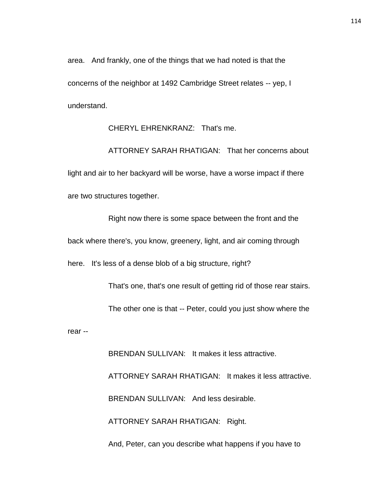area. And frankly, one of the things that we had noted is that the concerns of the neighbor at 1492 Cambridge Street relates -- yep, I understand.

CHERYL EHRENKRANZ: That's me.

ATTORNEY SARAH RHATIGAN: That her concerns about light and air to her backyard will be worse, have a worse impact if there are two structures together.

Right now there is some space between the front and the back where there's, you know, greenery, light, and air coming through here. It's less of a dense blob of a big structure, right?

That's one, that's one result of getting rid of those rear stairs.

The other one is that -- Peter, could you just show where the

rear --

BRENDAN SULLIVAN: It makes it less attractive.

ATTORNEY SARAH RHATIGAN: It makes it less attractive.

BRENDAN SULLIVAN: And less desirable.

ATTORNEY SARAH RHATIGAN: Right.

And, Peter, can you describe what happens if you have to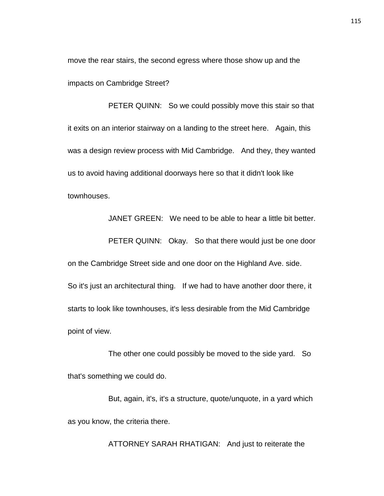move the rear stairs, the second egress where those show up and the impacts on Cambridge Street?

PETER QUINN: So we could possibly move this stair so that it exits on an interior stairway on a landing to the street here. Again, this was a design review process with Mid Cambridge. And they, they wanted us to avoid having additional doorways here so that it didn't look like townhouses.

JANET GREEN: We need to be able to hear a little bit better.

PETER QUINN: Okay. So that there would just be one door on the Cambridge Street side and one door on the Highland Ave. side. So it's just an architectural thing. If we had to have another door there, it starts to look like townhouses, it's less desirable from the Mid Cambridge point of view.

The other one could possibly be moved to the side yard. So that's something we could do.

But, again, it's, it's a structure, quote/unquote, in a yard which as you know, the criteria there.

ATTORNEY SARAH RHATIGAN: And just to reiterate the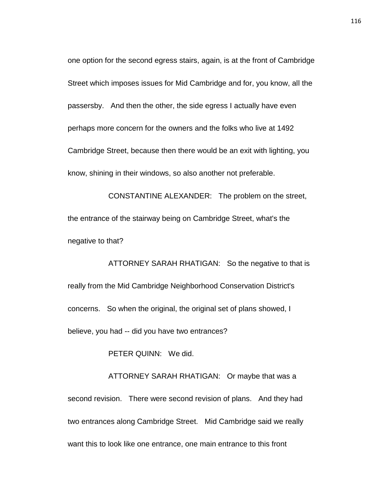one option for the second egress stairs, again, is at the front of Cambridge Street which imposes issues for Mid Cambridge and for, you know, all the passersby. And then the other, the side egress I actually have even perhaps more concern for the owners and the folks who live at 1492 Cambridge Street, because then there would be an exit with lighting, you know, shining in their windows, so also another not preferable.

CONSTANTINE ALEXANDER: The problem on the street, the entrance of the stairway being on Cambridge Street, what's the negative to that?

ATTORNEY SARAH RHATIGAN: So the negative to that is really from the Mid Cambridge Neighborhood Conservation District's concerns. So when the original, the original set of plans showed, I believe, you had -- did you have two entrances?

PETER QUINN: We did.

ATTORNEY SARAH RHATIGAN: Or maybe that was a second revision. There were second revision of plans. And they had two entrances along Cambridge Street. Mid Cambridge said we really want this to look like one entrance, one main entrance to this front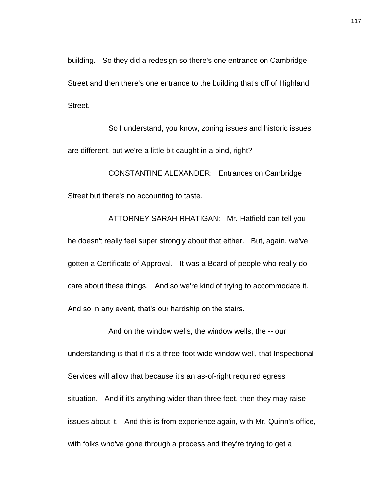building. So they did a redesign so there's one entrance on Cambridge Street and then there's one entrance to the building that's off of Highland Street.

So I understand, you know, zoning issues and historic issues are different, but we're a little bit caught in a bind, right?

CONSTANTINE ALEXANDER: Entrances on Cambridge Street but there's no accounting to taste.

ATTORNEY SARAH RHATIGAN: Mr. Hatfield can tell you he doesn't really feel super strongly about that either. But, again, we've gotten a Certificate of Approval. It was a Board of people who really do care about these things. And so we're kind of trying to accommodate it. And so in any event, that's our hardship on the stairs.

And on the window wells, the window wells, the -- our understanding is that if it's a three-foot wide window well, that Inspectional Services will allow that because it's an as-of-right required egress situation. And if it's anything wider than three feet, then they may raise issues about it. And this is from experience again, with Mr. Quinn's office, with folks who've gone through a process and they're trying to get a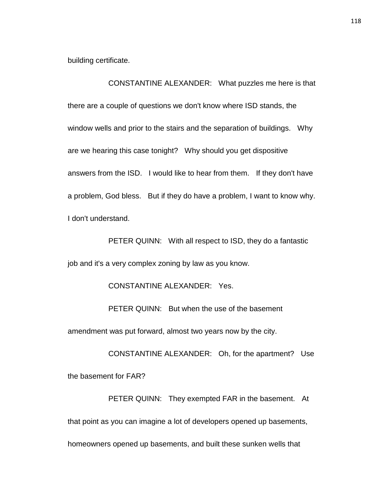building certificate.

CONSTANTINE ALEXANDER: What puzzles me here is that there are a couple of questions we don't know where ISD stands, the window wells and prior to the stairs and the separation of buildings. Why are we hearing this case tonight? Why should you get dispositive answers from the ISD. I would like to hear from them. If they don't have a problem, God bless. But if they do have a problem, I want to know why. I don't understand.

PETER QUINN: With all respect to ISD, they do a fantastic job and it's a very complex zoning by law as you know.

CONSTANTINE ALEXANDER: Yes.

PETER QUINN: But when the use of the basement

amendment was put forward, almost two years now by the city.

CONSTANTINE ALEXANDER: Oh, for the apartment? Use the basement for FAR?

PETER QUINN: They exempted FAR in the basement. At that point as you can imagine a lot of developers opened up basements, homeowners opened up basements, and built these sunken wells that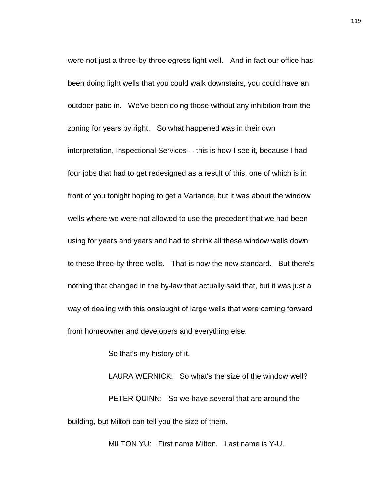were not just a three-by-three egress light well. And in fact our office has been doing light wells that you could walk downstairs, you could have an outdoor patio in. We've been doing those without any inhibition from the zoning for years by right. So what happened was in their own interpretation, Inspectional Services -- this is how I see it, because I had four jobs that had to get redesigned as a result of this, one of which is in front of you tonight hoping to get a Variance, but it was about the window wells where we were not allowed to use the precedent that we had been using for years and years and had to shrink all these window wells down to these three-by-three wells. That is now the new standard. But there's nothing that changed in the by-law that actually said that, but it was just a way of dealing with this onslaught of large wells that were coming forward from homeowner and developers and everything else.

So that's my history of it.

LAURA WERNICK: So what's the size of the window well? PETER QUINN: So we have several that are around the building, but Milton can tell you the size of them.

MILTON YU: First name Milton. Last name is Y-U.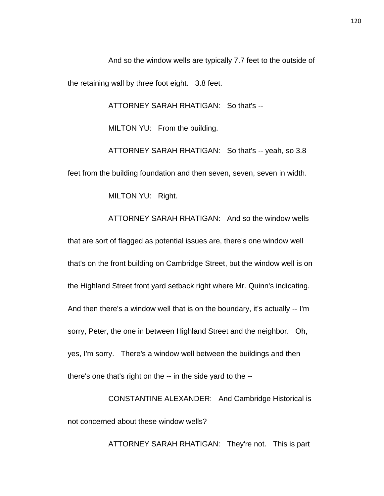And so the window wells are typically 7.7 feet to the outside of the retaining wall by three foot eight. 3.8 feet.

ATTORNEY SARAH RHATIGAN: So that's --

MILTON YU: From the building.

ATTORNEY SARAH RHATIGAN: So that's -- yeah, so 3.8 feet from the building foundation and then seven, seven, seven in width.

ATTORNEY SARAH RHATIGAN: And so the window wells

MILTON YU: Right.

that are sort of flagged as potential issues are, there's one window well that's on the front building on Cambridge Street, but the window well is on the Highland Street front yard setback right where Mr. Quinn's indicating. And then there's a window well that is on the boundary, it's actually -- I'm sorry, Peter, the one in between Highland Street and the neighbor. Oh, yes, I'm sorry. There's a window well between the buildings and then there's one that's right on the -- in the side yard to the --

CONSTANTINE ALEXANDER: And Cambridge Historical is not concerned about these window wells?

ATTORNEY SARAH RHATIGAN: They're not. This is part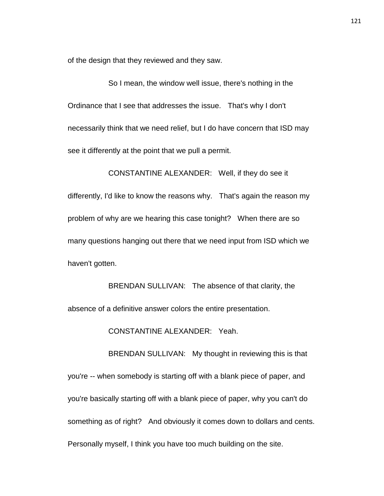of the design that they reviewed and they saw.

So I mean, the window well issue, there's nothing in the Ordinance that I see that addresses the issue. That's why I don't necessarily think that we need relief, but I do have concern that ISD may see it differently at the point that we pull a permit.

CONSTANTINE ALEXANDER: Well, if they do see it differently, I'd like to know the reasons why. That's again the reason my problem of why are we hearing this case tonight? When there are so many questions hanging out there that we need input from ISD which we haven't gotten.

BRENDAN SULLIVAN: The absence of that clarity, the absence of a definitive answer colors the entire presentation.

CONSTANTINE ALEXANDER: Yeah.

BRENDAN SULLIVAN: My thought in reviewing this is that you're -- when somebody is starting off with a blank piece of paper, and you're basically starting off with a blank piece of paper, why you can't do something as of right? And obviously it comes down to dollars and cents. Personally myself, I think you have too much building on the site.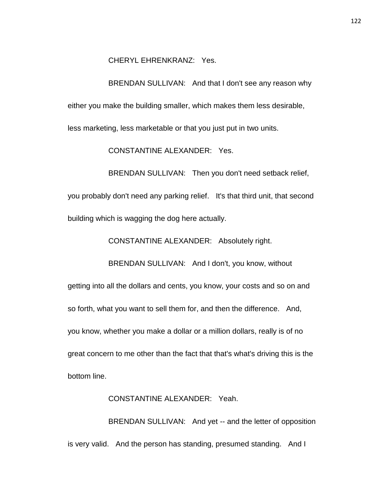CHERYL EHRENKRANZ: Yes.

BRENDAN SULLIVAN: And that I don't see any reason why either you make the building smaller, which makes them less desirable, less marketing, less marketable or that you just put in two units.

CONSTANTINE ALEXANDER: Yes.

BRENDAN SULLIVAN: Then you don't need setback relief, you probably don't need any parking relief. It's that third unit, that second building which is wagging the dog here actually.

CONSTANTINE ALEXANDER: Absolutely right.

BRENDAN SULLIVAN: And I don't, you know, without

getting into all the dollars and cents, you know, your costs and so on and so forth, what you want to sell them for, and then the difference. And, you know, whether you make a dollar or a million dollars, really is of no great concern to me other than the fact that that's what's driving this is the bottom line.

## CONSTANTINE ALEXANDER: Yeah.

BRENDAN SULLIVAN: And yet -- and the letter of opposition is very valid. And the person has standing, presumed standing. And I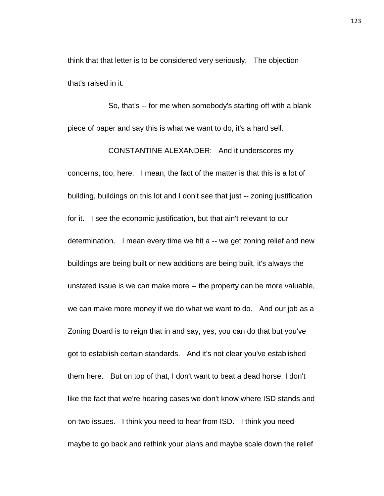think that that letter is to be considered very seriously. The objection that's raised in it.

So, that's -- for me when somebody's starting off with a blank piece of paper and say this is what we want to do, it's a hard sell.

CONSTANTINE ALEXANDER: And it underscores my concerns, too, here. I mean, the fact of the matter is that this is a lot of building, buildings on this lot and I don't see that just -- zoning justification for it. I see the economic justification, but that ain't relevant to our determination. I mean every time we hit a -- we get zoning relief and new buildings are being built or new additions are being built, it's always the unstated issue is we can make more -- the property can be more valuable, we can make more money if we do what we want to do. And our job as a Zoning Board is to reign that in and say, yes, you can do that but you've got to establish certain standards. And it's not clear you've established them here. But on top of that, I don't want to beat a dead horse, I don't like the fact that we're hearing cases we don't know where ISD stands and on two issues. I think you need to hear from ISD. I think you need maybe to go back and rethink your plans and maybe scale down the relief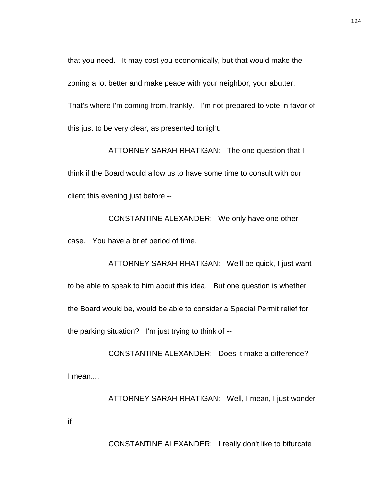that you need. It may cost you economically, but that would make the zoning a lot better and make peace with your neighbor, your abutter. That's where I'm coming from, frankly. I'm not prepared to vote in favor of this just to be very clear, as presented tonight.

ATTORNEY SARAH RHATIGAN: The one question that I think if the Board would allow us to have some time to consult with our client this evening just before --

CONSTANTINE ALEXANDER: We only have one other case. You have a brief period of time.

ATTORNEY SARAH RHATIGAN: We'll be quick, I just want to be able to speak to him about this idea. But one question is whether the Board would be, would be able to consider a Special Permit relief for the parking situation? I'm just trying to think of --

CONSTANTINE ALEXANDER: Does it make a difference? I mean....

ATTORNEY SARAH RHATIGAN: Well, I mean, I just wonder if --

CONSTANTINE ALEXANDER: I really don't like to bifurcate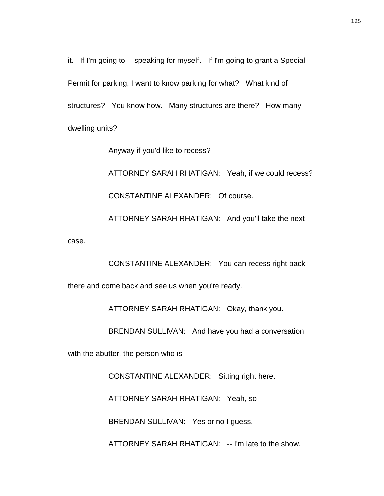it. If I'm going to -- speaking for myself. If I'm going to grant a Special Permit for parking, I want to know parking for what? What kind of structures? You know how. Many structures are there? How many dwelling units?

Anyway if you'd like to recess?

ATTORNEY SARAH RHATIGAN: Yeah, if we could recess? CONSTANTINE ALEXANDER: Of course.

ATTORNEY SARAH RHATIGAN: And you'll take the next

case.

CONSTANTINE ALEXANDER: You can recess right back there and come back and see us when you're ready.

ATTORNEY SARAH RHATIGAN: Okay, thank you.

BRENDAN SULLIVAN: And have you had a conversation

with the abutter, the person who is --

CONSTANTINE ALEXANDER: Sitting right here.

ATTORNEY SARAH RHATIGAN: Yeah, so --

BRENDAN SULLIVAN: Yes or no I guess.

ATTORNEY SARAH RHATIGAN: -- I'm late to the show.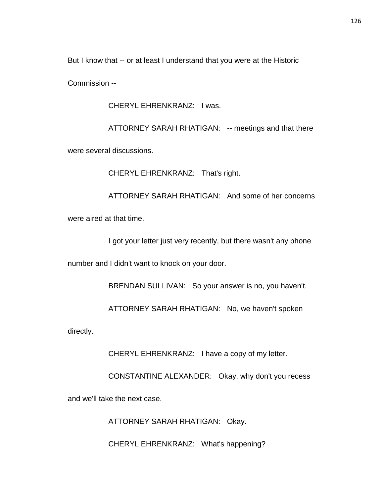But I know that -- or at least I understand that you were at the Historic

Commission --

CHERYL EHRENKRANZ: I was.

ATTORNEY SARAH RHATIGAN: -- meetings and that there

were several discussions.

CHERYL EHRENKRANZ: That's right.

ATTORNEY SARAH RHATIGAN: And some of her concerns were aired at that time.

I got your letter just very recently, but there wasn't any phone

number and I didn't want to knock on your door.

BRENDAN SULLIVAN: So your answer is no, you haven't.

ATTORNEY SARAH RHATIGAN: No, we haven't spoken

directly.

CHERYL EHRENKRANZ: I have a copy of my letter.

CONSTANTINE ALEXANDER: Okay, why don't you recess

and we'll take the next case.

ATTORNEY SARAH RHATIGAN: Okay.

CHERYL EHRENKRANZ: What's happening?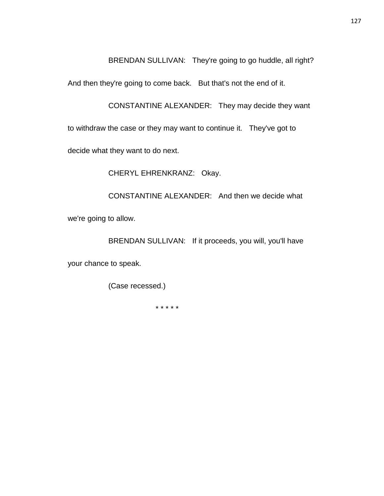BRENDAN SULLIVAN: They're going to go huddle, all right?

And then they're going to come back. But that's not the end of it.

CONSTANTINE ALEXANDER: They may decide they want

to withdraw the case or they may want to continue it. They've got to

decide what they want to do next.

CHERYL EHRENKRANZ: Okay.

CONSTANTINE ALEXANDER: And then we decide what we're going to allow.

BRENDAN SULLIVAN: If it proceeds, you will, you'll have

your chance to speak.

(Case recessed.)

\* \* \* \* \*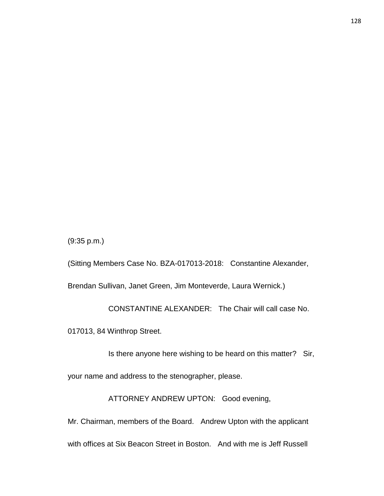(9:35 p.m.)

(Sitting Members Case No. BZA-017013-2018: Constantine Alexander, Brendan Sullivan, Janet Green, Jim Monteverde, Laura Wernick.)

CONSTANTINE ALEXANDER: The Chair will call case No. 017013, 84 Winthrop Street.

Is there anyone here wishing to be heard on this matter? Sir,

your name and address to the stenographer, please.

ATTORNEY ANDREW UPTON: Good evening,

Mr. Chairman, members of the Board. Andrew Upton with the applicant with offices at Six Beacon Street in Boston. And with me is Jeff Russell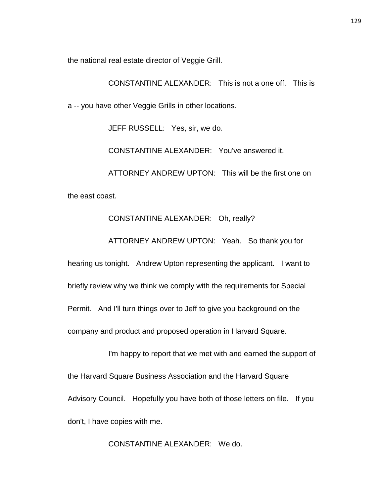the national real estate director of Veggie Grill.

CONSTANTINE ALEXANDER: This is not a one off. This is

a -- you have other Veggie Grills in other locations.

JEFF RUSSELL: Yes, sir, we do.

CONSTANTINE ALEXANDER: You've answered it.

ATTORNEY ANDREW UPTON: This will be the first one on the east coast.

## CONSTANTINE ALEXANDER: Oh, really?

ATTORNEY ANDREW UPTON: Yeah. So thank you for

hearing us tonight. Andrew Upton representing the applicant. I want to briefly review why we think we comply with the requirements for Special Permit. And I'll turn things over to Jeff to give you background on the company and product and proposed operation in Harvard Square.

I'm happy to report that we met with and earned the support of the Harvard Square Business Association and the Harvard Square Advisory Council. Hopefully you have both of those letters on file. If you don't, I have copies with me.

CONSTANTINE ALEXANDER: We do.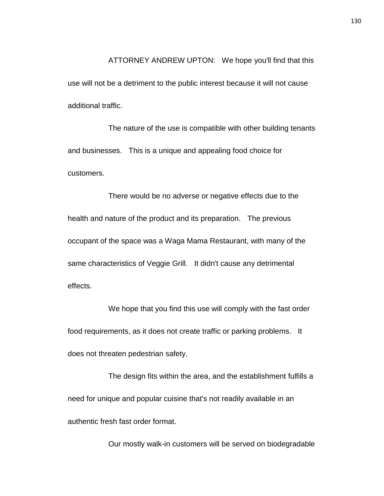ATTORNEY ANDREW UPTON: We hope you'll find that this use will not be a detriment to the public interest because it will not cause additional traffic.

The nature of the use is compatible with other building tenants and businesses. This is a unique and appealing food choice for customers.

There would be no adverse or negative effects due to the health and nature of the product and its preparation. The previous occupant of the space was a Waga Mama Restaurant, with many of the same characteristics of Veggie Grill. It didn't cause any detrimental effects.

We hope that you find this use will comply with the fast order food requirements, as it does not create traffic or parking problems. It does not threaten pedestrian safety.

The design fits within the area, and the establishment fulfills a need for unique and popular cuisine that's not readily available in an authentic fresh fast order format.

Our mostly walk-in customers will be served on biodegradable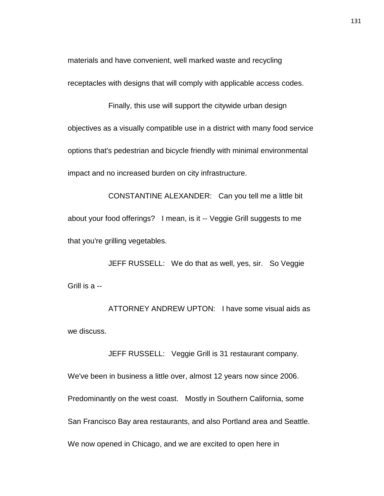materials and have convenient, well marked waste and recycling receptacles with designs that will comply with applicable access codes.

Finally, this use will support the citywide urban design objectives as a visually compatible use in a district with many food service options that's pedestrian and bicycle friendly with minimal environmental impact and no increased burden on city infrastructure.

CONSTANTINE ALEXANDER: Can you tell me a little bit about your food offerings? I mean, is it -- Veggie Grill suggests to me that you're grilling vegetables.

JEFF RUSSELL: We do that as well, yes, sir. So Veggie Grill is a --

ATTORNEY ANDREW UPTON: I have some visual aids as we discuss.

JEFF RUSSELL: Veggie Grill is 31 restaurant company.

We've been in business a little over, almost 12 years now since 2006. Predominantly on the west coast. Mostly in Southern California, some San Francisco Bay area restaurants, and also Portland area and Seattle. We now opened in Chicago, and we are excited to open here in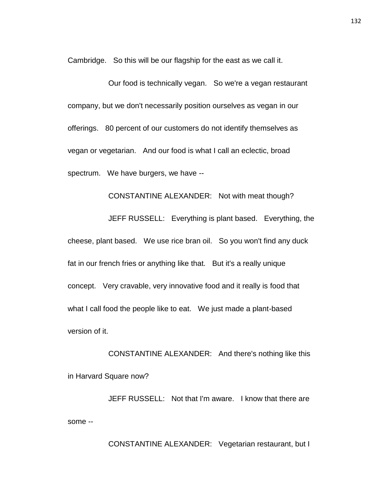Cambridge. So this will be our flagship for the east as we call it.

Our food is technically vegan. So we're a vegan restaurant company, but we don't necessarily position ourselves as vegan in our offerings. 80 percent of our customers do not identify themselves as vegan or vegetarian. And our food is what I call an eclectic, broad spectrum. We have burgers, we have --

CONSTANTINE ALEXANDER: Not with meat though?

JEFF RUSSELL: Everything is plant based. Everything, the cheese, plant based. We use rice bran oil. So you won't find any duck fat in our french fries or anything like that. But it's a really unique concept. Very cravable, very innovative food and it really is food that what I call food the people like to eat. We just made a plant-based version of it.

CONSTANTINE ALEXANDER: And there's nothing like this in Harvard Square now?

JEFF RUSSELL: Not that I'm aware. I know that there are some --

CONSTANTINE ALEXANDER: Vegetarian restaurant, but I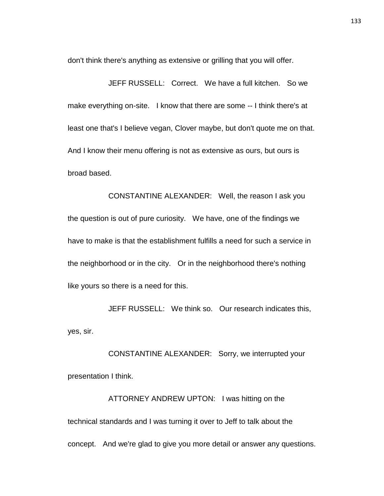don't think there's anything as extensive or grilling that you will offer.

JEFF RUSSELL: Correct. We have a full kitchen. So we make everything on-site. I know that there are some -- I think there's at least one that's I believe vegan, Clover maybe, but don't quote me on that. And I know their menu offering is not as extensive as ours, but ours is broad based.

CONSTANTINE ALEXANDER: Well, the reason I ask you the question is out of pure curiosity. We have, one of the findings we have to make is that the establishment fulfills a need for such a service in the neighborhood or in the city. Or in the neighborhood there's nothing like yours so there is a need for this.

JEFF RUSSELL: We think so. Our research indicates this, yes, sir.

CONSTANTINE ALEXANDER: Sorry, we interrupted your presentation I think.

ATTORNEY ANDREW UPTON: I was hitting on the technical standards and I was turning it over to Jeff to talk about the concept. And we're glad to give you more detail or answer any questions.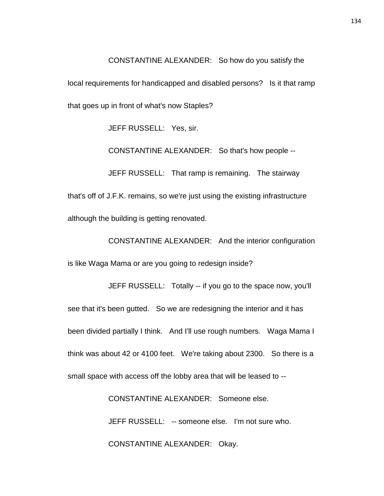CONSTANTINE ALEXANDER: So how do you satisfy the local requirements for handicapped and disabled persons? Is it that ramp that goes up in front of what's now Staples?

JEFF RUSSELL: Yes, sir.

CONSTANTINE ALEXANDER: So that's how people --

JEFF RUSSELL: That ramp is remaining. The stairway that's off of J.F.K. remains, so we're just using the existing infrastructure although the building is getting renovated.

CONSTANTINE ALEXANDER: And the interior configuration is like Waga Mama or are you going to redesign inside?

JEFF RUSSELL: Totally -- if you go to the space now, you'll see that it's been gutted. So we are redesigning the interior and it has been divided partially I think. And I'll use rough numbers. Waga Mama I think was about 42 or 4100 feet. We're taking about 2300. So there is a small space with access off the lobby area that will be leased to --

CONSTANTINE ALEXANDER: Someone else.

JEFF RUSSELL: -- someone else. I'm not sure who.

CONSTANTINE ALEXANDER: Okay.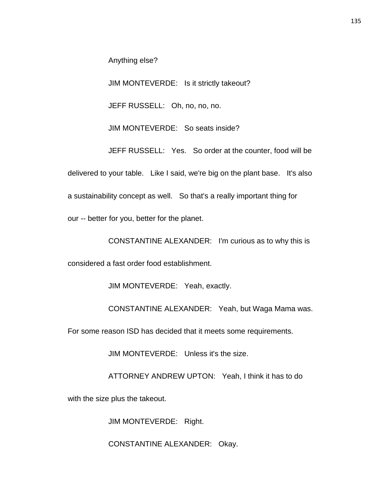Anything else?

JIM MONTEVERDE: Is it strictly takeout?

JEFF RUSSELL: Oh, no, no, no.

JIM MONTEVERDE: So seats inside?

JEFF RUSSELL: Yes. So order at the counter, food will be delivered to your table. Like I said, we're big on the plant base. It's also a sustainability concept as well. So that's a really important thing for

our -- better for you, better for the planet.

CONSTANTINE ALEXANDER: I'm curious as to why this is

considered a fast order food establishment.

JIM MONTEVERDE: Yeah, exactly.

CONSTANTINE ALEXANDER: Yeah, but Waga Mama was.

For some reason ISD has decided that it meets some requirements.

JIM MONTEVERDE: Unless it's the size.

ATTORNEY ANDREW UPTON: Yeah, I think it has to do

with the size plus the takeout.

JIM MONTEVERDE: Right.

CONSTANTINE ALEXANDER: Okay.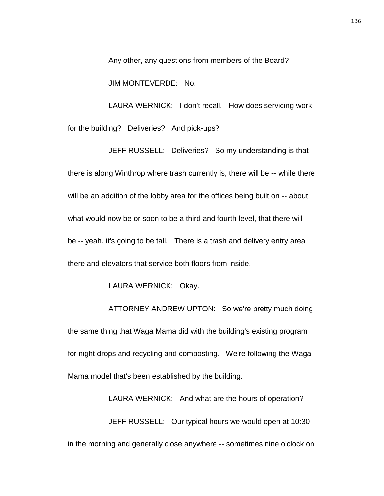Any other, any questions from members of the Board?

JIM MONTEVERDE: No.

LAURA WERNICK: I don't recall. How does servicing work for the building? Deliveries? And pick-ups?

JEFF RUSSELL: Deliveries? So my understanding is that there is along Winthrop where trash currently is, there will be -- while there will be an addition of the lobby area for the offices being built on -- about what would now be or soon to be a third and fourth level, that there will be -- yeah, it's going to be tall. There is a trash and delivery entry area there and elevators that service both floors from inside.

LAURA WERNICK: Okay.

ATTORNEY ANDREW UPTON: So we're pretty much doing the same thing that Waga Mama did with the building's existing program for night drops and recycling and composting. We're following the Waga Mama model that's been established by the building.

LAURA WERNICK: And what are the hours of operation? JEFF RUSSELL: Our typical hours we would open at 10:30 in the morning and generally close anywhere -- sometimes nine o'clock on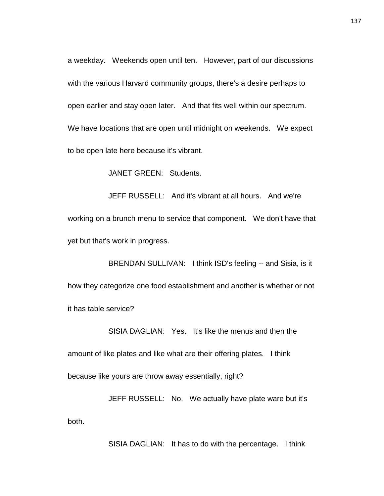a weekday. Weekends open until ten. However, part of our discussions with the various Harvard community groups, there's a desire perhaps to open earlier and stay open later. And that fits well within our spectrum. We have locations that are open until midnight on weekends. We expect to be open late here because it's vibrant.

JANET GREEN: Students.

JEFF RUSSELL: And it's vibrant at all hours. And we're working on a brunch menu to service that component. We don't have that yet but that's work in progress.

BRENDAN SULLIVAN: I think ISD's feeling -- and Sisia, is it how they categorize one food establishment and another is whether or not it has table service?

SISIA DAGLIAN: Yes. It's like the menus and then the amount of like plates and like what are their offering plates. I think because like yours are throw away essentially, right?

JEFF RUSSELL: No. We actually have plate ware but it's both.

SISIA DAGLIAN: It has to do with the percentage. I think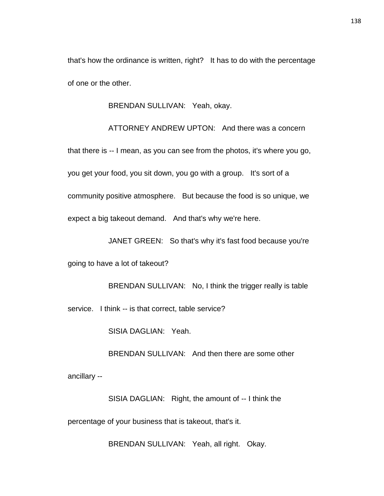that's how the ordinance is written, right? It has to do with the percentage of one or the other.

BRENDAN SULLIVAN: Yeah, okay.

ATTORNEY ANDREW UPTON: And there was a concern that there is -- I mean, as you can see from the photos, it's where you go, you get your food, you sit down, you go with a group. It's sort of a community positive atmosphere. But because the food is so unique, we expect a big takeout demand. And that's why we're here.

JANET GREEN: So that's why it's fast food because you're

going to have a lot of takeout?

BRENDAN SULLIVAN: No, I think the trigger really is table service. I think -- is that correct, table service?

SISIA DAGLIAN: Yeah.

BRENDAN SULLIVAN: And then there are some other

ancillary --

SISIA DAGLIAN: Right, the amount of -- I think the

percentage of your business that is takeout, that's it.

BRENDAN SULLIVAN: Yeah, all right. Okay.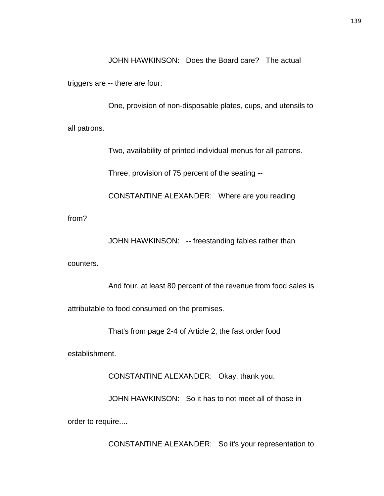JOHN HAWKINSON: Does the Board care? The actual

triggers are -- there are four:

One, provision of non-disposable plates, cups, and utensils to all patrons.

Two, availability of printed individual menus for all patrons.

Three, provision of 75 percent of the seating --

CONSTANTINE ALEXANDER: Where are you reading

from?

JOHN HAWKINSON: -- freestanding tables rather than

counters.

And four, at least 80 percent of the revenue from food sales is

attributable to food consumed on the premises.

That's from page 2-4 of Article 2, the fast order food

establishment.

CONSTANTINE ALEXANDER: Okay, thank you.

JOHN HAWKINSON: So it has to not meet all of those in

order to require....

CONSTANTINE ALEXANDER: So it's your representation to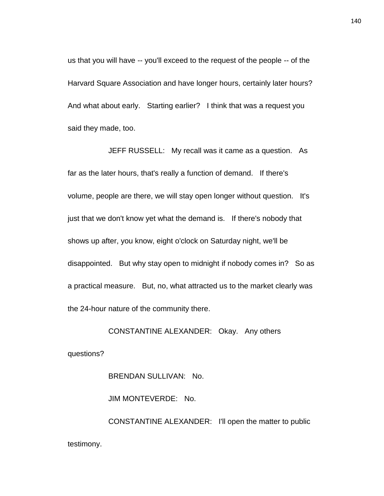us that you will have -- you'll exceed to the request of the people -- of the Harvard Square Association and have longer hours, certainly later hours? And what about early. Starting earlier? I think that was a request you said they made, too.

JEFF RUSSELL: My recall was it came as a question. As far as the later hours, that's really a function of demand. If there's volume, people are there, we will stay open longer without question. It's just that we don't know yet what the demand is. If there's nobody that shows up after, you know, eight o'clock on Saturday night, we'll be disappointed. But why stay open to midnight if nobody comes in? So as a practical measure. But, no, what attracted us to the market clearly was the 24-hour nature of the community there.

CONSTANTINE ALEXANDER: Okay. Any others

questions?

BRENDAN SULLIVAN: No.

JIM MONTEVERDE: No.

CONSTANTINE ALEXANDER: I'll open the matter to public testimony.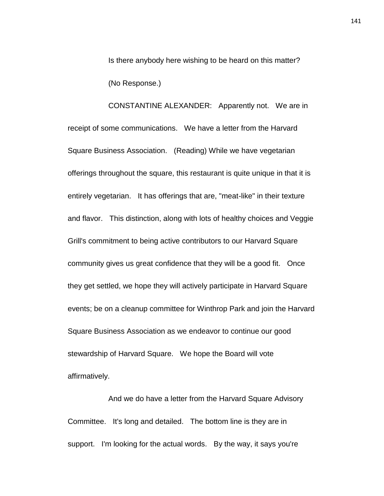Is there anybody here wishing to be heard on this matter? (No Response.)

CONSTANTINE ALEXANDER: Apparently not. We are in receipt of some communications. We have a letter from the Harvard Square Business Association. (Reading) While we have vegetarian offerings throughout the square, this restaurant is quite unique in that it is entirely vegetarian. It has offerings that are, "meat-like" in their texture and flavor. This distinction, along with lots of healthy choices and Veggie Grill's commitment to being active contributors to our Harvard Square community gives us great confidence that they will be a good fit. Once they get settled, we hope they will actively participate in Harvard Square events; be on a cleanup committee for Winthrop Park and join the Harvard Square Business Association as we endeavor to continue our good stewardship of Harvard Square. We hope the Board will vote affirmatively.

And we do have a letter from the Harvard Square Advisory Committee. It's long and detailed. The bottom line is they are in support. I'm looking for the actual words. By the way, it says you're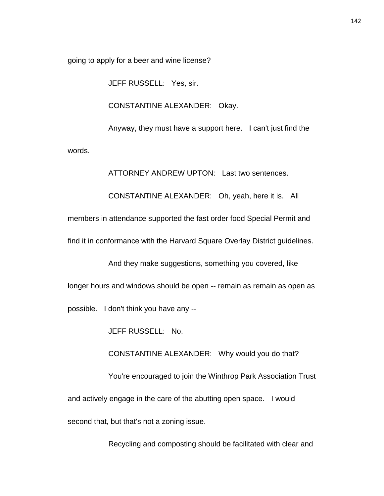going to apply for a beer and wine license?

JEFF RUSSELL: Yes, sir.

CONSTANTINE ALEXANDER: Okay.

Anyway, they must have a support here. I can't just find the

words.

ATTORNEY ANDREW UPTON: Last two sentences.

CONSTANTINE ALEXANDER: Oh, yeah, here it is. All

members in attendance supported the fast order food Special Permit and

find it in conformance with the Harvard Square Overlay District guidelines.

And they make suggestions, something you covered, like

longer hours and windows should be open -- remain as remain as open as

possible. I don't think you have any --

JEFF RUSSELL: No.

CONSTANTINE ALEXANDER: Why would you do that?

You're encouraged to join the Winthrop Park Association Trust and actively engage in the care of the abutting open space. I would second that, but that's not a zoning issue.

Recycling and composting should be facilitated with clear and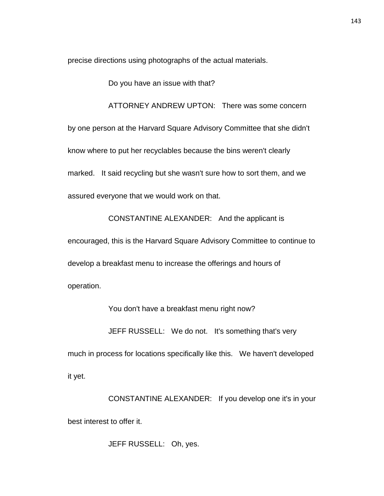precise directions using photographs of the actual materials.

Do you have an issue with that?

ATTORNEY ANDREW UPTON: There was some concern by one person at the Harvard Square Advisory Committee that she didn't know where to put her recyclables because the bins weren't clearly marked. It said recycling but she wasn't sure how to sort them, and we assured everyone that we would work on that.

CONSTANTINE ALEXANDER: And the applicant is

encouraged, this is the Harvard Square Advisory Committee to continue to develop a breakfast menu to increase the offerings and hours of operation.

You don't have a breakfast menu right now?

JEFF RUSSELL: We do not. It's something that's very

much in process for locations specifically like this. We haven't developed it yet.

CONSTANTINE ALEXANDER: If you develop one it's in your best interest to offer it.

JEFF RUSSELL: Oh, yes.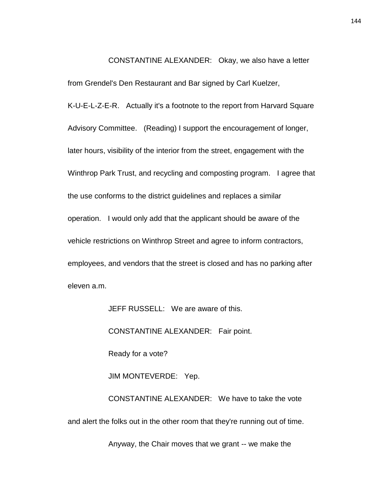CONSTANTINE ALEXANDER: Okay, we also have a letter

from Grendel's Den Restaurant and Bar signed by Carl Kuelzer,

K-U-E-L-Z-E-R. Actually it's a footnote to the report from Harvard Square Advisory Committee. (Reading) I support the encouragement of longer, later hours, visibility of the interior from the street, engagement with the Winthrop Park Trust, and recycling and composting program. I agree that the use conforms to the district guidelines and replaces a similar operation. I would only add that the applicant should be aware of the vehicle restrictions on Winthrop Street and agree to inform contractors, employees, and vendors that the street is closed and has no parking after eleven a.m.

JEFF RUSSELL: We are aware of this.

CONSTANTINE ALEXANDER: Fair point.

Ready for a vote?

JIM MONTEVERDE: Yep.

CONSTANTINE ALEXANDER: We have to take the vote and alert the folks out in the other room that they're running out of time.

Anyway, the Chair moves that we grant -- we make the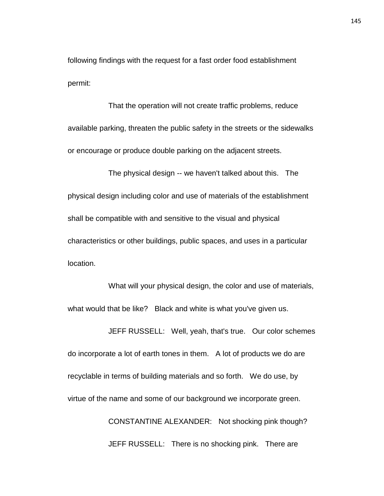following findings with the request for a fast order food establishment permit:

That the operation will not create traffic problems, reduce available parking, threaten the public safety in the streets or the sidewalks or encourage or produce double parking on the adjacent streets.

The physical design -- we haven't talked about this. The physical design including color and use of materials of the establishment shall be compatible with and sensitive to the visual and physical characteristics or other buildings, public spaces, and uses in a particular location.

What will your physical design, the color and use of materials, what would that be like? Black and white is what you've given us.

JEFF RUSSELL: Well, yeah, that's true. Our color schemes do incorporate a lot of earth tones in them. A lot of products we do are recyclable in terms of building materials and so forth. We do use, by virtue of the name and some of our background we incorporate green. CONSTANTINE ALEXANDER: Not shocking pink though? JEFF RUSSELL: There is no shocking pink. There are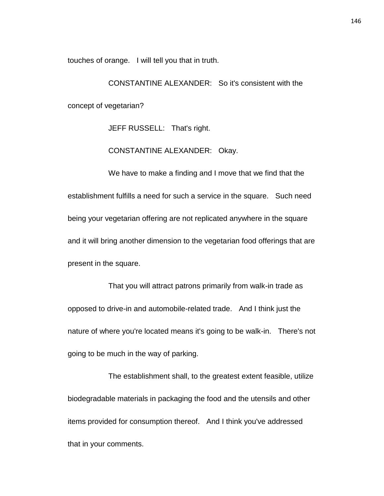touches of orange. I will tell you that in truth.

CONSTANTINE ALEXANDER: So it's consistent with the concept of vegetarian?

JEFF RUSSELL: That's right.

CONSTANTINE ALEXANDER: Okay.

We have to make a finding and I move that we find that the establishment fulfills a need for such a service in the square. Such need being your vegetarian offering are not replicated anywhere in the square and it will bring another dimension to the vegetarian food offerings that are present in the square.

That you will attract patrons primarily from walk-in trade as opposed to drive-in and automobile-related trade. And I think just the nature of where you're located means it's going to be walk-in. There's not going to be much in the way of parking.

The establishment shall, to the greatest extent feasible, utilize biodegradable materials in packaging the food and the utensils and other items provided for consumption thereof. And I think you've addressed that in your comments.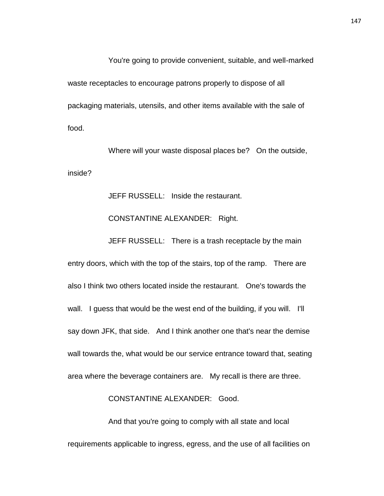You're going to provide convenient, suitable, and well-marked waste receptacles to encourage patrons properly to dispose of all packaging materials, utensils, and other items available with the sale of food.

Where will your waste disposal places be? On the outside, inside?

JEFF RUSSELL: Inside the restaurant.

#### CONSTANTINE ALEXANDER: Right.

JEFF RUSSELL: There is a trash receptacle by the main

entry doors, which with the top of the stairs, top of the ramp. There are also I think two others located inside the restaurant. One's towards the wall. I guess that would be the west end of the building, if you will. I'll say down JFK, that side. And I think another one that's near the demise wall towards the, what would be our service entrance toward that, seating area where the beverage containers are. My recall is there are three.

CONSTANTINE ALEXANDER: Good.

And that you're going to comply with all state and local requirements applicable to ingress, egress, and the use of all facilities on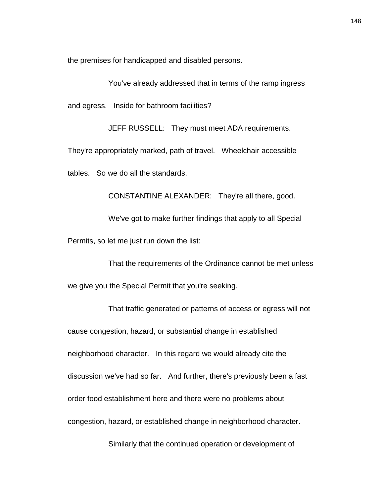the premises for handicapped and disabled persons.

You've already addressed that in terms of the ramp ingress

and egress. Inside for bathroom facilities?

JEFF RUSSELL: They must meet ADA requirements.

They're appropriately marked, path of travel. Wheelchair accessible

tables. So we do all the standards.

CONSTANTINE ALEXANDER: They're all there, good.

We've got to make further findings that apply to all Special Permits, so let me just run down the list:

That the requirements of the Ordinance cannot be met unless we give you the Special Permit that you're seeking.

That traffic generated or patterns of access or egress will not cause congestion, hazard, or substantial change in established neighborhood character. In this regard we would already cite the discussion we've had so far. And further, there's previously been a fast order food establishment here and there were no problems about congestion, hazard, or established change in neighborhood character.

Similarly that the continued operation or development of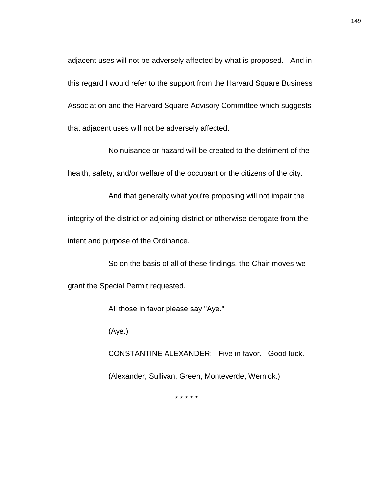adjacent uses will not be adversely affected by what is proposed. And in this regard I would refer to the support from the Harvard Square Business Association and the Harvard Square Advisory Committee which suggests that adjacent uses will not be adversely affected.

No nuisance or hazard will be created to the detriment of the health, safety, and/or welfare of the occupant or the citizens of the city.

And that generally what you're proposing will not impair the integrity of the district or adjoining district or otherwise derogate from the intent and purpose of the Ordinance.

So on the basis of all of these findings, the Chair moves we grant the Special Permit requested.

All those in favor please say "Aye."

(Aye.)

CONSTANTINE ALEXANDER: Five in favor. Good luck. (Alexander, Sullivan, Green, Monteverde, Wernick.)

\* \* \* \* \*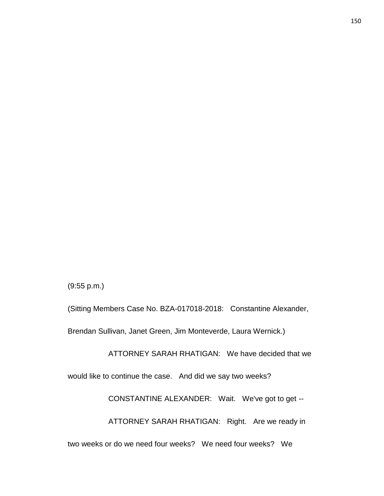Brendan Sullivan, Janet Green, Jim Monteverde, Laura Wernick.) ATTORNEY SARAH RHATIGAN: We have decided that we would like to continue the case. And did we say two weeks? CONSTANTINE ALEXANDER: Wait. We've got to get -- ATTORNEY SARAH RHATIGAN: Right. Are we ready in two weeks or do we need four weeks? We need four weeks? We

(Sitting Members Case No. BZA-017018-2018: Constantine Alexander,

(9:55 p.m.)

150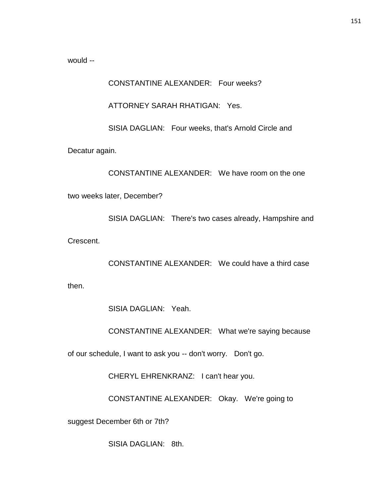would --

CONSTANTINE ALEXANDER: Four weeks?

ATTORNEY SARAH RHATIGAN: Yes.

SISIA DAGLIAN: Four weeks, that's Arnold Circle and

Decatur again.

CONSTANTINE ALEXANDER: We have room on the one

two weeks later, December?

SISIA DAGLIAN: There's two cases already, Hampshire and

Crescent.

CONSTANTINE ALEXANDER: We could have a third case

then.

SISIA DAGLIAN: Yeah.

CONSTANTINE ALEXANDER: What we're saying because

of our schedule, I want to ask you -- don't worry. Don't go.

CHERYL EHRENKRANZ: I can't hear you.

CONSTANTINE ALEXANDER: Okay. We're going to

suggest December 6th or 7th?

SISIA DAGLIAN: 8th.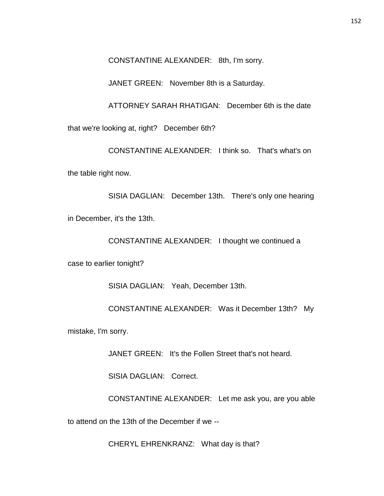CONSTANTINE ALEXANDER: 8th, I'm sorry.

JANET GREEN: November 8th is a Saturday.

ATTORNEY SARAH RHATIGAN: December 6th is the date that we're looking at, right? December 6th?

CONSTANTINE ALEXANDER: I think so. That's what's on the table right now.

SISIA DAGLIAN: December 13th. There's only one hearing in December, it's the 13th.

CONSTANTINE ALEXANDER: I thought we continued a

case to earlier tonight?

SISIA DAGLIAN: Yeah, December 13th.

CONSTANTINE ALEXANDER: Was it December 13th? My

mistake, I'm sorry.

JANET GREEN: It's the Follen Street that's not heard.

SISIA DAGLIAN: Correct.

CONSTANTINE ALEXANDER: Let me ask you, are you able

to attend on the 13th of the December if we --

CHERYL EHRENKRANZ: What day is that?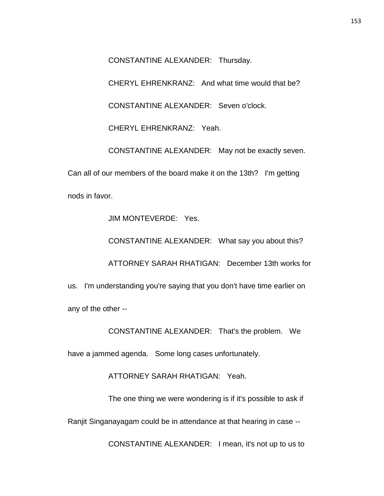CONSTANTINE ALEXANDER: Thursday.

CHERYL EHRENKRANZ: And what time would that be?

CONSTANTINE ALEXANDER: Seven o'clock.

CHERYL EHRENKRANZ: Yeah.

CONSTANTINE ALEXANDER: May not be exactly seven.

Can all of our members of the board make it on the 13th? I'm getting nods in favor.

JIM MONTEVERDE: Yes.

CONSTANTINE ALEXANDER: What say you about this?

ATTORNEY SARAH RHATIGAN: December 13th works for

us. I'm understanding you're saying that you don't have time earlier on any of the other --

CONSTANTINE ALEXANDER: That's the problem. We

have a jammed agenda. Some long cases unfortunately.

ATTORNEY SARAH RHATIGAN: Yeah.

The one thing we were wondering is if it's possible to ask if

Ranjit Singanayagam could be in attendance at that hearing in case --

CONSTANTINE ALEXANDER: I mean, it's not up to us to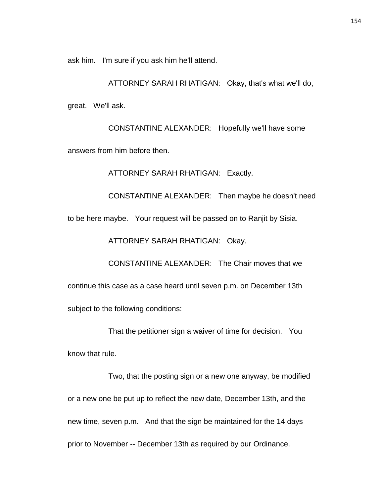ask him. I'm sure if you ask him he'll attend.

ATTORNEY SARAH RHATIGAN: Okay, that's what we'll do, great. We'll ask.

CONSTANTINE ALEXANDER: Hopefully we'll have some answers from him before then.

ATTORNEY SARAH RHATIGAN: Exactly.

CONSTANTINE ALEXANDER: Then maybe he doesn't need to be here maybe. Your request will be passed on to Ranjit by Sisia.

ATTORNEY SARAH RHATIGAN: Okay.

CONSTANTINE ALEXANDER: The Chair moves that we

continue this case as a case heard until seven p.m. on December 13th

subject to the following conditions:

That the petitioner sign a waiver of time for decision. You

know that rule.

Two, that the posting sign or a new one anyway, be modified or a new one be put up to reflect the new date, December 13th, and the new time, seven p.m. And that the sign be maintained for the 14 days prior to November -- December 13th as required by our Ordinance.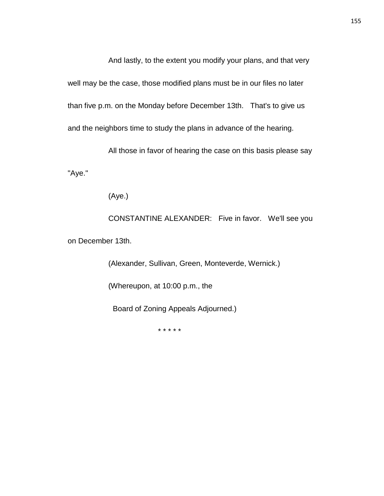And lastly, to the extent you modify your plans, and that very well may be the case, those modified plans must be in our files no later than five p.m. on the Monday before December 13th. That's to give us and the neighbors time to study the plans in advance of the hearing.

All those in favor of hearing the case on this basis please say "Aye."

(Aye.)

CONSTANTINE ALEXANDER: Five in favor. We'll see you on December 13th.

> (Alexander, Sullivan, Green, Monteverde, Wernick.) (Whereupon, at 10:00 p.m., the Board of Zoning Appeals Adjourned.)

> > \* \* \* \* \*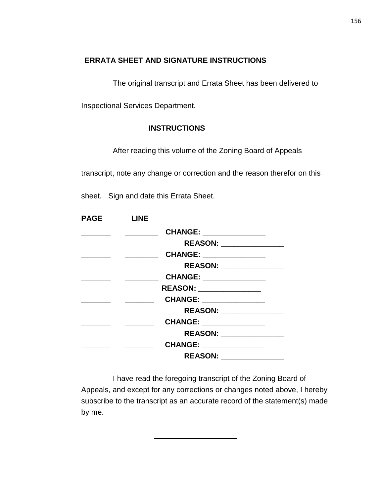## **ERRATA SHEET AND SIGNATURE INSTRUCTIONS**

The original transcript and Errata Sheet has been delivered to

Inspectional Services Department.

## **INSTRUCTIONS**

After reading this volume of the Zoning Board of Appeals

transcript, note any change or correction and the reason therefor on this

sheet. Sign and date this Errata Sheet.

| <b>PAGE</b> | <b>LINE</b> |                          |  |
|-------------|-------------|--------------------------|--|
|             |             | CHANGE: ______________   |  |
|             |             | REASON: ________________ |  |
|             |             | CHANGE: _______________  |  |
|             |             | REASON: _______________  |  |
|             |             | CHANGE: ______________   |  |
|             |             | REASON: _______________  |  |
|             |             | CHANGE: ______________   |  |
|             |             | REASON: _______________  |  |
|             |             | CHANGE: _____________    |  |
|             |             | REASON: _______________  |  |
|             |             | CHANGE: _______________  |  |
|             |             |                          |  |

I have read the foregoing transcript of the Zoning Board of Appeals, and except for any corrections or changes noted above, I hereby subscribe to the transcript as an accurate record of the statement(s) made by me.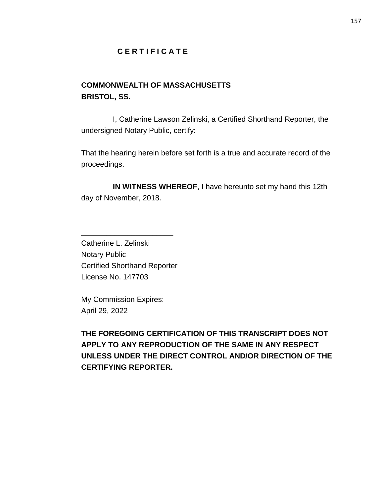## **C E R T I F I C A T E**

# **COMMONWEALTH OF MASSACHUSETTS BRISTOL, SS.**

I, Catherine Lawson Zelinski, a Certified Shorthand Reporter, the undersigned Notary Public, certify:

That the hearing herein before set forth is a true and accurate record of the proceedings.

**IN WITNESS WHEREOF**, I have hereunto set my hand this 12th day of November, 2018.

Catherine L. Zelinski Notary Public Certified Shorthand Reporter License No. 147703

\_\_\_\_\_\_\_\_\_\_\_\_\_\_\_\_\_\_\_\_\_\_

My Commission Expires: April 29, 2022

**THE FOREGOING CERTIFICATION OF THIS TRANSCRIPT DOES NOT APPLY TO ANY REPRODUCTION OF THE SAME IN ANY RESPECT UNLESS UNDER THE DIRECT CONTROL AND/OR DIRECTION OF THE CERTIFYING REPORTER.**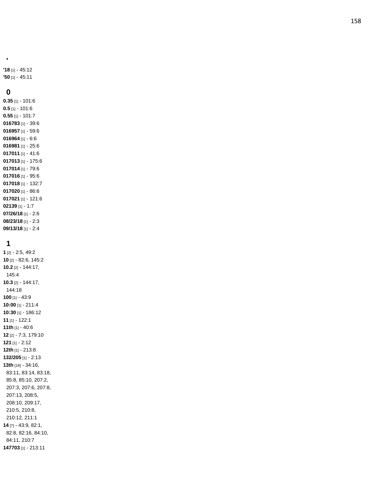**'18** [1] - 45:12 **'50** [1] - 45:11

#### **0**

**'**

**0.35** [1] - 101:6 **0.5** [1] - 101:6 **0.55** [1] - 101:7 [1] - 39:6 [1] - 59:6 [1] - 6:6 [1] - 25:6 [1] - 41:6 [1] - 175:6 [1] - 79:6 [1] - 95:6 [1] - 132:7 [1] - 86:6 [1] - 121:6 [1] - 1:7 **07/26/18** [1] - 2:6 **08/23/18** [1] - 2:3 **09/13/18** [1] - 2:4

### **1**

**1** [2] - 2:5, 49:2 **10** [2] - 82:6, 145:2 **10.2** [2] - 144:17, 145:4 **10.3** [2] - 144:17, 144:18 **100** [1] - 43:9 **10:00** [1] - 211:4 **10:30** [1] - 186:12 **11** [1] - 122:1 **11th** [1] - 40:6 **12** [2] - 7:3, 179:10 **121** [1] - 2:12 **12th** [1] - 213:8 **132/205** [1] - 2:13 **13th** [18] - 34:16, 83:11, 83:14, 83:18, 85:8, 85:10, 207:2, 207:3, 207:6, 207:8, 207:13, 208:5, 208:10, 209:17, 210:5, 210:8, 210:12, 211:1 **14** [7] - 43:9, 82:1, 82:8, 82:16, 84:10, 84:11, 210:7 **147703** [1] - 213:11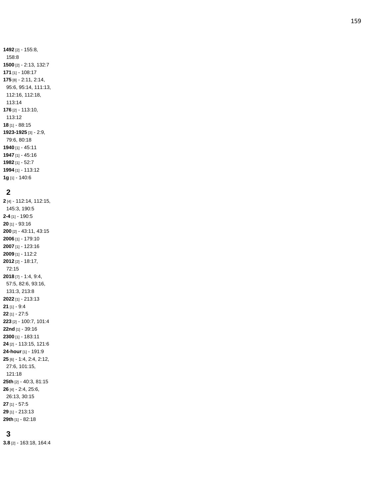[2] - 155:8, 158:8 [2] - 2:13, 132:7 [1] - 108:17 [8] - 2:11, 2:14, 95:6, 95:14, 111:13, 112:16, 112:18, 113:14 [2] - 113:10, 113:12 [1] - 88:15 **-1925** [3] - 2:9, 79:6, 80:18 [1] - 45:11 [1] - 45:16 [1] - 52:7 [1] - 113:12 **1g** [1] - 140:6

#### 

 [4] - 112:14, 112:15, 145:3, 190:5 **- 4** [1] - 190:5 [1] - 93:16 [2] - 43:11, 43:15 [1] - 179:10 [1] - 123:16 [1] - 112:2 [2] - 18:17, 72:15 [7] - 1:4, 9:4, 57:5, 82:6, 93:16, 131:3, 213:8 [1] - 213:13 [1] - 9:4 [1] - 27:5 [2] - 100:7, 101:4 **22nd** [1] - 39:16 [1] - 183:11 [2] - 113:15, 121:6 **-hour** [1] - 191:9 [6] - 1:4, 2:4, 2:12, 27:6, 101:15, 121:18 **25th** [2] - 40:3, 81:15 [4] - 2:4, 25:6, 26:13, 30:15 [1] - 57:5 [1] - 213:13 **29th** [1] - 82:18

### 

**3.8** [2] - 163:18, 164:4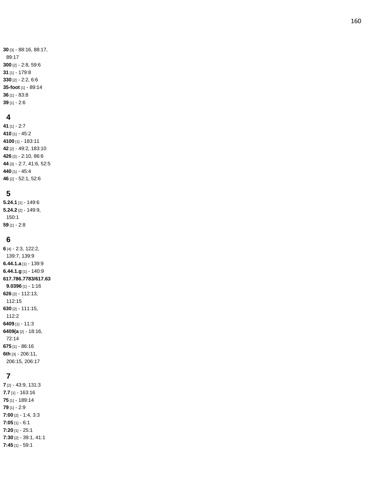[3] - 88:16, 88:17, 89:17 [2] - 2:8, 59:6 [1] - 179:8 [2] - 2:2, 6:6 **-foot** [1] - 89:14 [1] - 83:8 [1] - 2:6

#### **4**

 [1] - 2:7 [1] - 45:2 [1] - 183:11 [2] - 49:2, 183:10 [2] - 2:10, 86:6 [3] - 2:7, 41:6, 52:5 [1] - 45:4 [2] - 52:1, 52:6

### **5**

**5.24.1** [1] - 149:6 **5.24.2** [2] - 149:9, 150:1 **59** [1] - 2:8

#### **6**

**6** [4] - 2:3, 122:2, 139:7, 139:9 **6.44.1.a** [1] - 139:9 **6.44.1.g** [1] - 140:9 **617.786.7783/617.63 9.0396** [1] - 1:16 **626** [2] - 112:13, 112:15 **630** [2] - 111:15, 112:2 **6409** [1] - 11:3 **6409(a** [2] - 18:16, 72:14 **675** [1] - 86:16 **6th** [3] - 206:11, 206:15, 206:17

# **7**

**7** [2] - 43:9, 131:3 **7.7** [1] - 163:16 **75** [1] - 189:14 **79** [1] - 2:9 **7:00** [2] - 1:4, 3:3 **7:05** [1] - 6:1 **7:20** [1] - 25:1 **7:30** [2] - 39:1, 41:1 **7:45** [1] - 59:1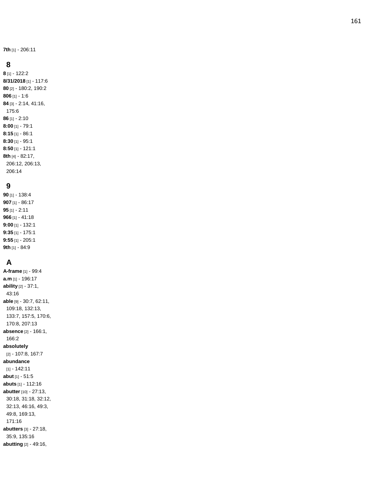**7th** [1] - 206:11

#### **8**

**8** [1] - 122:2 **8/31/2018** [1] - 117:6 **80** [2] - 180:2, 190:2 **806** [1] - 1:6 **84** [3] - 2:14, 41:16, 175:6 **86** [1] - 2:10 **8:00** [1] - 79:1 **8:15** [1] - 86:1 **8:30** [1] - 95:1 **8:50** [1] - 121:1 **8th** [4] - 82:17, 206:12, 206:13, 206:14

#### **9**

**90** [1] - 138:4 **907** [1] - 86:17 **95** [1] - 2:11 **966** [1] - 41:18 **9:00** [1] - 132:1 **9:35** [1] - 175:1 **9:55** [1] - 205:1 **9th** [1] - 84:9

# **A**

**A-frame** [1] - 99:4 **a.m** [1] - 196:17 **ability** [2] - 37:1, 43:16 **able** [9] - 30:7, 62:11, 109:18, 132:13, 133:7, 157:5, 170:6, 170:8, 207:13 **absence** [2] - 166:1, 166:2 **absolutely** [2] - 107:8, 167:7 **abundance** [1] - 142:11 **abut** [1] - 51:5 **abuts** [1] - 112:16 **abutter** [10] - 27:13, 30:18, 31:18, 32:12, 32:13, 46:16, 49:3, 49:8, 169:13, 171:16 **abutters** [3] - 27:18, 35:9, 135:16 **abutting** [2] - 49:16,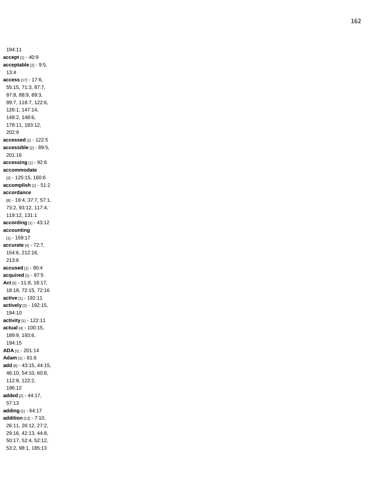194:11 **accept** [1] - 40:9 **acceptable** [2] - 9:5, 13:4 **access** [17] - 17:6, 55:15, 71:3, 87:7, 87:8, 88:9, 89:3, 89:7, 118:7, 122:6, 126:1, 147:14, 148:2, 148:6, 178:11, 183:12, 202:9 **accessed** [1] - 122:5 **accessible** [2] - 89:5, 201:16 **accessing** [1] - 92:6 **accommodate** [2] - 125:15, 160:6 **accomplish** [1] - 51:2 **accordance** [8] - 19:4, 37:7, 57:1, 73:2, 93:12, 117:4, 119:12, 131:1 **according** [1] - 43:12 **accounting** [1] - 159:17 **accurate** [4] - 72:7, 154:6, 212:16, 213:6 **accused** [1] - 90:4 **acquired** [1] - 87:5 **Act** [5] - 11:8, 18:17, 18:18, 72:15, 72:16 **active** [1] - 192:11 **actively** [2] - 192:15, 194:10 **activity** [1] - 122:11 **actual** [4] - 100:15, 189:9, 193:6, 194:15 **ADA** [1] - 201:14 **Adam** [1] - 81:6 **add** [8] - 43:15, 44:15, 46:10, 54:10, 60:8, 112:8, 122:2, 196:12 **added** [2] - 44:17, 57:13 **adding** [1] - 64:17 **addition** [13] - 7:10, 26:11, 26:12, 27:2, 29:16, 42:13, 44:8, 50:17, 52:4, 52:12, 53:2, 98:1, 185:13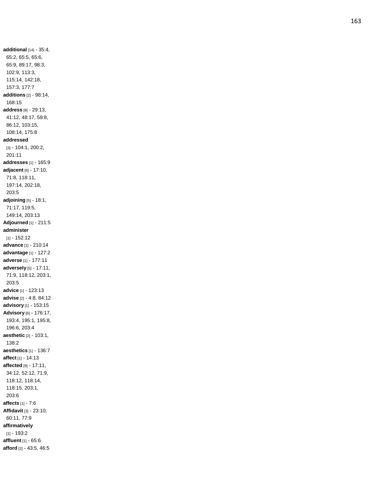**additional** [14] - 35:4, 65:2, 65:5, 65:6, 65:9, 89:17, 98:3, 102:9, 113:3, 115:14, 142:18, 157:3, 177:7 **additions** [2] - 98:14, 168:15 **address** [8] - 29:13, 41:12, 48:17, 59:8, 86:12, 103:15, 108:14, 175:8 **addressed** [3] - 104:1, 200:2, 201:11 **addresses** [1] - 165:9 **adjacent** [6] - 17:10, 71:8, 118:11, 197:14, 202:18, 203:5 **adjoining** [5] - 18:1, 71:17, 119:5, 149:14, 203:13 **Adjourned** [1] - 211:5 **administer** [1] - 152:12 **advance** [1] - 210:14 **advantage** [1] - 127:2 **adverse** [1] - 177:11 **adversely** [5] - 17:11, 71:9, 118:12, 203:1, 203:5 **advice** [1] - 123:13 **advise** [2] - 4:8, 84:12 **advisory** [1] - 153:15 **Advisory** [6] - 176:17, 193:4, 195:1, 195:8, 196:6, 203:4 **aesthetic** [2] - 103:1, 138:2 **aesthetics** [1] - 136:7 **affect** [1] - 14:13 **affected** [9] - 17:11, 34:12, 52:12, 71:9, 118:12, 118:14, 118:15, 203:1, 203:6 **affects** [1] - 7:6 **Affidavit** [3] - 23:10, 60:11, 77:9 **affirmatively** [1] - 193:2 **affluent** [1] - 65:6 **afford** [2] - 43:5, 46:5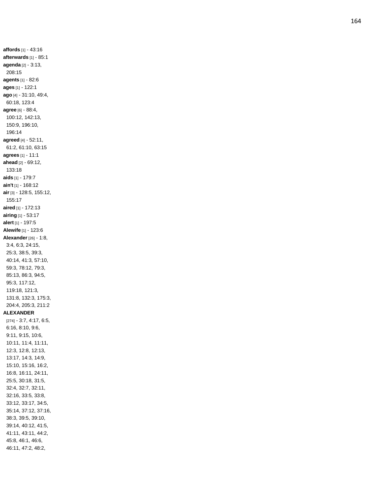**affords** [1] - 43:16 **afterwards** [1] - 85:1 **agenda** [2] - 3:13, 208:15 **agents** [1] - 82:6 **ages** [1] - 122:1 **ago** [4] - 31:10, 49:4, 60:18, 123:4 **agree** [6] - 88:4, 100:12, 142:13, 150:9, 196:10, 196:14 **agreed** [4] - 52:11, 61:2, 61:10, 63:15 **agrees** [1] - 11:1 **ahead** [2] - 69:12, 133:18 **aids** [1] - 179:7 **ain't** [1] - 168:12 **air** [3] - 128:5, 155:12, 155:17 **aired** [1] - 172:13 **airing** [1] - 53:17 **alert** [1] - 197:5 **Alewife** [1] - 123:6 **Alexander** [26] - 1:8, 3:4, 6:3, 24:15, 25:3, 38:5, 39:3, 40:14, 41:3, 57:10, 59:3, 78:12, 79:3, 85:13, 86:3, 94:5, 95:3, 117:12, 119:18, 121:3, 131:8, 132:3, 175:3, 204:4, 205:3, 211:2 **ALEXANDER** [274] - 3:7, 4:17, 6:5, 6:16, 8:10, 9:6, 9:11, 9:15, 10:6, 10:11, 11:4, 11:11, 12:3, 12:8, 12:13, 13:17, 14:3, 14:9, 15:10, 15:16, 16:2, 16:8, 16:11, 24:11, 25:5, 30:18, 31:5, 32:4, 32:7, 32:11, 32:16, 33:5, 33:8, 33:12, 33:17, 34:5, 35:14, 37:12, 37:16, 38:3, 39:5, 39:10, 39:14, 40:12, 41:5, 41:11, 43:11, 44:2, 45:8, 46:1, 46:6, 46:11, 47:2, 48:2,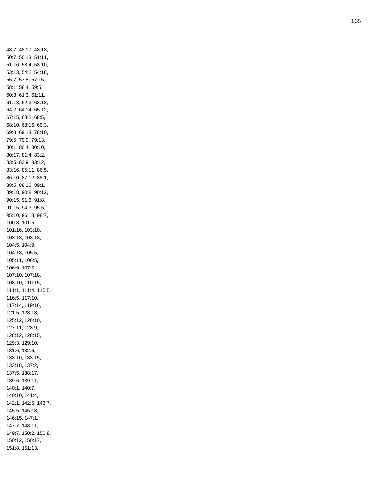48:7, 48:10, 48:13, 50:7, 50:13, 51:11, 51:16, 53:4, 53:10, 53:13, 54:2, 54:18, 55:7, 57:8, 57:15, 58:1, 58:4, 59:5, 60:3, 61:3, 61:11, 61:18, 62:3, 63:18, 64:2, 64:14, 65:12, 67:15, 68:2, 68:5, 68:10, 68:16, 69:3, 69:8, 69:13, 78:10, 79:5, 79:9, 79:13, 80:1, 80:4, 80:10, 80:17, 81:4, 83:2, 83:5, 83:9, 83:12, 83:16, 85:11, 86:5, 86:10, 87:12, 88:1, 88:5, 88:16, 89:1, 89:18, 90:8, 90:12, 90:15, 91:3, 91:8, 91:15, 94:3, 95:5, 95:10, 96:18, 98:7, 100:8, 101:5, 101:16, 103:10, 103:13, 103:18, 104:5, 104:9, 104:18, 105:5, 105:11, 106:5, 106:9, 107:5, 107:10, 107:18, 108:10, 110:15, 111:1, 111:4, 115:5, 116:5, 117:10, 117:14, 119:16, 121:5, 123:18, 125:12, 126:10, 127:11, 128:9, 128:12, 128:15, 129:3, 129:10, 131:6, 132:6, 133:10, 133:15, 133:18, 137:2, 137:5, 138:17, 139:6, 139:11, 140:1, 140:7, 140:10, 141:4, 142:1, 142:5, 143:7, 145:5, 145:18, 146:15, 147:1, 147:7, 148:11, 149:7, 150:2, 150:8, 150:12, 150:17, 151:8, 151:13,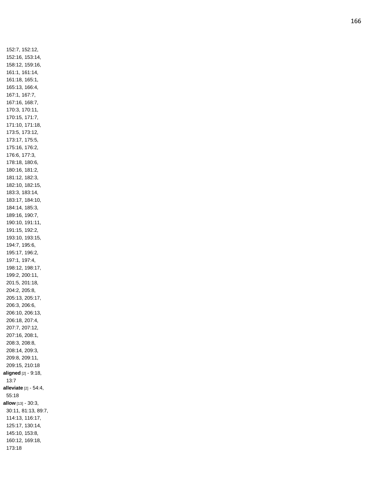152:7, 152:12, 152:16, 153:14, 158:12, 159:16, 161:1, 161:14, 161:18, 165:1, 165:13, 166:4, 167:1, 167:7, 167:16, 168:7, 170:3, 170:11, 170:15, 171:7, 171:10, 171:18, 173:5, 173:12, 173:17, 175:5, 175:16, 176:2, 176:6, 177:3, 178:18, 180:6, 180:16, 181:2, 181:12, 182:3, 182:10, 182:15, 183:3, 183:14, 183:17, 184:10, 184:14, 185:3, 189:16, 190:7, 190:10, 191:11, 191:15, 192:2, 193:10, 193:15, 194:7, 195:6, 195:17, 196:2, 197:1, 197:4, 198:12, 198:17, 199:2, 200:11, 201:5, 201:18, 204:2, 205:8, 205:13, 205:17, 206:3, 206:6, 206:10, 206:13, 206:18, 207:4, 207:7, 207:12, 207:16, 208:1, 208:3, 208:8, 208:14, 209:3, 209:8, 209:11, 209:15, 210:18 **aligned** [2] - 9:18, 13:7 **alleviate** [2] - 54:4, 55:18 **allow** [13] - 30:3, 30:11, 81:13, 89:7, 114:13, 116:17, 125:17, 130:14, 145:10, 153:8, 160:12, 169:18, 173:18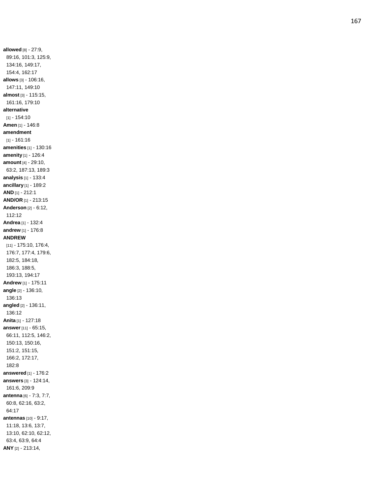**allowed** [8] - 27:9, 89:16, 101:3, 125:9, 134:16, 149:17, 154:4, 162:17 **allows** [3] - 106:16, 147:11, 149:10 **almost** [3] - 115:15, 161:16, 179:10 **alternative** [1] - 154:10 **Amen** [1] - 146:8 **amendment** [1] - 161:16 **amenities** [1] - 130:16 **amenity** [1] - 126:4 **amount** [4] - 29:10, 63:2, 187:13, 189:3 **analysis** [1] - 133:4 **ancillary** [1] - 189:2 **AND** [1] - 212:1 **AND/OR** [1] - 213:15 **Anderson** [2] - 6:12, 112:12 **Andrea** [1] - 132:4 **andrew** [1] - 176:8 **ANDREW** [11] - 175:10, 176:4, 176:7, 177:4, 179:6, 182:5, 184:18, 186:3, 188:5, 193:13, 194:17 **Andrew** [1] - 175:11 **angle** [2] - 136:10, 136:13 **angled** [2] - 136:11, 136:12 **Anita** [1] - 127:18 **answer** [11] - 65:15, 66:11, 112:5, 146:2, 150:13, 150:16, 151:2, 151:15, 166:2, 172:17, 182:8 **answered** [1] - 176:2 **answers** [3] - 124:14, 161:6, 209:9 **antenna** [6] - 7:3, 7:7, 60:8, 62:16, 63:2, 64:17 **antennas** [10] - 9:17, 11:18, 13:6, 13:7, 13:10, 62:10, 62:12, 63:4, 63:9, 64:4 **ANY** [2] - 213:14,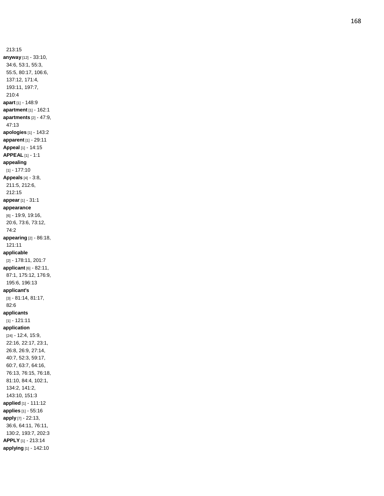213:15 **anyway** [12] - 33:10, 34:6, 53:1, 55:3, 55:5, 80:17, 106:6, 137:12, 171:4, 193:11, 197:7, 210:4 **apart** [1] - 148:9 **apartment** [1] - 162:1 **apartments** [2] - 47:9, 47:13 **apologies** [1] - 143:2 **apparent** [1] - 29:11 **Appeal** [1] - 14:15 **APPEAL** [1] - 1:1 **appealing** [1] - 177:10 **Appeals** [4] - 3:8, 211:5, 212:6, 212:15 **appear** [1] - 31:1 **appearance** [6] - 19:9, 19:16, 20:6, 73:6, 73:12, 74:2 **appearing** [2] - 86:18, 121:11 **applicable** [2] - 178:11, 201:7 **applicant** [6] - 82:11, 87:1, 175:12, 176:9, 195:6, 196:13 **applicant's** [3] - 81:14, 81:17, 82:6 **applicants** [1] - 121:11 **application** [24] - 12:4, 15:9, 22:16, 22:17, 23:1, 26:8, 26:9, 27:14, 40:7, 52:3, 59:17, 60:7, 63:7, 64:16, 76:13, 76:15, 76:18, 81:10, 84:4, 102:1, 134:2, 141:2, 143:10, 151:3 **applied** [1] - 111:12 **applies** [1] - 55:16 **apply** [7] - 22:13, 36:6, 64:11, 76:11, 130:2, 193:7, 202:3 **APPLY** [1] - 213:14 **applying** [1] - 142:10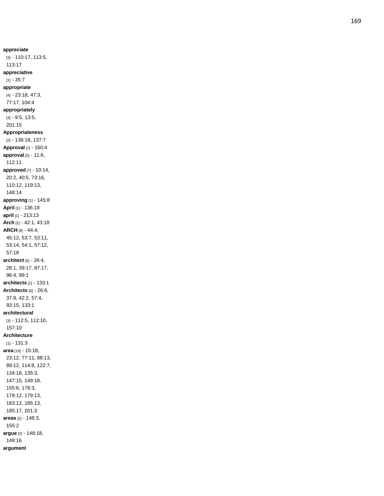**appreciate** [3] - 110:17, 113:5, 113:17 **appreciative** [1] - 35:7 **appropriate** [4] - 23:18, 47:3, 77:17, 104:4 **appropriately** [3] - 9:5, 13:5, 201:15 **Appropriateness** [2] - 136:18, 137:7 **Approval** [1] - 160:4 **approval** [2] - 11:6, 112:11 **approved** [7] - 10:14, 20:2, 40:5, 73:16, 110:12, 119:13, 148:14 **approving** [1] - 145:8 **April** [1] - 136:18 **april** [1] - 213:13 **Arch** [2] - 42:1, 43:18 **ARCH** [8] - 44:4, 45:12, 53:7, 53:11, 53:14, 54:1, 57:12, 57:18 **architect** [6] - 26:4, 28:1, 39:17, 87:17, 96:4, 99:1 **architects** [1] - 133:1 **Architects** [6] - 26:6, 37:8, 42:2, 57:4, 93:15, 133:1 **architectural** [3] - 112:5, 112:10, 157:10 **Architecture**  $[1] - 131:3$ **area** [19] - 15:18, 23:12, 77:11, 88:13, 89:12, 114:8, 122:7, 134:18, 135:3, 147:15, 149:18, 155:6, 178:3, 179:12, 179:13, 183:12, 185:13, 185:17, 201:3 **areas** [2] - 148:3, 155:2 **argue** [2] - 148:18, 149:16 **argument**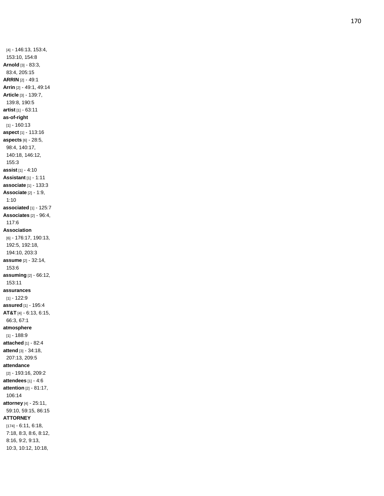[4] - 146:13, 153:4, 153:10, 154:8 **Arnold** [3] - 83:3, 83:4, 205:15 **ARRIN** [2] - 49:1 **Arrin** [2] - 49:1, 49:14 **Article** [3] - 139:7, 139:8, 190:5 **artist** [1] - 63:11 **as -of -right** [1] - 160:13 **aspect** [1] - 113:16 **aspects** [6] - 28:5, 98:4, 140:17, 140:18, 146:12, 155:3 **assist** [1] - 4:10 **Assistant** [1] - 1:11 **associate** [1] - 133:3 **Associate** [2] - 1:9, 1:10 **associated** [1] - 125:7 **Associates** [2] - 96:4, 117:6 **Association** [6] - 176:17, 190:13, 192:5, 192:18, 194:10, 203:3 **assume** [2] - 32:14, 153:6 **assuming** [2] - 66:12, 153:11 **assurances** [1] - 122:9 **assured** [1] - 195:4 **AT&T** [4] - 6:13, 6:15, 66:3, 67:1 **atmosphere** [1] - 188:9 **attached** [1] - 82:4 **attend** [3] - 34:18, 207:13, 209:5 **attendance** [2] - 193:16, 209:2 **attendees** [1] - 4:6 **attention** [2] - 81:17, 106:14 **attorney** [4] - 25:11, 59:10, 59:15, 86:15 **ATTORNEY** [174] - 6:11, 6:18, 7:18, 8:3, 8:6, 8:12, 8:16, 9:2, 9:13,

10:3, 10:12, 10:18,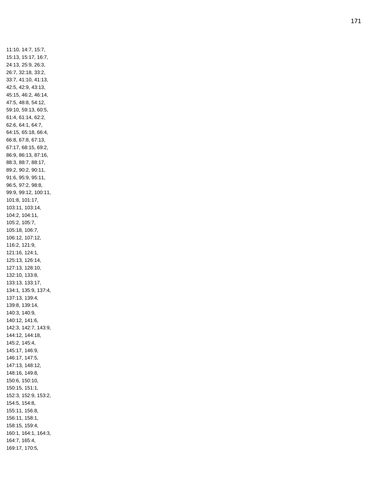11:10, 14:7, 15:7, 15:13, 15:17, 16:7, 24:13, 25:9, 26:3, 26:7, 32:18, 33:2, 33:7, 41:10, 41:13, 42:5, 42:9, 43:13, 45:15, 46:2, 46:14, 47:5, 48:8, 54:12, 59:10, 59:13, 60:5, 61:4, 61:14, 62:2, 62:6, 64:1, 64:7, 64:15, 65:18, 66:4, 66:8, 67:8, 67:13, 67:17, 68:15, 69:2, 86:9, 86:13, 87:16, 88:3, 88:7, 88:17, 89:2, 90:2, 90:11, 91:6, 95:9, 95:11, 96:5, 97:2, 98:8, 99:9, 99:12, 100:11, 101:8, 101:17, 103:11, 103:14, 104:2, 104:11, 105:2, 105:7, 105:18, 106:7, 106:12, 107:12, 116:2, 121:9, 121:16, 124:1, 125:13, 126:14, 127:13, 128:10, 132:10, 133:8, 133:13, 133:17, 134:1, 135:9, 137:4, 137:13, 139:4, 139:8, 139:14, 140:3, 140:9, 140:12, 141:6, 142:3, 142:7, 143:9, 144:12, 144:18, 145:2, 145:4, 145:17, 146:9, 146:17, 147:5, 147:13, 148:12, 148:16, 149:8, 150:6, 150:10, 150:15, 151:1, 152:3, 152:9, 153:2, 154:5, 154:8, 155:11, 156:8, 156:11, 158:1, 158:15, 159:4, 160:1, 164:1, 164:3, 164:7, 165:4, 169:17, 170:5,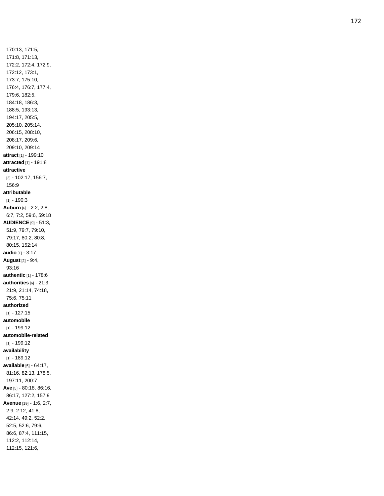170:13, 171:5, 171:8, 171:13, 172:2, 172:4, 172:9, 172:12, 173:1, 173:7, 175:10, 176:4, 176:7, 177:4, 179:6, 182:5, 184:18, 186:3, 188:5, 193:13, 194:17, 205:5, 205:10, 205:14, 206:15, 208:10, 208:17, 209:6, 209:10, 209:14 **attract** [1] - 199:10 **attracted** [1] - 191:8 **attractive** [3] - 102:17, 156:7, 156:9 **attributable**  $[1] - 190:3$ **Auburn** [6] - 2:2, 2:8, 6:7, 7:2, 59:6, 59:18 **AUDIENCE** [9] - 51:3, 51:9, 79:7, 79:10, 79:17, 80:2, 80:8, 80:15, 152:14 **audio** [1] - 3:17 **August** [2] - 9:4, 93:16 **authentic** [1] - 178:6 **authorities** [6] - 21:3, 21:9, 21:14, 74:18, 75:6, 75:11 **authorized** [1] - 127:15 **automobile** [1] - 199:12 **automobile -related** [1] - 199:12 **availability** [1] - 189:12 **available** [6] - 64:17, 81:16, 82:13, 178:5, 197:11, 200:7 **Ave** [5] - 80:18, 86:16, 86:17, 127:2, 157:9 **Avenue** [19] - 1:6, 2:7, 2:9, 2:12, 41:6, 42:14, 49:2, 52:2, 52:5, 52:6, 79:6, 86:6, 87:4, 111:15, 112:2, 112:14, 112:15, 121:6,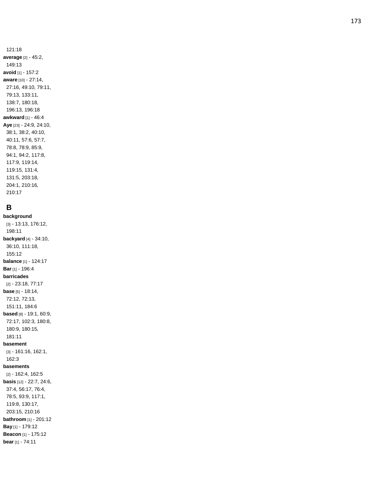121:18 **average** [2] - 45:2, 149:13 **avoid** [1] - 157:2 **aware** [10] - 27:14, 27:16, 49:10, 79:11, 79:13, 133:11, 138:7, 180:18, 196:13, 196:18 **awkward** [1] - 46:4 **Aye** [23] - 24:9, 24:10, 38:1, 38:2, 40:10, 40:11, 57:6, 57:7, 78:8, 78:9, 85:9, 94:1, 94:2, 117:8, 117:9, 119:14, 119:15, 131:4, 131:5, 203:18, 204:1, 210:16, 210:17

## **B**

**background** [3] - 13:13, 176:12, 198:11 **backyard** [4] - 34:10, 36:10, 111:18, 155:12 **balance** [1] - 124:17 **Bar** [1] - 196:4 **barricades** [2] - 23:18, 77:17 **base** [5] - 18:14, 72:12, 72:13, 151:11, 184:6 **based** [8] - 19:1, 60:9, 72:17, 102:3, 180:8, 180:9, 180:15, 181:11 **basement** [3] - 161:16, 162:1, 162:3 **basements** [2] - 162:4, 162:5 **basis** [12] - 22:7, 24:6, 37:4, 56:17, 76:4, 78:5, 93:9, 117:1, 119:8, 130:17, 203:15, 210:16 **bathroom** [1] - 201:12 **Bay** [1] - 179:12 **Beacon** [1] - 175:12 **bear** [1] - 74:11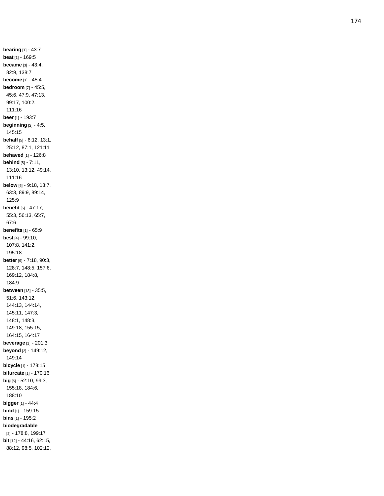**bearing** [1] - 43:7 **beat** [1] - 169:5 **became** [3] - 43:4, 82:9, 138:7 **become** [1] - 45:4 **bedroom** [7] - 45:5, 45:6, 47:9, 47:13, 99:17, 100:2, 111:16 **beer** [1] - 193:7 **beginning** [2] - 4:5, 145:15 **behalf** [5] - 6:12, 13:1, 25:12, 87:1, 121:11 **behaved** [1] - 126:8 **behind** [5] - 7:11, 13:10, 13:12, 49:14, 111:16 **below** [6] - 9:18, 13:7, 63:3, 89:9, 89:14, 125:9 **benefit** [5] - 47:17, 55:3, 56:13, 65:7, 67:6 **benefits** [1] - 65:9 **best** [4] - 99:10, 107:8, 141:2, 195:18 **better** [9] - 7:18, 90:3, 128:7, 148:5, 157:6, 169:12, 184:8, 184:9 **between** [13] - 35:5, 51:6, 143:12, 144:13, 144:14, 145:11, 147:3, 148:1, 148:3, 149:18, 155:15, 164:15, 164:17 **beverage** [1] - 201:3 **beyond** [2] - 149:12, 149:14 **bicycle** [1] - 178:15 **bifurcate** [1] - 170:16 **big** [5] - 52:10, 99:3, 155:18, 184:6, 188:10 **bigger** [1] - 44:4 **bin d** [1] - 159:15 **bins** [1] - 195:2 **biodegradable** [2] - 178:8, 199:17 **bit** [12] - 44:16, 62:15, 88:12, 98:5, 102:12,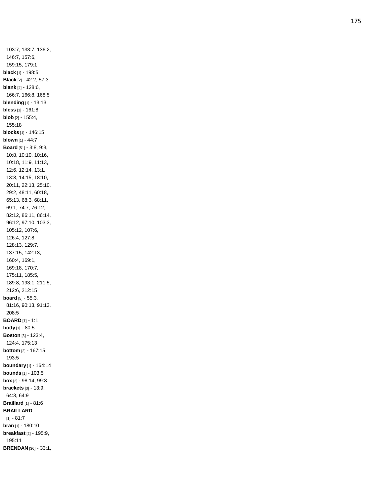103:7, 133:7, 136:2, 146:7, 157:6, 159:15, 179:1 **black** [1] - 198:5 **Black** [2] - 42:2, 57:3 **blank** [4] - 128:6, 166:7, 166:8, 168:5 **blending** [1] - 13:13 **bless** [1] - 161:8 **blob** [2] - 155:4, 155:18 **blocks** [1] - 146:15 **blown** [1] - 44:7 **Board** [51] - 3:8, 9:3, 10:8, 10:10, 10:16, 10:18, 11:9, 11:13, 12:6, 12:14, 13:1, 13:3, 14:15, 18:10, 20:11, 22:13, 25:10, 29:2, 48:11, 60:18, 65:13, 68:3, 68:11, 69:1, 74:7, 76:12, 82:12, 86:11, 86:14, 96:12, 97:10, 103:3, 105:12, 107:6, 126:4, 127:8, 128:13, 129:7, 137:15, 142:13, 160:4, 169:1, 169:18, 170:7, 175:11, 185:5, 189:8, 193:1, 211:5, 212:6, 212:15 **board** [5] - 55:3, 81:16, 90:13, 91:13, 208:5 **BOARD** [1] - 1:1 **body** [1] - 80:5 **Boston** [3] - 123:4, 124:4, 175:13 **bottom** [2] - 167:15, 193:5 **boundary** [1] - 164:14 **bounds** [1] - 103:5 **box** [2] - 98:14, 99:3 **brackets** [3] - 13:9, 64:3, 64:9 **Braillard** [1] - 81:6 **BRAILLARD** [1] - 81:7 **bran** [1] - 180:10 **breakfast** [2] - 195:9, 195:11 **BRENDAN** [36] - 33:1,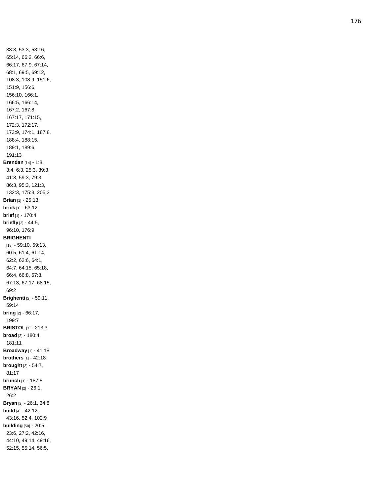33:3, 53:3, 53:16, 65:14, 66:2, 66:6, 66:17, 67:9, 67:14, 68:1, 69:5, 69:12, 108:3, 108:9, 151:6, 151:9, 156:6, 156:10, 166:1, 166:5, 166:14, 167:2, 167:8, 167:17, 171:15, 172:3, 172:17, 173:9, 174:1, 187:8, 188:4, 188:15, 189:1, 189:6, 191:13 **Brendan** [14] - 1:8, 3:4, 6:3, 25:3, 39:3, 41:3, 59:3, 79:3, 86:3, 95:3, 121:3, 132:3, 175:3, 205:3 **Brian** [1] - 25:13 **brick** [1] - 63:12 **brief** [1] - 170:4 **briefly** [3] - 44:5, 96:10, 176:9 **BRIGHENTI** [18] - 59:10, 59:13, 60:5, 61:4, 61:14, 62:2, 62:6, 64:1, 64:7, 64:15, 65:18, 66:4, 66:8, 67:8, 67:13, 67:17, 68:15, 69:2 **Brighenti** [2] - 59:11, 59:14 **bring** [2] - 66:17, 199:7 **BRISTOL** [1] - 213:3 **broad** [2] - 180:4, 181:11 **Broadway** [1] - 41:18 **brothers** [1] - 42:18 **brought** [2] - 54:7, 81:17 **brunch** [1] - 187:5 **BRYAN** [2] - 26:1, 26:2 **Bryan** [2] - 26:1, 34:8 **build** [4] - 42:12, 43:16, 52:4, 102:9 **building** [50] - 20:5, 23:6, 27:2, 42:16, 44:10, 49:14, 49:16, 52:15, 55:14, 56:5,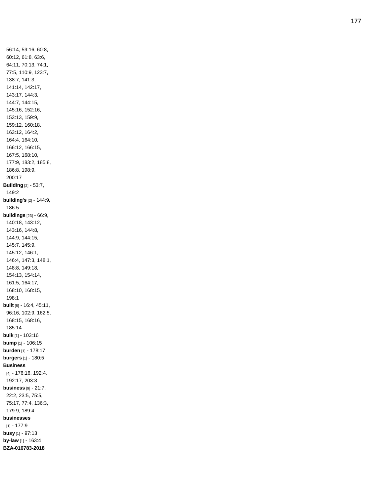56:14, 59:16, 60:8, 60:12, 61:8, 63:6, 64:11, 70:13, 74:1, 77:5, 110:9, 123:7, 138:7, 141:3, 141:14, 142:17, 143:17, 144:3, 144:7, 144:15, 145:16, 152:16, 153:13, 159:9, 159:12, 160:18, 163:12, 164:2, 164:4, 164:10, 166:12, 166:15, 167:5, 168:10, 177:9, 183:2, 185:8, 186:8, 198:9, 200:17 **Building** [2] - 53:7, 149:2 **building's** [2] - 144:9, 186:5 **buildings** [23] - 66:9, 140:18, 143:12, 143:16, 144:8, 144:9, 144:15, 145:7, 145:9, 145:12, 146:1, 146:4, 147:3, 148:1, 148:8, 149:18, 154:13, 154:14, 161:5, 164:17, 168:10, 168:15, 198:1 **built** [8] - 16:4, 45:11, 96:16, 102:9, 162:5, 168:15, 168:16, 185:14 **bulk** [1] - 103:16 **bump** [1] - 106:15 **burden** [1] - 178:17 **burgers** [1] - 180:5 **Business** [4] - 176:16, 192:4, 192:17, 203:3 **business** [9] - 21:7, 22:2, 23:5, 75:5, 75:17, 77:4, 136:3, 179:9, 189:4 **businesses** [1] - 177:9 **busy** [1] - 97:13 **by -law** [1] - 163:4 **BZA -016783 -2018**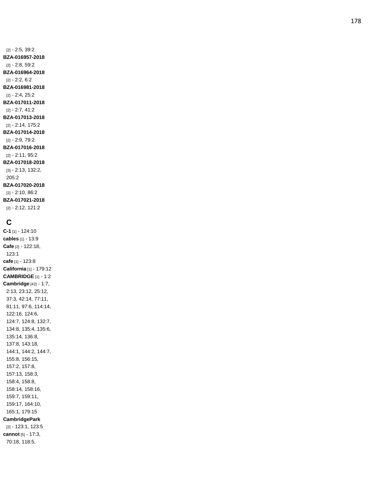[2] - 2:5, 39:2 **BZA -016957 -2018** [2] - 2:8, 59:2 **BZA -016964 -2018** [2] - 2:2, 6:2 **BZA -01698 1 -2018** [2] - 2:4, 25:2 **BZA -017011 -2018** [2] - 2:7, 41:2 **BZA -017013 -2018** [2] - 2:14, 175:2 **BZA -017014 -2018** [2] - 2:9, 79:2 **BZA -017016 -2018** [2] - 2:11, 95:2 **BZA -017018 -2018** [3] - 2:13, 132:2, 205:2 **BZA -017020 -2018** [2] - 2:10, 86:2 **BZA -017021 -2018** [2] - 2:12, 121:2

## **C**

**C - 1** [1] - 124:10 **cables** [1] - 13:9 **Cafe** [2] - 122:18, 123:1 **cafe** [1] - 123:8 **California** [1] - 179:12 **CAMBRIDGE** [1] - 1:2 **Cambridge** [42] - 1:7, 2:13, 23:12, 25:12, 37:3, 42:14, 77:11, 81:11, 97:6, 114:14, 122:16, 124:6, 124:7, 124:8, 132:7, 134:8, 135:4, 135:6, 135:14, 136:8, 137:8, 143:18, 144:1, 144:2, 144:7, 155:8, 156:15, 157:2, 157:8, 157:13, 158:3, 158:4, 158:8, 158:14, 158:16, 159:7, 159:11, 159:17, 164:10, 165:1, 179:15 **CambridgePark** [2] - 123:1, 123:5 **cannot** [5] - 17:3, 70:18, 118:5,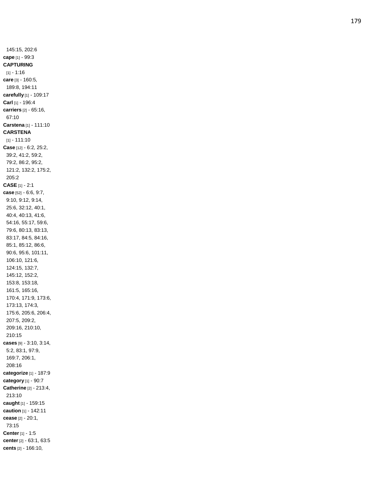145:15, 202:6 **cape** [1] - 99:3 **CAPTURING** [1] - 1:16 **care** [3] - 160:5, 189:8, 194:11 **carefully** [1] - 109:17 **Carl** [1] - 196:4 **carriers** [2] - 65:16, 67:10 **Carstena** [1] - 111:10 **CARSTENA** [1] - 111:10 **Case** [12] - 6:2, 25:2, 39:2, 41:2, 59:2, 79:2, 86:2, 95:2, 121:2, 132:2, 175:2, 205:2 **CASE** [1] - 2:1 **case** [52] - 6:6, 9:7, 9:10, 9:12, 9:14, 25:6, 32:12, 40:1, 40:4, 40:13, 41:6, 54:16, 55:17, 59:6, 79:6, 80:13, 83:13, 83:17, 84:5, 84:16, 85:1, 85:12, 86:6, 90:6, 95:6, 101:11, 106:10, 121:6, 124:15, 132:7, 145:12, 152:2, 153:8, 153:18, 161:5, 165:16, 170:4, 171:9, 173:6, 173:13, 174:3, 175:6, 205:6, 206:4, 207:5, 209:2, 209:16, 210:10, 210:15 **cases** [9] - 3:10, 3:14, 5:2, 83:1, 97:9, 169:7, 206:1, 208:16 **categorize** [1] - 187:9 **category** [1] - 90:7 **Catherine** [2] - 213:4, 213:10 **caught** [1] - 159:15 **caution** [1] - 142:11 **cease** [2] - 20:1, 73:15 **Center** [1] - 1:5 **center** [2] - 63:1, 63:5 **cents** [2] - 166:10,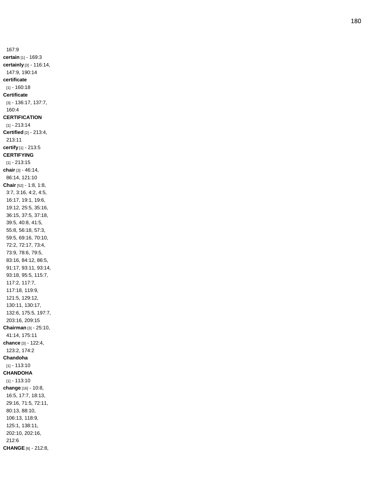167:9 **certain** [1] - 169:3 **certainly** [3] - 116:14, 147:9, 190:14 **certificate** [1] - 160:18 **Certificate** [3] - 136:17, 137:7, 160:4 **CERTIFICATION** [1] - 213:14 **Certified** [2] - 213:4, 213:11 **certify** [1] - 213:5 **CERTIFYING** [1] - 213:15 **chair** [3] - 46:14, 86:14, 121:10 **Chair** [52] - 1:8, 1:8, 3:7, 3:16, 4:2, 4:5, 16:17, 19:1, 19:6, 19:12, 25:5, 35:16, 36:15, 37:5, 37:18, 39:5, 40:8, 41:5, 55:8, 56:18, 57:3, 59:5, 69:16, 70:10, 72:2, 72:17, 73:4, 73:9, 78:6, 79:5, 83:16, 84:12, 86:5, 91:17, 93:11, 93:14, 93:18, 95:5, 115:7, 117:2, 117:7, 117:18, 119:9, 121:5, 129:12, 130:11, 130:17, 132:6, 175:5, 197:7, 203:16, 209:15 **Chairman** [3] - 25:10, 41:14, 175:11 **chance** [3] - 122:4, 123:2, 174: 2 **Chandoha** [1] - 113:10 **CHANDOHA** [1] - 113:10 **change** [16] - 10:8, 16:5, 17:7, 18:13, 29:16, 71:5, 72:11, 80:13, 88:10, 106:13, 118:9, 125:1, 138:11, 202:10, 202:16, 212:6 **CHANGE** [6] - 212:8,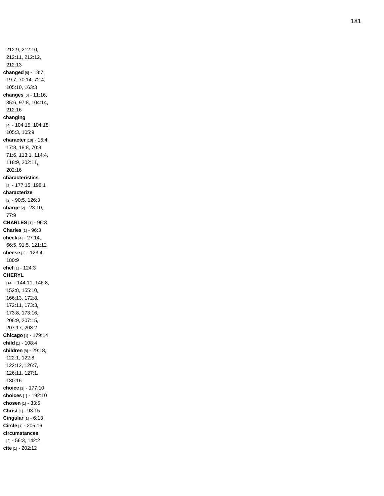212:9, 212:10, 212:11, 212:12, 212:13 **changed** [6] - 18:7, 19:7, 70:14, 72:4, 105:10, 163:3 **changes** [6] - 11:16, 35:6, 97:8, 104:14, 212:16 **changing** [4] - 104:15, 104:18, 105:3, 105:9 **character** [10] - 15:4, 17:8, 18:8, 70:8, 71:6, 113:1, 114:4, 118:9, 202:11, 202:16 **characteristics** [2] - 177:15, 198:1 **characterize** [2] - 90:5, 126:3 **charge** [2] - 23:10, 77:9 **CHARLES** [1] - 96:3 **Charles** [1] - 96:3 **check** [4] - 27:14, 66:5, 91:5, 121:12 **cheese** [2] - 123:4, 180:9 **chef** [1] - 124:3 **CHERYL** [14] - 144:11, 146:8, 152:8, 155:10, 166:13, 172:8, 172:11, 173:3, 173:8, 173:16, 206:9, 207:15, 207:17, 208:2 **Chicago** [1] - 179:14 **child** [1] - 108:4 **children** [8] - 29:18, 122:1, 122:8, 122:12, 126:7, 126:11, 127:1, 130:16 **choice** [1] - 177:10 **choices** [1] - 192:1 0 **chosen** [1] - 33:5 **Christ** [1] - 93:15 **Cingular** [1] - 6:13 **Circle** [1] - 205:16 **circumstances** [2] - 56:3, 142:2 **cite** [1] - 202:12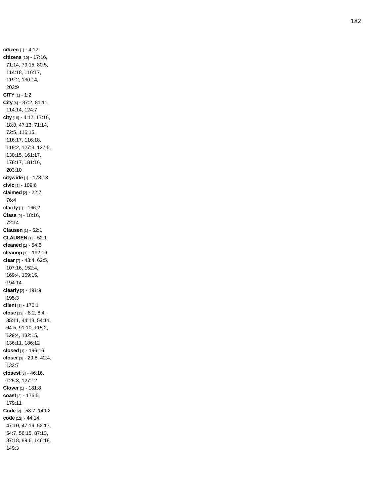**citizen** [1] - 4:12 **citizens** [10] - 17:16, 71:14, 79:15, 80:5, 114:18, 116:17, 119:2, 130:14, 203:9 **CITY** [1] - 1:2 **City** [4] - 37:2, 81:11, 114:14, 124:7 **city** [18] - 4:12, 17:16, 18:8, 47:13, 71:14, 72:5, 116:15, 116:17, 116:18, 119:2, 127:3, 127:5, 130:15, 161:17, 178:17, 181:16, 203:10 **citywide** [1] - 178:13 **civic** [1] - 109:6 **claimed** [2] - 22:7, 76:4 **clarity** [1] - 166:2 **Class** [2] - 18:16, 72:14 **Clausen** [1] - 52:1 **CLAUSEN** [1] - 52:1 **cleaned** [1] - 54:6 **cleanup** [1] - 192:16 **clear** [7] - 43:4, 62:5, 107:16, 152:4, 169:4, 169:15, 194:14 **clearly** [2] - 191:9, 195:3 **client** [1] - 170:1 **close** [13] - 8:2, 8:4, 35:11, 44:13, 54:11, 64:5, 91:10, 115:2, 129:4, 132:15, 136:11, 186:12 **closed** [1] - 196:16 **closer** [3] - 29:8, 42:4, 133:7 **closest** [3] - 46:16, 125:3, 127:12 **Clover** [1] - 181:8 **coast** [2] - 176:5, 179:11 **Code** [2] - 53:7, 149:2 **code** [12] - 44:14, 47:10, 47:16, 52:17, 54:7, 56:15, 87:13, 87:18, 89:6, 146:18, 149:3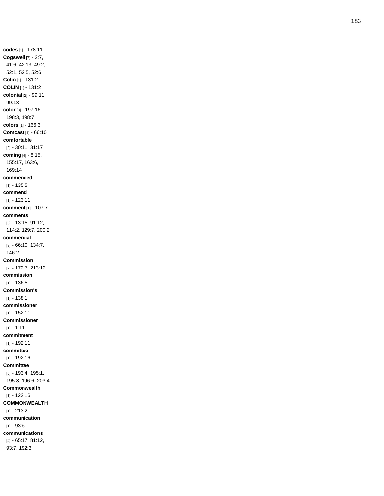**codes** [1] - 178:11 **Cogswell** [7] - 2:7, 41:6, 42:13, 49:2, 52:1, 52:5, 52:6 **Colin** [1] - 131:2 **COLIN** [1] - 131:2 **colonial** [2] - 99:11, 99:13 **color** [3] - 197:16, 198:3, 198:7 **colors** [1] - 166:3 **Comcast** [1] - 66:10 **comfortable** [2] - 30:11, 31:17 **coming** [4] - 8:15, 155:17, 163:6, 169:14 **commenced**  $[1] - 135:5$ **commend** [1] - 123:11 **comment** [1] - 107:7 **comments** [5] - 13:15, 91:12, 114:2, 129:7, 200:2 **commercial** [3] - 66:10, 134:7, 146:2 **Commission** [2] - 172:7, 213:12 **commission**  $[1] - 136:5$ **Commission's**  $[1] - 138:1$ **commissioner** [1] - 152:11 **Commissioner**  $[1] - 1:11$ **commitment** [1] - 192:11 **committee** [1] - 192:16 **Committee** [5] - 193:4, 195:1, 195:8, 196:6, 203:4 **Commonwealth** [1] - 122:16 **COMMONWEALTH** [1] - 213:2 **communication** [1] - 93:6 **communications**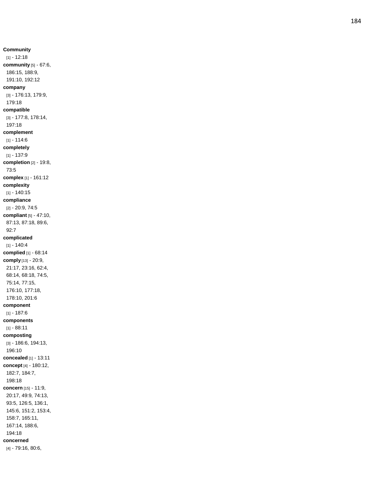**Community**  $[1] - 12:18$ **community** [5] - 67:6, 186:15, 188:9, 191:10, 192:12 **company** [3] - 176:13, 179:9, 179:18 **compatible** [3] - 177:8, 178:14, 197:18 **complement**  $[1] - 114:6$ **completely** [1] - 137:9 **completion** [2] - 19:8, 73:5 **complex** [1] - 161:12 **complexity** [1] - 140:15 **compliance** [2] - 20:9, 74:5 **compliant** [5] - 47:10, 87:13, 87:18, 89:6, 92:7 **complicated**  $[1] - 140.4$ **complied** [1] - 68:14 **comply** [13] - 20:9, 21:17, 23:16, 62:4, 68:14, 68:18, 74:5, 75:14, 77:15, 176:10, 177:18, 178:10, 201:6 **component**  $[1] - 187:6$ **components**  $[1] - 88.11$ **composting** [3] - 186:6, 194:13, 196:10 **concealed** [1] - 13:11 **concept** [4] - 180:12, 182:7, 184:7, 198:18 **concern** [15] - 11:9, 20:17, 49:9, 74:13, 93:5, 126:5, 136:1, 145:6, 151:2, 153:4, 158:7, 165:11, 167:14, 188:6, 194:18 **concerned** [4] - 79:16, 80:6,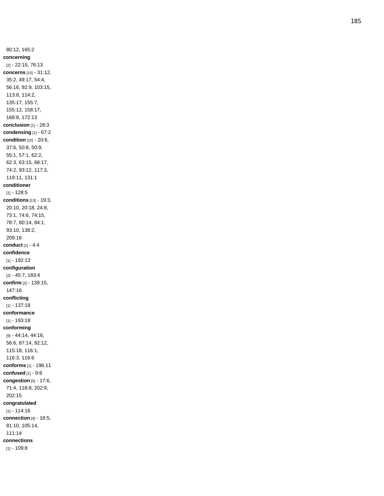80:12, 165:2 **concerning** [2] - 22:15, 76:13 **concerns** [15] - 31:12, 35:2, 49:17, 54:4, 56:16, 92:9, 103:15, 113:8, 114:2, 135:17, 155:7, 155:12, 158:17, 168:8, 172:13 **conclusion** [1] - 28:3 **condensing** [1] - 67:2 **condition** [15] - 20:6, 37:6, 50:8, 50:9, 55:1, 57:1, 62:2, 62:3, 63:15, 68:17, 74:2, 93:12, 117:3, 119:11, 131:1 **conditioner** [1] - 128:5 **conditions** [13] - 19:3, 20:10, 20:18, 24:8, 73:1, 74:6, 74:15, 78:7, 80:14, 84:1, 93:10, 138:2, 209:18 **conduct** [1] - 4:4 **confidence** [1] - 192:13 **configuration** [2] - 45:7, 183:4 **confirm** [2] - 139:15, 147:16 **conflicting** [1] - 137:18 **conformance** [1] - 193:18 **conforming** [9] - 44:14, 44:16, 56:6, 87:14, 92:12, 115:18, 116:1, 116:3, 116:6 **conforms** [1] - 196:11 **confused** [1] - 9:6 **congestion** [5] - 17:6, 71:4, 118:8, 202:9, 202:15 **congratulated** [1] - 114:16 **connection** [4] - 18:5, 81:10, 105:14, 111:14 **connections**  $[1] - 109.8$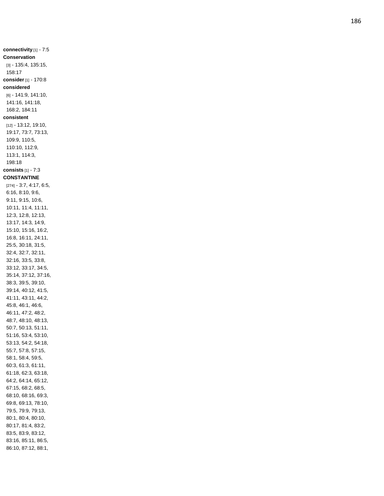**connectivity** [1] - 7:5 **Conservation** [3] - 135:4, 135:15, 158:17 **consider** [1] - 170:8 **considered** [6] - 141:9, 141:10, 141:16, 141:18, 168:2, 184:11 **consistent** [12] - 13:12, 19:10, 19:17, 73:7, 73:13, 109:9, 110:5, 110:10, 112:9, 113:1, 114:3, 198:18 **consists** [1] - 7:3 **CONSTANTINE** [274] - 3:7, 4:17, 6:5, 6:16, 8:10, 9:6, 9:11, 9:15, 10:6, 10:11, 11:4, 11:11, 12:3, 12:8, 12:13, 13:17, 14:3, 14:9, 15:10, 15:16, 16:2, 16:8, 16:11, 24:11, 25:5, 30:18, 31:5, 32:4, 32:7, 32:11, 32:16, 33:5, 33:8, 33:12, 33:17, 34:5, 35:14, 37:12, 37:16, 38:3, 39:5, 39:10, 39:14, 40:12, 41:5, 41:11, 43:11, 44:2, 45:8, 46:1, 46:6, 46:11, 47:2, 48:2, 48:7, 48:10, 48:13, 50:7, 50:13, 51:11, 51:16, 53:4, 53:10, 53:13, 54:2, 54:18, 55:7, 57:8, 57:15, 58:1, 58:4, 59:5, 60:3, 61:3, 61:11, 61:18, 62:3, 63:18, 64:2, 64:14, 65:12, 67:15, 68:2, 68:5, 68:10, 68:16, 69:3, 69:8, 69:13, 78:10, 79:5, 79:9, 79:13, 80:1, 80:4, 80:10, 80:17, 81:4, 83:2, 83:5, 83:9, 83:12, 83:16, 85:11, 86:5, 86:10, 87:12, 88:1,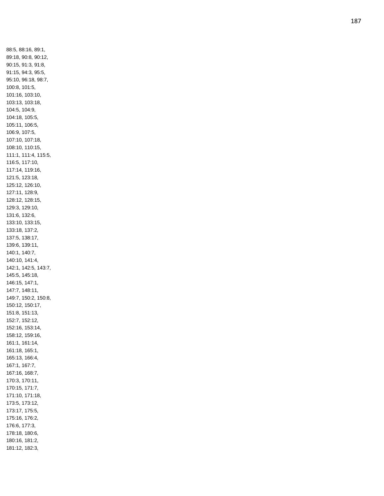88:5, 88:16, 89:1, 89:18, 90:8, 90:12, 90:15, 91:3, 91:8, 91:15, 94:3, 95:5, 95:10, 96:18, 98:7, 100:8, 101:5, 101:16, 103:10, 103:13, 103:18, 104:5, 104:9, 104:18, 105:5, 105:11, 106:5, 106:9, 107:5, 107:10, 107:18, 108:10, 110:15, 111:1, 111:4, 115:5, 116:5, 117:10, 117:14, 119:16, 121:5, 123:18, 125:12, 126:10, 127:11, 128:9, 128:12, 128:15, 129:3, 129:10, 131:6, 132:6, 133:10, 133:15, 133:18, 137:2, 137:5, 138:17, 139:6, 139:11, 140:1, 140:7, 140:10, 141:4, 142:1, 142:5, 143:7, 145:5, 145:18, 146:15, 147:1, 147:7, 148:11, 149:7, 150:2, 150:8, 150:12, 150:17, 151:8, 151:13, 152:7, 152:12, 152:16, 153:14, 158:12, 159:16, 161:1, 161:14, 161:18, 165:1, 165:13, 166:4, 167:1, 167:7, 167:16, 168:7, 170:3, 170:11, 170:15, 171:7, 171:10, 171:18, 173:5, 173:12, 173:17, 175:5, 175:16, 176:2, 176:6, 177:3, 178:18, 180:6, 180:16, 181:2, 181:12, 182:3,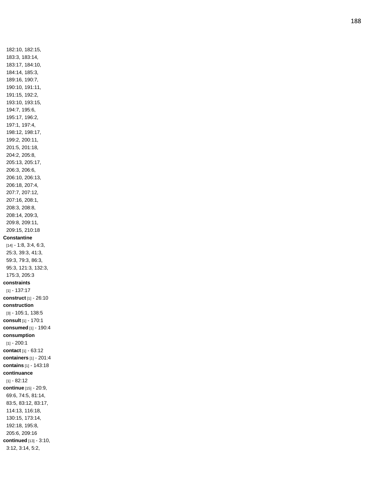182:10, 182:15, 183:3, 183:14, 183:17, 184:10, 184:14, 185:3, 189:16, 190:7, 190:10, 191:11, 191:15, 192:2, 193:10, 193:15, 194:7, 195:6, 195:17, 196:2, 197:1, 197:4, 198:12, 198:17, 199:2, 200:11, 201:5, 201:18, 204:2, 205:8, 205:13, 205:17, 206:3, 206:6, 206:10, 206:13, 206:18, 207:4, 207:7, 207:12, 207:16, 208:1, 208:3, 208:8, 208:14, 209:3, 209:8, 209:11, 209:15, 210:1 8 **Constantine** [14] - 1:8, 3:4, 6:3, 25:3, 39:3, 41:3, 59:3, 79:3, 86:3, 95:3, 121:3, 132:3, 175:3, 205:3 **constraints** [1] - 137:17 **construct** [1] - 26:10 **construction** [3] - 105:1, 138:5 **consult** [1] - 170:1 **consumed** [1] - 190:4 **consumption**  $[1] - 200:1$ **contact** [1] - 63:12 **containers** [1] - 201:4 **contains** [1] - 143:18 **continuance**  $[1] - 82:12$ **continue** [15] - 20:9, 69:6, 74:5, 81:14, 83:5, 83:12, 83:17, 114:13, 116:18, 130:15, 173:14, 192:18, 195:8, 205:6, 209:16 **continued** [13] - 3:10, 3:12, 3:14, 5:2,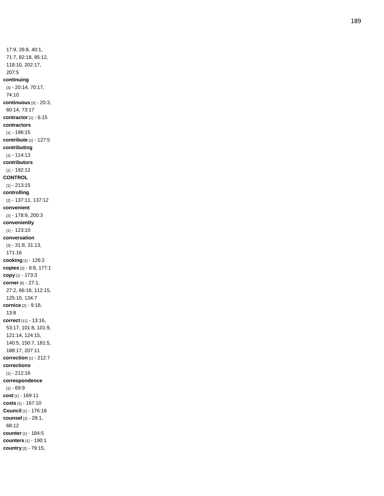17:9, 26:8, 40:1, 71:7, 82:18, 85:12, 118:10, 202:17, 207:5 **continuing** [3] - 20:14, 70:17, 74:10 **continuous** [3] - 20:3, 60:14, 73:17 **contractor** [1] - 6:15 **contractors** [1] - 196:15 **contribute** [1] - 127:5 **contributing** [1] - 114:13 **contributors** [1] - 192:12 **CONTROL** [1] - 213:15 **controlling** [2] - 137:11, 137:12 **convenient** [2] - 178:9, 200:3 **conveniently** [1] - 123:10 **conversation** [3] - 31:8, 31:13, 171:16 **cooking** [1] - 126:2 **copies** [2] - 8:8, 177:1 **copy** [1] - 173:3 **corner** [6] - 27:1, 27:2, 66:18, 112:15, 125:10, 134:7 **cornice** [2] - 9:18, 13:8 **correct** [11] - 13:16, 53:17, 101:8, 101:9, 121:14, 124:15, 140:5, 150:7, 181:5, 188:17, 207:11 **correction** [1] - 212:7 **corrections** [1] - 212:16 **correspondence** [1] - 69:9 **cost** [1] - 169:11 **costs** [1] - 167:10 **Council** [1] - 176:18 **counsel** [2] - 28:1, 68:12 **counter** [1] - 184:5 **counters** [1] - 190:1 **country** [2] - 79:15,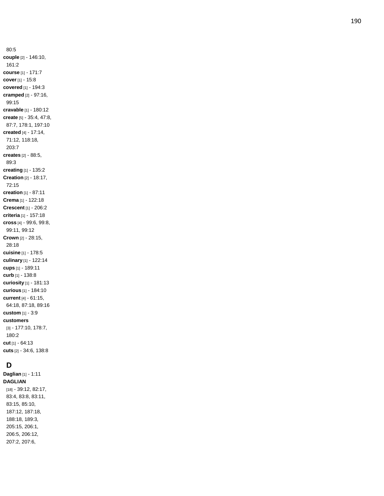80:5 **couple** [2] - 146:10, 161:2 **course** [1] - 171:7 **cover** [1] - 15:8 **covered** [1] - 194:3 **cramped** [2] - 97:16, 99:15 **cravable** [1] - 180:12 **create** [5] - 35:4, 47:8, 87:7, 178:1, 197:10 **created** [4] - 17:14, 71:12, 118:18, 203:7 **creates** [2] - 88:5, 89:3 **creating** [1] - 135:2 **Creation** [2] - 18:17, 72:15 **creation** [1] - 87:11 **Crema** [1] - 122:18 **Crescent** [1] - 206:2 **criteria** [1] - 157:18 **cross** [4] - 99:6, 99:8, 99:11, 99:12 **Crown** [2] - 28:15, 28:18 **cuisine** [1] - 178:5 **culinary** [1] - 122:14 **cups** [1] - 189:11 **curb** [1] - 138:8 **curiosity** [1] - 181:13 **curious** [1] - 184:10 **current** [4] - 61:15, 64:18, 87:18, 89:16 **custom** [1] - 3:9 **customers** [3] - 177:10, 178:7, 180:2 **cu t** [1] - 64:13 **cuts** [2] - 34:6, 138:8

# **D**

**Daglian** [1] - 1:11 **DAGLIAN** [18] - 39:12, 82:17, 83:4, 83:8, 83:11, 83:15, 85:10, 187:12, 187:18, 188:18, 189:3, 205:15, 206:1, 206:5, 206:12, 207:2, 207:6,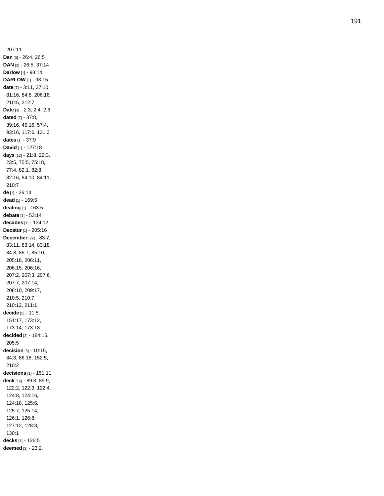207:11 **Dan** [3] - 26:4, 26:5 **DAN** [2] - 26:5, 37:14 **Darlow** [1] - 93:14 **DARLOW** [1] - 93:15 **date** [7] - 3:11, 37:10, 81:16, 84:8, 206:16, 210:5, 212:7 **Date** [3] - 2:3, 2:4, 2:6 **dated** [7] - 37:8, 39:16, 45:16, 57:4, 93:16, 117:6, 131:3 **dates** [1] - 37:9 **David** [1] - 127:18 **days** [12] - 21:8, 22:3, 23:5, 75:5, 75:18, 77:4, 82:1, 82:8, 82:16, 84:10, 84:11, 210:7 **de** [1] - 26:14 **dead** [1] - 169:5 **dealing** [1] - 163:5 **debate** [1] - 53:14 **decades** [1] - 134:12 **Decatur** [1] - 205:16 **December** [22] - 83:7, 83:11, 83:14, 83:18, 84:8, 85:7, 85:10, 205:18, 206:11, 206:15, 206:16, 207:2, 207:3, 207:6, 207:7, 207:14, 208:10, 209:17, 210:5, 210:7, 210:12, 211:1 **decide** [5] - 11:5, 151:17, 173:12, 173:14, 173:18 **decided** [2] - 184:15, 205:5 **decision** [5] - 10:15, 84:3, 86:18, 152:5, 210:2 **decisions** [1] - 151:11 **deck** [16] - 89:8, 89:9, 122:2, 122:3, 122:4, 124:8, 124:16, 124:18, 125:6, 125:7, 125:14, 126:1, 126:8, 127:12, 128:3, 130:1 **decks** [1] - 126:5 **deemed** [3] - 23:2,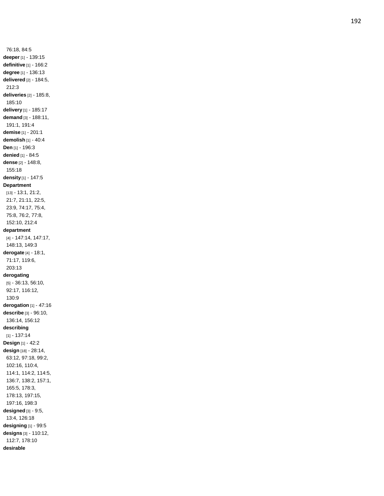76:18, 84:5 **deeper** [1] - 139:15 **definitive** [1] - 166:2 **degree** [1] - 136:13 **delivered** [2] - 184:5, 212:3 **deliveries** [2] - 185:8, 185:10 **delivery** [1] - 185:17 **demand** [3] - 188:11, 191:1, 191:4 **demise** [1] - 201:1 **demolish** [1] - 40:4 **Den** [1] - 196:3 **denied** [1] - 84:5 **dense** [2] - 148:8, 155:18 **density** [1] - 147:5 **Department** [13] - 13:1, 21:2, 21:7, 21:11, 22:5, 23:9, 74:17, 75:4, 75:8, 76:2, 77:8, 152:10, 212:4 **department** [4] - 147:14, 147:17, 148:13, 149:3 **derogate** [4] - 18:1, 71:17, 119:6, 203:13 **derogating** [5] - 36:13, 56:10, 92:17, 116:12, 130:9 **derogation** [1] - 47:16 **describe** [3] - 96:10, 136:14, 156:12 **describing** [1] - 137:14 **Design** [1] - 42:2 **design** [18] - 28:14, 63:12, 97:18, 99:2, 102:16, 110:4, 114:1, 114:2, 114:5, 136:7, 138:2, 157:1, 165:5, 178:3, 178:13, 197:15, 197:16, 198:3 **designed** [3] - 9:5, 13:4, 126:18 **designing** [1] - 99:5 **designs** [3] - 110:12, 112:7, 178:10 **desirable**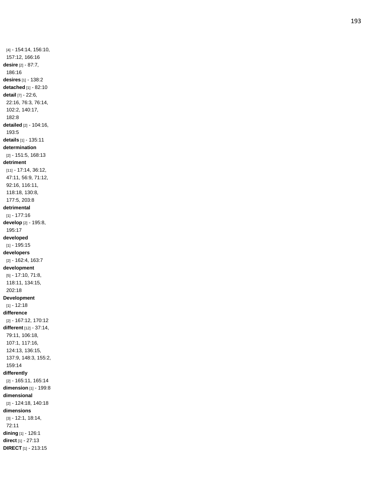[4] - 154:14, 156:10, 157:12, 166:16 **desire** [2] - 87:7, 186:16 **desires** [1] - 138:2 **detached** [1] - 82:10 **detail** [7] - 22:6, 22:16, 76:3, 76:14, 102:2, 140:17, 182:8 **detailed** [2] - 104:16, 193:5 **details** [1] - 135:11 **determination** [2] - 151:5, 168:13 **detriment** [11] - 17:14, 36:12, 47:11, 56:9, 71:12, 92:16, 116:11, 118:18, 130:8, 177:5, 203:8 **detrimental** [1] - 177:16 **develop** [2] - 195:8, 195:17 **developed** [1] - 195:15 **developers** [2] - 162:4, 163:7 **development** [5] - 17:10, 71:8, 118:11, 134:15, 202:18 **Development**  $[1] - 12:18$ **difference** [2] - 167:12, 170:12 **different** [12] - 37:14, 79:11, 106:18, 107:1, 117:16, 124:13, 136:15, 137:9, 148:3, 155:2, 159:14 **differently** [2] - 165:11, 165:14 **dimension** [1] - 199:8 **dimensional** [2] - 124:18, 140:18 **dimensions** [3] - 12:1, 18:14, 72:11 **dining** [1] - 126:1 **direct** [1] - 27:13 **DIRECT** [1] - 213:15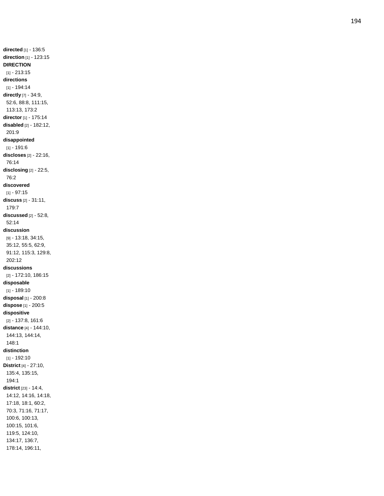**directed** [1] - 136:5 **direction** [1] - 123:15 **DIRECTION** [1] - 213:15 **directions** [1] - 194:14 **directly** [7] - 34:9, 52:6, 88:8, 111:15, 113:13, 173:2 **director** [1] - 175:14 **disabled** [2] - 182:12, 201:9 **disappointed** [1] - 191:6 **discloses** [2] - 22:16, 76:14 **disclosing** [2] - 22:5, 76:2 **discovered**  $[1] - 97:15$ **discuss** [2] - 31:11, 179:7 **discussed** [2] - 52:8, 52:14 **discussion** [9] - 13:18, 34:15, 35:12, 55:5, 62:9, 91:12, 115:3, 129:8, 202:12 **discussions** [2] - 172:10, 186:15 **disposable** [1] - 189:10 **disposal** [1] - 200:8 **dispose** [1] - 200:5 **dispositive** [2] - 137:8, 161:6 **distance** [4] - 144:10, 144:13, 144:14, 148:1 **distinction** [1] - 192:10 **District** [4] - 27:10, 135:4, 135:15, 194:1 **district** [23] - 14:4, 14:12, 14:16, 14:18, 17:18, 18:1, 60:2, 70:3, 71:16, 71:17, 100:6, 100:13, 100:15, 101:6, 119:5, 124:10, 134:17, 136:7, 178:14, 196:11,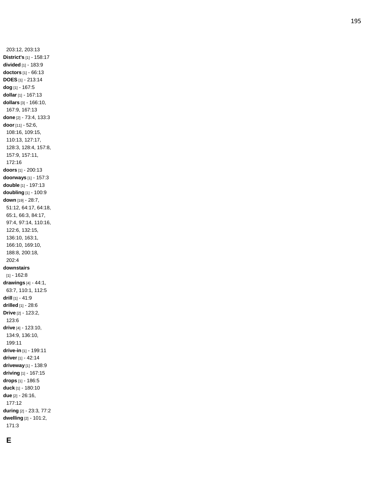203:12, 203:13 **District's** [1] - 158:17 **divided** [1] - 183:9 **doctors** [1] - 66:13 **DOES** [1] - 213:14 **dog** [1] - 167:5 **dollar** [1] - 167:13 **dollars** [3] - 166:10, 167:9, 167:13 **done** [2] - 73:4, 133:3 **door** [11] - 52:6, 108:16, 109:15, 110:13, 127:17, 128:3, 128:4, 157:8, 157:9, 157:11, 172:16 **doors** [1] - 200:13 **doorways** [1] - 157:3 **double** [1] - 197:13 **doubling** [1] - 100:9 **down** [19] - 28:7, 51:12, 64:17, 64:18, 65:1, 66:3, 84:17, 97:4, 97:14, 110:16, 122:6, 132:15, 136:10, 163:1, 166:10, 169:10, 188:8, 200:18, 202:4 **downstairs**  $[1] - 162:8$ **drawings** [4] - 44:1, 63:7, 110:1, 112:5 **drill** [1] - 41:9 **drilled** [1] - 28:6 **Drive** [2] - 123:2, 123:6 **drive** [4] - 123:10, 134:9, 136:10, 199:11 **drive -in** [1] - 199:11 **driver** [1] - 42:14 **driveway** [1] - 138:9 **driving** [1] - 167:15 **drops** [1] - 186:5 **duck** [1] - 180:10 **due** [2] - 26:16, 177:12 **during** [2] - 23:3, 77:2 **dwelling** [2] - 101:2, 171:3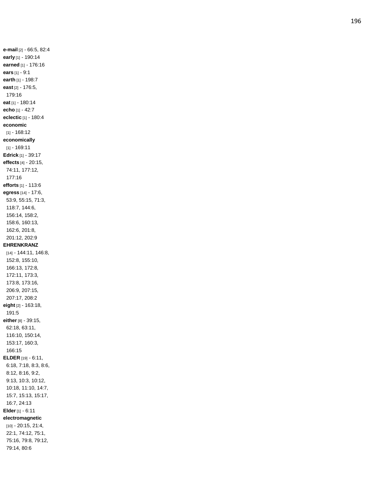**e -mail** [2] - 66:5, 82:4 **early** [1] - 190:14 **earned** [1] - 176:16 **ears** [1] - 9:1 **earth** [1] - 198:7 **east** [2] - 176:5, 179:16 **eat** [1] - 180:14 **echo** [1] - 42:7 **eclectic** [1] - 180:4 **economic** [1] - 168:12 **economically** [1] - 169:11 **Edrick** [1] - 39:17 **effects** [4] - 20:15, 74:11, 177:12, 177:16 **efforts** [1] - 113:6 **egress** [14] - 17:6, 53:9, 55:15, 71:3, 118:7, 144:6, 156:14, 158:2, 158:6, 160:13, 162:6, 201:8, 201:12, 202:9 **EHRENKRANZ** [14] - 144:11, 146:8, 152:8, 155:10, 166:13, 172:8, 172:11, 173:3, 173:8, 173:16, 206:9, 207:15, 207:17, 208:2 **eight** [2] - 163:18, 191:5 **either** [8] - 39:15, 62:18, 63:11, 116:10, 150:14, 153:17, 160:3, 166:15 **ELDER** [19] - 6:11, 6:18, 7:18, 8:3, 8:6, 8:12, 8:16, 9:2, 9:13, 10:3, 10:12, 10:18, 11:10, 14:7, 15:7, 15:13, 15:17, 16:7, 24:13 **Elder** [1] - 6:11 **electromagnetic** [10] - 20:15, 21:4, 22:1, 74:12, 75:1, 75:16, 79:8, 79:12, 79:14, 80:6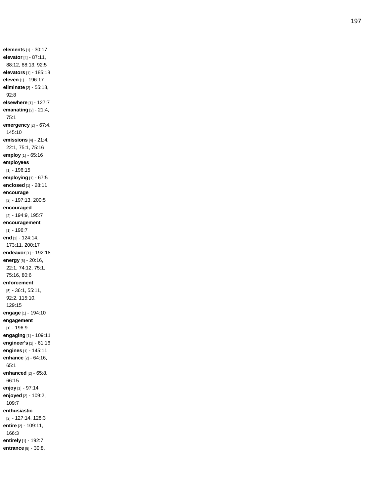**elements** [1] - 30:17 **elevator** [4] - 87:11, 88:12, 88:13, 92:5 **elevators** [1] - 185:18 **eleven** [1] - 196:17 **eliminate** [2] - 55:18, 92:8 **elsewhere** [1] - 127:7 **emanating** [2] - 21:4, 75:1 **emergency** [2] - 67:4, 145:10 **emissions** [4] - 21:4, 22:1, 75:1, 75:16 **employ** [1] - 65:16 **employees** [1] - 196:15 **employing** [1] - 67:5 **enclosed** [1] - 28:11 **encourage** [2] - 197:13, 200:5 **encouraged** [2] - 194:9, 195:7 **encouragement**  $[1] - 196:7$ **end** [3] - 124:14, 173:11, 200:17 **endeavor** [1] - 192:18 **energy** [6] - 20:16, 22:1, 74:12, 75:1, 75:16, 80:6 **enforcement** [5] - 36:1, 55:11, 92:2, 115:10, 129:15 **engage** [1] - 194:10 **engagement** [1] - 196:9 **engaging** [1] - 109:11 **engineer's** [1] - 61:16 **engines** [1] - 145:11 **enhance** [2] - 64:16, 65:1 **enhanced** [2] - 65:8, 66:15 **enjoy** [1] - 97:14 **enjoyed** [2] - 109:2, 109:7 **enthusiastic** [2] - 127:14, 128:3 **entire** [2] - 109:11, 166:3 **entirely** [1] - 192:7 **entrance** [8] - 30:8,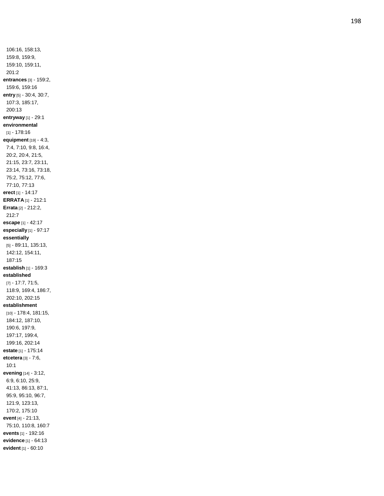106:16, 158:13, 159:8, 159:9, 159:10, 159:11, 201:2 **entrances** [3] - 159:2, 159:6, 159:16 **entry** [5] - 30:4, 30:7, 107:3, 185:17, 200:13 **entryway** [1] - 29:1 **environmental** [1] - 178:16 **equipment** [19] - 4:3, 7:4, 7:10, 9:8, 16:4, 20:2, 20:4, 21:5, 21:15, 23:7, 23:11, 23:14, 73:16, 73:18, 75:2, 75:12, 77:6, 77:10, 77:13 **erect** [1] - 14:17 **ERRATA** [1] - 212:1 **Errata** [2] - 212:2, 212:7 **escape** [1] - 42:17 **especially** [1] - 97:17 **essentially** [5] - 89:11, 135:13, 142:12, 154:11, 187:15 **establish** [1] - 169:3 **established** [7] - 17:7, 71:5, 118:9, 169:4, 186:7, 202:10, 202:15 **establishment** [10] - 178:4, 181:15, 184:12, 187:10, 190:6, 197:9, 197:17, 199:4, 199:16, 202:14 **estate** [1] - 175:14 **etcetera** [3] - 7:6, 10:1 **evening** [14] - 3:12, 6:9, 6:10, 25:9, 41:13, 86:13, 87:1, 95:9, 95:10, 96:7, 121:9, 123:13, 170:2, 175:10 **event** [4] - 21:13, 75:10, 110:8, 160:7 **events** [1] - 192:16 **evidence** [1] - 64:13 **evident** [1] - 60:10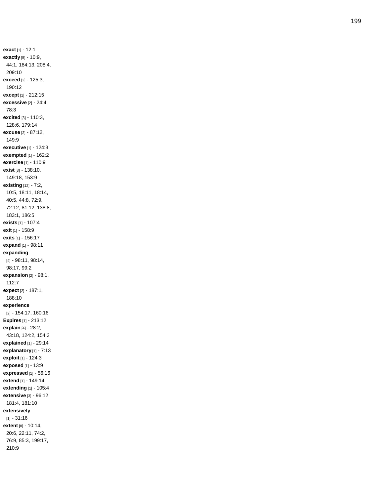**exact** [1] - 12:1 **exactly** [5] - 10:9, 44:1, 184:13, 208:4, 209:10 **exceed** [2] - 125:3, 190:12 **except** [1] - 212:15 **excessive** [2] - 24:4, 78:3 **excited** [3] - 110:3, 128:6, 179:14 **excuse** [2] - 87:12, 149:9 **executive** [1] - 124:3 **exempted** [1] - 162:2 **exercise** [1] - 110:9 **exist** [3] - 138:10, 149:18, 153:9 **existing** [12] - 7:2, 10:5, 18:11, 18:14, 40:5, 44:8, 72:9, 72:12, 81:12, 138:8, 183:1, 186:5 **exists** [1] - 107:4 **exit** [1] - 158:9 **exits** [1] - 156:17 **expand** [1] - 98:11 **expanding** [4] - 98:11, 98:14, 98:17, 99:2 **expansion** [2] - 98:1, 112:7 **expect** [2] - 187:1, 188:10 **experience** [2] - 154:17, 160:16 **Expires** [1] - 213:12 **explain** [4] - 28:2, 43:18, 124:2, 154:3 **explained** [1] - 29:14 **explanatory** [1] - 7:13 **exploit** [1] - 124:3 **exposed** [1] - 13:9 **expressed** [1] - 56:16 **extend** [1] - 149:14 **extending** [1] - 105:4 **extensive** [3] - 96:12, 181:4, 181:10 **extensively**  $[1] - 31:16$ **extent** [8] - 10:14, 20:6, 22:11, 74:2, 76:9, 85:3, 199:17, 210:9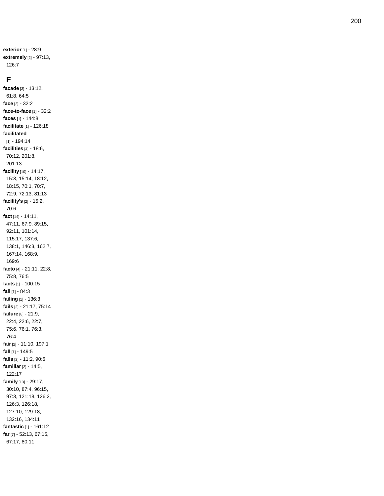**exterior** [1] - 28:9 **extremely** [2] - 97:13, 126:7

#### **F**

**facade** [3] - 13:12, 61:8, 64:5 **face** [2] - 32:2 **face -to -face** [1] - 32:2 **faces** [1] - 144:8 **facilitate** [1] - 126:18 **facilitated** [1] - 194:14 **facilities** [4] - 18:6, 70:12, 201:8, 201:13 **facility** [10] - 14:17, 15:3, 15:14, 18:12, 18:15, 70:1, 70:7, 72:9, 72:13, 81:13 **facility's** [2] - 15:2, 70:6 **fact** [14] - 14:11, 47:11, 67:9, 89:15, 92:11, 101:14, 115:17, 137:6, 138:1, 146:3, 162:7, 167:14, 168:9, 169:6 **facto** [4] - 21:11, 22:8, 75:8, 76:5 **facts** [1] - 100:15 **fail** [1] - 84:3 **failing** [1] - 136:3 **fails** [2] - 21:17, 75:14 **failure** [8] - 21:9, 22:4, 22:6, 22:7, 75:6, 76:1, 76:3, 76:4 **fair** [2] - 11:10, 197:1 **fall** [1] - 149:5 **falls** [2] - 11:2, 90:6 **familiar** [2] - 14:5, 122:17 **family** [13] - 29:17, 30:10, 87:4, 96:15, 97:3, 121:18, 126:2, 126:3, 126:18, 127:10, 129:18, 132:16, 134:11 **fantastic** [1] - 161:12 **far** [7] - 52:13, 67:15, 67:17, 80:11,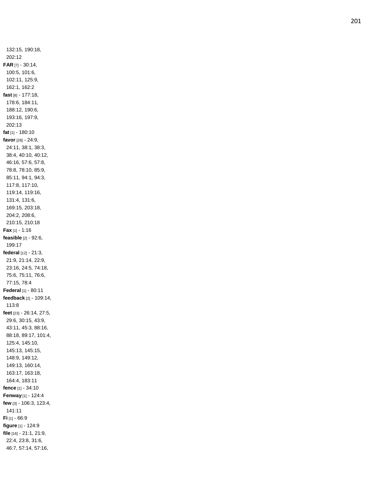132:15, 190:18, 202:12 **FAR** [7] - 30:14, 100:5, 101:6, 102:11, 125:9, 162:1, 162:2 **fast** [8] - 177:18, 178:6, 184:11, 188:12, 190:6, 193:16, 197:9, 202:13 **fat** [1] - 180:10 **favor** [28] - 24:9, 24:11, 38:1, 38:3, 38:4, 40:10, 40:12, 46:16, 57:6, 57:8, 78:8, 78:10, 85:9, 85:11, 94:1, 94:3, 117:8, 117:10, 119:14, 119:16, 131:4, 131:6, 169:15, 203:18, 204:2, 208:6, 210:15, 210:18 **Fax** [1] - 1:16 **feasible** [2] - 92:6, 199:17 **federal** [12] - 21:3, 21:9, 21:14, 22:9, 23:16, 24:5, 74:18, 75:6, 75:11, 76:6, 77:15, 78:4 **Federal** [1] - 80:11 **feedback** [2] - 109:14, 113:8 **feet** [23] - 26:14, 27:5, 29:6, 30:15, 43:9, 43:11, 45:3, 88:16, 88:18, 89:17, 101:4, 125:4, 145:10, 145:13, 145:15, 148:9, 149:12, 149:13, 160:14, 163:17, 163:18, 164:4, 183:11 **fenc e** [1] - 34:10 **Fenway** [1] - 124:4 **few** [3] - 106:3, 123:4, 141:11 **Fi** [1] - 66:9 **figure** [1] - 124:9 **file** [16] - 21:1, 21:9, 22:4, 23:8, 31:6, 46:7, 57:14, 57:16,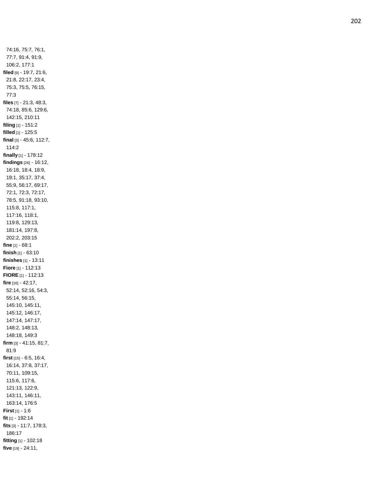74:16, 75:7, 76:1, 77:7, 91:4, 91:9, 106:2, 177:1 **filed** [9] - 19:7, 21:6, 21:8, 22:17, 23:4, 75:3, 75:5, 76:15, 77:3 **files** [7] - 21:3, 48:3, 74:18, 85:6, 129:6, 142:15, 210:11 **filing** [1] - 151:2 **filled** [1] - 125:5 **final** [3] - 45:6, 112:7, 114:2 **finally** [1] - 178:12 **findings** [26] - 16:12, 16:18, 18:4, 18:9, 19:1, 35:17, 37:4, 55:9, 56:17, 69:17, 72:1, 72:3, 72:17, 78:5, 91:18, 93:10, 115:8, 117:1, 117:16, 118:1, 119:8, 129:13, 181:14, 197:8, 202:2, 203:15 **fine** [1] - 68:1 **finish** [1] - 63:10 **finishes** [1] - 13:11 **Fiore** [1] - 112:13 **FIORE** [1] - 112:13 **fire** [16] - 42:17, 52:14, 52:16, 54:3, 55:14, 56:15, 145:10, 145:11, 145:12, 146:17, 147:14, 147:17, 148:2, 148:13, 148:18, 149:3 **firm** [3] - 41:15, 81:7, 81:9 **first** [15] - 6:5, 16:4, 16:14, 37:8, 37:17, 70:11, 109:15, 115:6, 117:6, 121:13, 122:9, 143:11, 146:11, 163:14, 176:5 **First** [1] - 1:6 **fit** [1] - 192:14 **fits** [3] - 11:7, 178:3, 186:17 **fitting** [1] - 102:18 **five** [19] - 24:11,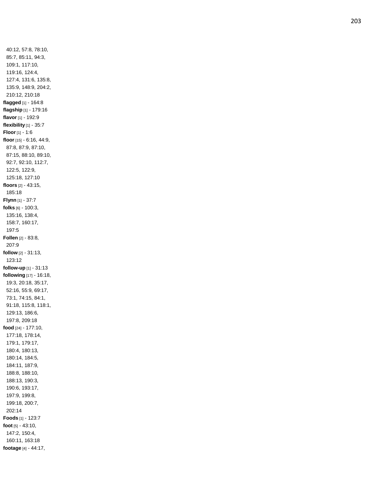40:12, 57:8, 78:10, 85:7, 85:11, 94:3, 109:1, 117:10, 119:16, 124:4, 127:4, 131:6, 135:8, 135:9, 148:9, 204:2, 210:12, 210:18 **flagged** [1] - 164:8 **flagship** [1] - 179:16 **flavor** [1] - 192:9 **flexibility** [1] - 35:7 **Floor** [1] - 1:6 **floor** [15] - 6:16, 44:9, 87:8, 87:9, 87:10, 87:15, 88:10, 89:10, 92:7, 92:10, 112:7, 122:5, 122:9, 125:18, 127:10 **floors** [2] - 43:15, 185:18 **Flynn** [1] - 37:7 **folks** [6] - 100:3, 135:16, 138:4, 158:7, 160:17, 197:5 **Follen** [2] - 83:8, 207:9 **follow** [2] - 31:13, 123:12 **follow -up** [1] - 31:13 **following** [17] - 16:18, 19:3, 20:18, 35:17, 52:16, 55:9, 69:17, 73:1, 74:15, 84:1, 91:18, 115:8, 118:1, 129:13, 186:6, 197:8, 209:18 **food** [24] - 177:10, 177:18, 178:14, 179:1, 179:17, 180:4, 180:13, 180:14, 184:5, 184:11, 187:9, 188:8, 188:10, 188:13, 190:3, 190:6, 193:17, 197:9, 199:8, 199:18, 200:7, 202:14 **Foods** [1] - 123:7 **foot** [5] - 43:10, 147:2, 150:4, 160:11, 163:18 **footage** [4] - 44:17,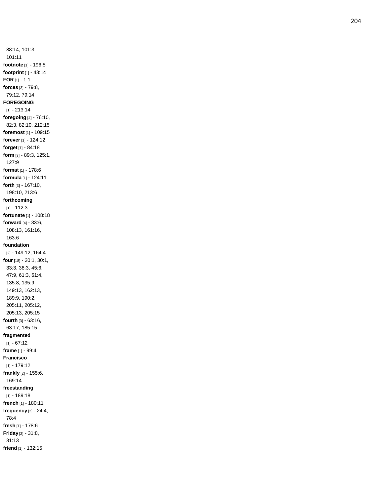88:14, 101:3, 101:11 **footnote** [1] - 196:5 **footprint** [1] - 43:14 **FOR** [1] - 1:1 **forces** [3] - 79:8, 79:12, 79:14 **FOREGOING** [1] - 213:14 **foregoing** [4] - 76:10, 82:3, 82:10, 212:15 **foremost** [1] - 109:15 **forever** [1] - 124:12 **forget** [1] - 84:18 **form** [3] - 89:3, 125:1, 127:9 **format** [1] - 178:6 **formula** [1] - 124:11 **forth** [3] - 167:10, 198:10, 213:6 **forthcoming**  $[1] - 112:3$ **fortunate** [1] - 108:18 **forward** [4] - 33:6, 108:13, 161:16, 163:6 **foundation** [2] - 149:12, 164:4 **four** [18] - 20:1, 30:1, 33:3, 38:3, 45:6, 47:9, 61:3, 61:4, 135:8, 135:9, 149:13, 162:13, 189:9, 190:2, 205:11, 205:12, 205:13, 205:15 **fourth** [3] - 63:16, 63:17, 185:15 **fragmented**  $[1] - 67:12$ **frame** [1] - 99:4 **Francisco** [1] - 179:12 **frankly** [2] - 155:6, 169:14 **freestanding** [1] - 189:18 **french** [1] - 180:11 **frequency** [2] - 24:4, 78:4 **fresh** [1] - 178:6 **Friday** [2] - 31:8, 31:13 **friend** [1] - 132:15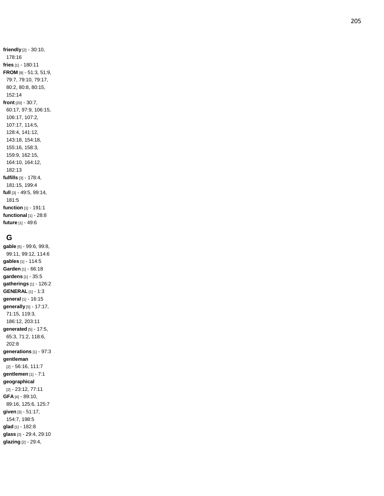**friendly** [2] - 30:10, 178:16 **fries** [1] - 180:11 **FROM** [9] - 51:3, 51:9, 79:7, 79:10, 79:17, 80:2, 80:8, 80:15, 152:14 **front** [20] - 30:7, 60:17, 97:9, 106:15, 106:17, 107:2, 107:17, 114:5, 128:4, 141:12, 143:18, 154:18, 155:16, 158:3, 159:9, 162:15, 164:10, 164:12, 182:13 **fulfills** [3] - 178:4, 181:15, 199:4 **full** [3] - 49:5, 99:14, 181:5 **function** [1] - 191:1 **functional** [1] - 28:8 **future** [1] - 49:6

### **G**

**gable** [5] - 99:6, 99:8, 99:11, 99:12, 114:6 **gables** [1] - 114:5 **Garden** [1] - 66:18 **gardens** [1] - 35:5 **gatherings** [1] - 126:2 **GENERAL** [1] - 1:3 **general** [1] - 16:15 **generally** [5] - 17:17, 71:15, 119:3, 186:12, 203:11 **generated** [5] - 17:5, 65:3, 71:2, 118:6, 202:8 **generations** [1] - 97:3 **gentleman** [2] - 56:16, 111:7 **gentlemen** [1] - 7:1 **geographical** [2] - 23:12, 77:11 **GFA** [4] - 89:10, 89:16, 125:6, 125:7 **given** [3] - 51:17, 154:7, 198:5 **glad** [1] - 182:8 **glass** [2] - 29:4, 29:10 **glazing** [2] - 29:4,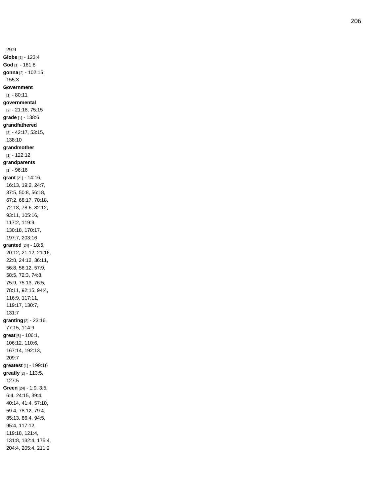29:9 **Globe** [1] - 123:4 **God** [1] - 161:8 **gonna** [2] - 102:15, 155:3 **Government**  $[1] - 80:11$ **governmental** [2] - 21:18, 75:15 **grade** [1] - 138:6 **grandfathered** [3] - 42:17, 53:15, 138:10 **grandmother** [1] - 122:12 **grandparents**  $[1] - 96:16$ **grant** [21] - 14:16, 16:13, 19:2, 24:7, 37:5, 50:8, 56:18, 67:2, 68:17, 70:18, 72:18, 78:6, 82:12, 93:11, 105:16, 117:2, 119:9, 130:18, 170:17, 197:7, 203:16 **granted** [24] - 18:5, 20:12, 21:12, 21:16, 22:8, 24:12, 36:11, 56:8, 56:12, 57:9, 58:5, 72:3, 74:8, 75:9, 75:13, 76:5, 78:11, 92:15, 94:4, 116:9, 117:11, 119:17, 130:7, 131:7 **granting** [3] - 23:16, 77:15, 114:9 **great** [6] - 106:1, 106:12, 110:6, 167:14, 192:13, 209:7 **greatest** [1] - 199:16 **greatly** [2] - 113:5, 127:5 **Green** [24] - 1:9, 3:5, 6:4, 24:15, 39:4, 40:14, 41:4, 57:10, 59:4, 78:12, 79:4, 85:13, 86:4, 94:5, 95:4, 117:12, 119:18, 121:4, 131:8, 132:4, 175:4, 204:4, 205:4, 211:2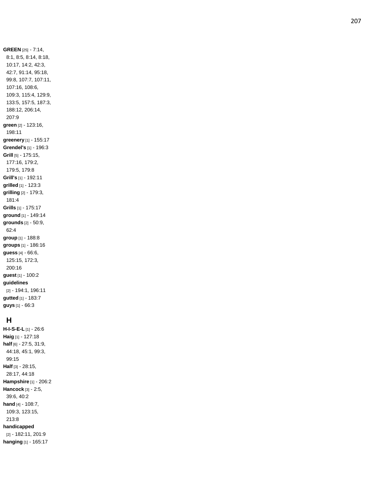**GREEN** [25] - 7:14, 8:1, 8:5, 8:14, 8:18, 10:17, 14:2, 42:3, 42:7, 91:14, 95:18, 99:8, 107:7, 107:11, 107:16, 108:6, 109:3, 115:4, 129:9, 133:5, 157:5, 187:3, 188:12, 206:14, 207:9 **green** [2] - 123:16, 198:11 **greenery** [1] - 155:17 **Grendel's** [1] - 196:3 **Grill** [5] - 175:15, 177:16, 179:2, 179:5, 179:8 **Grill's** [1] - 192:11 **grilled** [1] - 123:3 **grilling** [2] - 179:3, 181:4 **Grills** [1] - 175:17 **ground** [1] - 149:14 **grounds** [2] - 50:9, 62:4 **group** [1] - 188:8 **groups** [1] - 186:16 **guess** [4] - 66:6, 125:15, 172:3, 200:16 **guest** [1] - 100:2 **guidelines** [2] - 194:1, 196:11 **gutted** [1] - 183:7 **guys** [1] - 66:3

### **H**

**H - I - S - E - L** [1] - 26:6 **Haig** [1] - 127:18 **half** [6] - 27:5, 31:9, 44:18, 45:1, 99:3, 99:15 **Half** [3] - 28:15, 28:17, 44:18 **Hampshire** [1] - 206:2 **Hancock** [3] - 2:5, 39:6, 40:2 **hand** [4] - 108:7, 109:3, 123:15, 213:8 **handicapped** [2] - 182:11, 201:9 **hanging** [1] - 165:17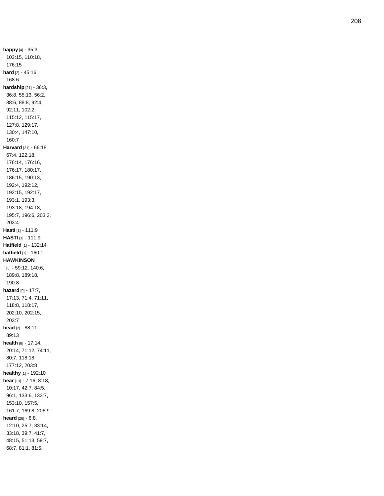**happy** [4] - 35:3, 103:15, 110:18, 176:15 **hard** [2] - 45:16, 168:6 **hardship** [21] - 36:3, 36:8, 55:13, 56:2, 88:6, 88:8, 92:4, 92:11, 102:2, 115:12, 115:17, 127:8, 129:17, 130:4, 147:10, 160:7 **Harvard** [21] - 66:18, 67:4, 122:18, 176:14, 176:16, 176:17, 180:17, 186:15, 190:13, 192:4, 192:12, 192:15, 192:17, 193:1, 193:3, 193:18, 194:18, 195:7, 196:6, 203:3, 203:4 **Hasti** [1] - 111:9 **HASTI** [1] - 111:9 **Hatfield** [1] - 132:14 **hatfield** [1] - 160:1 **HAWKINSON** [5] - 59:12, 140:6, 189:8, 189:18, 190:8 **hazard** [9] - 17:7, 17:13, 71:4, 71:11, 118:8, 118:17, 202:10, 202:15, 203:7 **head** [2] - 88:11, 89:13 **health** [8] - 17:14, 20:14, 71:12, 74:11, 80:7, 118:18, 177:12, 203:8 **healthy** [1] - 192:10 **hear** [13] - 7:16, 8:18, 10:17, 42:7, 84:5, 96:1, 133:6, 133:7, 153:10, 157:5, 161:7, 169:8, 206:9 **heard** [28] - 6:8, 12:10, 25:7, 33:14, 33:18, 39:7, 41:7, 48:15, 51:13, 59:7, 68:7, 81:1, 81:5,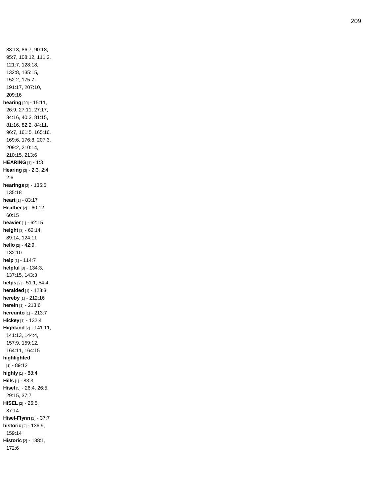83:13, 86:7, 90:18, 95:7, 108:12, 111:2, 121:7, 128:18, 132:8, 135:15, 152:2, 175:7, 191:17, 207:10, 209:16 **hearing** [20] - 15:11, 26:9, 27:11, 27:17, 34:16, 40:3, 81:15, 81:16, 82:2, 84:11, 96:7, 161:5, 165:16, 169:6, 176:8, 207:3, 209:2, 210:14, 210:15, 213:6 **HEARING** [1] - 1:3 **Hearing** [3] - 2:3, 2:4, 2:6 **hearings** [2] - 135:5, 135:18 **heart** [1] - 83:17 **Heather** [2] - 60:12, 60:15 **heavier** [1] - 62:15 **height** [3] - 62:14, 89:14, 124:11 **hello** [2] - 42:9, 132:10 **help** [1] - 114:7 **helpful** [3] - 134:3, 137:15, 143:3 **helps** [2] - 51:1, 54:4 **heralded** [1] - 123:3 **hereby** [1] - 212:16 **herein** [1] - 213:6 **hereunto** [1] - 213:7 **Hickey** [1] - 132:4 **Highland** [7] - 141:11, 141:13, 144:4, 157:9, 159:12, 164:11, 164:15 **highlighted** [1] - 89:12 **highly** [1] - 88:4 **Hills** [1] - 83:3 **Hisel** [5] - 26:4, 26:5, 29:15, 37:7 **HISEL** [2] - 26:5, 37:14 **Hisel -Flynn** [1] - 37:7 **historic** [2] - 136:9, 159:14 **Historic** [2] - 138:1, 172:6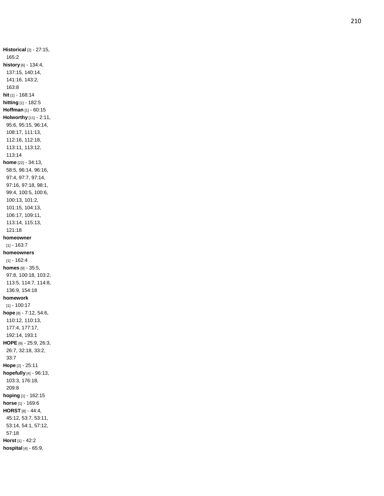**Historical** [2] - 27:15, 165:2 **history** [6] - 134:4, 137:15, 140:14, 141:16, 143:2, 163:8 **hit** [1] - 168:14 **hitting** [1] - 182:5 **Hoffman** [1] - 60:15 **Holworthy** [11] - 2:11, 95:6, 95:15, 96:14, 108:17, 111:13, 112:16, 112:18, 113:11, 113:12, 113:14 **home** [22] - 34:13, 58:5, 96:14, 96:16, 97:4, 97:7, 97:14, 97:16, 97:18, 98:1, 99:4, 100:5, 100:6, 100:13, 101:2, 101:15, 104:13, 106:17, 109:11, 113:14, 115:13, 121:18 **homeowner**  $[1] - 163:7$ **homeowners**  $[1] - 162:4$ **homes** [9] - 35:5, 97:8, 100:18, 103:2, 113:5, 114:7, 114:8, 136:9, 154:18 **homework** [1] - 100:17 **hope** [8] - 7:12, 54:6, 110:12, 110:13, 177:4, 177:17, 192:14, 193:1 **HOPE** [6] - 25:9, 26:3, 26:7, 32:18, 33:2, 33:7 **Hope** [2] - 25:11 **hopefully** [4] - 96:13, 103:3, 176:18, 209:8 **hoping** [1] - 162:15 **horse** [1] - 169:6 **HORST** [8] - 44:4, 45:12, 53:7, 53:11, 53:14, 54:1, 57:12, 57:18 **Horst** [1] - 42:2 **hospital** [4] - 65:9,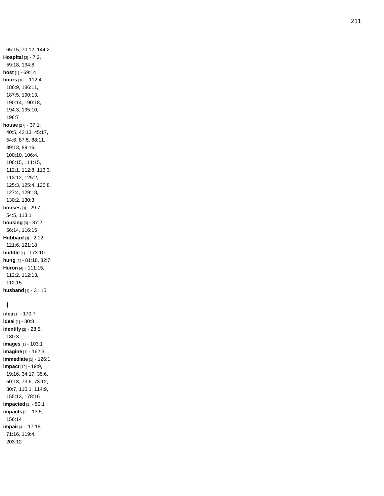65:15, 70:12, 144:2 **Hospital** [3] - 7:2, 59:18, 134:8 **host** [1] - 69:14 **hours** [10] - 112:4, 186:9, 186:11, 187:5, 190:13, 190:14, 190:18, 194:3, 195:10, 196:7 **house** [27] - 37:1, 40:5, 42:13, 45:17, 54:6, 87:5, 88:11, 89:13, 89:16, 100:10, 106:4, 106:15, 111:15, 112:1, 112:8, 113:3, 113:12, 125:2, 125:3, 125:4, 125:8, 127:4, 129:18, 130:2, 130:3 **houses** [3] - 29:7, 54:5, 113:1 **housing** [3] - 37:2, 56:14, 116:15 **Hubbard** [3] - 2:12, 121:6, 121:18 **huddle** [1] - 173:10 **hung** [2] - 81:18, 82:7 **Huron** [4] - 111:15, 112:2, 112:13, 112:15 **husband** [1] - 31:15

## **I**

**idea** [1] - 170:7 **ideal** [1] - 30:8 **identify** [2] - 28:5, 180:3 **images** [1] - 103:1 **imagine** [1] - 162:3 **immediate** [1] - 126:1 **impact** [12] - 19:9, 19:16, 34:17, 35:6, 50:18, 73:6, 73:12, 80:7, 110:1, 114:9, 155:13, 178:16 **impacted** [1] - 50:1 **impacts** [2] - 13:5, 156:14 **impair** [4] - 17:18, 71:16, 119:4, 203:12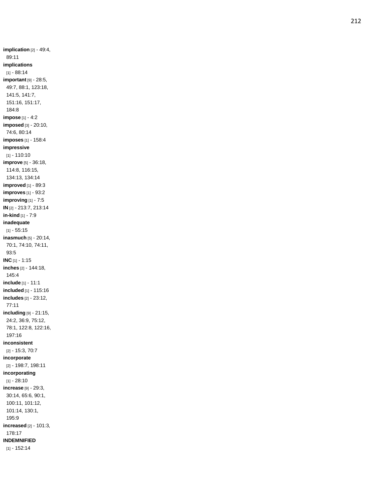**implication** [2] - 49:4, 89:11 **implications**  $[1] - 88.14$ **important** [9] - 28:5, 49:7, 88:1, 123:18, 141:5, 141:7, 151:16, 151:17, 184:8 **impose** [1] - 4:2 **imposed** [3] - 20:10, 74:6, 80:14 **imposes** [1] - 158:4 **impressive** [1] - 110:10 **improve** [5] - 36:18, 114:8, 116:15, 134:13, 134:14 **improved** [1] - 89:3 **improves** [1] - 93:2 **improving** [1] - 7:5 **IN** [2] - 213:7, 213:14 **in -kind** [1] - 7:9 **inadequate**  $[1] - 55.15$ **inasmuch** [5] - 20:14, 70:1, 74:10, 74:11, 93:5 **INC** [1] - 1:15 **inches** [2] - 144:18, 145:4 **include** [1] - 11:1 **included** [1] - 115:16 **includes** [2] - 23:12, 77:11 **including** [9] - 21:15, 24:2, 36:9, 75:12, 78:1, 122:8, 122:16, 197:16 **inconsistent** [2] - 15:3, 70:7 **incorporate** [2] - 198:7, 198:11 **incorporating**  $[1] - 28:10$ **increase** [9] - 29:3, 30:14, 65:6, 90:1, 100:11, 101:12, 101:14, 130:1, 195:9 **increased** [2] - 101:3, 178:17 **INDEMNIFIED** [1] - 152:14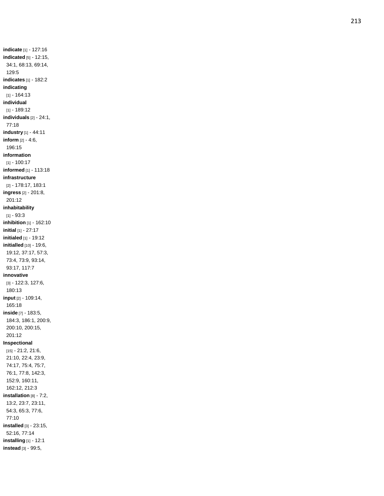**indicate** [1] - 127:16 **indicated** [5] - 12:15, 34:1, 68:13, 69:14, 129:5 **indicates** [1] - 182:2 **indicating** [1] - 164:13 **individual** [1] - 189:12 **individuals** [2] - 24:1, 77:18 **industry** [1] - 44:11 **inform** [2] - 4:6, 196:15 **information** [1] - 100:17 **informed** [1] - 113:18 **infrastructure** [2] - 178:17, 183:1 **ingress** [2] - 201:8, 201:12 **inhabitability** [1] - 93:3 **inhibition** [1] - 162:10 **initial** [1] - 27:17 **initialed** [1] - 19:12 **initialled** [10] - 19:6, 19:12, 37:17, 57:3, 73:4, 73:9, 93:14, 93:17, 117:7 **innovative** [3] - 122:3, 127:6, 180:13 **input** [2] - 109:14, 165:18 **inside** [7] - 183:5, 184:3, 186:1, 200:9, 200:10, 200:15, 201:12 **Inspectional** [15] - 21:2, 21:6, 21:10, 22:4, 23:9, 74:17, 75:4, 75:7, 76:1, 77:8, 142:3, 152:9, 160:11, 162:12, 212:3 **installation** [8] - 7:2, 13:2, 23:7, 23:11, 54:3, 65:3, 77:6, 77:10 **installed** [3] - 23:15, 52:16, 77:14 **installing** [1] - 12:1 **instead** [3] - 99:5,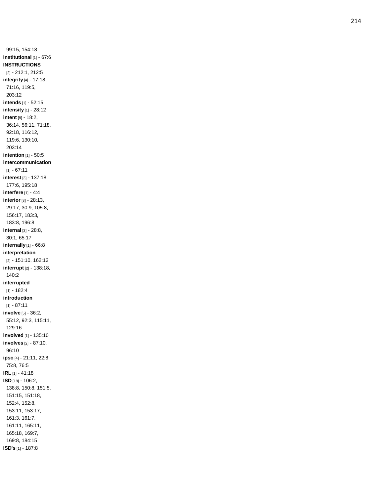99:15, 154:1 8 **institutional** [1] - 67:6 **INSTRUCTIONS** [2] - 212:1, 212:5 **integrity** [4] - 17:18, 71:16, 119:5, 203:12 **intends** [1] - 52:15 **intensity** [1] - 28:12 **intent** [9] - 18:2, 36:14, 56:11, 71:18, 92:18, 116:12, 119:6, 130:10, 203:14 **intention** [1] - 50:5 **intercommunication**  $[1] - 67:11$ **interest** [3] - 137:18, 177:6, 195:18 **interfere** [1] - 4:4 **interior** [8] - 28:13, 29:17, 30:9, 105:8, 156:17, 183:3, 183:8, 196:8 **internal** [3] - 28:8, 30:1, 65:17 **internally** [1] - 66:8 **interpretation** [2] - 151:10, 162:12 **interrupt** [2] - 138:18, 140:2 **interrupted** [1] - 182:4 **introduction**  $[1] - 87:11$ **involve** [5] - 36:2, 55:12, 92:3, 115:11, 129:16 **involved** [1] - 135:10 **involves** [2] - 87:10, 96:10 **ipso** [4] - 21:11, 22:8, 75:8, 76:5 **IRL** [1] - 41:18 **ISD** [18] - 106:2, 138:8, 150:8, 151:5, 151:15, 151:18, 152:4, 152:8, 153:11, 153:17, 161:3, 161:7, 161:11, 165:11, 165:18, 169:7, 169:8, 184:15 **ISD's** [1] - 187:8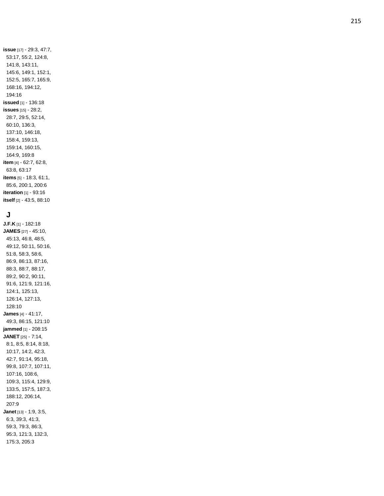**issue** [17] - 29:3, 47:7, 53:17, 55:2, 124:8, 141:8, 143:11, 145:6, 149:1, 152:1, 152:5, 165:7, 165:9, 168:16, 194:12, 194:16 **issued** [1] - 136:18 **issues** [15] - 28:2, 28:7, 29:5, 52:14, 60:10, 136:3, 137:10, 146:18, 158:4, 159:13, 159:14, 160:15, 164:9, 169:8 **item** [4] - 62:7, 62:8, 63:8, 63:17 **items** [5] - 18:3, 61:1, 85:6, 200:1, 200:6 **iteration** [1] - 93:16 **itself** [2] - 43:5, 88:10

### **J**

**J.F.K** [1] - 182:18 **JAMES** [27] - 45:10, 45:13, 46:8, 48:5, 49:12, 50:11, 50:16, 51:8, 58:3, 58:6, 86:9, 86:13, 87:16, 88:3, 88:7, 88:17, 89:2, 90:2, 90:11, 91:6, 121:9, 121:16, 124:1, 125:13, 126:14, 127:13, 128:10 **James** [4] - 41:17, 49:3, 86:15, 121:10 **jammed** [1] - 208:15 **JANET** [25] - 7:14, 8:1, 8:5, 8:14, 8:18, 10:17, 14:2, 42:3, 42:7, 91:14, 95:18, 99:8, 107:7, 107:11, 107:16, 108:6, 109:3, 115:4, 129:9, 133:5, 157:5, 187:3, 188:12, 206:14, 207:9 **Janet** [13] - 1:9, 3:5, 6:3, 39:3, 41:3, 59:3, 79:3, 86:3, 95:3, 121:3, 132:3, 175:3, 205:3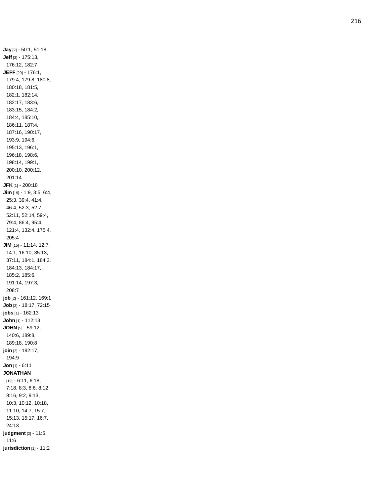**Jay** [2] - 50:1, 51:18 **Jeff** [3] - 175:13, 176:12, 182:7 **JEFF** [29] - 176:1, 179:4, 179:8, 180:8, 180:18, 181:5, 182:1, 182:14, 182:17, 183:6, 183:15, 184:2, 184:4, 185:10, 186:11, 187:4, 187:16, 190:17, 193:9, 194:6, 195:13, 196:1, 196:18, 198:6, 198:14, 199:1, 200:10, 200:12, 201:14 **JFK** [1] - 200:18 **Jim** [19] - 1:9, 3:5, 6:4, 25:3, 39:4, 41:4, 46:4, 52:3, 52:7, 52:11, 52:14, 59:4, 79:4, 86:4, 95:4, 121:4, 132:4, 175:4, 205:4 **JIM** [15] - 11:14, 12:7, 14:1, 16:10, 35:13, 37:11, 184:1, 184:3, 184:13, 184:17, 185:2, 185:6, 191:14, 197:3, 208:7 **job** [2] - 161:12, 169:1 **Job** [2] - 18:17, 72:15 **jobs** [1] - 162:13 **John** [1] - 112:13 **JOHN** [5] - 59:12, 140:6, 189:8, 189:18, 190:8 **join** [2] - 192:17, 194:9 **Jon** [1] - 6:11 **JONATHAN** [19] - 6:11, 6:18, 7:18, 8:3, 8:6, 8:12, 8:16, 9:2, 9:13, 10:3, 10:12, 10:18, 11:10, 14:7, 15:7, 15:13, 15:17, 16:7, 24:13 **judgment** [2] - 11:5, 11:6 **jurisdiction** [1] - 11:2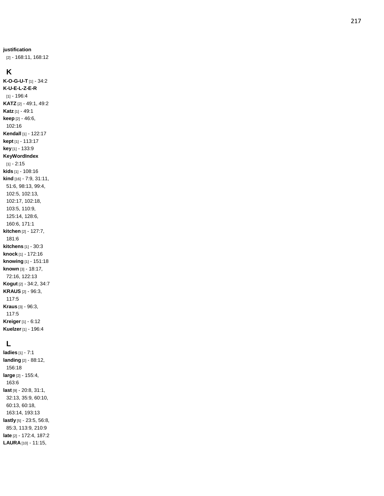[2] - 168:11, 168:12

### **K**

**K - O - G - U - T** [1] - 34:2 **K - U - E - L - Z - E - R** [1] - 196:4 **KATZ** [2] - 49:1, 49:2 **Katz** [1] - 49:1 **keep** [2] - 46:6, 102:16 **Kendall** [1] - 122:17 **kept** [1] - 113:17 **key** [1] - 133:9 **KeyWordIndex** [1] - 2:15 **kids** [1] - 108:16 **kind** [16] - 7:9, 31:11, 51:6, 98:13, 99:4, 102:5, 102:13, 102:17, 102:18, 103:5, 110:9, 125:14, 128:6, 160:6, 171:1 **kitchen** [2] - 127:7, 181:6 **kitchens** [1] - 30:3 **knock** [1] - 172:16 **knowing** [1] - 151:18 **known** [3] - 18:17, 72:16, 122:13 **Kogut** [2] - 34:2, 34:7 **KRAUS** [2] - 96:3, 117:5 **Kraus** [3] - 96:3, 117:5 **Kreiger** [1] - 6:12 **Kuelzer** [1] - 196:4

### **L**

**ladies** [1] - 7:1 **landing** [2] - 88:12, 156:18 **large** [2] - 155:4, 163:6 **last** [9] - 20:8, 31:1, 32:13, 35:9, 60:10, 60:13, 60:18, 163:14, 193:13 **lastly** [5] - 23:5, 56:8, 85:3, 113:9, 210:9 **late** [2] - 172:4, 187:2 **LAURA** [10] - 11:15,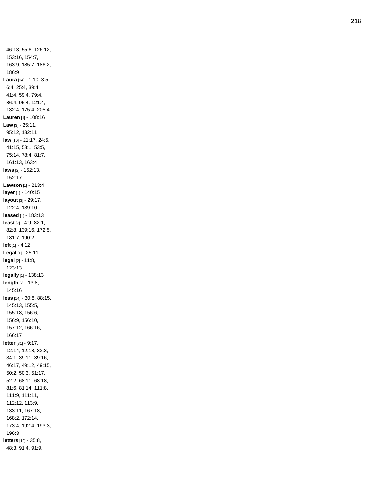46:13, 55:6, 126:12, 153:16, 154:7, 163:9, 185:7, 186:2, 186:9 **Laura** [14] - 1:10, 3:5, 6:4, 25:4, 39:4, 41:4, 59:4, 79:4, 86:4, 95:4, 121:4, 132:4, 175:4, 205:4 **Lauren** [1] - 108:16 **Law** [3] - 25:11, 95:12, 132:11 **law** [10] - 21:17, 24:5, 41:15, 53:1, 53:5, 75:14, 78:4, 81:7, 161:13, 163:4 **laws** [2] - 152:13, 152:17 **Lawson** [1] - 213:4 **layer** [1] - 140:15 **layout** [3] - 29:17, 122:4, 139:10 **leased** [1] - 183:13 **least** [7] - 4:9, 82:1, 82:8, 139:16, 172:5, 181:7, 190:2 **left** [1] - 4:12 **Legal** [1] - 25:11 **legal** [2] - 11:8, 123:13 **legally** [1] - 138:13 **length** [2] - 13:8, 145:16 **less** [14] - 30:8, 88:15, 145:13, 155:5, 155:18, 156:6, 156:9, 156:10, 157:12, 166:16, 166:17 **letter** [31] - 9:17, 12:14, 12:18, 32:3, 34:1, 39:11, 39:16, 46:17, 49:12, 49:15, 50:2, 50:3, 51:17, 52:2, 68:11, 68:18, 81:6, 81:14, 111:8, 111:9, 111:11, 112:12, 113:9, 133:11, 167:18, 168:2, 172:14, 173:4, 192:4, 193:3, 196:3 **letters** [10] - 35:8, 48:3, 91:4, 91:9,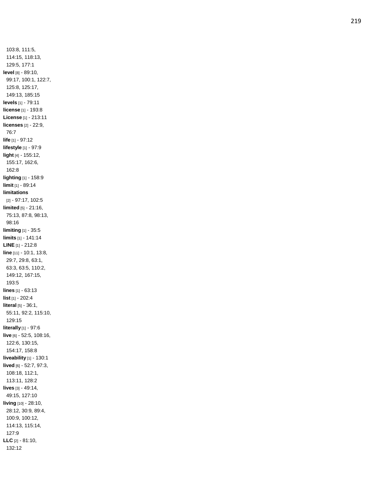103:8, 111:5, 114:15, 118:13, 129:5, 177:1 **level** [8] - 89:10, 99:17, 100:1, 122:7, 125:8, 125:17, 149:13, 185:15 **levels** [1] - 79:11 **license** [1] - 193:8 **License** [1] - 213:11 **licenses** [2] - 22:9, 76:7 **life** [1] - 97:12 **lifestyle** [1] - 97:9 **light** [4] - 155:12, 155:17, 162:6, 162:8 **lighting** [1] - 158:9 **limit** [1] - 89:14 **limitations** [2] - 97:17, 102:5 **limited** [5] - 21:16, 75:13, 87:8, 98:13, 98:16 **limiting** [1] - 35:5 **limits** [1] - 141:14 **LINE** [1] - 212:8 **lin e** [11] - 10:1, 13:8, 29:7, 29:8, 63:1, 63:3, 63:5, 110:2, 149:12, 167:15, 193:5 **lines** [1] - 63:13 **list** [1] - 202:4 **literal** [5] - 36:1, 55:11, 92:2, 115:10, 129:15 **literally** [1] - 97:6 **live** [6] - 52:5, 108:16, 122:6, 130:15, 154:17, 158:8 **liveability** [1] - 130:1 **lived** [6] - 52:7, 97:3, 108:18, 112:1, 113:11, 128:2 **lives** [3] - 49:14, 49:15, 127:10 **living** [10] - 28:10, 28:12, 30:9, 89:4, 100:9, 100:12, 114:13, 115:14, 127:9 **LLC** [2] - 81:10, 132:12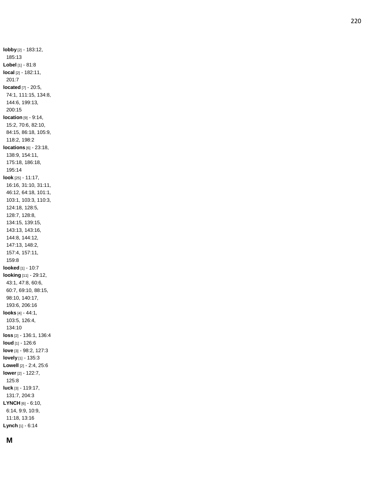**lobby** [2] - 183:12, 185:13 **Lobel** [1] - 81:8 **local** [2] - 182:11, 201:7 **located** [7] - 20:5, 74:1, 111:15, 134:8, 144:6, 199:13, 200:15 **location** [9] - 9:14, 15:2, 70:6, 82:10, 84:15, 86:18, 105:9, 118:2, 198:2 **locations** [6] - 23:18, 138:9, 154:11, 175:18, 186:18, 195:14 **look** [25] - 11:17, 16:16, 31:10, 31:11, 46:12, 64:18, 101:1, 103:1, 103:3, 110:3, 124:18, 128:5, 128:7, 128:8, 134:15, 139:15, 143:13, 143:16, 144:8, 144:12, 147:13, 148:2, 157:4, 157:11, 159:8 **looked** [1] - 10:7 **looking** [11] - 29:12, 43:1, 47:8, 60:6, 60:7, 69:10, 88:15, 98:10, 140:17, 193:6, 206:1 6 **looks** [4] - 44:1, 103:5, 126:4, 134:10 **loss** [2] - 136:1, 136:4 **loud** [1] - 126:6 **love** [3] - 98:2, 127:3 **lovely** [1] - 135:3 **Lowell** [2] - 2:4, 25:6 **lower** [2] - 122:7, 125:8 **luck** [3] - 119:17, 131:7, 204:3 **LYNCH** [6] - 6:10, 6:14, 9:9, 10:9, 11:18, 13:16 **Lynch** [1] - 6:14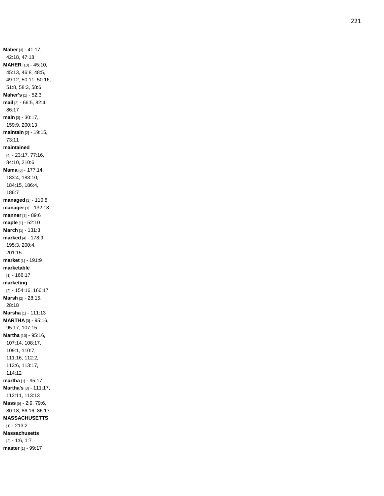**Maher** [3] - 41:17, 42:18, 47:18 **MAHER** [10] - 45:10, 45:13, 46:8, 48:5, 49:12, 50:11, 50:16, 51:8, 58:3, 58:6 **Maher's** [1] - 52:3 **mail** [3] - 66:5, 82:4, 86:17 **main** [3] - 30:17, 159:9, 200:13 **maintain** [2] - 19:15, 73:11 **maintained** [4] - 23:17, 77:16, 84:10, 210:6 **Mama** [6] - 177:14, 183:4, 183:10, 184:15, 186:4, 186:7 **managed** [1] - 110:8 **manager** [1] - 132:13 **manner** [1] - 89:6 **maple** [1] - 52:10 **March** [1] - 131:3 **marked** [4] - 178:9, 195:3, 200:4, 201:15 **market** [1] - 191:9 **marketable** [1] - 166:17 **marketing** [2] - 154:16, 166:17 **Marsh** [2] - 28:15, 28:18 **Marsha** [1] - 111:13 **MARTHA** [3] - 95:16, 95:17, 107:15 **Martha** [10] - 95:16, 107:14, 108:17, 109:1, 110:7, 111:16, 112:2, 113:6, 113:17, 114:12 **martha** [1] - 95:17 **Martha's** [3] - 111:17, 112:11, 113:13 **Mass** [5] - 2:9, 79:6, 80:18, 86:16, 86:17 **MASSACHUSETTS** [1] - 213:2 **Massachusetts** [2] - 1:6, 1:7 **master** [1] - 99:17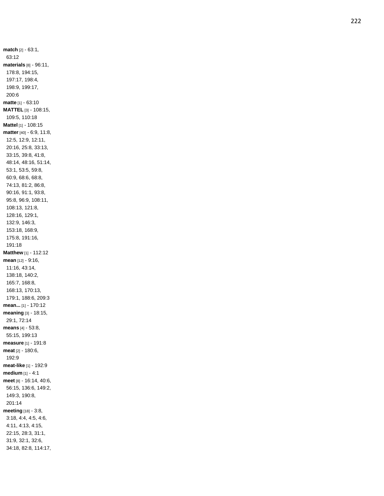**match** [2] - 63:1, 63:12 **materials** [8] - 96:11, 178:8, 194:15, 197:17, 198:4, 198:9, 199:17, 200:6 **matte** [1] - 63:10 **MATTEL** [3] - 108:15, 109:5, 110:18 **Mattel** [1] - 108:15 **matter** [40] - 6:9, 11:8, 12:5, 12:9, 12:11, 20:16, 25:8, 33:13, 33:15, 39:8, 41:8, 48:14, 48:16, 51:14, 53:1, 53:5, 59:8, 60:9, 68:6, 68:8, 74:13, 81:2, 86:8, 90:16, 91:1, 93:8, 95:8, 96:9, 108:11, 108:13, 121:8, 128:16, 129:1, 132:9, 146:3, 153:18, 168:9, 175:8, 191:16, 191:18 **Matthew** [1] - 112:12 **mean** [12] - 9:16, 11:16, 43:14, 138:18, 140:2, 165:7, 168:8, 168:13, 170:13, 179:1, 188:6, 209:3 **mean...** [1] - 170:12 **meaning** [3] - 18:15, 29:1, 72:14 **means** [4] - 53:8, 55:15, 199:13 **measure** [1] - 191:8 **meat** [2] - 180:6, 192:9 **meat -like** [1] - 192:9 **medium** [1] - 4:1 **meet** [8] - 16:14, 40:6, 56:15, 136:6, 149:2, 149:3, 190:8, 201:14 **meeting** [18] - 3:8, 3:18, 4:4, 4:5, 4:6, 4:11, 4:13, 4:15, 22:15, 28:3, 31:1, 31:9, 32:1, 32:6, 34:18, 82:8, 114:17,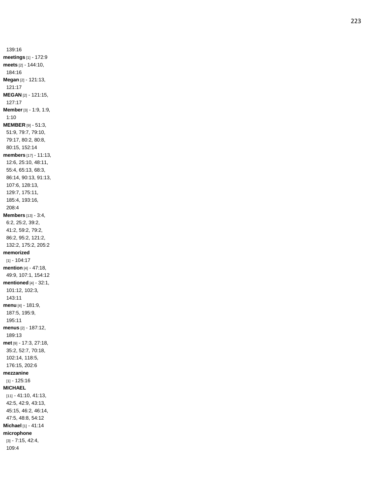139:16 **meetings** [1] - 172:9 **meets** [2] - 144:10, 184:16 **Megan** [2] - 121:13, 121:17 **MEGAN** [2] - 121:15, 127:17 **Member** [3] - 1:9, 1:9, 1:10 **MEMBER** [9] - 51:3, 51:9, 79:7, 79:10, 79:17, 80:2, 80:8, 80:15, 152:14 **members** [17] - 11:13, 12:6, 25:10, 48:11, 55:4, 65:13, 68:3, 86:14, 90:13, 91:13, 107:6, 128:13, 129:7, 175:11, 185:4, 193:16, 208:4 **Members** [13] - 3:4, 6:2, 25:2, 39:2, 41:2, 59:2, 79:2, 86:2, 95:2, 121:2, 132:2, 175:2, 205:2 **memorized** [1] - 104:17 **mention** [4] - 47:18, 49:9, 107:1, 154:12 **mentioned** [4] - 32:1, 101:12, 102:3, 143:11 **menu** [4] - 181:9, 187:5, 195:9, 195:11 **menus** [2] - 187:12, 189:13 **met** [9] - 17:3, 27:18, 35:2, 52:7, 70:18, 102:14, 118:5, 176:15, 202:6 **mezzanine** [1] - 125:16 **MICHAEL** [11] - 41:10, 41:13, 42:5, 42:9, 43:13, 45:15, 46:2, 46:14, 47:5, 48:8, 54:12 **Michael** [1] - 41:14 **microphone** [3] - 7:15, 42:4, 109:4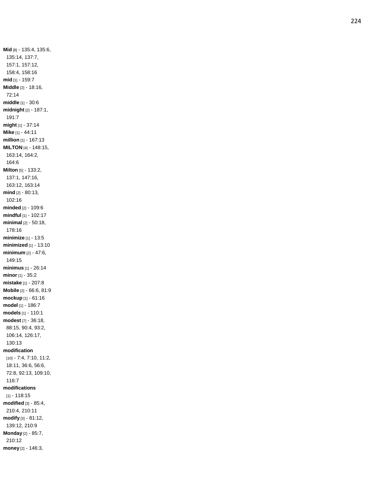**Mid** [8] - 135:4, 135:6, 135:14, 137:7, 157:1, 157:12, 158:4, 158:16 **mid** [1] - 159:7 **Middle** [2] - 18:16, 72:14 **middle** [1] - 30:6 **midnight** [2] - 187:1, 191:7 **might** [1] - 37:14 **Mike** [1] - 44:11 **million** [1] - 167:13 **MILTON** [4] - 148:15, 163:14, 164:2, 164:6 **Milton** [5] - 133:2, 137:1, 147:16, 163:12, 163:14 **mind** [2] - 80:13, 102:16 **minded** [2] - 109:6 **mindful** [1] - 102:17 **minimal** [2] - 50:18, 178:16 **minimize** [1] - 13:5 **minimized** [1] - 13:10 **minimum** [2] - 47:6, 149:15 **minimus** [1] - 26:14 **minor** [1] - 35:2 **mistake** [1] - 207:8 **Mobile** [2] - 66:6, 81:9 **mockup** [1] - 61:16 **model** [1] - 186:7 **models** [1] - 110:1 **modest** [7] - 36:18, 88:15, 90:4, 93:2, 106:14, 126:17, 130:13 **modification** [10] - 7:4, 7:10, 11:2, 18:11, 36:6, 56:6, 72:8, 92:13, 109:10, 116:7 **modifications** [1] - 118:15 **modified** [3] - 85:4, 210:4, 210:11 **modify** [3] - 81:12, 139:12, 210:9 **Monday** [2] - 85:7, 210:12 **money** [2] - 146:3,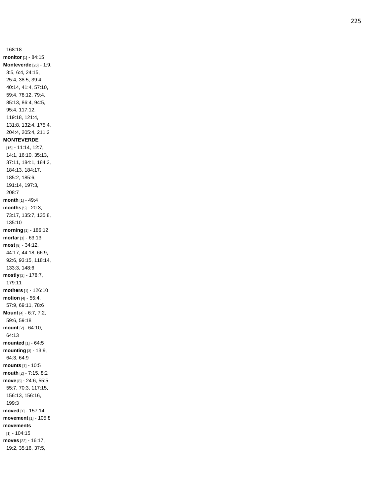168:18 **monitor** [1] - 84:15 **Monteverde** [26] - 1:9, 3:5, 6:4, 24:15, 25:4, 38:5, 39:4, 40:14, 41:4, 57:10, 59:4, 78:12, 79:4, 85:13, 86:4, 94:5, 95:4, 117:12, 119:18, 121:4, 131:8, 132:4, 175:4, 204:4, 205:4, 211:2 **MONTEVERDE** [15] - 11:14, 12:7, 14:1, 16:10, 35:13, 37:11, 184:1, 184:3, 184:13, 184:17, 185:2, 185:6, 191:14, 197:3, 208:7 **month** [1] - 49:4 **months** [5] - 20:3, 73:17, 135:7, 135:8, 135:10 **morning** [1] - 186:12 **mortar** [1] - 63:13 **most** [9] - 34:12, 44:17, 44:18, 66:9, 92:6, 93:15, 118:14, 133:3, 148:6 **mostly** [2] - 178:7, 179:11 **mothers** [1] - 126:10 **motion** [4] - 55:4, 57:9, 69:11, 78:6 **Mount** [4] - 6:7, 7:2, 59:6, 59:18 **mount** [2] - 64:10, 64:13 **mounted** [1] - 64:5 **mounting** [3] - 13:9, 64:3, 64:9 **mounts** [1] - 10:5 **mouth** [2] - 7:15, 8:2 **move** [8] - 24:6, 55:5, 55:7, 70:3, 117:15, 156:13, 156:16, 199:3 **moved** [1] - 157:14 **movement** [1] - 105:8 **movements** [1] - 104:15 **moves** [22] - 16:17, 19:2, 35:16, 37:5,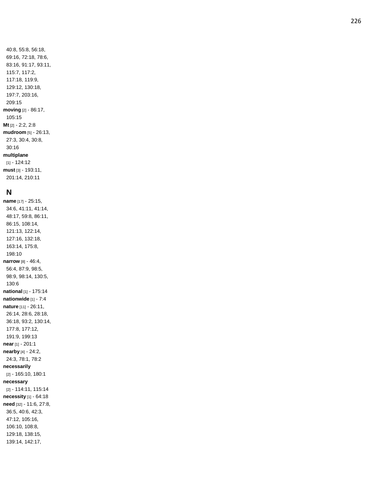40:8, 55:8, 56:18, 69:16, 72:18, 78:6, 83:16, 91:17, 93:11, 115:7, 117:2, 117:18, 119:9, 129:12, 130:18, 197:7, 203:16, 209:15 **moving** [2] - 86:17, 105:15 **Mt** [2] - 2:2, 2:8 **mudroom** [5] - 26:13, 27:3, 30:4, 30:8, 30:16 **multiplane** [1] - 124:12 **must** [3] - 193:11, 201:14, 210:11

## **N**

**name** [17] - 25:15, 34:6, 41:11, 41:14, 48:17, 59:8, 86:11, 86:15, 108:14, 121:13, 122:14, 127:16, 132:18, 163:14, 175:8, 198:10 **narrow** [8] - 46:4, 56:4, 87:9, 98:5, 98:9, 98:14, 130:5, 130:6 **national** [1] - 175:14 **nationwide** [1] - 7:4 **nature** [11] - 26:11, 26:14, 28:6, 28:18, 36:18, 93:2, 130:14, 177:8, 177:12, 191:9, 199:13 **near** [1] - 201:1 **nearby** [4] - 24:2, 24:3, 78:1, 78:2 **necessarily** [2] - 165:10, 180:1 **necessary** [2] - 114:11, 115:14 **necessity** [1] - 64:18 **need** [32] - 11:6, 27:8, 36:5, 40:6, 42:3, 47:12, 105:16, 106:10, 108:8, 129:18, 138:15, 139:14, 142:17,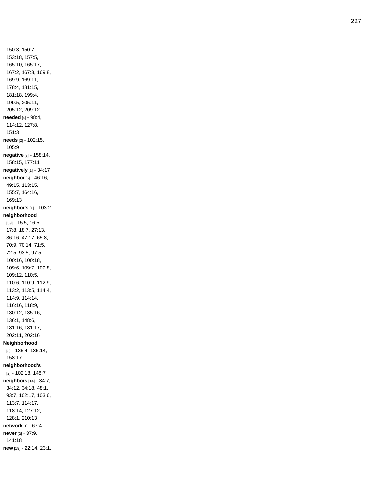150:3, 150:7, 153:18, 157:5, 165:10, 165:17, 167:2, 167:3, 169:8, 169:9, 169:11, 178:4, 181:15, 181:18, 199:4, 199:5, 205:11, 205:12, 209:12 **needed** [4] - 98:4, 114:12, 127:8, 151:3 **needs** [2] - 102:15, 105:9 **negative** [3] - 158:14, 158:15, 177:11 **negatively** [1] - 34:17 **neighbor** [6] - 46:16, 49:15, 113:15, 155:7, 164:16, 169:13 **neighbor's** [1] - 103:2 **neighborhood** [39] - 15:5, 16:5, 17:8, 18:7, 27:13, 36:16, 47:17, 65:8, 70:9, 70:14, 71:5, 72:5, 93:5, 97:5, 100:16, 100:18, 109:6, 109:7, 109:8, 109:12, 110:5, 110:6, 110:9, 112:9, 113:2, 113:5, 114:4, 114:9, 114:14, 116:16, 118:9, 130:12, 135:16, 136:1, 148:6, 181:16, 181:17, 202:11, 202:16 **Neighborhood** [3] - 135:4, 135:14, 158:17 **neighborhood's** [2] - 102:18, 148:7 **neighbors** [14] - 34:7, 34:12, 34:18, 48:1, 93:7, 102:17, 103:6, 113:7, 114:17, 118:14, 127:12, 128:1, 210:13 **network** [1] - 67:4 **never** [2] - 37:9, 141:18 **new** [19] - 22:14, 23:1,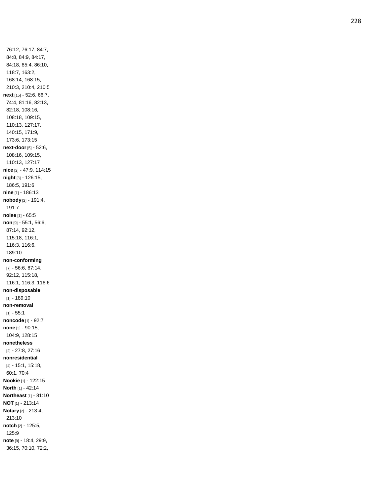76:12, 76:17, 84:7, 84:8, 84:9, 84:17, 84:18, 85:4, 86:10, 118:7, 163:2, 168:14, 168:15, 210:3, 210:4, 210:5 **next** [15] - 52:6, 66:7, 74:4, 81:16, 82:13, 82:18, 108:16, 108:18, 109:15, 110:13, 127:17, 140:15, 171:9, 173:6, 173:15 **next -door** [5] - 52:6, 108:16, 109:15, 110:13, 127:17 **nice** [2] - 47:9, 114:15 **night** [3] - 126:15, 186:5, 191:6 **nine** [1] - 186:13 **nobody** [2] - 191:4, 191:7 **noise** [1] - 65:5 **non** [9] - 55:1, 56:6, 87:14, 92:12, 115:18, 116:1, 116:3, 116:6, 189:10 **non -conforming** [7] - 56:6, 87:14, 92:12, 115:18, 116:1, 116:3, 116:6 **non -disposable** [1] - 189:10 **non -removal** [1] - 55:1 **noncode** [1] - 92:7 **none** [3] - 90:15, 104:9, 128:15 **nonetheless** [2] - 27:8, 27:16 **nonresidential** [4] - 15:1, 15:18, 60:1, 70:4 **Nookie** [1] - 122:15 **North** [1] - 42:14 **Northeast** [1] - 81:10 **NOT** [1] - 213:14 **Notary** [2] - 213:4, 213:10 **notch** [2] - 125:5, 125:9 **note** [9] - 18:4, 29:9, 36:15, 70:10, 72:2,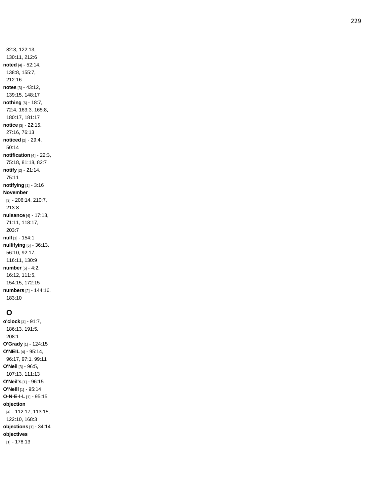82:3, 122:13, 130:11, 212:6 **noted** [4] - 52:14, 138:8, 155:7, 212:16 **notes** [3] - 43:12, 139:15, 148:17 **nothing** [6] - 18:7, 72:4, 163:3, 165:8, 180:17, 181:17 **notice** [3] - 22:15, 27:16, 76:13 **noticed** [2] - 29:4, 50:14 **notification** [4] - 22:3, 75:18, 81:18, 82:7 **notify** [2] - 21:14, 75:11 **notifying** [1] - 3:16 **November** [3] - 206:14, 210:7, 213:8 **nuisance** [4] - 17:13, 71:11, 118:17, 203:7 **null** [1] - 154:1 **nullifying** [5] - 36:13, 56:10, 92:17, 116:11, 130:9 **number** [5] - 4:2, 16:12, 111:5, 154:15, 172:15 **numbers** [2] - 144:16, 183:10

# **O**

**o'clock** [4] - 91:7, 186:13, 191:5, 208:1 **O'Grady** [1] - 124:15 **O'NEIL** [4] - 95:14, 96:17, 97:1, 99:11 **O'Neil** [3] - 96:5, 107:13, 111:13 **O'Neil's** [1] - 96:15 **O'Neill** [1] - 95:14 **O - N - E - I - L** [1] - 95:15 **objection** [4] - 112:17, 113:15, 122:10, 168:3 **objections** [1] - 34:14 **objectives** [1] - 178:13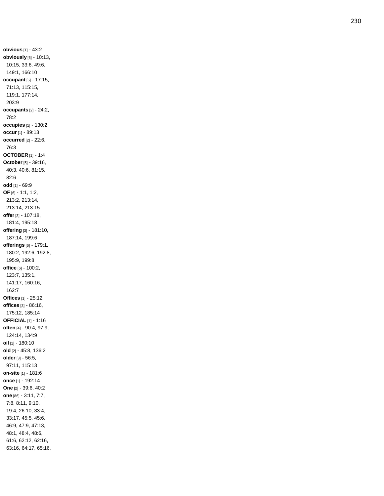**obvious** [1] - 43:2 **obviously** [6] - 10:13, 10:15, 33:6, 49:6, 149:1, 166:10 **occupant** [6] - 17:15, 71:13, 115:15, 119:1, 177:14, 203:9 **occupants** [2] - 24:2, 78:2 **occupies** [1] - 130:2 **occur** [1] - 89:13 **occurred** [2] - 22:6, 76:3 **OCTOBER** [1] - 1:4 **October** [5] - 39:16, 40:3, 40:6, 81:15, 82:6 **od d** [1] - 69:9 **OF** [6] - 1:1, 1:2, 213:2, 213:14, 213:14, 213:15 **offer** [3] - 107:18, 181:4, 195:18 **offering** [3] - 181:10, 187:14, 199:6 **offerings** [6] - 179:1, 180:2, 192:6, 192:8, 195:9, 199:8 **office** [6] - 100:2, 123:7, 135:1, 141:17, 160:16, 162:7 **Offices** [1 ] - 25:12 **offices** [3] - 86:16, 175:12, 185:14 **OFFICIAL** [1] - 1:16 **often** [4] - 90:4, 97:9, 124:14, 134:9 **oil** [1] - 180:10 **old** [2] - 45:8, 136:2 **older** [3] - 56:5, 97:11, 115:13 **on -site** [1] - 181:6 **once** [1] - 192:14 **One** [2] - 39:6, 40:2 **one** [86] - 3:11, 7:7, 7:8, 8:11, 9:10, 19:4, 26:10, 33:4, 33:17, 45:5, 45:6, 46:9, 47:9, 47:13, 48:1, 48:4, 48:6, 61:6, 62:12, 62:16, 63:16, 64:17, 65:16,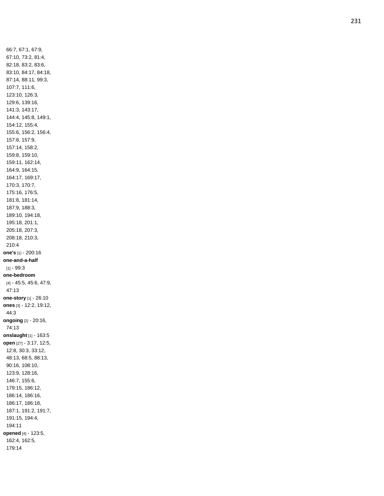66:7, 67:1, 67:9, 67:10, 73:2, 81:4, 82:18, 83:2, 83:6, 83:10, 84:17, 84:18, 87:14, 88:11, 99:3, 107:7, 111:6, 123:10, 126:3, 129:6, 139:16, 141:3, 143:17, 144:4, 145:8, 149:1, 154:12, 155:4, 155:6, 156:2, 156:4, 157:8, 157:9, 157:14, 158:2, 159:8, 159:10, 159:11, 162:14, 164:9, 164:15, 164:17, 169:17, 170:3, 170:7, 175:16, 176:5, 181:8, 181:14, 187:9, 188:3, 189:10, 194:18, 195:18, 201:1, 205:18, 207:3, 208:18, 210:3, 210:4 **one's** [1] - 200:16 **one -and - a -half** [1] - 99:3 **one -bedroom** [4] - 45:5, 45:6, 47:9, 47:13 **one -story** [1] - 26:10 **ones** [3] - 12:2, 19:12, 44:3 **ongoing** [2] - 20:16, 74:13 **onslaught** [1] - 163:5 **open** [27] - 3:17, 12:5, 12:8, 30:3, 33:12, 48:13, 68:5, 88:13, 90:16, 108:10, 123:9, 128:16, 146:7, 155:6, 179:15, 186:12, 186:14, 186:16, 186:17, 186:18, 187:1, 191:2, 191:7, 191:15, 194:4, 194:11 **opened** [4] - 123:5, 162:4, 162:5, 179:14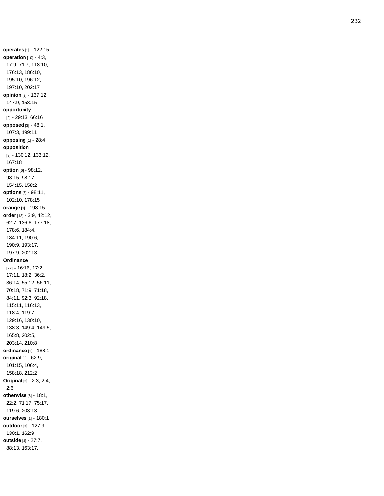**operates** [1] - 122:15 **operation** [10] - 4:3, 17:9, 71:7, 118:10, 176:13, 186:10, 195:10, 196:12, 197:10, 202:17 **opinion** [3] - 137:12, 147:9, 153:15 **opportunity** [2] - 29:13, 66:16 **opposed** [3] - 48:1, 107:3, 199:11 **opposing** [1] - 28:4 **opposition** [3] - 130:12, 133:12, 167:18 **option** [6] - 98:12, 98:15, 98:17, 154:15, 158:2 **options** [3] - 98:11, 102:10, 178:15 **orange** [1] - 198:15 **order** [13] - 3:9, 42:12, 62:7, 136:6, 177:18, 178:6, 184:4, 184:11, 190:6, 190:9, 193:17, 197:9, 202:13 **Ordinance** [27] - 16:16, 17:2, 17:11, 18:2, 36:2, 36:14, 55:12, 56:11, 70:18, 71:9, 71:18, 84:11, 92:3, 92:18, 115:11, 116:13, 118:4, 119:7, 129:16, 130:10, 138:3, 149:4, 149:5, 165:8, 202:5, 203:14, 210:8 **ordinance** [1] - 188:1 **original** [6] - 62:9, 101:15, 106:4, 158:18, 212:2 **Original** [3] - 2:3, 2:4, 2:6 **otherwise** [6] - 18:1, 22:2, 71:17, 75:17, 119:6, 203:13 **ourselves** [1] - 180:1 **outdoor** [3] - 127:9, 130:1, 162:9 **outside** [4] - 27:7, 88:13, 163:17,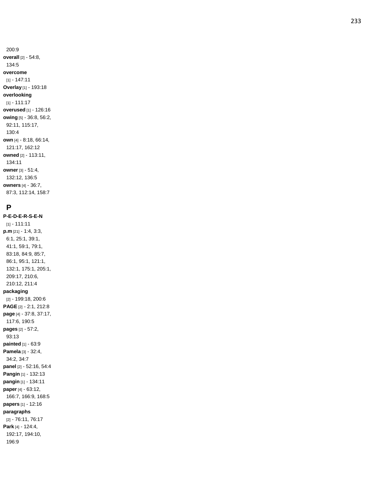200:9 **overall** [2] - 54:8, 134:5 **overcome** [1] - 147:11 **Overlay** [1] - 193:18 **overlooking** [1] - 111:17 **overused** [1] - 126:16 **owing** [5] - 36:8, 56:2, 92:11, 115:17, 130:4 **own** [4] - 8:18, 66:14, 121:17, 162:12 **owned** [2] - 113:11, 134:11 **owner** [3] - 51:4, 132:12, 136:5 **owners** [4] - 36:7, 87:3, 112:14, 158:7

### **P**

**P - E - D - E - R - S - E - N** [1] - 111:11 **p.m** [21] - 1:4, 3:3, 6:1, 25:1, 39:1, 41:1, 59:1, 79:1, 83:18, 84:9, 85:7, 86:1, 95:1, 121:1, 132:1, 175:1, 205:1, 209:17, 210:6, 210:12, 211:4 **packaging** [2] - 199:18, 200:6 **PAGE** [2] - 2:1, 212:8 **page** [4] - 37:8, 37:17, 117:6, 190:5 **pages** [2] - 57:2, 93:13 **painted** [1] - 63:9 **Pamela** [3] - 32:4, 34:2, 34:7 **panel** [2] - 52:16, 54:4 **Pangin** [1] - 132:13 **pangin** [1] - 134:11 **paper** [4] - 63:12, 166:7, 166:9, 168:5 **papers** [1] - 12:16 **paragraphs** [2] - 76:11, 76:17 **Park** [4] - 124:4, 192:17, 194:10, 196:9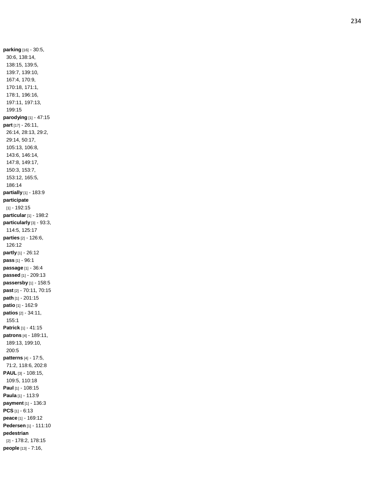**parking** [16] - 30:5, 30:6, 138:14, 138:15, 139:5, 139:7, 139:10, 167:4, 170:9, 170:18, 171:1, 178:1, 196:16, 197:11, 197:13, 199:15 **parodying** [1] - 47:15 **part** [17] - 26:11, 26:14, 28:13, 29:2, 29:14, 50:17, 105:13, 106:8, 143:6, 146:14, 147:8, 149:17, 150:3, 153:7, 153:12, 165:5, 186:14 **partially** [1] - 183:9 **participate** [1] - 192:15 **particular** [1] - 198:2 **particularly** [3] - 93:3, 114:5, 125:17 **parties** [2] - 126:6, 126:12 **partly** [1] - 26:12 **pass** [1] - 96:1 **passage** [1] - 36:4 **passed** [1] - 209:13 **passersby** [1] - 158:5 **past** [2] - 70:11, 70:15 **path** [1] - 201:15 **patio** [1] - 162:9 **patios** [2] - 34:11, 155:1 **Patrick** [1] - 41:15 **patrons** [4] - 189:11, 189:13, 199:10, 200:5 **patterns** [4] - 17:5, 71:2, 118:6, 202:8 **PAUL** [3] - 108:15, 109:5, 110:18 **Paul** [1] - 108:15 **Paula** [1] - 113:9 **payment** [1] - 136:3 **PCS** [1] - 6:13 **peace** [1] - 169:12 **Pedersen** [1] - 111:10 **pedestrian** [2] - 178:2, 178:15 **people** [13] - 7:16,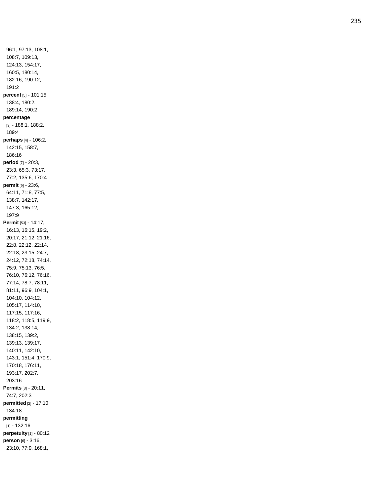96:1, 97:13, 108:1, 108:7, 109:13, 124:13, 154:17, 160:5, 180:14, 182:16, 190:12, 191:2 **percent** [5] - 101:15, 138:4, 180:2, 189:14, 190:2 **percentage** [3] - 188:1, 188:2, 189:4 **perhaps** [4] - 106:2, 142:15, 158:7, 186:16 **period** [7] - 20:3, 23:3, 65:3, 73:17, 77:2, 135:6, 170:4 **permit** [9] - 23:6, 64:11, 71:8, 77:5, 138:7, 142:17, 147:3, 165:12, 197:9 **Permit** [53] - 14:17, 16:13, 16:15, 19:2, 20:17, 21:12, 21:16, 22:8, 22:12, 22:14, 22:18, 23:15, 24:7, 24:12, 72:18, 74:14, 75:9, 75:13, 76:5, 76:10, 76:12, 76:16, 77:14, 78:7, 78:11, 81:11, 96:9, 104:1, 104:10, 104:12, 105:17, 114:10, 117:15, 117:16, 118:2, 118:5, 119:9, 134:2, 138:14, 138:15, 139:2, 139:13, 139:17, 140:11, 142:10, 143:1, 151:4, 170:9, 170:18, 176:11, 193:17, 202:7, 203:16 **Permits** [3] - 20:11, 74:7, 202:3 **permitted** [2] - 17:10, 134:18 **permitting** [1] - 132:16 **perpetuity** [1] - 80:12 **person** [6] - 3:16, 23:10, 77:9, 168:1,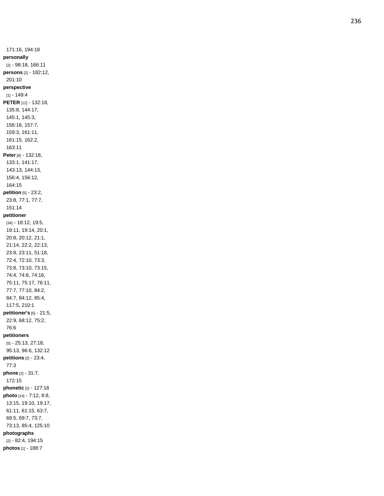171:16, 194:18 **personally** [2] - 98:18, 166:11 **persons** [2] - 182:12, 201:10 **perspective**  $[1] - 149:4$ **PETER** [12] - 132:18, 135:8, 144:17, 145:1, 145:3, 156:16, 157:7, 159:3, 161:11, 161:15, 162:2, 163:11 **Peter** [8] - 132:18, 133:1, 141:17, 143:13, 144:13, 156:4, 156:12, 164:15 **petition** [5] - 23:2, 23:8, 77:1, 77:7, 151:14 **petitioner** [34] - 18:12, 19:5, 19:11, 19:14, 20:1, 20:8, 20:12, 21:1, 21:14, 22:2, 22:13, 23:8, 23:11, 51:18, 72:4, 72:10, 73:3, 73:8, 73:10, 73:15, 74:4, 74:8, 74:16, 75:11, 75:17, 76:11, 77:7, 77:10, 84:2, 84:7, 84:12, 85:4, 117:5, 210:1 **petitioner's** [5] - 21:5, 22:9, 68:12, 75:2, 76:6 **petitioners** [5] - 25:13, 27:18, 95:13, 96:6, 132:12 **petitions** [2] - 23:4, 77:3 **phone** [2] - 31:7, 172:15 **phonetic** [2] - 127:18 **photo** [14] - 7:12, 8:8, 13:15, 19:10, 19:17, 61:11, 61:15, 63:7, 69:5, 69:7, 73:7, 73:13, 85:4, 125:10 **photographs** [2] - 82:4, 194:15 **photos** [1] - 188:7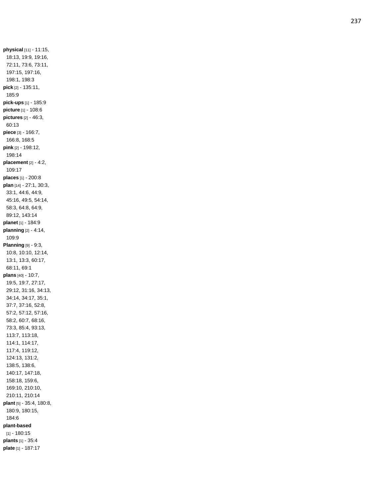**physical** [11] - 11:15, 18:13, 19:9, 19:16, 72:11, 73:6, 73:11, 197:15, 197:16, 198:1, 198:3 **pick** [2] - 135:11, 185:9 **pick -ups** [1] - 185:9 **picture** [1] - 108:6 **pictures** [2] - 46:3, 60:13 **piece** [3] - 166:7, 166:8, 168:5 **pink** [2] - 198:12, 198:14 **placement** [2] - 4:2, 109:17 **places** [1] - 200:8 **plan** [14] - 27:1, 30:3, 33:1, 44:6, 44:9, 45:16, 49:5, 54:14, 58:3, 64:8, 64:9, 89:12, 143:14 **planet** [1] - 184:9 **planning** [2] - 4:14, 109:9 **Planning** [9] - 9:3, 10:8, 10:10, 12:14, 13:1, 13:3, 60:17, 68:11, 69:1 **plans** [40] - 10:7, 19:5, 19:7, 27:17, 29:12, 31:16, 34:13, 34:14, 34:17, 35:1, 37:7, 37:16, 52:8, 57:2, 57:12, 57:16, 58:2, 60:7, 68:16, 73:3, 85:4, 93:13, 113:7, 113:18, 114:1, 114:17, 117:4, 119:12, 124:13, 131:2, 138:5, 138:6, 140:17, 147:18, 158:18, 159:6, 169:10, 210:10, 210:11, 210:14 **plant** [5] - 35:4, 180:8, 180:9, 180:15, 184:6 **plant -based** [1] - 180:15 **plants** [1] - 35:4 **plate** [1] - 187:17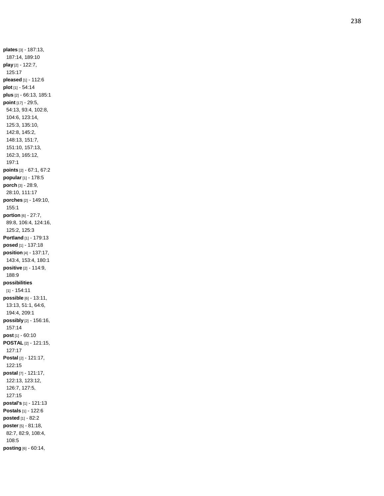**plates** [3] - 187:13, 187:14, 189:10 **play** [2] - 122:7, 125:17 **pleased** [1] - 112:6 **plot** [1] - 54:14 **plus** [2] - 66:13, 185:1 **point** [17] - 29:5, 54:13, 93:4, 102:8, 104:6, 123:14, 125:3, 135:10, 142:8, 145:2, 148:13, 151:7, 151:10, 157:13, 162:3, 165:12, 197:1 **points** [2] - 67:1, 67:2 **popular** [1] - 178:5 **porch** [3] - 28:9, 28:10, 111:17 **porches** [2] - 149:10, 155:1 **portion** [6] - 27:7, 89:8, 106:4, 124:16, 125:2, 125:3 **Portland** [1] - 179:13 **posed** [1] - 137:18 **position** [4] - 137:17, 143:4, 153:4, 180:1 **positive** [2] - 114:9, 188:9 **possibilities** [1] - 154:11 **possible** [6] - 13:11, 13:13, 51:1, 64:6, 194:4, 209:1 **possibly** [2] - 156:16, 157:14 **post** [1] - 60:10 **POSTAL** [2] - 121:15, 127:17 **Postal** [2] - 121:17, 122:15 **postal** [7] - 121:17, 122:13, 123:12, 126:7, 127:5, 127:15 **postal's** [1] - 121:13 **Postals** [1] - 122:6 **posted** [1] - 82:2 **poster** [5] - 81:18, 82:7, 82:9, 108:4, 108:5 **posting** [6] - 60:14,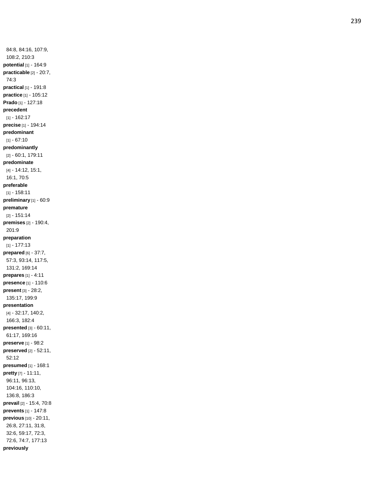84:8, 84:16, 107:9, 108:2, 210:3 **potential** [1] - 164:9 **practicable** [2] - 20:7, 74:3 **practical** [1] - 191:8 **practice** [1] - 105:12 **Prado** [1] - 127:18 **precedent** [1] - 162:17 **precise** [1] - 194:14 **predominant**  $[1] - 67:10$ **predominantly** [2] - 60:1, 179:11 **predominate** [4] - 14:12, 15:1, 16:1, 70:5 **preferable** [1] - 158:11 **preliminary** [1] - 60:9 **premature** [2] - 151:14 **premises** [2] - 190:4, 201:9 **preparation** [1] - 177:13 **prepared** [6] - 37:7, 57:3, 93:14, 117:5, 131:2, 169:14 **prepares** [1] - 4:11 **presence** [1] - 110:6 **present** [3] - 28:2, 135:17, 199:9 **presentation** [4] - 32:17, 140:2, 166:3, 182:4 **presented** [3] - 60:11, 61:17, 169:16 **preserve** [1] - 98:2 **preserved** [2] - 52:11, 52:12 **presumed** [1] - 168:1 **pretty** [7] - 11:11, 96:11, 96:13, 104:16, 110:10, 136:8, 186:3 **prevail** [2] - 15:4, 70:8 **prevents** [1] - 147:8 **previous** [10] - 20:11, 26:8, 27:11, 31:8, 32:6, 59:17, 72:3, 72:6, 74:7, 177:13 **previously**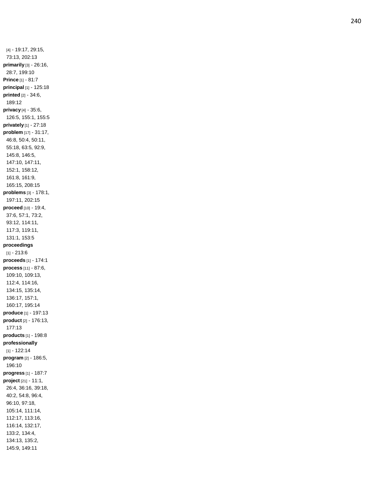[4] - 19:17, 29:15, 73:13, 202:13 **primarily** [3] - 26:16, 28:7, 199:10 **Prince** [1] - 81:7 **principal** [1] - 125:18 **printed** [2] - 34:6, 189:12 **privacy** [4] - 35:6, 126:5, 155:1, 155:5 **privately** [1] - 27:18 **problem** [17] - 31:17, 46:8, 50:4, 50:11, 55:18, 63:5, 92:9, 145:8, 146:5, 147:10, 147:11, 152:1, 158:12, 161:8, 161:9, 165:15, 208:1 5 **problems** [3] - 178:1, 197:11, 202:15 **proceed** [10] - 19:4, 37:6, 57:1, 73:2, 93:12, 114:11, 117:3, 119:11, 131:1, 153:5 **proceedings** [1] - 213:6 **proceeds** [1] - 174:1 **process** [11] - 87:6, 109:10, 109:13, 112:4, 114:16, 134:15, 135:14, 136:17, 157:1, 160:17, 195:14 **produce** [1] - 197:13 **product** [2] - 176:13, 177:13 **products** [1] - 198:8 **professionally** [1] - 122:14 **program** [2] - 186:5, 196:10 **progress** [1] - 187:7 **project** [21] - 11:1, 26:4, 36:16, 39:18, 40:2, 54:8, 96:4, 96:10, 97:18, 105:14, 111:14, 112:17, 113:16, 116:14, 132:17, 133:2, 134:4, 134:13, 135:2, 145:9, 149:11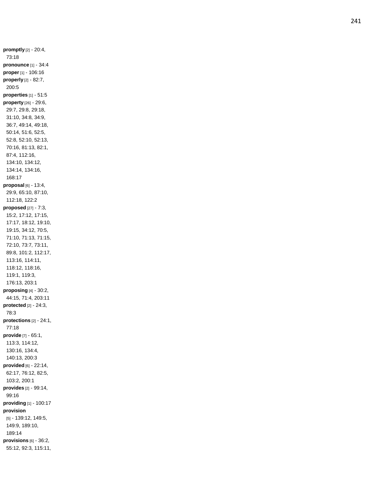**promptly** [2] - 20:4, 73:18 **pronounce** [1] - 34:4 **proper** [1] - 106:16 **properly** [2] - 82:7, 200:5 **properties** [1] - 51:5 **property** [26] - 29:6, 29:7, 29:8, 29:18, 31:10, 34:8, 34:9, 36:7, 49:14, 49:18, 50:14, 51:6, 52:5, 52:8, 52:10, 52:13, 70:16, 81:13, 82:1, 87:4, 112:16, 134:10, 134:12, 134:14, 134:16, 168:17 **proposal** [6] - 13:4, 29:9, 65:10, 87:10, 112:18, 122:2 **proposed** [27] - 7:3, 15:2, 17:12, 17:15, 17:17, 18:12, 19:10, 19:15, 34:12, 70:5, 71:10, 71:13, 71:15, 72:10, 73:7, 73:11, 89:8, 101:2, 112:17, 113:16, 114:11, 118:12, 118:16, 119:1, 119:3, 176:13, 203:1 **proposing** [4] - 30:2, 44:15, 71:4, 203:11 **protected** [2] - 24:3, 78:3 **protections** [2] - 24:1, 77:18 **provide** [7] - 65:1, 113:3, 114:12, 130:16, 134:4, 140:13, 200:3 **provided** [6] - 22:14, 62:17, 76:12, 82:5, 103:2, 200:1 **provides** [2] - 99:14, 99:16 **providing** [1] - 100:17 **provision** [5] - 139:12, 149:5, 149:9, 189:10, 189:14 **provisions** [6] - 36:2, 55:12, 92:3, 115:11,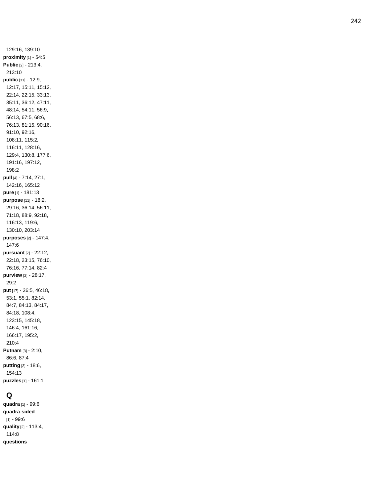129:16, 139:10 **proximity** [1] - 54:5 **Public** [2] - 213:4, 213:10 **public** [31] - 12:9, 12:17, 15:11, 15:12, 22:14, 22:15, 33:13, 35:11, 36:12, 47:11, 48:14, 54:11, 56:9, 56:13, 67:5, 68:6, 76:13, 81:15, 90:16, 91:10, 92:16, 108:11, 115:2, 116:11, 128:16, 129:4, 130:8, 177:6, 191:16, 197:12, 198:2 **pull** [4] - 7:14, 27:1, 142:16, 165:12 **pure** [1] - 181:13 **purpose** [11] - 18:2, 29:16, 36:14, 56:11, 71:18, 88:9, 92:18, 116:13, 119:6, 130:10, 203:14 **purposes** [2] - 147:4, 147:6 **pursuant** [7] - 22:12, 22:18, 23:15, 76:10, 76:16, 77:14, 82:4 **purview** [2] - 28:17, 29:2 **put** [17] - 36:5, 46:18, 53:1, 55:1, 82:14, 84:7, 84:13, 84:17, 84:18, 108:4, 123:15, 145:18, 146:4, 161:16, 166:17, 195:2, 210:4 **Putnam** [3] - 2:10, 86:6, 87: 4 **putting** [3] - 18:6, 154:13 **puzzles** [1] - 161:1

# **Q**

**quadra** [1] - 99:6 **quadra -sided** [1] - 99:6 **quality** [2] - 113:4, 114:8 **questions**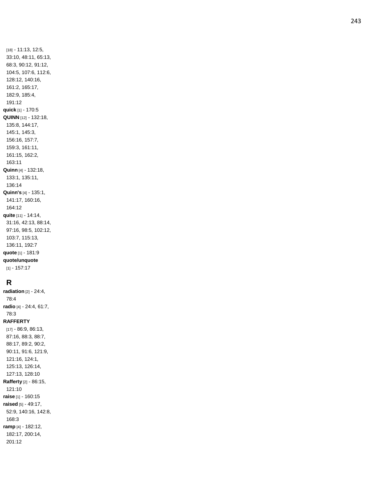[18] - 11:13, 12:5, 33:10, 48:11, 65:13, 68:3, 90:12, 91:12, 104:5, 107:6, 112:6, 128:12, 140:16, 161:2, 165:17, 182:9, 185:4, 191:12 **quick** [1] - 170:5 **QUINN** [12] - 132:18, 135:8, 144:17, 145:1, 145:3, 156:16, 157:7, 159:3, 161:11, 161:15, 162:2, 163:11 **Quinn** [4 ] - 132:18, 133:1, 135:11, 136:14 **Quinn's** [4] - 135:1, 141:17, 160:16, 164:12 **quite** [11] - 14:14, 31:16, 42:13, 88:14, 97:16, 98:5, 102:12, 103:7, 115:13, 136:11, 192:7 **quote** [1] - 181:9 **quote/unquote** [1] - 157:17

## **R**

**radiation** [2] - 24:4, 78:4 **radio** [4] - 24:4, 61:7, 78:3 **RAFFERTY** [17] - 86:9, 86:13, 87:16, 88:3, 88:7, 88:17, 89:2, 90:2, 90:11, 91:6, 121:9, 121:16, 124:1, 125:13, 126:14, 127:13, 128:10 **Rafferty** [2] - 86:15, 121:10 **raise** [1] - 160:15 **raised** [5] - 49:17, 52:9, 140:16, 142:8, 168:3 **ramp** [4] - 182:12, 182:17, 200:14, 201:12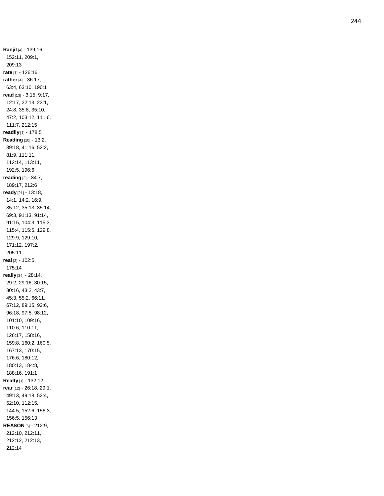**Ranjit** [4] - 139:16, 152:11, 209:1, 209:13 **rate** [1] - 126:16 **rather** [4] - 36:17, 63:4, 63:10, 190:1 **read** [13] - 3:15, 9:17, 12:17, 22:13, 23:1, 24:8, 35:8, 35:10, 47:2, 103:12, 111:6, 111:7, 212:15 **readily** [1] - 178:5 **Reading** [10] - 13:2, 39:18, 41:16, 52:2, 81:9, 111:11, 112:14, 113:11, 192:5, 196:6 **reading** [3] - 34:7, 189:17, 212:6 **ready** [21] - 13:18, 14:1, 14:2, 16:9, 35:12, 35:13, 35:14, 69:3, 91:13, 91:14, 91:15, 104:3, 115:3, 115:4, 115:5, 129:8, 129:9, 129:10, 171:12, 197:2, 205:11 **real** [2] - 102:5, 175:14 **really** [34] - 28:14, 29:2, 29:16, 30:15, 30:16, 43:2, 43:7, 45:3, 55:2, 66:11, 67:12, 89:15, 92:6, 96:18, 97:5, 98:12, 101:10, 109:16, 110:6, 110:11, 126:17, 158:16, 159:8, 160:2, 160:5, 167:13, 170:15, 176:6, 180:12, 180:13, 184:8, 188:16, 191:1 **Realty** [1] - 132:12 **rear** [12] - 26:18, 29:1, 49:13, 49:18, 52:4, 52:10, 112:15, 144:5, 152:6, 156:3, 156:5, 156:13 **REASON** [6] - 212:9, 212:10, 212:11, 212:12, 212:13, 212:14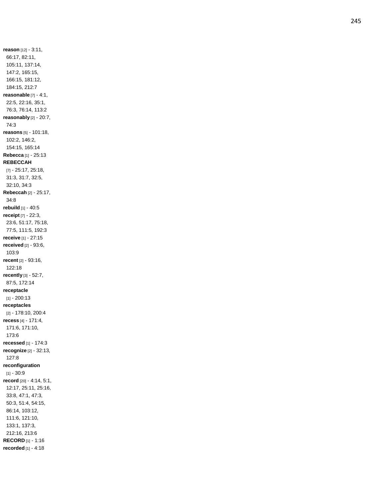**reason** [12] - 3:11, 66:17, 82:11, 105:11, 137:14, 147:2, 165:15, 166:15, 181:12, 184:15, 212:7 **reasonable** [7] - 4:1, 22:5, 22:16, 35:1, 76:3, 76:14, 113:2 **reasonably** [2] - 20:7, 74:3 **reasons** [5] - 101:18, 102:2, 146:2, 154:15, 165:14 **Rebecca** [1] - 25:13 **REBECCAH** [7] - 25:17, 25:18, 31:3, 31:7, 32:5, 32:10, 34:3 **Rebeccah** [2] - 25:17, 34:8 **rebuild** [1] - 40:5 **receipt** [7] - 22:3, 23:6, 51:17, 75:18, 77:5, 111:5, 192:3 **receive** [1] - 27:15 **received** [2] - 93:6, 103:9 **recent** [2] - 93:16, 122:18 **recently** [3] - 52:7, 87:5, 172:14 **receptacle** [1] - 200:13 **receptacles** [2] - 178:10, 200:4 **recess** [4] - 171:4, 171:6, 171:10, 173:6 **recessed** [1] - 174:3 **recognize** [2] - 32:13, 127:8 **reconfiguration** [1] - 30:9 **record** [20] - 4:14, 5:1, 12:17, 25:11, 25:16, 33:8, 47:1, 47:3, 50:3, 51:4, 54:15, 86:14, 103:12, 111:6, 121:10, 133:1, 137:3, 212:16, 213:6 **RECORD** [1] - 1:16 **recorded** [1] - 4:18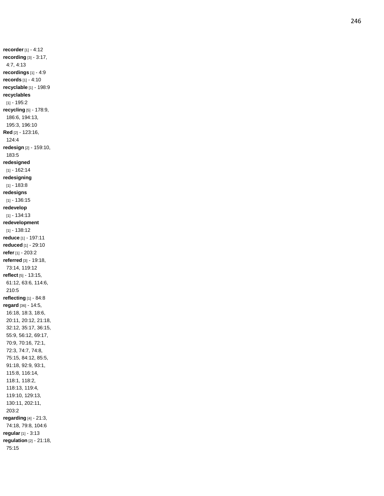**recorder** [1] - 4:12 **recording** [3] - 3:17, 4:7, 4:13 **recordings** [1] - 4:9 **records** [1] - 4:10 **recyclable** [1] - 198:9 **recyclables** [1] - 195:2 **recycling** [5] - 178:9, 186:6, 194:13, 195:3, 196:10 **Red** [2] - 123:16, 124:4 **redesign** [2] - 159:10, 183:5 **redesigned** [1] - 162:14 **redesigning**  $[1] - 183.8$ **redesigns** [1] - 136:15 **redevelop** [1] - 134:13 **redevelopment** [1] - 138:12 **reduce** [1] - 197:11 **reduced** [1] - 29:10 **refer** [1] - 203:2 **referred** [3] - 19:18, 73:14, 119:12 **reflect** [5] - 13:15, 61:12, 63:6, 114:6, 210:5 **reflecting** [1] - 84:8 **regard** [36] - 14:5, 16:18, 18:3, 18:6, 20:11, 20:12, 21:18, 32:12, 35:17, 36:15, 55:9, 56:12, 69:17, 70:9, 70:16, 72:1, 72:3, 74:7, 74:8, 75:15, 84:12, 85:5, 91:18, 92:9, 93:1, 115:8, 116:14, 118:1, 118:2, 118:13, 119:4, 119:10, 129:13, 130:11, 202:11, 203:2 **regarding** [4] - 21:3, 74:18, 79:8, 104:6 **regular** [1] - 3:13 **regulation** [2] - 21:18, 75:15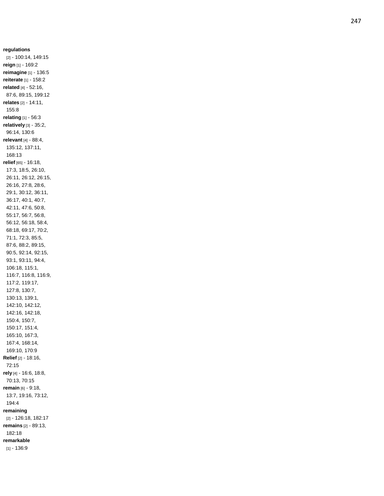**regulations** [2] - 100:14, 149:15 **reign** [1] - 169:2 **reimagine** [1] - 136:5 **reiterate** [1] - 158:2 **related** [4] - 52:16, 87:6, 89:15, 199:12 **relates** [2] - 14:11, 155:8 **relating** [1] - 56:3 **relatively** [3] - 35:2, 96:14, 130:6 **relevant** [4] - 88:4, 135:12, 137:11, 168:13 **relief** [65] - 16:18, 17:3, 18:5, 26:10, 26:11, 26:12, 26:15, 26:16, 27:8, 28:6, 29:1, 30:12, 36:11, 36:17, 40:1, 40:7, 42:11, 47:6, 50:8, 55:17, 56:7, 56:8, 56:12, 56:18, 58:4, 68:18, 69:17, 70:2, 71:1, 72:3, 85:5, 87:6, 88:2, 89:15, 90:5, 92:14, 92:15, 93:1, 93:11, 94:4, 106:18, 115:1, 116:7, 116:8, 116:9, 117:2, 119:17, 127:8, 130:7, 130:13, 139:1, 142:10, 142:12, 142:16, 142:18, 150:4, 150:7, 150:17, 151:4, 165:10, 167:3, 167:4, 168:14, 169:10, 170:9 **Relief** [2] - 18:16, 72:15 **rely** [4] - 16:6, 18:8, 70:13, 70:15 **remain** [6] - 9:18, 13:7, 19:16, 73:12, 194:4 **remaining** [2] - 126:18, 182:17 **remains** [2] - 89:13, 182:18 **remarkable**

[1] - 136:9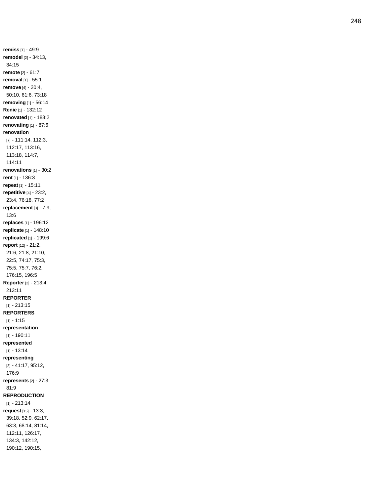**remiss** [1] - 49:9 **remodel** [2] - 34:13, 34:15 **remote** [2] - 61:7 **removal** [1] - 55:1 **remove** [4] - 20:4, 50:10, 61:6, 73:18 **removing** [1] - 56:14 **Renie** [1] - 132:12 **renovated** [1] - 183:2 **renovating** [1] - 87:6 **renovation** [7] - 111:14, 112:3, 112:17, 113:16, 113:18, 114:7, 114:11 **renovations** [1] - 30:2 **rent** [1] - 136:3 **repeat** [1] - 15:11 **repetitive** [4] - 23:2, 23:4, 76:18, 77:2 **replacement** [3] - 7:9, 13:6 **replaces** [1] - 196:12 **replicate** [1] - 148:10 **replicated** [1] - 199:6 **report** [12] - 21:2, 21:6, 21:8, 21:10, 22:5, 74:17, 75:3, 75:5, 75:7, 76:2, 176:15, 196:5 **Reporter** [2] - 213:4, 213:11 **REPORTER** [1] - 213:15 **REPORTERS** [1] - 1:15 **representation** [1] - 190:11 **represented**  $[1] - 13.14$ **representing** [3] - 41:17, 95:12, 176:9 **represents** [2] - 27:3, 81:9 **REPRODUCTION** [1] - 213:14 **request** [15] - 13:3, 39:18, 52:9, 62:17, 63:3, 68:14, 81:14, 112:11, 126:17, 134:3, 142:12, 190:12, 190:15,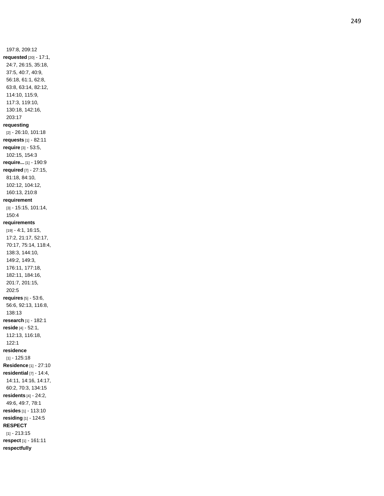197:8, 209:12 **requested** [20] - 17:1, 24:7, 26:15, 35:18, 37:5, 40:7, 40:9, 56:18, 61:1, 62:8, 63:8, 63:14, 82:12, 114:10, 115:9, 117:3, 119:10, 130:18, 142:16, 203:17 **requesting** [2] - 26:10, 101:18 **requests** [1] - 82:11 **require** [3] - 53:5, 102:15, 154:3 **require...** [1] - 190:9 **required** [7] - 27:15, 81:18, 84:10, 102:12, 104:12, 160:13, 210:8 **requirement** [3] - 15:15, 101:14, 150:4 **requirements** [19] - 4:1, 16:15, 17:2, 21:17, 52:17, 70:17, 75:14, 118:4, 138:3, 144:10, 149:2, 149:3, 176:11, 177:18, 182:11, 184:16, 201:7, 201:15, 202:5 **requires** [5] - 53:6, 56:6, 92:13, 116:8, 138:13 **research** [1] - 182:1 **reside** [4] - 52:1, 112:13, 116:18, 122:1 **residence** [1] - 125:18 **Residence** [1] - 27:10 **residential** [7] - 14:4, 14:11, 14:16, 14:17, 60:2, 70:3, 134:15 **residents** [4] - 24:2, 49:6, 49:7, 78:1 **resides** [1] - 113:10 **residing** [1] - 124:5 **RESPECT** [1] - 213:15 **respect** [1] - 161:11 **respectfully**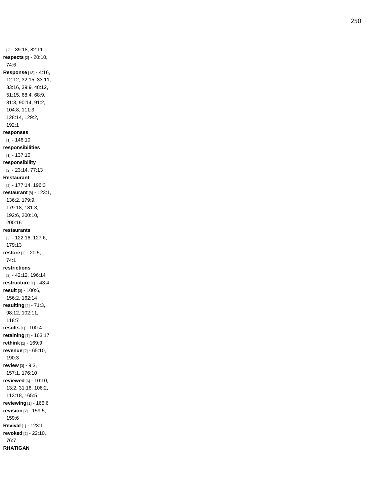[2] - 39:18, 82:11 **respects** [2] - 20:10, 74:6 **Response** [18] - 4:16, 12:12, 32:15, 33:11, 33:16, 39:9, 48:12, 51:15, 68:4, 68:9, 81:3, 90:14, 91:2, 104:8, 111:3, 128:14, 129:2, 192:1 **responses** [1] - 146:10 **responsibilities** [1] - 137:10 **responsibility** [2] - 23:14, 77:13 **Restaurant** [2] - 177:14, 196:3 **restaurant** [8] - 123:1, 136:2, 179:9, 179:18, 181:3, 192:6, 200:10, 200:16 **restaurants** [3] - 122:16, 127:6, 179:13 **restore** [2] - 20:5, 74:1 **restrictions** [2] - 42:12, 196:14 **restructure** [1] - 43:4 **result** [3] - 100:6, 156:2, 162:14 **resulting** [4] - 71:3, 98:12, 102:11, 118:7 **results** [1] - 100:4 **retaining** [1] - 163:17 **rethink** [1] - 169:9 **revenue** [2] - 65:10, 190:3 **review** [3] - 9:3, 157:1, 176:10 **reviewed** [6] - 10:10, 13:2, 31:16, 106:2, 113:18, 165:5 **reviewing** [1] - 166:6 **revision** [2] - 159:5, 159:6 **Revival** [1] - 123:1 **revoked** [2] - 22:10, 76:7 **RHATIGAN**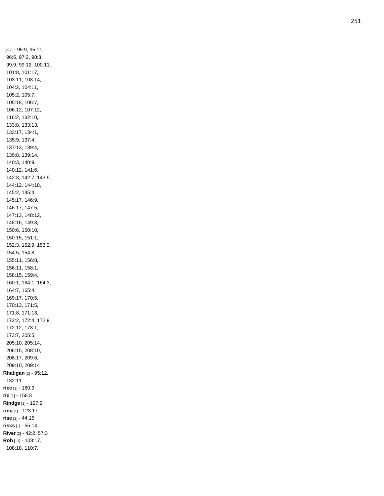[92] - 95:9, 95:11, 96:5, 97:2, 98:8, 99:9, 99:12, 100:11, 101:8, 101:17, 103:11, 103:14, 104:2, 104:11, 105:2, 105:7, 105:18, 106:7, 106:12, 107:12, 116:2, 132:10, 133:8, 133:13, 133:17, 134:1, 135:9, 137:4, 137:13, 139:4, 139:8, 139:14, 140:3, 140:9, 140:12, 141:6, 142:3, 142:7, 143:9, 144:12, 144:18, 145:2, 145:4, 145:17, 146:9, 146:17, 147:5, 147:13, 148:12, 148:16, 149:8, 150:6, 150:10, 150:15, 151:1, 152:3, 152:9, 153:2, 154:5, 154:8, 155:11, 156:8, 156:11, 158:1, 158:15, 159:4, 160:1, 164:1, 164:3, 164:7, 165:4, 169:17, 170:5, 170:13, 171:5, 171:8, 171:13, 172:2, 172:4, 172:9, 172:12, 173:1, 173:7, 205:5, 205:10, 205:14, 206:15, 208:10, 208:17, 209:6, 209:10, 209:14 **Rhatigan** [2] - 95:12, 132:11 **rice** [1] - 180:9 **rid** [1] - 156:3 **Rindge** [1] - 127:2 **ring** [1] - 123:17 **rise** [1] - 44:15 **risks** [1] - 55:14 **River** [2] - 42:2, 57:3 **Rob** [11] - 108:17, 108:18, 110:7,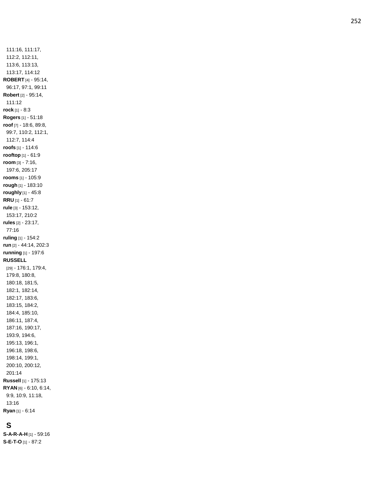111:16, 111:17, 112:2, 112:11, 113:6, 113:13, 113:17, 114:12 **ROBERT** [4] - 95:14, 96:17, 97:1, 99:11 **Robert** [2] - 95:14, 111:12 **rock** [1] - 8:3 **Rogers** [1] - 51:18 **roof** [7] - 18:6, 89:8, 99:7, 110:2, 112:1, 112:7, 114:4 **roofs** [1] - 114:6 **rooftop** [1] - 61:9 **room** [3] - 7:16, 197:6, 205:17 **rooms** [1] - 105:9 **rough** [1] - 183:10 **roughly** [1] - 45:8 **RRU** [1] - 61:7 **rule** [3] - 153:12, 153:17, 210:2 **rules** [2] - 23:17, 77:1 6 **ruling** [1] - 154:2 **run** [2] - 44:14, 202:3 **running** [1] - 197:6 **RUSSELL** [29] - 176:1, 179:4, 179:8, 180:8, 180:18, 181:5, 182:1, 182:14, 182:17, 183:6, 183:15, 184:2, 184:4, 185:10, 186:11, 187:4, 187:16, 190:17, 193:9, 194:6, 195:13, 196:1, 196:18, 198:6, 198:14, 199:1, 200:10, 200:12, 201:14 **Russell** [1] - 175:13 **RYAN** [6] - 6:10, 6:14, 9:9, 10:9, 11:18, 13:16 **Ryan** [1] - 6:14

# **S**

**S - A - R - A - H** [1] - 59:16 **S - E - T - O** [1] - 87:2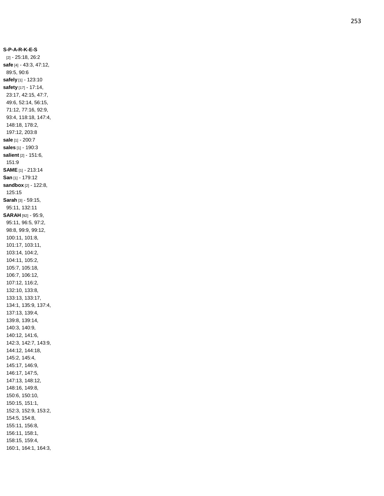**S - P - A - R - K - E - S** [2] - 25:18, 26:2 **safe** [4] - 43:3, 47:12, 89:5, 90:6 **safely** [1] - 123:10 **safety** [17] - 17:14, 23:17, 42:15, 47:7, 49:6, 52:14, 56:15, 71:12, 77:16, 92:9, 93:4, 118:18, 147:4, 148:18, 178:2, 197:12, 203:8 **sale** [1] - 200:7 **sales** [1] - 190:3 **salient** [2] - 151:6, 151:9 **SAME** [1] - 213:14 **San** [1] - 179:12 **sandbox** [2] - 122:8, 125:15 **Sarah** [3] - 59:15, 95:11, 132:11 **SARAH** [92] - 95:9, 95:11, 96:5, 97:2, 98:8, 99:9, 99:12, 100:11, 101:8, 101:17, 103:11, 103:14, 104:2, 104:11, 105:2, 105:7, 105:18, 106:7, 106:12, 107:12, 116:2, 132:10, 133:8, 133:13, 133:17, 134:1, 135:9, 137:4, 137:13, 139:4, 139:8, 139:14, 140:3, 140:9, 140:12, 141:6, 142:3, 142:7, 143:9, 144:12, 144:18, 145:2, 145:4, 145:17, 146:9, 146:17, 147:5, 147:13, 148:12, 148:16, 149:8, 150:6, 150:10, 150:15, 151:1, 152:3, 152:9, 153:2, 154:5, 154:8, 155:11, 156:8, 156:11, 158:1, 158:15, 159:4, 160:1, 164:1, 164:3,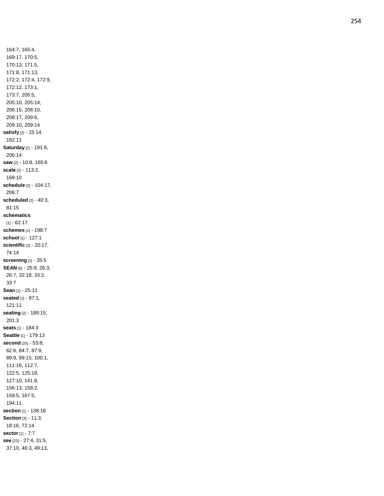164:7, 165:4, 169:17, 170:5, 170:13, 171:5, 171:8, 171:13, 172:2, 172:4, 172:9, 172:12, 173:1, 173:7, 205:5, 205:10, 205:14, 206:15, 208:10, 208:17, 209:6, 209:10, 209:14 **satisfy** [2] - 15:14, 182:11 **Saturday** [2] - 191:6, 206:14 **saw** [2] - 10:8, 165:6 **scale** [2] - 113:2, 169:10 **schedule** [2] - 104:17, 206:7 **scheduled** [2] - 40:3, 81:15 **schematics**  $[1] - 62:17$ **schemes** [1] - 198:7 **school** [1] - 127:1 **scientific** [2] - 20:17, 74:14 **screening** [1] - 35:5 **SEAN** [6] - 25:9, 26:3, 26:7, 32:18, 33:2, 33:7 **Sean** [1] - 25:11 **seated** [2] - 87:1, 121:11 **seating** [2] - 189:15, 201:3 **seats** [1] - 184:3 **Seattle** [1] - 179:13 **second** [20] - 53:8, 62:6, 84:7, 87:9, 89:9, 99:15, 100:1, 111:16, 112:7, 122:5, 125:18, 127:10, 141:8, 156:13, 158:2, 159:5, 167:5, 194:11 **section** [1] - 138:18 **Section** [3] - 11:3, 18:16, 72:14 **sector** [1] - 7:7 **see** [23] - 27:4, 31:5, 37:10, 46:3, 49:13,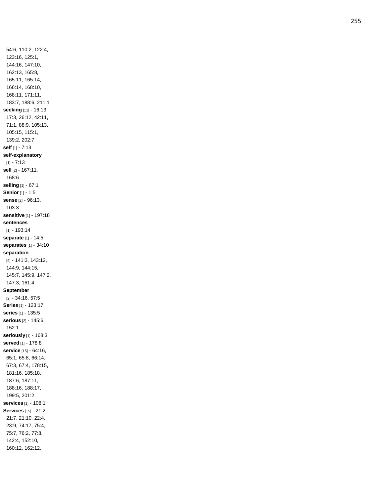54:6, 110:2, 122:4, 123:16, 125:1, 144:16, 147:10, 162:13, 165:8, 165:11, 165:14, 166:14, 168:10, 168:11, 171:11, 183:7, 188:6, 211:1 **seeking** [11] - 16:13, 17:3, 26:12, 42:11, 71:1, 88:9, 105:13, 105:15, 115:1, 139:2, 202:7 **self** [1] - 7:13 **self -explanatory** [1] - 7:13 **sell** [2] - 167:11, 168:6 **selling** [1] - 67:1 **Senior** [1] - 1:5 **sense** [2] - 96:13, 103:3 **sensitive** [1] - 197:18 **sentences** [1] - 193:14 **separate** [1] - 14:5 **separates** [1] - 34:10 **separation** [9] - 141:3, 143:12, 144:9, 144:15, 145:7, 145:9, 147:2, 147:3, 161:4 **September** [2] - 34:16, 57:5 **Series** [1] - 123:17 **series** [1] - 135:5 **serious** [2] - 145:6, 152:1 **seriously** [1] - 168:3 **served** [1] - 178:8 **service** [15] - 64:16, 65:1, 65:8, 66:14, 67:3, 67:4, 178:15, 181:16, 185:18, 187:6, 187:11, 188:16, 188:17, 199:5, 201:2 **services** [1] - 108:1 **Services** [15] - 21:2, 21:7, 21:10, 22:4, 23:9, 74:17, 75:4, 75:7, 76:2, 77:8, 142:4, 152:10, 160:12, 162:12,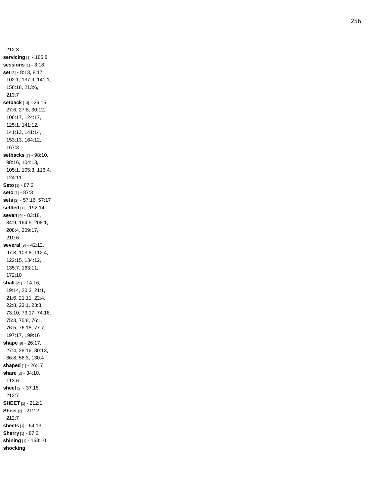212:3 **servicing** [1] - 185:8 **sessions** [1] - 3:18 **set** [8] - 8:13, 8:17, 102:1, 137:9, 141:1, 158:18, 213:6, 213:7 **setback** [13] - 26:15, 27:6, 27:8, 30:12, 106:17, 124:17, 125:1, 141:12, 141:13, 141:14, 153:13, 164:12, 167:3 **setbacks** [7] - 98:10, 98:16, 104:13, 105:1, 105:3, 116:4, 124:11 **Seto** [1] - 87:2 **seto** [1] - 87:3 **sets** [2] - 57:16, 57:17 **settled** [1] - 192:14 **seven** [9] - 83:18, 84:9, 164:5, 208:1, 208:4, 209:17, 210:6 **several** [9] - 42:12, 97:3, 103:8, 112:4, 122:15, 134:12, 135:7, 163:11, 172:10 **shall** [21] - 14:16, 19:14, 20:3, 21:1, 21:6, 21:11, 22:4, 22:8, 23:1, 23:8, 73:10, 73:17, 74:16, 75:3, 75:8, 76:1, 76:5, 76:18, 77:7, 197:17, 199:16 **shape** [8] - 26:17, 27:4, 28:16, 30:13, 36:8, 56:3, 130:4 **shaped** [1] - 26:17 **share** [2] - 34:10, 113:6 **sheet** [2] - 37:15, 212:7 **SHEET** [1] - 212:1 **Sheet** [2] - 212:2, 212:7 **sheets** [1] - 64:13 **Sherry** [1] - 87:2 **shining** [1] - 158:10 **shocking**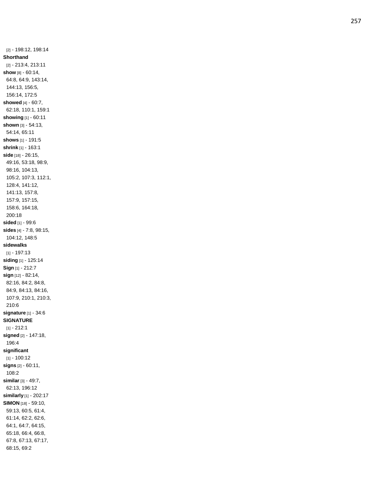[2] - 198:12, 198:14 **Shorthand** [2] - 213:4, 213:11 **show** [8] - 60:14, 64:8, 64:9, 143:14, 144:13, 156:5, 156:14, 172:5 **showed** [4] - 60:7, 62:18, 110:1, 159:1 **showing** [1] - 60:11 **shown** [3] - 54:13, 54:14, 65:11 **shows** [1] - 191:5 **shrink** [1] - 163:1 **side** [18] - 26:15, 49:16, 53:18, 98:9, 98:16, 104:13, 105:2, 107:3, 112:1, 128:4, 141:12, 141:13, 157:8, 157:9, 157:15, 158:6, 164:18, 200:1 8 **sided** [1] - 99:6 **sides** [4] - 7:8, 98:15, 104:12, 148:5 **sidewalks** [1] - 197:13 **siding** [1] - 125:14 **Sign** [1] - 212:7 **sign** [12] - 82:14, 82:16, 84:2, 84:8, 84:9, 84:13, 84:16, 107:9, 210:1, 210:3, 210:6 **signature** [1] - 34:6 **SIGNATURE** [1] - 212:1 **signed** [2] - 147:18, 196:4 **significant** [1] - 100:12 **signs** [2] - 60:11, 108:2 **similar** [3] - 49:7, 62:13, 196:12 **similarly** [1] - 202:17 **SIMON** [18] - 59:10, 59:13, 60:5, 61:4, 61:14, 62:2, 62:6, 64:1, 64:7, 64:15, 65:18, 66:4, 66:8, 67:8, 67:13, 67:17, 68:15, 69:2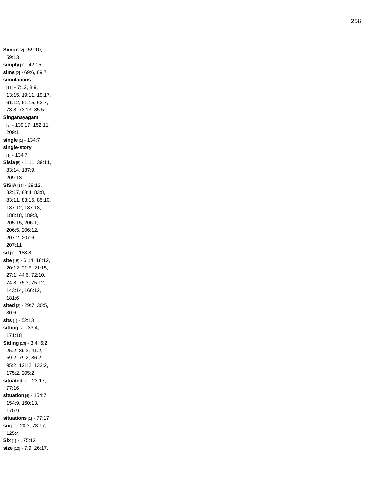**Simon** [2] - 59:10, 59:13 **simply** [1] - 42:15 **sims** [2] - 69:6, 69:7 **simulations** [11] - 7:12, 8:9, 13:15, 19:11, 19:17, 61:12, 61:15, 63:7, 73:8, 73:13, 85:5 **Singanayagam** [3] - 139:17, 152:11, 209:1 **single** [1] - 134:7 **single -story**  $[1] - 134:7$ **Sisia** [5] - 1:11, 39:11, 83:14, 187:9, 209:13 **SISIA** [18] - 39:12, 82:17, 83:4, 83:8, 83:11, 83:15, 85:10, 187:12, 187:18, 188:18, 189:3, 205:15, 206:1, 206:5, 206:12, 207:2, 207:6, 207:11 **sit** [1] - 188:8 **site** [15] - 6:14, 18:12, 20:12, 21:5, 21:15, 27:1, 44:6, 72:10, 74:8, 75:3, 75:12, 143:14, 166:12, 181:6 **sited** [3] - 29:7, 30:5, 30:6 **sits** [1] - 52:13 **sitting** [2] - 33:4, 171:18 **Sitting** [13] - 3:4, 6:2, 25:2, 39:2, 41:2, 59:2, 79:2, 86:2, 95:2, 121:2, 132:2, 175:2, 205:2 **situated** [2] - 23:17, 77:16 **situation** [4] - 154:7, 154:9, 160:13, 170:9 **situations** [1] - 77:17 **six** [3] - 20:3, 73:17, 125:4 **Six** [1] - 175:12 **size** [12] - 7:9, 26:17,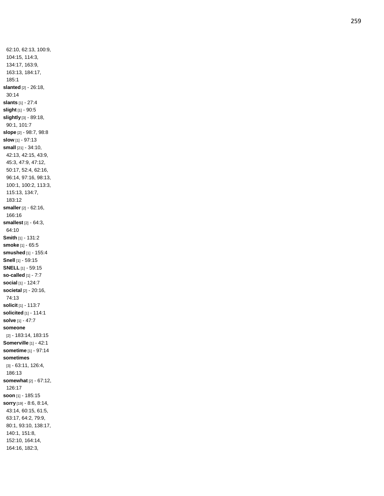62:10, 62:13, 100:9, 104:15, 114:3, 134:17, 163:9, 163:13, 184:17, 185:1 **slanted** [2] - 26:18, 30:14 **slants** [1] - 27:4 **slight** [1] - 90: 5 **slightly** [3] - 89:18, 90:1, 101:7 **slope** [2] - 98:7, 98:8 **slow** [1] - 97:13 **small** [21] - 34:10, 42:13, 42:15, 43:9, 45:3, 47:9, 47:12, 50:17, 52:4, 62:16, 96:14, 97:16, 98:13, 100:1, 100:2, 113:3, 115:13, 134:7, 183:12 **smaller** [2] - 62:16, 166:16 **smallest** [2] - 64:3, 64:10 **Smith** [1] - 131:2 **smoke** [1] - 65:5 **smushed** [1] - 155:4 **Snell** [1] - 59:15 **SNELL** [1] - 59:15 **so -called** [1] - 7:7 **social** [1] - 124:7 **societal** [2] - 20:16, 74:13 **solicit** [1] - 113:7 **solicited** [1] - 114:1 **solve** [1] - 47:7 **someone** [2] - 183:14, 183:15 **Somerville** [1] - 42:1 **sometime** [1] - 97:14 **sometimes** [3] - 63:11, 126:4, 186:13 **somewhat** [2] - 67:12, 126:17 **soon** [1] - 185:15 **sorry** [19] - 8:6, 8:14, 43:14, 60:15, 61:5, 63:17, 64:2, 79:9, 80:1, 93:10, 138:17, 140:1, 151:8, 152:10, 164:14, 164:16, 182:3,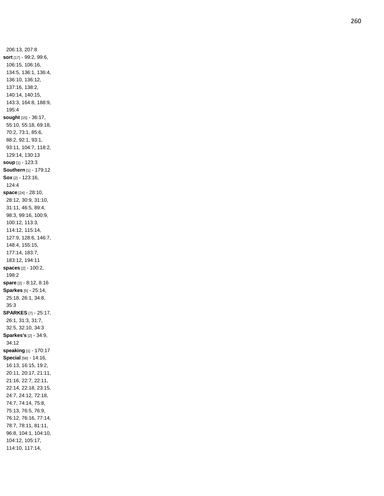206:13, 207:8 **sort** [17] - 99:2, 99:6, 106:15, 106:16, 134:5, 136:1, 136:4, 136:10, 136:12, 137:16, 138:2, 140:14, 140:15, 143:3, 164:8, 188:9, 195:4 **sought** [15] - 36:17, 55:10, 55:18, 69:18, 70:2, 73:1, 85:6, 88:2, 92:1, 93:1, 93:11, 104:7, 118:2, 129:14, 130:13 **soup** [1] - 123:3 **Southern** [1] - 179:12 **Sox** [2] - 123:16, 124:4 **space** [24] - 28:10, 28:12, 30:9, 31:10, 31:11, 46:5, 89:4, 98:3, 99:16, 100:9, 100:12, 113:3, 114:12, 115:14, 127:9, 128:6, 146:7, 148:4, 155:15, 177:14, 183:7, 183:12, 194:11 **spaces** [2] - 100:2, 198:2 **spare** [2] - 8:12, 8:16 **Sparkes** [5] - 25:14, 25:18, 26:1, 34:8, 35:3 **SPARKES** [7] - 25:17, 26:1, 31:3, 31:7, 32:5, 32:10, 34:3 **Sparkes's** [2] - 34:9, 34:12 **speaking** [1] - 170:17 **Special** [56] - 14:16, 16:13, 16:15, 19:2, 20:11, 20:17, 21:11, 21:16, 22:7, 22:11, 22:14, 22:18, 23:15, 24:7, 24:12, 72:18, 74:7, 74:14, 75:8, 75:13, 76:5, 76:9, 76:12, 76:16, 77:14, 78:7, 78:11, 81:11, 96:8, 104:1, 104:10, 104:12, 105:17, 114:10, 117:14,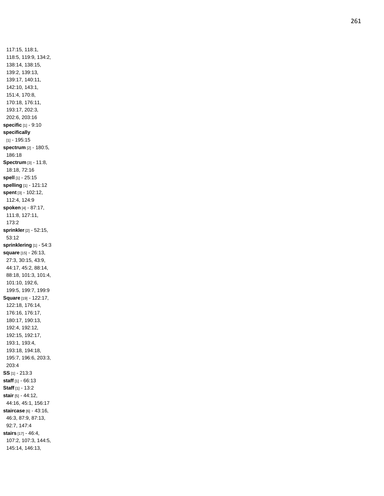117:15, 118:1, 118:5, 119:9, 134:2, 138:14, 138:15, 139:2, 139:13, 139:17, 140:11, 142:10, 143:1, 151:4, 170:8, 170:18, 176:11, 193:17, 202:3, 202:6, 203:16 **specific** [1] - 9:10 **specifically** [1] - 195:15 **spectrum** [2] - 180:5, 186:18 **Spectrum** [3] - 11:8, 18:18, 72:16 **spel l** [1] - 25:15 **spelling** [1] - 121:12 **spent** [3] - 102:12, 112:4, 124:9 **spoken** [4] - 87:17, 111:8, 127:11, 173:2 **sprinkler**[2] - 52:15, 53:12 **sprinklering** [1] - 54:3 **square** [15] - 26:13, 27:3, 30:15, 43:9, 44:17, 45:2, 88:14, 88:18, 101:3, 101:4, 101:10, 192:6, 199:5, 199:7, 199:9 **Square** [19] - 122:17, 122:18, 176:14, 176:16, 176:17, 180:17, 190:13, 192:4, 192:12, 192:15, 192:17, 193:1, 193:4, 193:18, 194:18, 195:7, 196:6, 203:3, 203:4 **SS** [1] - 213:3 **staff** [1] - 66:13 **Staff** [1] - 13:2 **stair** [5] - 44:12, 44:16, 45:1, 156:17 **staircase** [6] - 43:16, 46:3, 87:9, 87:13, 92:7, 147:4 **stairs** [17] - 46:4, 107:2, 107:3, 144:5, 145:14, 146:13,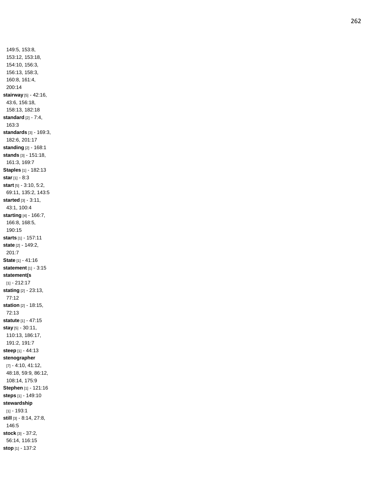149:5, 153:8, 153:12, 153:18, 154:10, 156:3, 156:13, 158:3, 160:8, 161:4, 200:14 **stairway** [5] - 42:16, 43:6, 156:18, 158:13, 182:18 **standard** [2] - 7:4, 163:3 **standards** [3] - 169:3, 182:6, 201:17 **standing** [2] - 168:1 **stands** [3] - 151:18, 161:3, 169:7 **Staples** [1] - 182:13 **star** [1] - 8:3 **start** [5] - 3:10, 5:2, 69:11, 135:2, 143:5 **started** [3] - 3:11, 43:1, 100:4 **starting** [4] - 166:7, 166:8, 168:5, 190:15 **starts** [1] - 157:11 **state** [2] - 149:2, 201:7 **State** [1] - 41:16 **statement** [1] - 3:15 **statement(s** [1] - 212:17 **stating** [2] - 23:13, 77:12 **station** [2] - 18:15, 72:13 **statute** [1] - 47:15 **stay** [5] - 30:11, 110:13, 186:17, 191:2, 191:7 **steep** [1] - 44:13 **stenographer** [7] - 4:10, 41:12, 48:18, 59:9, 86:12, 108:14, 175:9 **Stephen** [1] - 121:16 **steps** [1] - 149:10 **stewardship** [1] - 193:1 **still** [3] - 8:14, 27:8, 146:5 **stock** [3] - 37:2, 56:14, 116:15 **stop** [1] - 137:2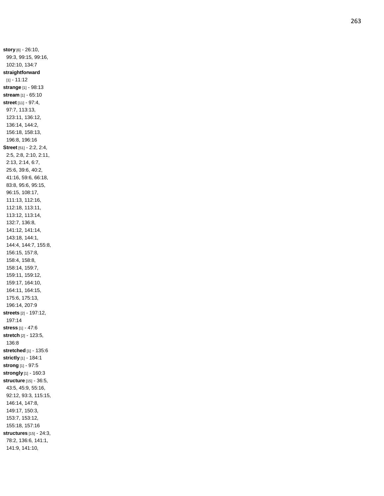**story** [6] - 26:10, 99:3, 99:15, 99:16, 102:10, 134:7 **straightforward**  $[1] - 11:12$ **strange** [1] - 98:13 **stream** [1] - 65:10 **street** [11] - 97:4, 97:7, 113:13, 123:11, 136:12, 136:14, 144:2, 156:18, 158:13, 196:8, 196:16 **Street** [51] - 2:2, 2:4, 2:5, 2:8, 2:10, 2:11, 2:13, 2:14, 6:7, 25:6, 39:6, 40:2, 41:16, 59:6, 66:18, 83:8, 95:6, 95:15, 96:15, 108:17, 111:13, 112:16, 112:18, 113:11, 113:12, 113:14, 132:7, 136:8, 141:12, 141:14, 143:18, 144:1, 144:4, 144:7, 155:8, 156:15, 157:8, 158:4, 158:8, 158:14, 159:7, 159:11, 159:12, 159:17, 164:10, 164:11, 164:15, 175:6, 175:13, 196:14, 207:9 **streets** [2] - 197:12, 197:14 **stress** [1] - 47:6 **stretch** [2] - 123:5, 136:8 **stretched** [1] - 135:6 **strictly** [1] - 184:1 **strong** [1] - 97:5 **strongly** [1] - 160:3 **structure** [15] - 36:5, 43:5, 45:9, 55:16, 92:12, 93:3, 115:15, 146:14, 147:8, 149:17, 150:3, 153:7, 153:12, 155:18, 157:16 **structures** [15] - 24:3, 78:2, 136:6, 141:1, 141:9, 141:10,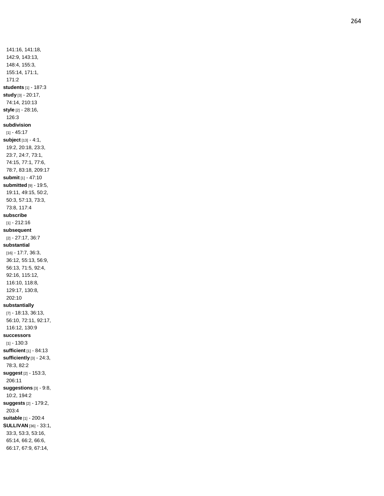141:16, 141:18, 142:9, 143:13, 148:4, 155:3, 155:14, 171:1, 171:2 **students** [1] - 187:3 **study** [3] - 20:17, 74:14, 210:13 **style** [2] - 28:16, 126:3 **subdivision**  $[1] - 45.17$ **subject** [13] - 4:1, 19:2, 20:18, 23:3, 23:7, 24:7, 73:1, 74:15, 77:1, 77:6, 78:7, 83:18, 209:17 **submit** [1] - 47:10 **submitted** [9] - 19:5, 19:11, 49:15, 50:2, 50:3, 57:13, 73:3, 73:8, 117:4 **subscribe** [1] - 212:16 **subsequent** [2] - 27:17, 36:7 **substantial** [16] - 17:7, 36:3, 36:12, 55:13, 56:9, 56:13, 71:5, 92:4, 92:16, 115:12, 116:10, 118:8, 129:17, 130:8, 202:10 **substantially** [7] - 18:13, 36:13, 56:10, 72:11, 92:17, 116:12, 130:9 **successors**  $[1] - 130:3$ **sufficient** [1] - 84:13 **sufficiently** [3] - 24:3, 78:3, 82:2 **suggest** [2] - 153:3, 206:11 **suggestions** [3] - 9:8, 10:2, 194:2 **suggests** [2] - 179:2, 203:4 **suitable** [1] - 200:4 **SULLIVAN** [36] - 33:1, 33:3, 53:3, 53:16, 65:14, 66:2, 66:6, 66:17, 67:9, 67:14,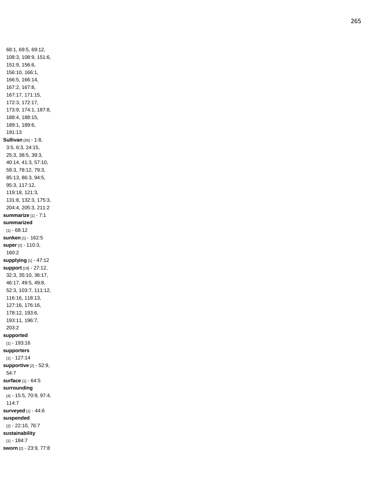68:1, 69:5, 69:12, 108:3, 108:9, 151:6, 151:9, 156:6, 156:10, 166:1, 166:5, 166:14, 167:2, 167:8, 167:17, 171:15, 172:3, 172:17, 173:9, 174:1, 187:8, 188:4, 188:15, 189:1, 189:6, 191:13 **Sullivan** [26] - 1:8, 3:5, 6:3, 24:15, 25:3, 38:5, 39:3, 40:14, 41:3, 57:10, 59:3, 78:12, 79:3, 85:13, 86:3, 94:5, 95:3, 117:12, 119:18, 121:3, 131:8, 132:3, 175:3, 204:4, 205:3, 211:2 **summarize** [1] - 7:1 **summarized**  $[1] - 68:12$ **sunken** [1] - 162:5 **super** [2] - 110:3, 160:2 **supplying** [1] - 47:12 **support** [19] - 27:12, 32:3, 35:10, 36:17, 46:17, 49:5, 49:8, 52:3, 103:7, 111:12, 116:16, 118:13, 127:16, 176:16, 178:12, 193:6, 193:11, 196:7, 203:2 **supported** [1] - 193:16 **supporters** [1] - 127:14 **supportive** [2] - 52:9, 54:7 **surface** [1] - 64:5 **surrounding** [4] - 15:5, 70:9, 97:4, 114:7 **surveyed** [1] - 44:6 **suspended** [2] - 22:10, 76:7 **sustainability**  $[1] - 184:7$ **sworn** [2] - 23:9, 77:8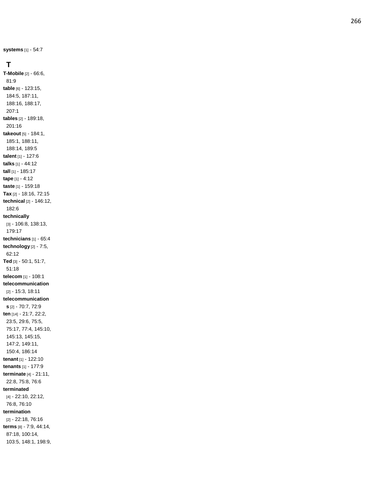**systems** [1] - 54:7

#### **T**

**T -Mobile** [2] - 66:6, 81:9 **table** [6] - 123:15, 184:5, 187:11, 188:16, 188:17, 207:1 **tables** [2] - 189:18, 201:16 **takeout** [5] - 184:1, 185:1, 188:11, 188:14, 189:5 **talent** [1] - 127:6 **talks** [1] - 44:12 **tall** [1] - 185:17 **tape** [1] - 4:12 **taste** [1] - 159:18 **Tax** [2] - 18:16, 72:15 **technical** [2] - 146:12, 182:6 **technically** [3] - 106:8, 138:13, 179:17 **technicians** [1] - 65:4 **technology** [2] - 7:5, 62:12 **Ted** [3] - 50:1, 51:7, 51:18 **telecom** [1] - 108:1 **telecommunication** [2] - 15:3, 18:11 **telecommunication s** [2] - 70:7, 72:9 **ten** [14] - 21:7, 22:2, 23:5, 29:6, 75:5, 75:17, 77:4, 145:10, 145:13, 145:15, 147:2, 149:11, 150:4, 186:14 **tenant** [1] - 122:10 **tenants** [1] - 177:9 **terminate** [4] - 21:11, 22:8, 75:8, 76:6 **terminated** [4] - 22:10, 22:12, 76:8, 76:10 **termination** [2] - 22:18, 76:16 **terms** [8] - 7:9, 44:14, 87:18, 100:14, 103:5, 148:1, 198:9,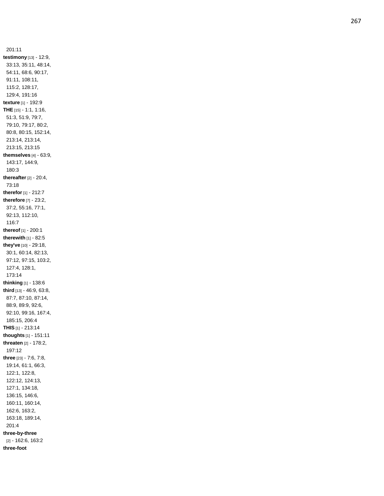201:11 **testimony** [13] - 12:9, 33:13, 35:11, 48:14, 54:11, 68:6, 90:17, 91:11, 108:11, 115:2, 128:17, 129:4, 191:16 **texture** [1] - 192:9 **THE** [15] - 1:1, 1:16, 51:3, 51:9, 79:7, 79:10, 79:17, 80:2, 80:8, 80:15, 152:14, 213:14, 213:14, 213:15, 213:15 **themselves** [4] - 63:9, 143:17, 144:9, 180:3 **thereafter** [2] - 20:4, 73:18 **therefor** [1] - 212:7 **therefore** [7] - 23:2, 37:2, 55:16, 77:1, 92:13, 112:10, 116:7 **thereof** [1] - 200:1 **therewith** [1] - 82:5 **they've** [10] - 29:18, 30:1, 60:14, 82:13, 97:12, 97:15, 103:2, 127:4, 128:1, 173:14 **thinking** [1] - 138:6 **third** [13] - 46:9, 63:8, 87:7, 87:10, 87:14, 88:9, 89:9, 92:6, 92:10, 99:16, 167:4, 185:15, 206:4 **THIS** [1] - 213:14 **thoughts** [1] - 151:11 **threaten** [2] - 178:2, 197:1 2 **three** [23] - 7:6, 7:8, 19:14, 61:1, 66:3, 122:1, 122:8, 122:12, 124:13, 127:1, 134:18, 136:15, 146:6, 160:11, 160:14, 162:6, 163:2, 163:18, 189:14, 201:4 **three -by -three** [2] - 162:6, 163:2 **three -foot**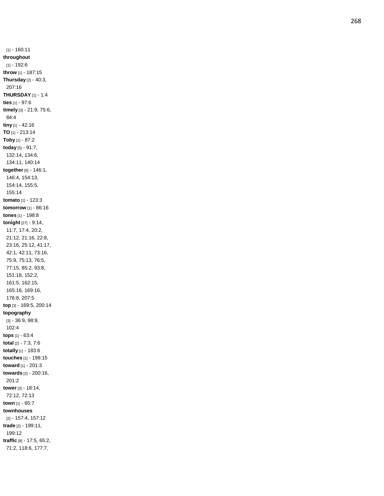[1] - 160:11 **throughout** [1] - 192:6 **throw** [1] - 187:15 **Thursday** [2] - 40:3, 207:16 **THURSDAY** [1] - 1:4 **ties** [1] - 97:6 **timely** [3] - 21:9, 75:6, 84:4 **tiny** [1] - 42:16 **TO** [1] - 213:14 **Toby** [1] - 87:2 **today** [5] - 91:7, 132:14, 134:6, 134:11, 140:14 **together** [6] - 146:1, 146:4, 154:13, 154:14, 155:5, 155:14 **tomato** [1] - 123:3 **tomorrow** [1] - 86:16 **tones** [1] - 198:8 **tonight** [27] - 9:14, 11:7, 17:4, 20:2, 21:12, 21:16, 22:8, 23:16, 25:12, 41:17, 42:1, 42:11, 73:16, 75:9, 75:13, 76:5, 77:15, 85:2, 93:8, 151:18, 152:2, 161:5, 162:15, 165:16, 169:16, 176:8, 207:5 **top** [3] - 169:5, 200:14 **topography** [3] - 36:9, 98:9, 102:4 **tops** [1] - 63:4 **total** [2] - 7:3, 7:6 **totally** [1] - 183:6 **touches** [1] - 198:15 **toward** [1] - 201:3 **towards** [2] - 200:16, 201:2 **tower** [3] - 18:14, 72:12, 72:13 **town** [1] - 65:7 **townhouses** [2] - 157:4, 157:12 **trade** [2] - 199:11, 199:12 **traffic** [8] - 17:5, 65:2, 71:2, 118:6, 177:7,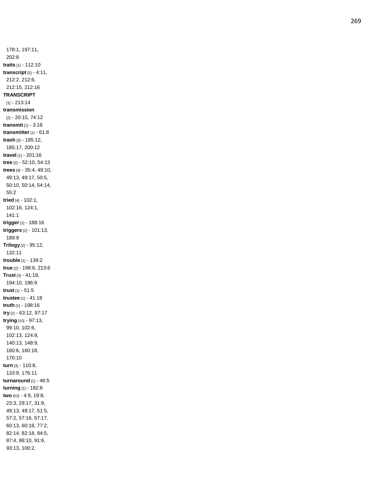178:1, 197:11, 202:8 **traits** [1] - 112:10 **transcript** [5] - 4:11, 212:2, 212:6, 212:15, 212:16 **TRANSCRIPT** [1] - 213:14 **transmission** [2] - 20:15, 74:12 **transmit** [1] - 3:18 **transmitter** [1 ] - 61:8 **trash** [3] - 185:12, 185:17, 200:12 **travel** [1] - 201:16 **tree** [2] - 52:10, 54:13 **trees** [9] - 35:4, 49:10, 49:13, 49:17, 50:5, 50:10, 50:14, 54:14, 55:2 **tried** [4] - 102:1, 102:16, 124:1, 141:1 **trigger** [1] - 188:16 **triggers** [2] - 101:13, 189:9 **Trilogy** [2] - 95:12, 132:11 **trouble** [1] - 139:2 **true** [2] - 198:6, 213:6 **Trust** [3] - 41:18, 194:10, 196:9 **trust** [1] - 51:5 **trustee** [1] - 41:18 **truth** [1] - 198:16 **try** [2] - 63:12, 97:17 **trying** [10] - 97:13, 99:10, 102:6, 102:13, 124:9, 140:13, 148:9, 160:6, 160:18, 170:10 **turn** [3] - 110:8, 133:9, 176:11 **turnaround** [1] - 46:5 **turning** [1] - 182:6 **two** [53] - 4:9, 19:8, 23:3, 29:17, 31:9, 49:13, 49:17, 51:5, 57:2, 57:16, 57:17, 60:13, 60:18, 77:2, 82:14, 82:18, 84:5, 87:4, 88:10, 91:6, 93:13, 100:2,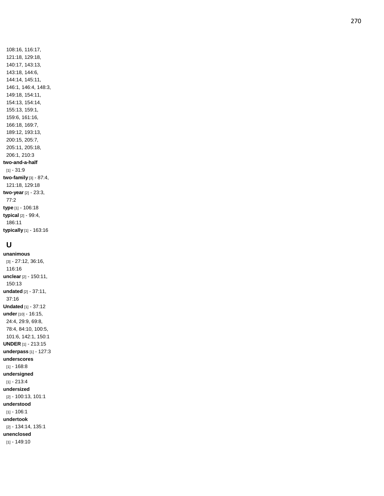108:16, 116:17, 121:18, 129:18, 140:17, 143:13, 143:18, 144:6, 144:14, 145:11, 146:1, 146:4, 148:3, 149:18, 154:11, 154:13, 154:14, 155:13, 159:1, 159:6, 161:16, 166:18, 169:7, 189:12, 193:13, 200:15, 205:7, 205:11, 205:18, 206:1, 210:3 **two -and - a -half** [1] - 31:9 **two -family** [3] - 87:4, 121:18, 129:18 **two -year** [2] - 23:3, 77:2 **type** [1] - 106:18 **typical** [2] - 99:4, 186:11 **typically** [1] - 163:16

## **U**

**unanimous** [3] - 27:12, 36:16, 116:16 **unclear** [2] - 150:11, 150:13 **undated** [2] - 37:11, 37:16 **Undated** [1] - 37:12 **under** [10] - 16:15, 24:4, 29:9, 69:8, 78:4, 84:10, 100:5, 101:6, 142:1, 150:1 **UNDER** [1] - 213:15 **underpass** [1] - 127:3 **underscores**  $[1] - 168.8$ **undersigned** [1] - 213:4 **undersized** [2] - 100:13, 101:1 **understood**  $[1] - 106:1$ **undertook** [2] - 134:14, 135:1 **unenclosed** [1] - 149:10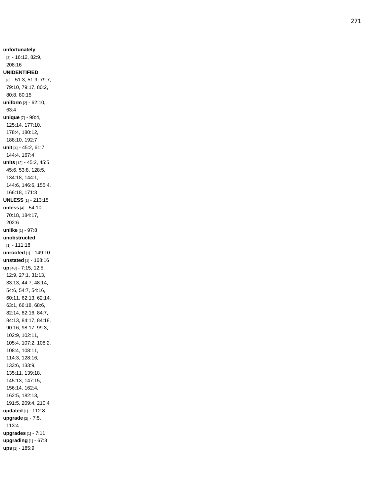**unfortunately** [3] - 16:12, 82:9, 208:16 **UNIDENTIFIED** [8] - 51:3, 51:9, 79:7, 79:10, 79:17, 80:2, 80:8, 80:15 **uniform** [2] - 62:10, 63:4 **unique** [7] - 98:4, 125:14, 177:10, 178:4, 180:12, 188:10, 192:7 **unit** [4] - 45:2, 61:7, 144:4, 167:4 **units** [12] - 45:2, 45:5, 45:6, 53:8, 128:5, 134:18, 144:1, 144:6, 146:6, 155:4, 166:18, 171:3 **UNLESS** [1] - 213:15 **unless** [4] - 54:10, 70:18, 184:17, 202:6 **unlike** [1] - 97:8 **unobstructed** [1] - 111:18 **unroofed** [1] - 149:10 **unstated** [1] - 168:16 **up** [48] - 7:15, 12:5, 12:9, 27:1, 31:13, 33:13, 44:7, 48:14, 54:6, 54:7, 54:16, 60:11, 62:13, 62:14, 63:1, 66:18, 68:6, 82:14, 82:16, 84:7, 84:13, 84:17, 84:18, 90:16, 98:17, 99:3, 102:9, 102:11, 105:4, 107:2, 108:2, 108:4, 108:11, 114:3, 128:16, 133:6, 133:9, 135:11, 139:18, 145:13, 147:15, 156:14, 162:4, 162:5, 182:13, 191:5, 209:4, 210:4 **updated** [1] - 112:8 **upgrade** [2] - 7:5, 113:4 **upgrades** [1] - 7:11 **upgrading** [1] - 67:3 **ups** [1] - 185:9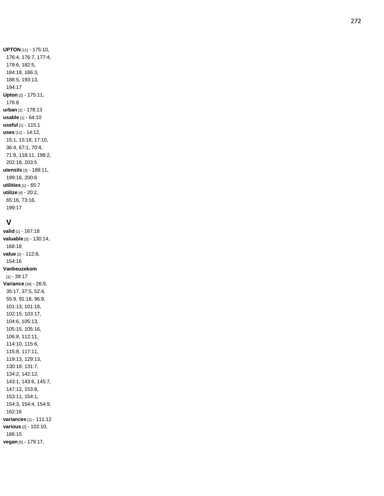**UPTON** [11] - 175:10, 176:4, 176:7, 177:4, 179:6, 182:5, 184:18, 186:3, 188:5, 193:13, 194:17 **Upton** [2] - 175:11, 176:8 **urban** [1] - 178:13 **usable** [1] - 64:10 **useful** [1] - 115:1 **uses** [12] - 14:12, 15:1, 15:18, 17:10, 36:4, 67:1, 70:4, 71:8, 118:11, 198:2, 202:18, 203:5 **utensils** [3] - 189:11, 199:18, 200:6 **utilities** [1] - 65:7 **utilize** [4] - 20:2, 65:16, 73:16, 199:17

#### **V**

**valid** [1] - 167:18 **valuable** [2] - 130:14, 168:18 **value** [2] - 112:8, 154:16 **Vanbeuzekom**  $[1] - 39:17$ **Variance** [39] - 26:9, 35:17, 37:5, 52:4, 55:9, 91:18, 96:8, 101:13, 101:18, 102:15, 103:17, 104:6, 105:13, 105:15, 105:16, 106:8, 112:11, 114:10, 115:6, 115:8, 117:11, 119:13, 129:13, 130:18, 131:7, 134:2, 142:12, 143:1, 143:6, 145:7, 147:12, 153:8, 153:11, 154:1, 154:3, 154:4, 154:9, 162:16 **variances** [1] - 111:12 **various** [2] - 102:10, 186:15 **vegan** [5] - 179:17,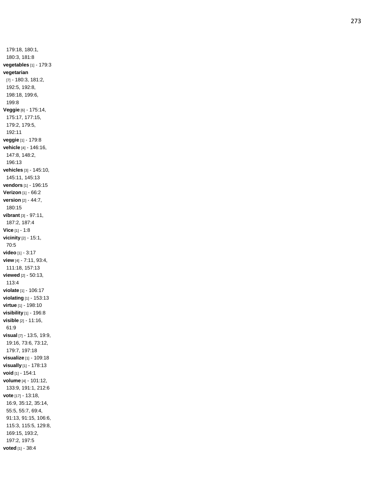179:18, 180:1, 180:3, 181:8 **vegetables** [1] - 179:3 **vegetarian** [7] - 180:3, 181:2, 192:5, 192:8, 198:18, 199:6, 199:8 **Veggie** [6] - 175:14, 175:17, 177:15, 179:2, 179:5, 192:11 **veggie** [1] - 179:8 **vehicle** [4] - 146:16, 147:8, 148:2, 196:13 **vehicles** [3] - 145:10, 145:11, 145:13 **vendors** [1] - 196:15 **Verizon** [1] - 66:2 **version** [2] - 44:7, 180:15 **vibrant** [3] - 97:11, 187:2, 187:4 **Vice** [1] - 1:8 **vicinity** [2] - 15:1, 70:5 **video** [1] - 3:17 **view** [4] - 7:11, 93:4, 111:18, 157:13 **viewed** [2] - 50:13, 113:4 **violate** [1] - 106:17 **violating** [1] - 153:13 **virtue** [1] - 198:10 **visibility** [1] - 196:8 **visible** [2] - 11:16, 61:9 **visual** [7] - 13:5, 19:9, 19:16, 73:6, 73:12, 179:7, 197:18 **visualize** [1] - 109:18 **visually** [1] - 178:13 **void** [1] - 154:1 **volume** [4] - 101:12, 133:9, 191:1, 212:6 **vote** [17] - 13:18, 16:9, 35:12, 35:14, 55:5, 55:7, 69:4, 91:13, 91:15, 106:6, 115:3, 115:5, 129:8, 169:15, 193:2, 197:2, 197:5 **voted** [1] - 38:4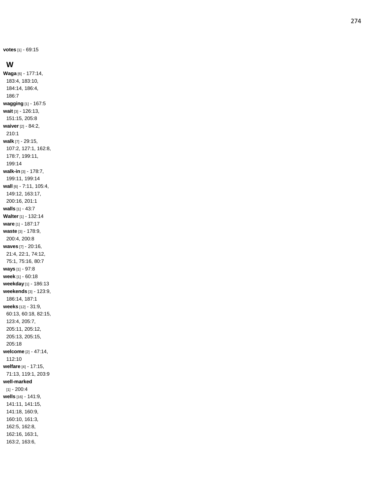**votes** [1] - 69:15

#### **W**

**Waga** [6] - 177:14, 183:4, 183:10, 184:14, 186:4, 186:7 **wagging** [1] - 167:5 **wait** [3] - 126:13, 151:15, 205:8 **waiver** [2] - 84:2, 210:1 **walk** [7] - 29:15, 107:2, 127:1, 162:8, 178:7, 199:11, 199:14 **walk -in** [3] - 178:7, 199:11, 199:14 **wall** [6] - 7:11, 105:4, 149:12, 163:17, 200:16, 201:1 **walls** [1] - 43:7 **Walter** [1] - 132:14 **ware** [1] - 187:17 **waste** [3] - 178:9, 200:4, 200:8 **waves** [7] - 20:16, 21:4, 22:1, 74:12, 75:1, 75:16, 80:7 **ways** [1] - 97:8 **week** [1] - 60:18 **weekday** [1] - 186:13 **weekends** [3] - 123:9, 186:14, 187:1 **weeks** [12] - 31:9, 60:13, 60:18, 82:15, 123:4, 205:7, 205:11, 205:12, 205:13, 205:15, 205:18 **welcome** [2] - 47:14, 112:10 **welfare** [4] - 17:15, 71:13, 119:1, 203:9 **well -marked**  $[1] - 200:4$ **wells** [16] - 141:9, 141:11, 141:15, 141:18, 160:9, 160:10, 161:3, 162:5, 162:8, 162:16, 163:1, 163:2, 163:6,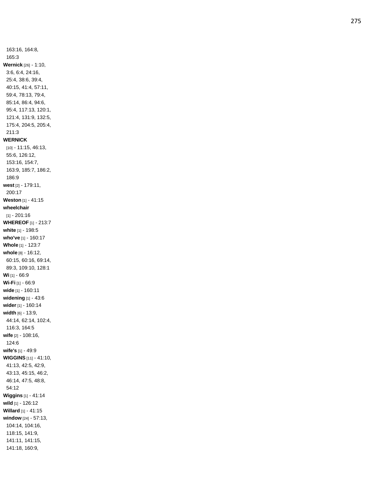163:16, 164:8, 165:3 **Wernick** [26] - 1:10, 3:6, 6:4, 24:16, 25:4, 38:6, 39:4, 40:15, 41:4, 57:11, 59:4, 78:13, 79:4, 85:14, 86:4, 94:6, 95:4, 117:13, 120:1, 121:4, 131:9, 132:5, 175:4, 204:5, 205:4, 211:3 **WERNICK** [10] - 11:15, 46:13, 55:6, 126:12, 153:16, 154:7, 163:9, 185:7, 186:2, 186:9 **west** [2] - 179:11, 200:17 **Weston** [1] - 41:15 **wheelchair** [1] - 201:16 **WHEREOF** [1] - 213:7 **white** [1] - 198:5 **who've** [1] - 160:17 **Whole** [1] - 123:7 **whole** [8] - 16:12, 60:15, 60:16, 69:14, 89:3, 109:10, 128:1 **Wi** [1] - 66:9 **Wi -Fi** [1] - 66:9 **wide** [1] - 160:11 **widening** [1] - 43:6 **wider** [1] - 160:14 **width** [6] - 13:9, 44:14, 62:14, 102:4, 116:3, 164:5 **wife** [2] - 108:16, 124:6 **wife's** [1] - 49:9 **WIGGINS** [11] - 41:10, 41:13, 42:5, 42:9, 43:13, 45:15, 46:2, 46:14, 47:5, 48:8, 54:12 **Wiggins** [1] - 41:14 **wild** [1] - 126:12 **Willard** [1] - 41:15 **window** [24] - 57:13, 104:14, 104:16, 118:15, 141:9, 141:11, 141:15, 141:18, 160:9,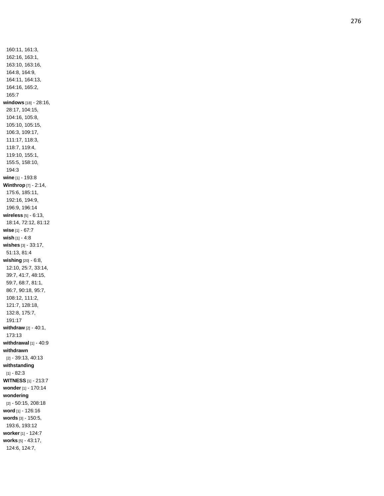160:11, 161:3, 162:16, 163:1, 163:10, 163:16, 164:8, 164:9, 164:11, 164:13, 164:16, 165:2, 165:7 **windows** [18] - 28:16, 28:17, 104:15, 104:16, 105:8, 105:10, 105:15, 106:3, 109:17, 111:17, 118:3, 118:7, 119:4, 119:10, 155:1, 155:5, 158:10, 194:3 **wine** [1] - 193:8 **Winthrop** [7] - 2:14, 175:6, 185:11, 192:16, 194:9, 196:9, 196:14 **wireless** [5] - 6:13, 18:14, 72:12, 81:12 **wise** [1] - 67:7 **wish** [1] - 4:8 **wishes** [3] - 33:17, 51:13, 81:4 **wishing** [20] - 6:8, 12:10, 25:7, 33:14, 39:7, 41:7, 48:15, 59:7, 68:7, 81:1, 86:7, 90:18, 95:7, 108:12, 111:2, 121:7, 128:18, 132:8, 175:7, 191:17 **withdraw** [2] - 40:1, 173:13 **withdrawal** [1] - 40:9 **withdrawn** [2] - 39:13, 40:13 **withstanding** [1] - 82:3 **WITNESS** [1] - 213:7 **wonder** [1] - 170:14 **wondering** [2] - 50:15, 208:18 **word** [1] - 126:16 **words** [3] - 150:5, 193:6, 193:12 **worker** [1] - 124:7 **works** [5] - 43:17, 124:6, 124:7,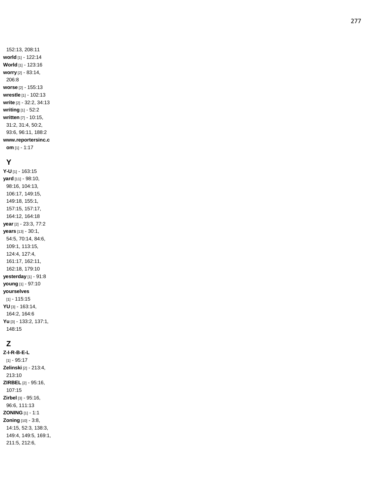### **Y**

**Y-U** [1] - 163:15 **yard** [11] - 98:10, 98:16, 104:13, 106:17, 149:15, 149:18, 155:1, 157:15, 157:17, 164:12, 164:18 **year** [2] - 23:3, 77:2 **years** [13] - 30:1, 54:5, 70:14, 84:6, 109:1, 113:15, 124:4, 127:4, 161:17, 162:11, 162:18, 179:10 **yesterday** [1] - 91:8 **young** [1] - 97:10 **yourselves** [1] - 115:15 **YU** [3] - 163:14, 164:2, 164:6 **Yu** [3] - 133:2, 137:1, 148:15

# **Z**

**Z - I - R - B - E - L** [1] - 95:17 **Zelinski** [2] - 213:4, 213:10 **ZIRBEL** [2] - 95:16, 107:15 **Zirbel** [3] - 95:16, 96:6, 111:13 **ZONING** [1] - 1:1 **Zoning** [10] - 3:8, 14:15, 52:3, 138:3, 149:4, 149:5, 169:1, 211:5, 212:6,